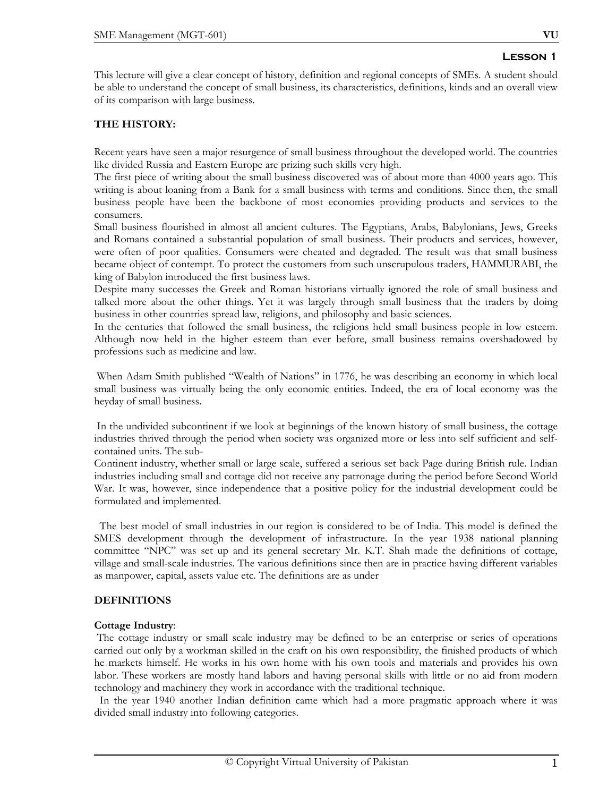This lecture will give a clear concept of history, definition and regional concepts of SMEs. A student should be able to understand the concept of small business, its characteristics, definitions, kinds and an overall view of its comparison with large business.

# **THE HISTORY:**

Recent years have seen a major resurgence of small business throughout the developed world. The countries like divided Russia and Eastern Europe are prizing such skills very high.

The first piece of writing about the small business discovered was of about more than 4000 years ago. This writing is about loaning from a Bank for a small business with terms and conditions. Since then, the small business people have been the backbone of most economies providing products and services to the consumers.

Small business flourished in almost all ancient cultures. The Egyptians, Arabs, Babylonians, Jews, Greeks and Romans contained a substantial population of small business. Their products and services, however, were often of poor qualities. Consumers were cheated and degraded. The result was that small business became object of contempt. To protect the customers from such unscrupulous traders, HAMMURABI, the king of Babylon introduced the first business laws.

Despite many successes the Greek and Roman historians virtually ignored the role of small business and talked more about the other things. Yet it was largely through small business that the traders by doing business in other countries spread law, religions, and philosophy and basic sciences.

In the centuries that followed the small business, the religions held small business people in low esteem. Although now held in the higher esteem than ever before, small business remains overshadowed by professions such as medicine and law.

 When Adam Smith published "Wealth of Nations" in 1776, he was describing an economy in which local small business was virtually being the only economic entities. Indeed, the era of local economy was the heyday of small business.

 In the undivided subcontinent if we look at beginnings of the known history of small business, the cottage industries thrived through the period when society was organized more or less into self sufficient and selfcontained units. The sub-

Continent industry, whether small or large scale, suffered a serious set back Page during British rule. Indian industries including small and cottage did not receive any patronage during the period before Second World War. It was, however, since independence that a positive policy for the industrial development could be formulated and implemented.

 The best model of small industries in our region is considered to be of India. This model is defined the SMES development through the development of infrastructure. In the year 1938 national planning committee "NPC" was set up and its general secretary Mr. K.T. Shah made the definitions of cottage, village and small-scale industries. The various definitions since then are in practice having different variables as manpower, capital, assets value etc. The definitions are as under

# **DEFINITIONS**

## **Cottage Industry**:

 The cottage industry or small scale industry may be defined to be an enterprise or series of operations carried out only by a workman skilled in the craft on his own responsibility, the finished products of which he markets himself. He works in his own home with his own tools and materials and provides his own labor. These workers are mostly hand labors and having personal skills with little or no aid from modern technology and machinery they work in accordance with the traditional technique.

 In the year 1940 another Indian definition came which had a more pragmatic approach where it was divided small industry into following categories.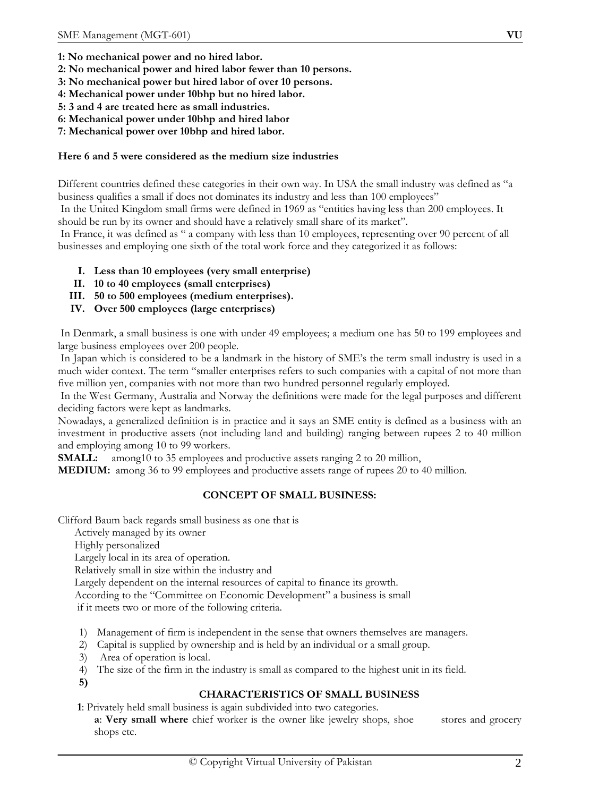- **1: No mechanical power and no hired labor.**
- **2: No mechanical power and hired labor fewer than 10 persons.**
- **3: No mechanical power but hired labor of over 10 persons.**
- **4: Mechanical power under 10bhp but no hired labor.**
- **5: 3 and 4 are treated here as small industries.**
- **6: Mechanical power under 10bhp and hired labor**
- **7: Mechanical power over 10bhp and hired labor.**

# **Here 6 and 5 were considered as the medium size industries**

Different countries defined these categories in their own way. In USA the small industry was defined as "a business qualifies a small if does not dominates its industry and less than 100 employees"

 In the United Kingdom small firms were defined in 1969 as "entities having less than 200 employees. It should be run by its owner and should have a relatively small share of its market".

 In France, it was defined as " a company with less than 10 employees, representing over 90 percent of all businesses and employing one sixth of the total work force and they categorized it as follows:

- **I. Less than 10 employees (very small enterprise)**
- **II. 10 to 40 employees (small enterprises)**
- **III. 50 to 500 employees (medium enterprises).**
- **IV. Over 500 employees (large enterprises)**

 In Denmark, a small business is one with under 49 employees; a medium one has 50 to 199 employees and large business employees over 200 people.

 In Japan which is considered to be a landmark in the history of SME's the term small industry is used in a much wider context. The term "smaller enterprises refers to such companies with a capital of not more than five million yen, companies with not more than two hundred personnel regularly employed.

 In the West Germany, Australia and Norway the definitions were made for the legal purposes and different deciding factors were kept as landmarks.

Nowadays, a generalized definition is in practice and it says an SME entity is defined as a business with an investment in productive assets (not including land and building) ranging between rupees 2 to 40 million and employing among 10 to 99 workers.

**SMALL:** among10 to 35 employees and productive assets ranging 2 to 20 million,

**MEDIUM:** among 36 to 99 employees and productive assets range of rupees 20 to 40 million.

# **CONCEPT OF SMALL BUSINESS:**

Clifford Baum back regards small business as one that is

Actively managed by its owner

Highly personalized

Largely local in its area of operation.

Relatively small in size within the industry and

Largely dependent on the internal resources of capital to finance its growth.

According to the "Committee on Economic Development" a business is small

if it meets two or more of the following criteria.

- 1) Management of firm is independent in the sense that owners themselves are managers.
- 2) Capital is supplied by ownership and is held by an individual or a small group.
- 3) Area of operation is local.
- 4) The size of the firm in the industry is small as compared to the highest unit in its field.
- **5)**

# **CHARACTERISTICS OF SMALL BUSINESS**

**1**: Privately held small business is again subdivided into two categories.

**a**: **Very small where** chief worker is the owner like jewelry shops, shoe stores and grocery shops etc.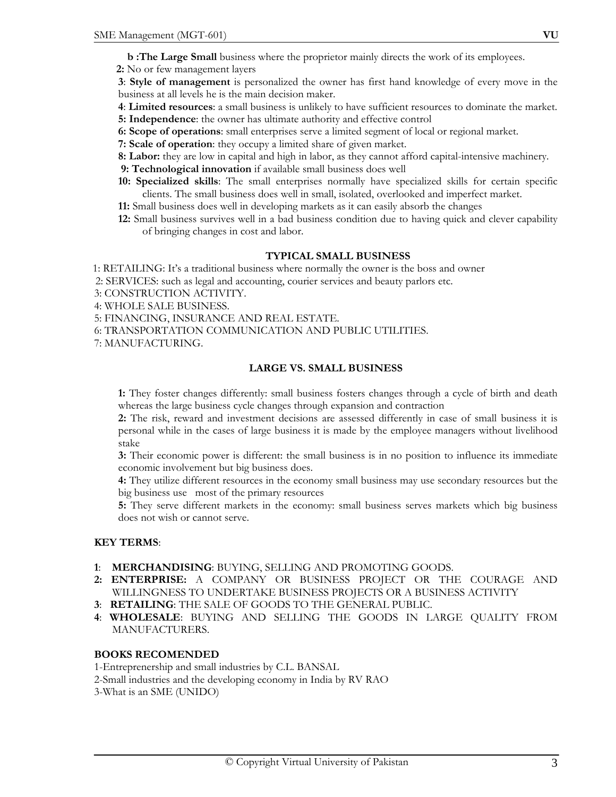- **b**: The Large Small business where the proprietor mainly directs the work of its employees.
- **2:** No or few management layers

**3**: **Style of management** is personalized the owner has first hand knowledge of every move in the business at all levels he is the main decision maker.

- **4**: **Limited resources**: a small business is unlikely to have sufficient resources to dominate the market.
- **5: Independence**: the owner has ultimate authority and effective control
- **6: Scope of operations**: small enterprises serve a limited segment of local or regional market.
- **7: Scale of operation**: they occupy a limited share of given market.
- **8: Labor:** they are low in capital and high in labor, as they cannot afford capital-intensive machinery.
- **9: Technological innovation** if available small business does well
- **10: Specialized skills**: The small enterprises normally have specialized skills for certain specific clients. The small business does well in small, isolated, overlooked and imperfect market.
- **11:** Small business does well in developing markets as it can easily absorb the changes
- **12:** Small business survives well in a bad business condition due to having quick and clever capability of bringing changes in cost and labor.

#### **TYPICAL SMALL BUSINESS**

1: RETAILING: It's a traditional business where normally the owner is the boss and owner

2: SERVICES: such as legal and accounting, courier services and beauty parlors etc.

- 3: CONSTRUCTION ACTIVITY.
- 4: WHOLE SALE BUSINESS.

5: FINANCING, INSURANCE AND REAL ESTATE.

- 6: TRANSPORTATION COMMUNICATION AND PUBLIC UTILITIES.
- 7: MANUFACTURING.

#### **LARGE VS. SMALL BUSINESS**

**1:** They foster changes differently: small business fosters changes through a cycle of birth and death whereas the large business cycle changes through expansion and contraction

**2:** The risk, reward and investment decisions are assessed differently in case of small business it is personal while in the cases of large business it is made by the employee managers without livelihood stake

**3:** Their economic power is different: the small business is in no position to influence its immediate economic involvement but big business does.

**4:** They utilize different resources in the economy small business may use secondary resources but the big business use most of the primary resources

**5:** They serve different markets in the economy: small business serves markets which big business does not wish or cannot serve.

#### **KEY TERMS**:

- **1**: **MERCHANDISING**: BUYING, SELLING AND PROMOTING GOODS.
- **2: ENTERPRISE:** A COMPANY OR BUSINESS PROJECT OR THE COURAGE AND WILLINGNESS TO UNDERTAKE BUSINESS PROJECTS OR A BUSINESS ACTIVITY
- **3**: **RETAILING**: THE SALE OF GOODS TO THE GENERAL PUBLIC.
- **4**: **WHOLESALE**: BUYING AND SELLING THE GOODS IN LARGE QUALITY FROM MANUFACTURERS.

#### **BOOKS RECOMENDED**

1-Entreprenership and small industries by C.L. BANSAL

- 2-Small industries and the developing economy in India by RV RAO
- 3-What is an SME (UNIDO)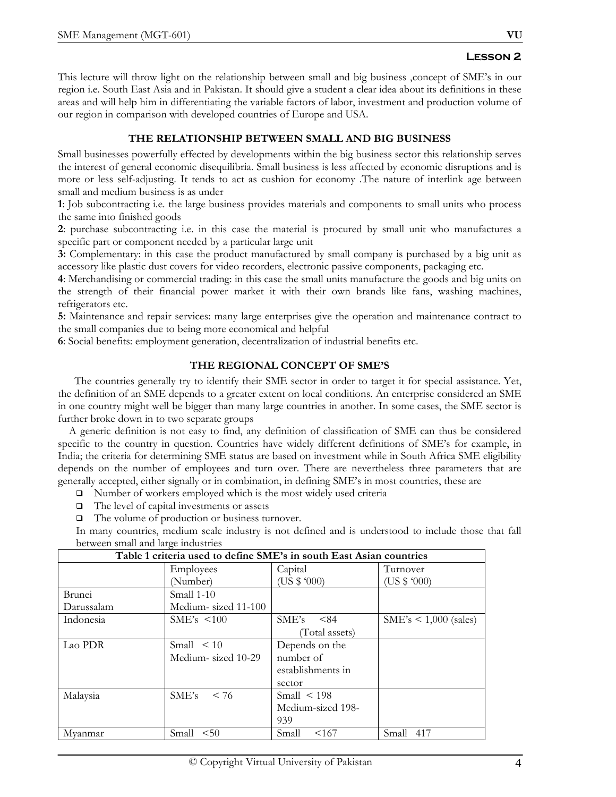This lecture will throw light on the relationship between small and big business ,concept of SME's in our region i.e. South East Asia and in Pakistan. It should give a student a clear idea about its definitions in these areas and will help him in differentiating the variable factors of labor, investment and production volume of our region in comparison with developed countries of Europe and USA.

# **THE RELATIONSHIP BETWEEN SMALL AND BIG BUSINESS**

Small businesses powerfully effected by developments within the big business sector this relationship serves the interest of general economic disequilibria. Small business is less affected by economic disruptions and is more or less self-adjusting. It tends to act as cushion for economy .The nature of interlink age between small and medium business is as under

**1**: Job subcontracting i.e. the large business provides materials and components to small units who process the same into finished goods

**2**: purchase subcontracting i.e. in this case the material is procured by small unit who manufactures a specific part or component needed by a particular large unit

**3:** Complementary: in this case the product manufactured by small company is purchased by a big unit as accessory like plastic dust covers for video recorders, electronic passive components, packaging etc.

**4**: Merchandising or commercial trading: in this case the small units manufacture the goods and big units on the strength of their financial power market it with their own brands like fans, washing machines, refrigerators etc.

**5:** Maintenance and repair services: many large enterprises give the operation and maintenance contract to the small companies due to being more economical and helpful

**6**: Social benefits: employment generation, decentralization of industrial benefits etc.

# **THE REGIONAL CONCEPT OF SME'S**

 The countries generally try to identify their SME sector in order to target it for special assistance. Yet, the definition of an SME depends to a greater extent on local conditions. An enterprise considered an SME in one country might well be bigger than many large countries in another. In some cases, the SME sector is further broke down in to two separate groups

 A generic definition is not easy to find, any definition of classification of SME can thus be considered specific to the country in question. Countries have widely different definitions of SME's for example, in India; the criteria for determining SME status are based on investment while in South Africa SME eligibility depends on the number of employees and turn over. There are nevertheless three parameters that are generally accepted, either signally or in combination, in defining SME's in most countries, these are

- $\Box$  Number of workers employed which is the most widely used criteria
- $\Box$  The level of capital investments or assets
- The volume of production or business turnover.

In many countries, medium scale industry is not defined and is understood to include those that fall between small and large industries

| Table 1 criteria used to define SME's in south East Asian countries |                     |                   |                           |  |
|---------------------------------------------------------------------|---------------------|-------------------|---------------------------|--|
|                                                                     | Employees           | Capital           | Turnover                  |  |
|                                                                     | (Number)            | (US \$ '000)      | (US \$ '000)              |  |
| Brunei                                                              | Small 1-10          |                   |                           |  |
| Darussalam                                                          | Medium-sized 11-100 |                   |                           |  |
| Indonesia                                                           | SME's < 100         | SME's<br>- 184    | $SME's \le 1,000$ (sales) |  |
|                                                                     |                     | (Total assets)    |                           |  |
| Lao PDR                                                             | Small $\leq 10$     | Depends on the    |                           |  |
|                                                                     | Medium-sized 10-29  | number of         |                           |  |
|                                                                     |                     | establishments in |                           |  |
|                                                                     |                     | sector            |                           |  |
| Malaysia                                                            | SME's<br>< 76       | Small $\leq 198$  |                           |  |
|                                                                     |                     | Medium-sized 198- |                           |  |
|                                                                     |                     | 939               |                           |  |
| Myanmar                                                             | < 50<br>Small       | <167<br>Small     | Small<br>417              |  |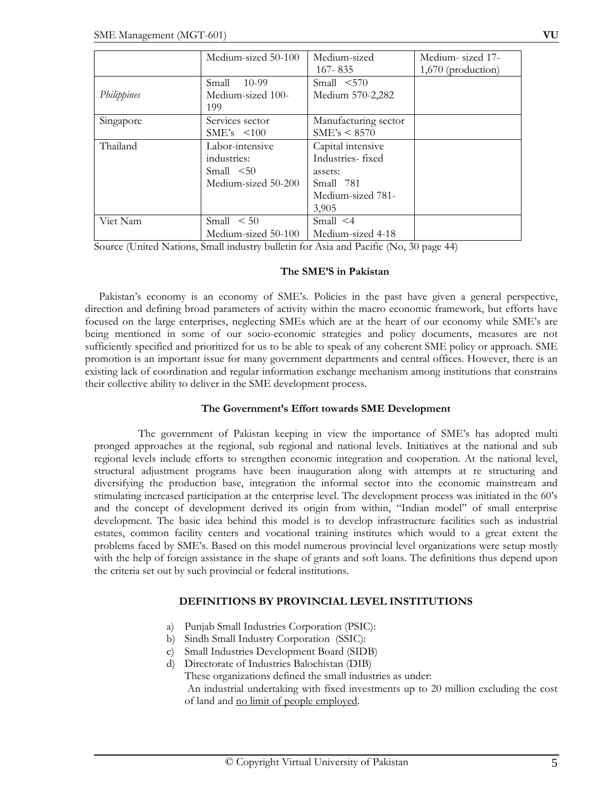|             | Medium-sized 50-100                                                      | Medium-sized<br>$167 - 835$                                                                 | Medium-sized 17-<br>$1,670$ (production) |
|-------------|--------------------------------------------------------------------------|---------------------------------------------------------------------------------------------|------------------------------------------|
| Philippines | Small<br>10-99<br>Medium-sized 100-<br>199                               | Small < 570<br>Medium 570-2,282                                                             |                                          |
| Singapore   | Services sector<br>$SME's \leq 100$                                      | Manufacturing sector<br>SME's < 8570                                                        |                                          |
| Thailand    | Labor-intensive<br>industries:<br>Small $\leq 50$<br>Medium-sized 50-200 | Capital intensive<br>Industries-fixed<br>assets:<br>Small 781<br>Medium-sized 781-<br>3,905 |                                          |
| Viet Nam    | Small < 50<br>Medium-sized 50-100                                        | Small $\leq 4$<br>Medium-sized 4-18                                                         |                                          |

Source (United Nations, Small industry bulletin for Asia and Pacific (No, 30 page 44)

#### **The SME'S in Pakistan**

Pakistan's economy is an economy of SME's. Policies in the past have given a general perspective, direction and defining broad parameters of activity within the macro economic framework, but efforts have focused on the large enterprises, neglecting SMEs which are at the heart of our economy while SME's are being mentioned in some of our socio-economic strategies and policy documents, measures are not sufficiently specified and prioritized for us to be able to speak of any coherent SME policy or approach. SME promotion is an important issue for many government departments and central offices. However, there is an existing lack of coordination and regular information exchange mechanism among institutions that constrains their collective ability to deliver in the SME development process.

#### **The Government's Effort towards SME Development**

 The government of Pakistan keeping in view the importance of SME's has adopted multi pronged approaches at the regional, sub regional and national levels. Initiatives at the national and sub regional levels include efforts to strengthen economic integration and cooperation. At the national level, structural adjustment programs have been inauguration along with attempts at re structuring and diversifying the production base, integration the informal sector into the economic mainstream and stimulating increased participation at the enterprise level. The development process was initiated in the 60's and the concept of development derived its origin from within, "Indian model" of small enterprise development. The basic idea behind this model is to develop infrastructure facilities such as industrial estates, common facility centers and vocational training institutes which would to a great extent the problems faced by SME's. Based on this model numerous provincial level organizations were setup mostly with the help of foreign assistance in the shape of grants and soft loans. The definitions thus depend upon the criteria set out by such provincial or federal institutions.

## **DEFINITIONS BY PROVINCIAL LEVEL INSTITUTIONS**

- a) Punjab Small Industries Corporation (PSIC):
- b) Sindh Small Industry Corporation (SSIC):
- c) Small Industries Development Board (SIDB)
- d) Directorate of Industries Balochistan (DIB)

These organizations defined the small industries as under:

 An industrial undertaking with fixed investments up to 20 million excluding the cost of land and no limit of people employed.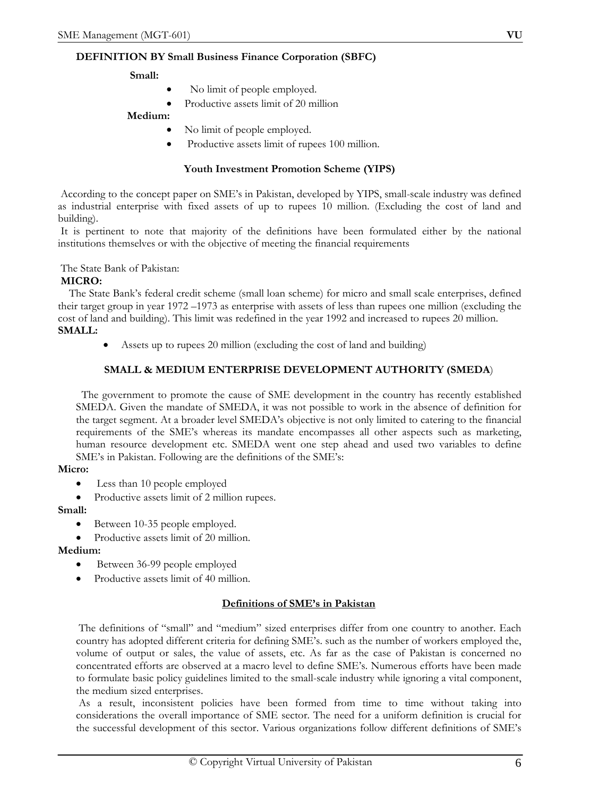# **DEFINITION BY Small Business Finance Corporation (SBFC)**

## **Small:**

- No limit of people employed.
- Productive assets limit of 20 million

# **Medium:**

- No limit of people employed.
- Productive assets limit of rupees 100 million.

# **Youth Investment Promotion Scheme (YIPS)**

 According to the concept paper on SME's in Pakistan, developed by YIPS, small-scale industry was defined as industrial enterprise with fixed assets of up to rupees 10 million. (Excluding the cost of land and building).

 It is pertinent to note that majority of the definitions have been formulated either by the national institutions themselves or with the objective of meeting the financial requirements

The State Bank of Pakistan:

## **MICRO:**

 The State Bank's federal credit scheme (small loan scheme) for micro and small scale enterprises, defined their target group in year 1972 –1973 as enterprise with assets of less than rupees one million (excluding the cost of land and building). This limit was redefined in the year 1992 and increased to rupees 20 million.

# **SMALL:**

• Assets up to rupees 20 million (excluding the cost of land and building)

# **SMALL & MEDIUM ENTERPRISE DEVELOPMENT AUTHORITY (SMEDA**)

 The government to promote the cause of SME development in the country has recently established SMEDA. Given the mandate of SMEDA, it was not possible to work in the absence of definition for the target segment. At a broader level SMEDA's objective is not only limited to catering to the financial requirements of the SME's whereas its mandate encompasses all other aspects such as marketing, human resource development etc. SMEDA went one step ahead and used two variables to define SME's in Pakistan. Following are the definitions of the SME's:

## **Micro:**

- Less than 10 people employed
- Productive assets limit of 2 million rupees.

## **Small:**

- Between 10-35 people employed.
- Productive assets limit of 20 million.

## **Medium:**

- Between 36-99 people employed
- Productive assets limit of 40 million.

# **Definitions of SME's in Pakistan**

 The definitions of "small" and "medium" sized enterprises differ from one country to another. Each country has adopted different criteria for defining SME's. such as the number of workers employed the, volume of output or sales, the value of assets, etc. As far as the case of Pakistan is concerned no concentrated efforts are observed at a macro level to define SME's. Numerous efforts have been made to formulate basic policy guidelines limited to the small-scale industry while ignoring a vital component, the medium sized enterprises.

 As a result, inconsistent policies have been formed from time to time without taking into considerations the overall importance of SME sector. The need for a uniform definition is crucial for the successful development of this sector. Various organizations follow different definitions of SME's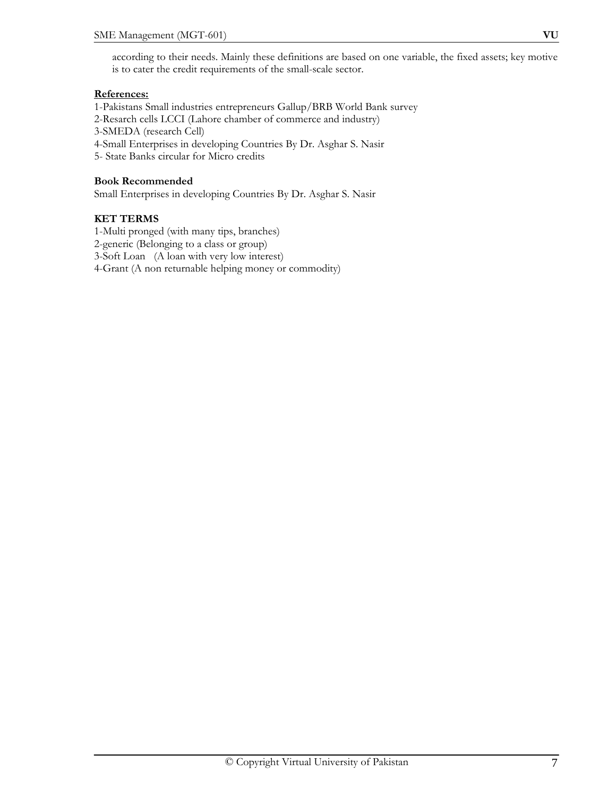# **References:**

1-Pakistans Small industries entrepreneurs Gallup/BRB World Bank survey 2-Resarch cells LCCI (Lahore chamber of commerce and industry) 3-SMEDA (research Cell) 4-Small Enterprises in developing Countries By Dr. Asghar S. Nasir 5- State Banks circular for Micro credits

## **Book Recommended**

Small Enterprises in developing Countries By Dr. Asghar S. Nasir

## **KET TERMS**

1-Multi pronged (with many tips, branches) 2-generic (Belonging to a class or group) 3-Soft Loan (A loan with very low interest) 4-Grant (A non returnable helping money or commodity)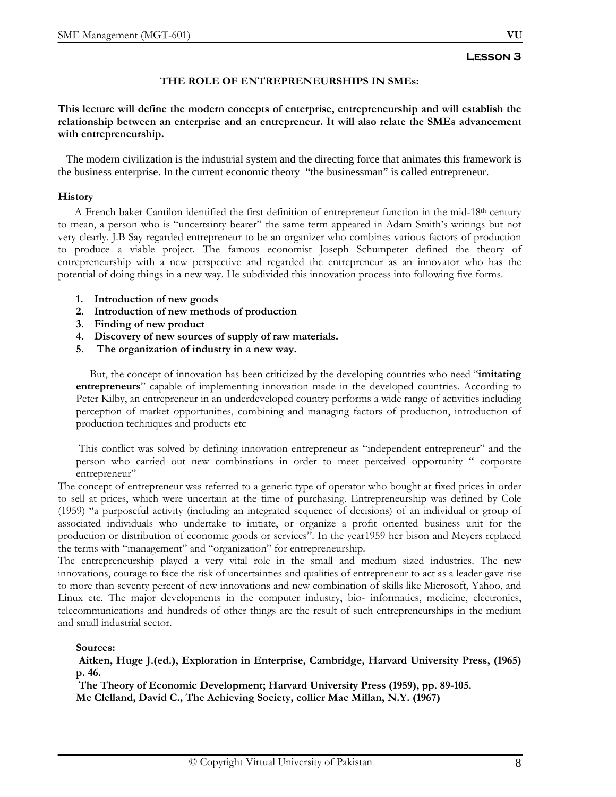# **THE ROLE OF ENTREPRENEURSHIPS IN SMEs:**

**This lecture will define the modern concepts of enterprise, entrepreneurship and will establish the relationship between an enterprise and an entrepreneur. It will also relate the SMEs advancement with entrepreneurship.** 

 The modern civilization is the industrial system and the directing force that animates this framework is the business enterprise. In the current economic theory "the businessman" is called entrepreneur.

#### **History**

 A French baker Cantilon identified the first definition of entrepreneur function in the mid-18th century to mean, a person who is "uncertainty bearer" the same term appeared in Adam Smith's writings but not very clearly. J.B Say regarded entrepreneur to be an organizer who combines various factors of production to produce a viable project. The famous economist Joseph Schumpeter defined the theory of entrepreneurship with a new perspective and regarded the entrepreneur as an innovator who has the potential of doing things in a new way. He subdivided this innovation process into following five forms.

- **1. Introduction of new goods**
- **2. Introduction of new methods of production**
- **3. Finding of new product**
- **4. Discovery of new sources of supply of raw materials.**
- **5. The organization of industry in a new way.**

 But, the concept of innovation has been criticized by the developing countries who need "**imitating entrepreneurs**" capable of implementing innovation made in the developed countries. According to Peter Kilby, an entrepreneur in an underdeveloped country performs a wide range of activities including perception of market opportunities, combining and managing factors of production, introduction of production techniques and products etc

 This conflict was solved by defining innovation entrepreneur as "independent entrepreneur" and the person who carried out new combinations in order to meet perceived opportunity " corporate entrepreneur"

The concept of entrepreneur was referred to a generic type of operator who bought at fixed prices in order to sell at prices, which were uncertain at the time of purchasing. Entrepreneurship was defined by Cole (1959) "a purposeful activity (including an integrated sequence of decisions) of an individual or group of associated individuals who undertake to initiate, or organize a profit oriented business unit for the production or distribution of economic goods or services". In the year1959 her bison and Meyers replaced the terms with "management" and "organization" for entrepreneurship.

The entrepreneurship played a very vital role in the small and medium sized industries. The new innovations, courage to face the risk of uncertainties and qualities of entrepreneur to act as a leader gave rise to more than seventy percent of new innovations and new combination of skills like Microsoft, Yahoo, and Linux etc. The major developments in the computer industry, bio- informatics, medicine, electronics, telecommunications and hundreds of other things are the result of such entrepreneurships in the medium and small industrial sector.

## **Sources:**

**Aitken, Huge J.(ed.), Exploration in Enterprise, Cambridge, Harvard University Press, (1965) p. 46.** 

 **The Theory of Economic Development; Harvard University Press (1959), pp. 89-105. Mc Clelland, David C., The Achieving Society, collier Mac Millan, N.Y. (1967)**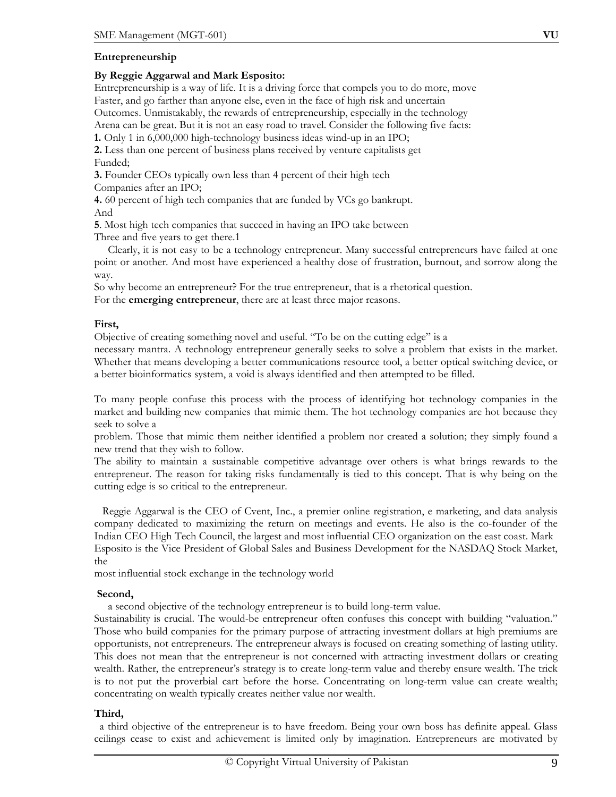## **Entrepreneurship**

#### **By Reggie Aggarwal and Mark Esposito:**

Entrepreneurship is a way of life. It is a driving force that compels you to do more, move Faster, and go farther than anyone else, even in the face of high risk and uncertain Outcomes. Unmistakably, the rewards of entrepreneurship, especially in the technology Arena can be great. But it is not an easy road to travel. Consider the following five facts:

**1.** Only 1 in 6,000,000 high-technology business ideas wind-up in an IPO;

**2.** Less than one percent of business plans received by venture capitalists get Funded;

**3.** Founder CEOs typically own less than 4 percent of their high tech Companies after an IPO;

**4.** 60 percent of high tech companies that are funded by VCs go bankrupt. And

**5**. Most high tech companies that succeed in having an IPO take between Three and five years to get there.1

 Clearly, it is not easy to be a technology entrepreneur. Many successful entrepreneurs have failed at one point or another. And most have experienced a healthy dose of frustration, burnout, and sorrow along the way.

So why become an entrepreneur? For the true entrepreneur, that is a rhetorical question. For the **emerging entrepreneur**, there are at least three major reasons.

#### **First,**

Objective of creating something novel and useful. "To be on the cutting edge" is a

necessary mantra. A technology entrepreneur generally seeks to solve a problem that exists in the market. Whether that means developing a better communications resource tool, a better optical switching device, or a better bioinformatics system, a void is always identified and then attempted to be filled.

To many people confuse this process with the process of identifying hot technology companies in the market and building new companies that mimic them. The hot technology companies are hot because they seek to solve a

problem. Those that mimic them neither identified a problem nor created a solution; they simply found a new trend that they wish to follow.

The ability to maintain a sustainable competitive advantage over others is what brings rewards to the entrepreneur. The reason for taking risks fundamentally is tied to this concept. That is why being on the cutting edge is so critical to the entrepreneur.

Reggie Aggarwal is the CEO of Cvent, Inc., a premier online registration, e marketing, and data analysis company dedicated to maximizing the return on meetings and events. He also is the co-founder of the Indian CEO High Tech Council, the largest and most influential CEO organization on the east coast. Mark Esposito is the Vice President of Global Sales and Business Development for the NASDAQ Stock Market, the

most influential stock exchange in the technology world

#### **Second,**

a second objective of the technology entrepreneur is to build long-term value.

Sustainability is crucial. The would-be entrepreneur often confuses this concept with building "valuation." Those who build companies for the primary purpose of attracting investment dollars at high premiums are opportunists, not entrepreneurs. The entrepreneur always is focused on creating something of lasting utility. This does not mean that the entrepreneur is not concerned with attracting investment dollars or creating wealth. Rather, the entrepreneur's strategy is to create long-term value and thereby ensure wealth. The trick is to not put the proverbial cart before the horse. Concentrating on long-term value can create wealth; concentrating on wealth typically creates neither value nor wealth.

## **Third,**

 a third objective of the entrepreneur is to have freedom. Being your own boss has definite appeal. Glass ceilings cease to exist and achievement is limited only by imagination. Entrepreneurs are motivated by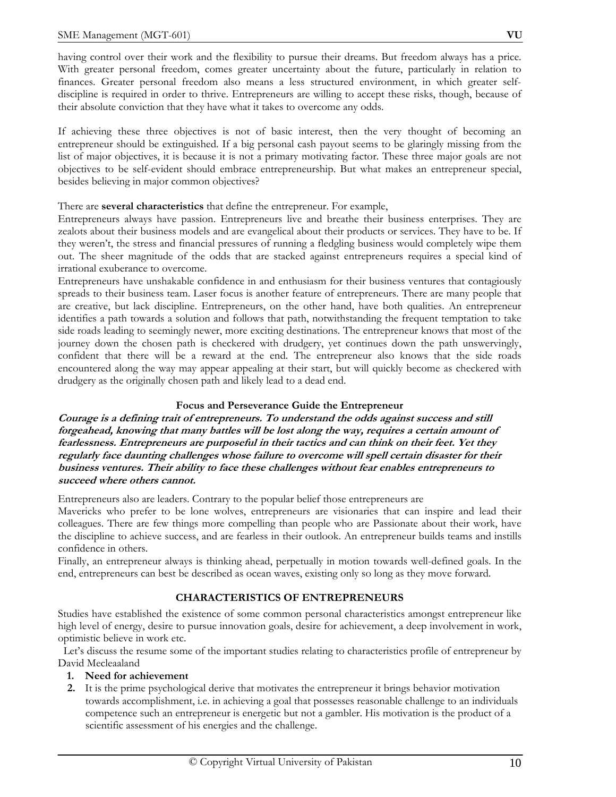having control over their work and the flexibility to pursue their dreams. But freedom always has a price. With greater personal freedom, comes greater uncertainty about the future, particularly in relation to finances. Greater personal freedom also means a less structured environment, in which greater selfdiscipline is required in order to thrive. Entrepreneurs are willing to accept these risks, though, because of their absolute conviction that they have what it takes to overcome any odds.

If achieving these three objectives is not of basic interest, then the very thought of becoming an entrepreneur should be extinguished. If a big personal cash payout seems to be glaringly missing from the list of major objectives, it is because it is not a primary motivating factor. These three major goals are not objectives to be self-evident should embrace entrepreneurship. But what makes an entrepreneur special, besides believing in major common objectives?

#### There are **several characteristics** that define the entrepreneur. For example,

Entrepreneurs always have passion. Entrepreneurs live and breathe their business enterprises. They are zealots about their business models and are evangelical about their products or services. They have to be. If they weren't, the stress and financial pressures of running a fledgling business would completely wipe them out. The sheer magnitude of the odds that are stacked against entrepreneurs requires a special kind of irrational exuberance to overcome.

Entrepreneurs have unshakable confidence in and enthusiasm for their business ventures that contagiously spreads to their business team. Laser focus is another feature of entrepreneurs. There are many people that are creative, but lack discipline. Entrepreneurs, on the other hand, have both qualities. An entrepreneur identifies a path towards a solution and follows that path, notwithstanding the frequent temptation to take side roads leading to seemingly newer, more exciting destinations. The entrepreneur knows that most of the journey down the chosen path is checkered with drudgery, yet continues down the path unswervingly, confident that there will be a reward at the end. The entrepreneur also knows that the side roads encountered along the way may appear appealing at their start, but will quickly become as checkered with drudgery as the originally chosen path and likely lead to a dead end.

## **Focus and Perseverance Guide the Entrepreneur**

**Courage is a defining trait of entrepreneurs. To understand the odds against success and still forgeahead, knowing that many battles will be lost along the way, requires a certain amount of fearlessness. Entrepreneurs are purposeful in their tactics and can think on their feet. Yet they regularly face daunting challenges whose failure to overcome will spell certain disaster for their business ventures. Their ability to face these challenges without fear enables entrepreneurs to succeed where others cannot.** 

Entrepreneurs also are leaders. Contrary to the popular belief those entrepreneurs are

Mavericks who prefer to be lone wolves, entrepreneurs are visionaries that can inspire and lead their colleagues. There are few things more compelling than people who are Passionate about their work, have the discipline to achieve success, and are fearless in their outlook. An entrepreneur builds teams and instills confidence in others.

Finally, an entrepreneur always is thinking ahead, perpetually in motion towards well-defined goals. In the end, entrepreneurs can best be described as ocean waves, existing only so long as they move forward.

## **CHARACTERISTICS OF ENTREPRENEURS**

Studies have established the existence of some common personal characteristics amongst entrepreneur like high level of energy, desire to pursue innovation goals, desire for achievement, a deep involvement in work, optimistic believe in work etc.

 Let's discuss the resume some of the important studies relating to characteristics profile of entrepreneur by David Mecleaaland

- **1. Need for achievement**
- **2.** It is the prime psychological derive that motivates the entrepreneur it brings behavior motivation towards accomplishment, i.e. in achieving a goal that possesses reasonable challenge to an individuals competence such an entrepreneur is energetic but not a gambler. His motivation is the product of a scientific assessment of his energies and the challenge.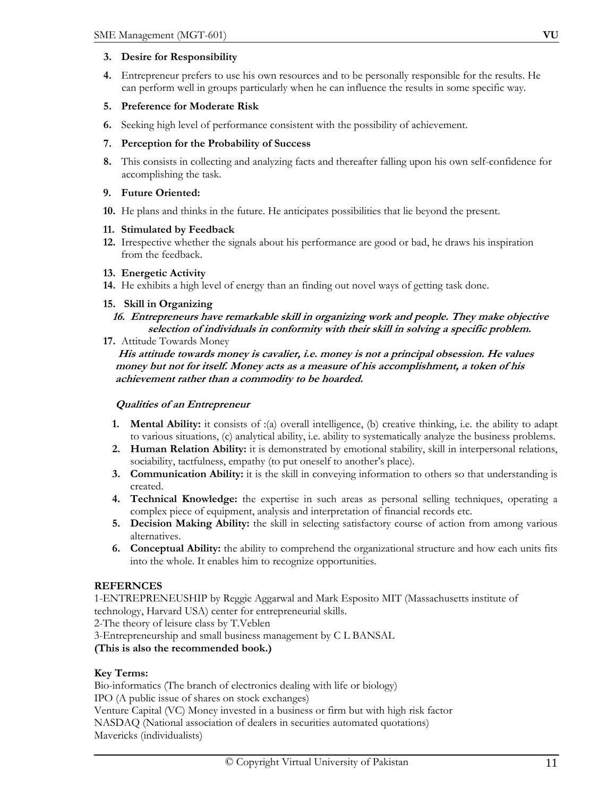## **3. Desire for Responsibility**

**4.** Entrepreneur prefers to use his own resources and to be personally responsible for the results. He can perform well in groups particularly when he can influence the results in some specific way.

## **5. Preference for Moderate Risk**

**6.** Seeking high level of performance consistent with the possibility of achievement.

## **7. Perception for the Probability of Success**

**8.** This consists in collecting and analyzing facts and thereafter falling upon his own self-confidence for accomplishing the task.

## **9. Future Oriented:**

**10.** He plans and thinks in the future. He anticipates possibilities that lie beyond the present.

## **11. Stimulated by Feedback**

**12.** Irrespective whether the signals about his performance are good or bad, he draws his inspiration from the feedback.

## **13. Energetic Activity**

**14.** He exhibits a high level of energy than an finding out novel ways of getting task done.

## **15. Skill in Organizing**

# **16. Entrepreneurs have remarkable skill in organizing work and people. They make objective selection of individuals in conformity with their skill in solving a specific problem.**

**17.** Attitude Towards Money

 **His attitude towards money is cavalier, i.e. money is not a principal obsession. He values money but not for itself. Money acts as a measure of his accomplishment, a token of his achievement rather than a commodity to be hoarded.** 

# **Qualities of an Entrepreneur**

- **1. Mental Ability:** it consists of :(a) overall intelligence, (b) creative thinking, i.e. the ability to adapt to various situations, (c) analytical ability, i.e. ability to systematically analyze the business problems.
- **2. Human Relation Ability:** it is demonstrated by emotional stability, skill in interpersonal relations, sociability, tactfulness, empathy (to put oneself to another's place).
- **3. Communication Ability:** it is the skill in conveying information to others so that understanding is created.
- **4. Technical Knowledge:** the expertise in such areas as personal selling techniques, operating a complex piece of equipment, analysis and interpretation of financial records etc.
- **5. Decision Making Ability:** the skill in selecting satisfactory course of action from among various alternatives.
- **6. Conceptual Ability:** the ability to comprehend the organizational structure and how each units fits into the whole. It enables him to recognize opportunities.

# **REFERNCES**

1-ENTREPRENEUSHIP by Reggie Aggarwal and Mark Esposito MIT (Massachusetts institute of technology, Harvard USA) center for entrepreneurial skills.

2-The theory of leisure class by T.Veblen

3-Entrepreneurship and small business management by C L BANSAL

**(This is also the recommended book.)** 

# **Key Terms:**

Bio-informatics (The branch of electronics dealing with life or biology) IPO (A public issue of shares on stock exchanges) Venture Capital (VC) Money invested in a business or firm but with high risk factor NASDAQ (National association of dealers in securities automated quotations) Mavericks (individualists)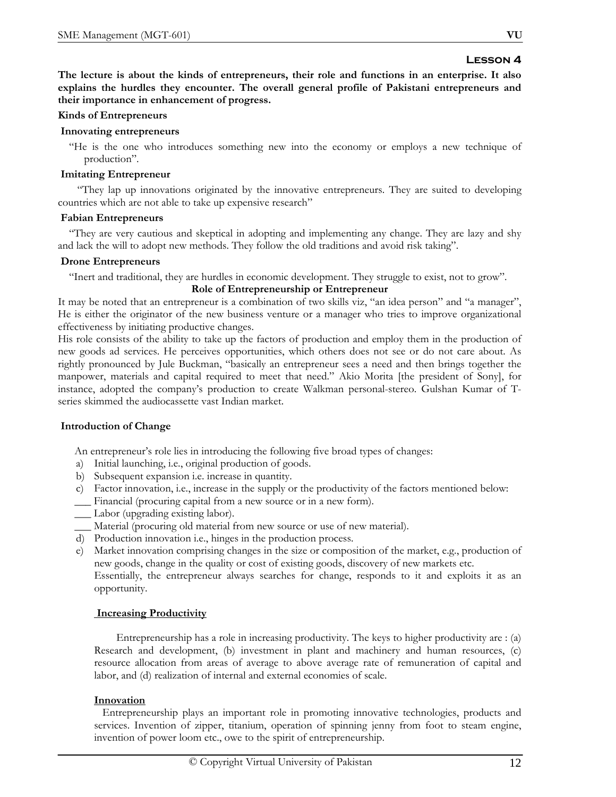**The lecture is about the kinds of entrepreneurs, their role and functions in an enterprise. It also explains the hurdles they encounter. The overall general profile of Pakistani entrepreneurs and their importance in enhancement of progress.** 

#### **Kinds of Entrepreneurs**

#### **Innovating entrepreneurs**

 "He is the one who introduces something new into the economy or employs a new technique of production".

#### **Imitating Entrepreneur**

 "They lap up innovations originated by the innovative entrepreneurs. They are suited to developing countries which are not able to take up expensive research"

#### **Fabian Entrepreneurs**

 "They are very cautious and skeptical in adopting and implementing any change. They are lazy and shy and lack the will to adopt new methods. They follow the old traditions and avoid risk taking".

#### **Drone Entrepreneurs**

"Inert and traditional, they are hurdles in economic development. They struggle to exist, not to grow".

## **Role of Entrepreneurship or Entrepreneur**

It may be noted that an entrepreneur is a combination of two skills viz, "an idea person" and "a manager", He is either the originator of the new business venture or a manager who tries to improve organizational effectiveness by initiating productive changes.

His role consists of the ability to take up the factors of production and employ them in the production of new goods ad services. He perceives opportunities, which others does not see or do not care about. As rightly pronounced by Jule Buckman, "basically an entrepreneur sees a need and then brings together the manpower, materials and capital required to meet that need." Akio Morita [the president of Sony], for instance, adopted the company's production to create Walkman personal-stereo. Gulshan Kumar of Tseries skimmed the audiocassette vast Indian market.

## **Introduction of Change**

An entrepreneur's role lies in introducing the following five broad types of changes:

- a) Initial launching, i.e., original production of goods.
- b) Subsequent expansion i.e. increase in quantity.
- c) Factor innovation, i.e., increase in the supply or the productivity of the factors mentioned below:
- \_\_\_ Financial (procuring capital from a new source or in a new form).
- \_\_\_ Labor (upgrading existing labor).
- \_\_\_ Material (procuring old material from new source or use of new material).
- d) Production innovation i.e., hinges in the production process.
- e) Market innovation comprising changes in the size or composition of the market, e.g., production of new goods, change in the quality or cost of existing goods, discovery of new markets etc. Essentially, the entrepreneur always searches for change, responds to it and exploits it as an opportunity.

## **Increasing Productivity**

 Entrepreneurship has a role in increasing productivity. The keys to higher productivity are : (a) Research and development, (b) investment in plant and machinery and human resources, (c) resource allocation from areas of average to above average rate of remuneration of capital and labor, and (d) realization of internal and external economies of scale.

## **Innovation**

 Entrepreneurship plays an important role in promoting innovative technologies, products and services. Invention of zipper, titanium, operation of spinning jenny from foot to steam engine, invention of power loom etc., owe to the spirit of entrepreneurship.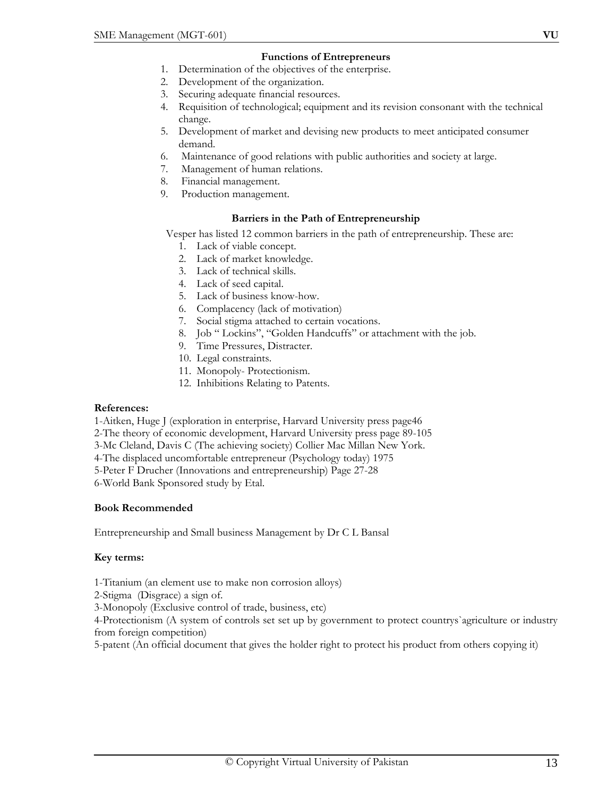## **Functions of Entrepreneurs**

- 1. Determination of the objectives of the enterprise.
- 2. Development of the organization.
- 3. Securing adequate financial resources.
- 4. Requisition of technological; equipment and its revision consonant with the technical change.
- 5. Development of market and devising new products to meet anticipated consumer demand.
- 6. Maintenance of good relations with public authorities and society at large.
- 7. Management of human relations.
- 8. Financial management.
- 9. Production management.

#### **Barriers in the Path of Entrepreneurship**

Vesper has listed 12 common barriers in the path of entrepreneurship. These are:

- 1. Lack of viable concept.
- 2. Lack of market knowledge.
- 3. Lack of technical skills.
- 4. Lack of seed capital.
- 5. Lack of business know-how.
- 6. Complacency (lack of motivation)
- 7. Social stigma attached to certain vocations.
- 8. Job " Lockins", "Golden Handcuffs" or attachment with the job.
- 9. Time Pressures, Distracter.
- 10. Legal constraints.
- 11. Monopoly- Protectionism.
- 12. Inhibitions Relating to Patents.

#### **References:**

1-Aitken, Huge J (exploration in enterprise, Harvard University press page46

2-The theory of economic development, Harvard University press page 89-105

- 3-Mc Cleland, Davis C (The achieving society) Collier Mac Millan New York.
- 4-The displaced uncomfortable entrepreneur (Psychology today) 1975
- 5-Peter F Drucher (Innovations and entrepreneurship) Page 27-28

6-World Bank Sponsored study by Etal.

#### **Book Recommended**

Entrepreneurship and Small business Management by Dr C L Bansal

## **Key terms:**

1-Titanium (an element use to make non corrosion alloys)

2-Stigma (Disgrace) a sign of.

3-Monopoly (Exclusive control of trade, business, etc)

4-Protectionism (A system of controls set set up by government to protect countrys`agriculture or industry from foreign competition)

5-patent (An official document that gives the holder right to protect his product from others copying it)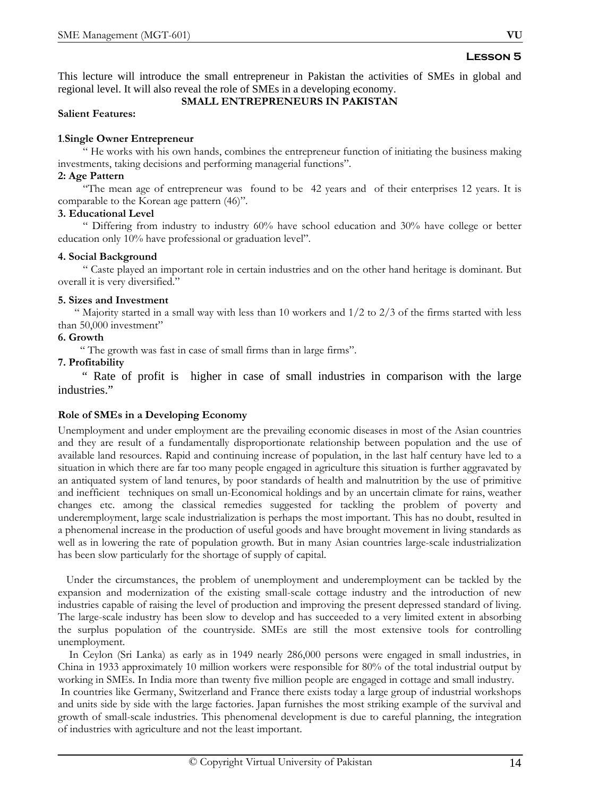This lecture will introduce the small entrepreneur in Pakistan the activities of SMEs in global and regional level. It will also reveal the role of SMEs in a developing economy.

#### **SMALL ENTREPRENEURS IN PAKISTAN**

#### **Salient Features:**

## **1**.**Single Owner Entrepreneur**

 " He works with his own hands, combines the entrepreneur function of initiating the business making investments, taking decisions and performing managerial functions".

## **2: Age Pattern**

 "The mean age of entrepreneur was found to be 42 years and of their enterprises 12 years. It is comparable to the Korean age pattern (46)".

## **3. Educational Level**

 " Differing from industry to industry 60% have school education and 30% have college or better education only 10% have professional or graduation level".

## **4. Social Background**

 " Caste played an important role in certain industries and on the other hand heritage is dominant. But overall it is very diversified."

## **5. Sizes and Investment**

" Majority started in a small way with less than 10 workers and  $1/2$  to  $2/3$  of the firms started with less than 50,000 investment"

# **6. Growth**

" The growth was fast in case of small firms than in large firms".

## **7. Profitability**

 " Rate of profit is higher in case of small industries in comparison with the large industries."

# **Role of SMEs in a Developing Economy**

Unemployment and under employment are the prevailing economic diseases in most of the Asian countries and they are result of a fundamentally disproportionate relationship between population and the use of available land resources. Rapid and continuing increase of population, in the last half century have led to a situation in which there are far too many people engaged in agriculture this situation is further aggravated by an antiquated system of land tenures, by poor standards of health and malnutrition by the use of primitive and inefficient techniques on small un-Economical holdings and by an uncertain climate for rains, weather changes etc. among the classical remedies suggested for tackling the problem of poverty and underemployment, large scale industrialization is perhaps the most important. This has no doubt, resulted in a phenomenal increase in the production of useful goods and have brought movement in living standards as well as in lowering the rate of population growth. But in many Asian countries large-scale industrialization has been slow particularly for the shortage of supply of capital.

 Under the circumstances, the problem of unemployment and underemployment can be tackled by the expansion and modernization of the existing small-scale cottage industry and the introduction of new industries capable of raising the level of production and improving the present depressed standard of living. The large-scale industry has been slow to develop and has succeeded to a very limited extent in absorbing the surplus population of the countryside. SMEs are still the most extensive tools for controlling unemployment.

 In Ceylon (Sri Lanka) as early as in 1949 nearly 286,000 persons were engaged in small industries, in China in 1933 approximately 10 million workers were responsible for 80% of the total industrial output by working in SMEs. In India more than twenty five million people are engaged in cottage and small industry. In countries like Germany, Switzerland and France there exists today a large group of industrial workshops and units side by side with the large factories. Japan furnishes the most striking example of the survival and growth of small-scale industries. This phenomenal development is due to careful planning, the integration of industries with agriculture and not the least important.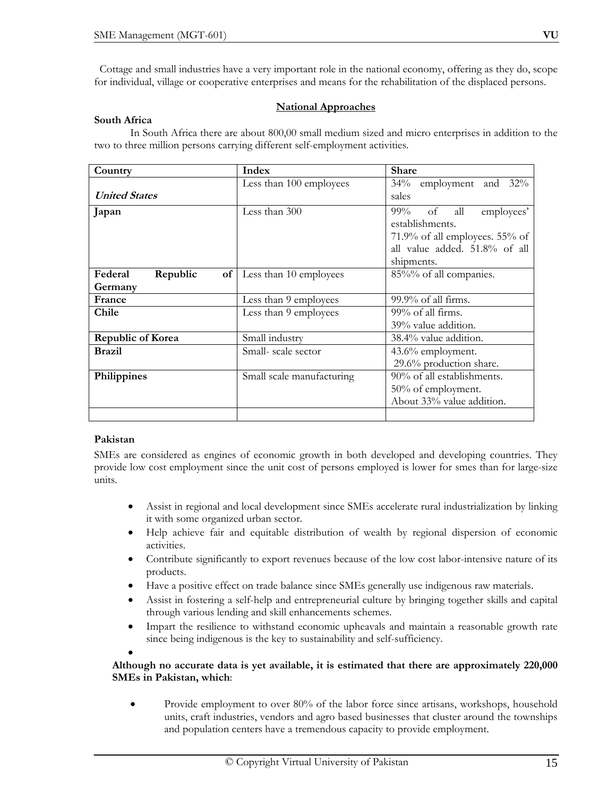Cottage and small industries have a very important role in the national economy, offering as they do, scope for individual, village or cooperative enterprises and means for the rehabilitation of the displaced persons.

## **National Approaches**

#### **South Africa**

 In South Africa there are about 800,00 small medium sized and micro enterprises in addition to the two to three million persons carrying different self-employment activities.

| Country                  | Index                       | <b>Share</b>                      |  |
|--------------------------|-----------------------------|-----------------------------------|--|
|                          | Less than 100 employees     | $34\%$<br>employment and 32%      |  |
| <b>United States</b>     |                             | sales                             |  |
| Japan                    | Less than 300               | $99\%$<br>all<br>of<br>employees' |  |
|                          |                             | establishments.                   |  |
|                          |                             | 71.9% of all employees. 55% of    |  |
|                          |                             | all value added. 51.8% of all     |  |
|                          |                             | shipments.                        |  |
| Federal<br>Republic      | of   Less than 10 employees | 85%% of all companies.            |  |
| Germany                  |                             |                                   |  |
| France                   | Less than 9 employees       | $99.9\%$ of all firms.            |  |
| Chile                    | Less than 9 employees       | 99% of all firms.                 |  |
|                          |                             | 39% value addition.               |  |
| <b>Republic of Korea</b> | Small industry              | 38.4% value addition.             |  |
| <b>Brazil</b>            | Small-scale sector          | $43.6\%$ employment.              |  |
|                          |                             | 29.6% production share.           |  |
| Philippines              | Small scale manufacturing   | 90% of all establishments.        |  |
|                          |                             | 50% of employment.                |  |
|                          |                             | About 33% value addition.         |  |
|                          |                             |                                   |  |

## **Pakistan**

SMEs are considered as engines of economic growth in both developed and developing countries. They provide low cost employment since the unit cost of persons employed is lower for smes than for large-size units.

- Assist in regional and local development since SMEs accelerate rural industrialization by linking it with some organized urban sector.
- Help achieve fair and equitable distribution of wealth by regional dispersion of economic activities.
- Contribute significantly to export revenues because of the low cost labor-intensive nature of its products.
- Have a positive effect on trade balance since SMEs generally use indigenous raw materials.
- Assist in fostering a self-help and entrepreneurial culture by bringing together skills and capital through various lending and skill enhancements schemes.
- Impart the resilience to withstand economic upheavals and maintain a reasonable growth rate since being indigenous is the key to sustainability and self-sufficiency.

•

## **Although no accurate data is yet available, it is estimated that there are approximately 220,000 SMEs in Pakistan, which**:

• Provide employment to over 80% of the labor force since artisans, workshops, household units, craft industries, vendors and agro based businesses that cluster around the townships and population centers have a tremendous capacity to provide employment.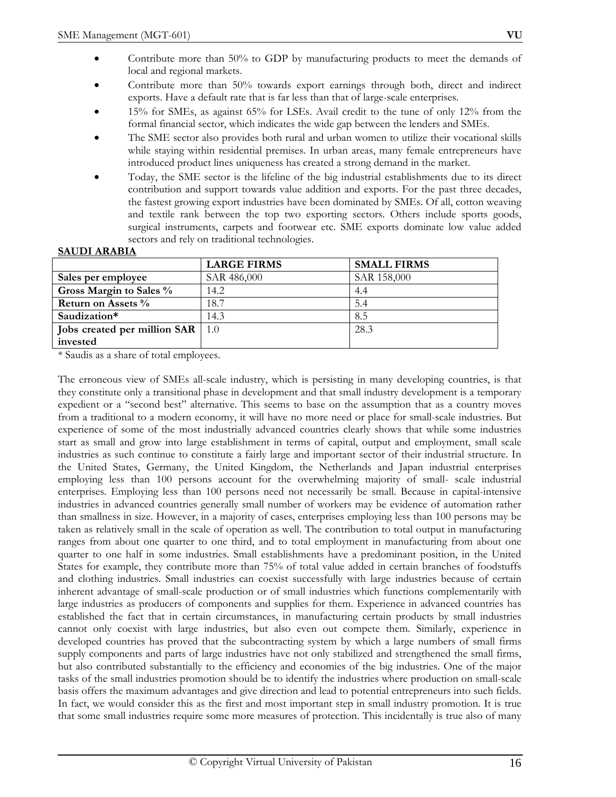- Contribute more than 50% towards export earnings through both, direct and indirect exports. Have a default rate that is far less than that of large-scale enterprises.
- 15% for SMEs, as against 65% for LSEs. Avail credit to the tune of only 12% from the formal financial sector, which indicates the wide gap between the lenders and SMEs.
- The SME sector also provides both rural and urban women to utilize their vocational skills while staying within residential premises. In urban areas, many female entrepreneurs have introduced product lines uniqueness has created a strong demand in the market.
- Today, the SME sector is the lifeline of the big industrial establishments due to its direct contribution and support towards value addition and exports. For the past three decades, the fastest growing export industries have been dominated by SMEs. Of all, cotton weaving and textile rank between the top two exporting sectors. Others include sports goods, surgical instruments, carpets and footwear etc. SME exports dominate low value added sectors and rely on traditional technologies.

# **SAUDI ARABIA**

|                              | <b>LARGE FIRMS</b> | <b>SMALL FIRMS</b> |
|------------------------------|--------------------|--------------------|
| Sales per employee           | SAR 486,000        | SAR 158,000        |
| Gross Margin to Sales %      | 14.2               | 4.4                |
| Return on Assets %           | 18.7               | 5.4                |
| Saudization*                 | 14.3               | 8.5                |
| Jobs created per million SAR | $\pm 1.0$          | 28.3               |
| invested                     |                    |                    |

\* Saudis as a share of total employees.

The erroneous view of SMEs all-scale industry, which is persisting in many developing countries, is that they constitute only a transitional phase in development and that small industry development is a temporary expedient or a "second best" alternative. This seems to base on the assumption that as a country moves from a traditional to a modern economy, it will have no more need or place for small-scale industries. But experience of some of the most industrially advanced countries clearly shows that while some industries start as small and grow into large establishment in terms of capital, output and employment, small scale industries as such continue to constitute a fairly large and important sector of their industrial structure. In the United States, Germany, the United Kingdom, the Netherlands and Japan industrial enterprises employing less than 100 persons account for the overwhelming majority of small- scale industrial enterprises. Employing less than 100 persons need not necessarily be small. Because in capital-intensive industries in advanced countries generally small number of workers may be evidence of automation rather than smallness in size. However, in a majority of cases, enterprises employing less than 100 persons may be taken as relatively small in the scale of operation as well. The contribution to total output in manufacturing ranges from about one quarter to one third, and to total employment in manufacturing from about one quarter to one half in some industries. Small establishments have a predominant position, in the United States for example, they contribute more than 75% of total value added in certain branches of foodstuffs and clothing industries. Small industries can coexist successfully with large industries because of certain inherent advantage of small-scale production or of small industries which functions complementarily with large industries as producers of components and supplies for them. Experience in advanced countries has established the fact that in certain circumstances, in manufacturing certain products by small industries cannot only coexist with large industries, but also even out compete them. Similarly, experience in developed countries has proved that the subcontracting system by which a large numbers of small firms supply components and parts of large industries have not only stabilized and strengthened the small firms, but also contributed substantially to the efficiency and economies of the big industries. One of the major tasks of the small industries promotion should be to identify the industries where production on small-scale basis offers the maximum advantages and give direction and lead to potential entrepreneurs into such fields. In fact, we would consider this as the first and most important step in small industry promotion. It is true that some small industries require some more measures of protection. This incidentally is true also of many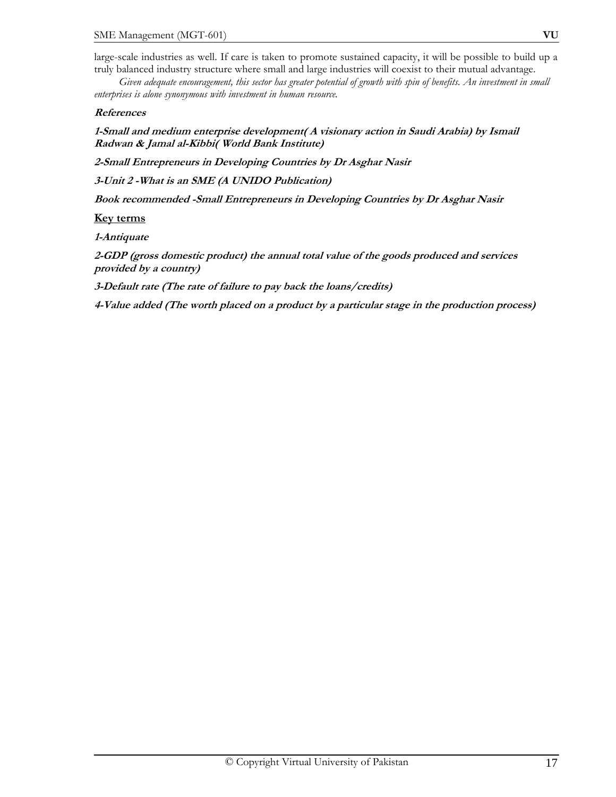large-scale industries as well. If care is taken to promote sustained capacity, it will be possible to build up a truly balanced industry structure where small and large industries will coexist to their mutual advantage.

 *Given adequate encouragement, this sector has greater potential of growth with spin of benefits. An investment in small enterprises is alone synonymous with investment in human resource.* 

#### **References**

**1-Small and medium enterprise development( A visionary action in Saudi Arabia) by Ismail Radwan & Jamal al-Kibbi( World Bank Institute)** 

**2-Small Entrepreneurs in Developing Countries by Dr Asghar Nasir** 

**3-Unit 2 -What is an SME (A UNIDO Publication)** 

**Book recommended -Small Entrepreneurs in Developing Countries by Dr Asghar Nasir** 

#### **Key terms**

**1-Antiquate** 

**2-GDP (gross domestic product) the annual total value of the goods produced and services provided by a country)** 

**3-Default rate (The rate of failure to pay back the loans/credits)** 

**4-Value added (The worth placed on a product by a particular stage in the production process)**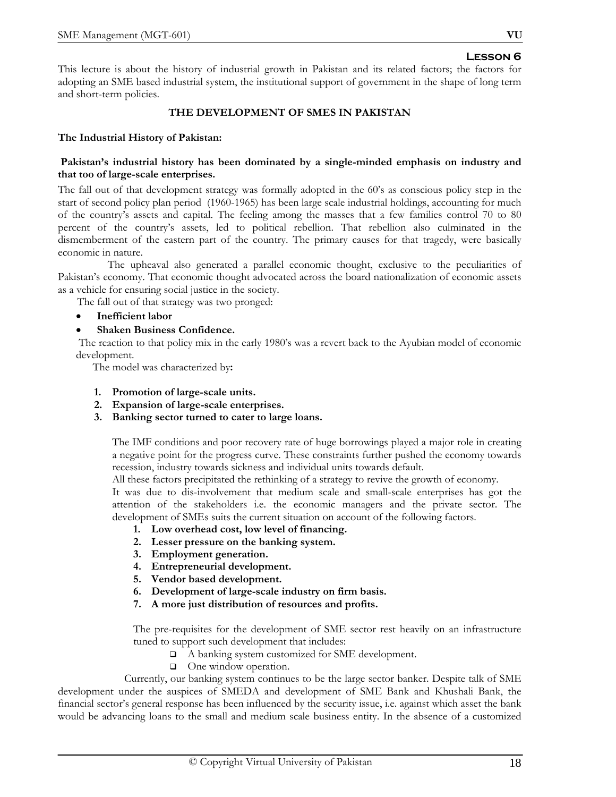This lecture is about the history of industrial growth in Pakistan and its related factors; the factors for adopting an SME based industrial system, the institutional support of government in the shape of long term and short-term policies.

## **THE DEVELOPMENT OF SMES IN PAKISTAN**

## **The Industrial History of Pakistan:**

## **Pakistan's industrial history has been dominated by a single-minded emphasis on industry and that too of large-scale enterprises.**

The fall out of that development strategy was formally adopted in the 60's as conscious policy step in the start of second policy plan period (1960-1965) has been large scale industrial holdings, accounting for much of the country's assets and capital. The feeling among the masses that a few families control 70 to 80 percent of the country's assets, led to political rebellion. That rebellion also culminated in the dismemberment of the eastern part of the country. The primary causes for that tragedy, were basically economic in nature.

 The upheaval also generated a parallel economic thought, exclusive to the peculiarities of Pakistan's economy. That economic thought advocated across the board nationalization of economic assets as a vehicle for ensuring social justice in the society.

The fall out of that strategy was two pronged:

- **Inefficient labor**
- • **Shaken Business Confidence.**

 The reaction to that policy mix in the early 1980's was a revert back to the Ayubian model of economic development.

The model was characterized by**:** 

- **1. Promotion of large-scale units.**
- **2. Expansion of large-scale enterprises.**
- **3. Banking sector turned to cater to large loans.**

The IMF conditions and poor recovery rate of huge borrowings played a major role in creating a negative point for the progress curve. These constraints further pushed the economy towards recession, industry towards sickness and individual units towards default.

All these factors precipitated the rethinking of a strategy to revive the growth of economy.

It was due to dis-involvement that medium scale and small-scale enterprises has got the attention of the stakeholders i.e. the economic managers and the private sector. The development of SMEs suits the current situation on account of the following factors.

- **1. Low overhead cost, low level of financing.**
- **2. Lesser pressure on the banking system.**
- **3. Employment generation.**
- **4. Entrepreneurial development.**
- **5. Vendor based development.**
- **6. Development of large-scale industry on firm basis.**
- **7. A more just distribution of resources and profits.**

The pre-requisites for the development of SME sector rest heavily on an infrastructure tuned to support such development that includes:

- A banking system customized for SME development.
- □ One window operation.

 Currently, our banking system continues to be the large sector banker. Despite talk of SME development under the auspices of SMEDA and development of SME Bank and Khushali Bank, the financial sector's general response has been influenced by the security issue, i.e. against which asset the bank would be advancing loans to the small and medium scale business entity. In the absence of a customized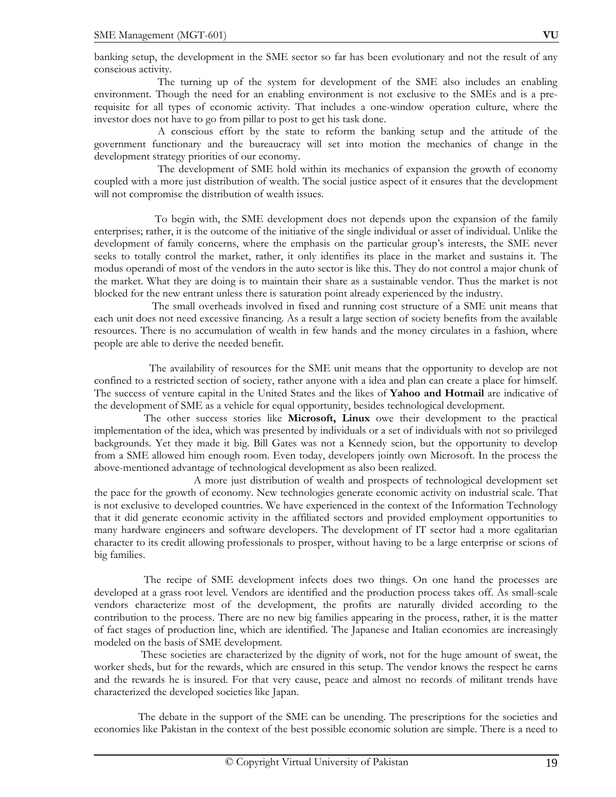banking setup, the development in the SME sector so far has been evolutionary and not the result of any conscious activity.

 The turning up of the system for development of the SME also includes an enabling environment. Though the need for an enabling environment is not exclusive to the SMEs and is a prerequisite for all types of economic activity. That includes a one-window operation culture, where the investor does not have to go from pillar to post to get his task done.

 A conscious effort by the state to reform the banking setup and the attitude of the government functionary and the bureaucracy will set into motion the mechanics of change in the development strategy priorities of our economy.

 The development of SME hold within its mechanics of expansion the growth of economy coupled with a more just distribution of wealth. The social justice aspect of it ensures that the development will not compromise the distribution of wealth issues.

 To begin with, the SME development does not depends upon the expansion of the family enterprises; rather, it is the outcome of the initiative of the single individual or asset of individual. Unlike the development of family concerns, where the emphasis on the particular group's interests, the SME never seeks to totally control the market, rather, it only identifies its place in the market and sustains it. The modus operandi of most of the vendors in the auto sector is like this. They do not control a major chunk of the market. What they are doing is to maintain their share as a sustainable vendor. Thus the market is not blocked for the new entrant unless there is saturation point already experienced by the industry.

 The small overheads involved in fixed and running cost structure of a SME unit means that each unit does not need excessive financing. As a result a large section of society benefits from the available resources. There is no accumulation of wealth in few hands and the money circulates in a fashion, where people are able to derive the needed benefit.

 The availability of resources for the SME unit means that the opportunity to develop are not confined to a restricted section of society, rather anyone with a idea and plan can create a place for himself. The success of venture capital in the United States and the likes of **Yahoo and Hotmail** are indicative of the development of SME as a vehicle for equal opportunity, besides technological development.

 The other success stories like **Microsoft, Linux** owe their development to the practical implementation of the idea, which was presented by individuals or a set of individuals with not so privileged backgrounds. Yet they made it big. Bill Gates was not a Kennedy scion, but the opportunity to develop from a SME allowed him enough room. Even today, developers jointly own Microsoft. In the process the above-mentioned advantage of technological development as also been realized.

 A more just distribution of wealth and prospects of technological development set the pace for the growth of economy. New technologies generate economic activity on industrial scale. That is not exclusive to developed countries. We have experienced in the context of the Information Technology that it did generate economic activity in the affiliated sectors and provided employment opportunities to many hardware engineers and software developers. The development of IT sector had a more egalitarian character to its credit allowing professionals to prosper, without having to be a large enterprise or scions of big families.

 The recipe of SME development infects does two things. On one hand the processes are developed at a grass root level. Vendors are identified and the production process takes off. As small-scale vendors characterize most of the development, the profits are naturally divided according to the contribution to the process. There are no new big families appearing in the process, rather, it is the matter of fact stages of production line, which are identified. The Japanese and Italian economies are increasingly modeled on the basis of SME development.

 These societies are characterized by the dignity of work, not for the huge amount of sweat, the worker sheds, but for the rewards, which are ensured in this setup. The vendor knows the respect he earns and the rewards he is insured. For that very cause, peace and almost no records of militant trends have characterized the developed societies like Japan.

 The debate in the support of the SME can be unending. The prescriptions for the societies and economies like Pakistan in the context of the best possible economic solution are simple. There is a need to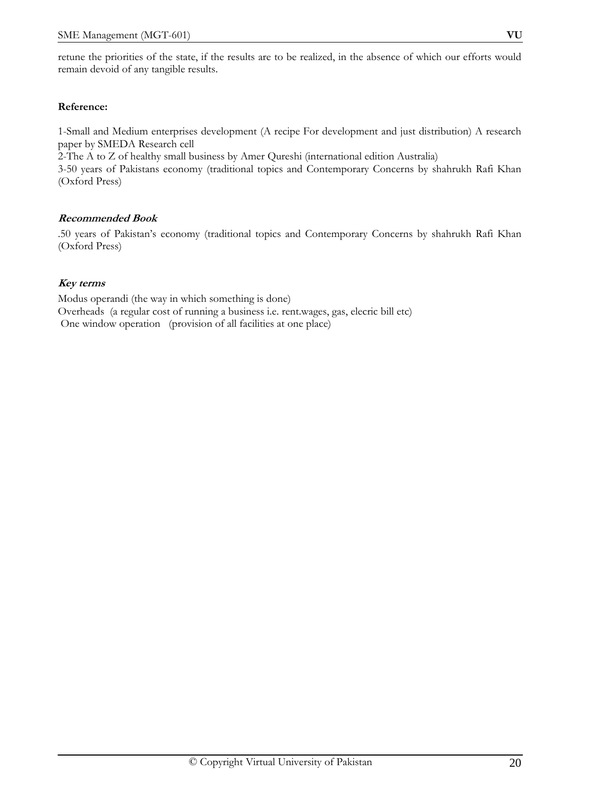## **Reference:**

1-Small and Medium enterprises development (A recipe For development and just distribution) A research paper by SMEDA Research cell

2-The A to Z of healthy small business by Amer Qureshi (international edition Australia) 3-50 years of Pakistans economy (traditional topics and Contemporary Concerns by shahrukh Rafi Khan (Oxford Press)

## **Recommended Book**

.50 years of Pakistan's economy (traditional topics and Contemporary Concerns by shahrukh Rafi Khan (Oxford Press)

## **Key terms**

Modus operandi (the way in which something is done) Overheads (a regular cost of running a business i.e. rent.wages, gas, elecric bill etc) One window operation (provision of all facilities at one place)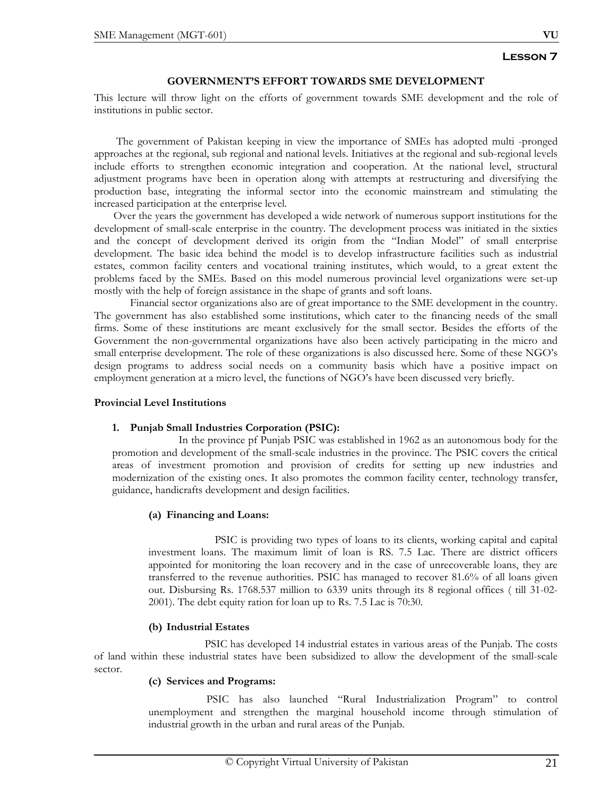## **GOVERNMENT'S EFFORT TOWARDS SME DEVELOPMENT**

This lecture will throw light on the efforts of government towards SME development and the role of institutions in public sector.

 The government of Pakistan keeping in view the importance of SMEs has adopted multi -pronged approaches at the regional, sub regional and national levels. Initiatives at the regional and sub-regional levels include efforts to strengthen economic integration and cooperation. At the national level, structural adjustment programs have been in operation along with attempts at restructuring and diversifying the production base, integrating the informal sector into the economic mainstream and stimulating the increased participation at the enterprise level.

 Over the years the government has developed a wide network of numerous support institutions for the development of small-scale enterprise in the country. The development process was initiated in the sixties and the concept of development derived its origin from the "Indian Model" of small enterprise development. The basic idea behind the model is to develop infrastructure facilities such as industrial estates, common facility centers and vocational training institutes, which would, to a great extent the problems faced by the SMEs. Based on this model numerous provincial level organizations were set-up mostly with the help of foreign assistance in the shape of grants and soft loans.

 Financial sector organizations also are of great importance to the SME development in the country. The government has also established some institutions, which cater to the financing needs of the small firms. Some of these institutions are meant exclusively for the small sector. Besides the efforts of the Government the non-governmental organizations have also been actively participating in the micro and small enterprise development. The role of these organizations is also discussed here. Some of these NGO's design programs to address social needs on a community basis which have a positive impact on employment generation at a micro level, the functions of NGO's have been discussed very briefly.

#### **Provincial Level Institutions**

## **1. Punjab Small Industries Corporation (PSIC):**

In the province pf Punjab PSIC was established in 1962 as an autonomous body for the promotion and development of the small-scale industries in the province. The PSIC covers the critical areas of investment promotion and provision of credits for setting up new industries and modernization of the existing ones. It also promotes the common facility center, technology transfer, guidance, handicrafts development and design facilities.

## **(a) Financing and Loans:**

PSIC is providing two types of loans to its clients, working capital and capital investment loans. The maximum limit of loan is RS. 7.5 Lac. There are district officers appointed for monitoring the loan recovery and in the case of unrecoverable loans, they are transferred to the revenue authorities. PSIC has managed to recover 81.6% of all loans given out. Disbursing Rs. 1768.537 million to 6339 units through its 8 regional offices ( till 31-02- 2001). The debt equity ration for loan up to Rs. 7.5 Lac is 70:30.

## **(b) Industrial Estates**

 PSIC has developed 14 industrial estates in various areas of the Punjab. The costs of land within these industrial states have been subsidized to allow the development of the small-scale sector.

#### **(c) Services and Programs:**

 PSIC has also launched "Rural Industrialization Program" to control unemployment and strengthen the marginal household income through stimulation of industrial growth in the urban and rural areas of the Punjab.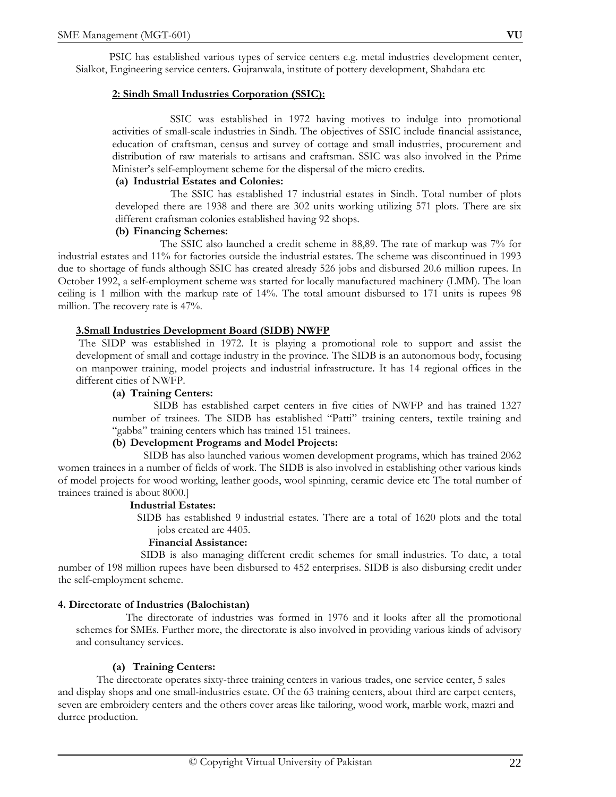PSIC has established various types of service centers e.g. metal industries development center, Sialkot, Engineering service centers. Gujranwala, institute of pottery development, Shahdara etc

## **2: Sindh Small Industries Corporation (SSIC):**

SSIC was established in 1972 having motives to indulge into promotional activities of small-scale industries in Sindh. The objectives of SSIC include financial assistance, education of craftsman, census and survey of cottage and small industries, procurement and distribution of raw materials to artisans and craftsman. SSIC was also involved in the Prime Minister's self-employment scheme for the dispersal of the micro credits.

#### **(a) Industrial Estates and Colonies:**

 The SSIC has established 17 industrial estates in Sindh. Total number of plots developed there are 1938 and there are 302 units working utilizing 571 plots. There are six different craftsman colonies established having 92 shops.

#### **(b) Financing Schemes:**

 The SSIC also launched a credit scheme in 88,89. The rate of markup was 7% for industrial estates and 11% for factories outside the industrial estates. The scheme was discontinued in 1993 due to shortage of funds although SSIC has created already 526 jobs and disbursed 20.6 million rupees. In October 1992, a self-employment scheme was started for locally manufactured machinery (LMM). The loan ceiling is 1 million with the markup rate of 14%. The total amount disbursed to 171 units is rupees 98 million. The recovery rate is 47%.

#### **3.Small Industries Development Board (SIDB) NWFP**

The SIDP was established in 1972. It is playing a promotional role to support and assist the development of small and cottage industry in the province. The SIDB is an autonomous body, focusing on manpower training, model projects and industrial infrastructure. It has 14 regional offices in the different cities of NWFP.

#### **(a) Training Centers:**

 SIDB has established carpet centers in five cities of NWFP and has trained 1327 number of trainees. The SIDB has established "Patti" training centers, textile training and "gabba" training centers which has trained 151 trainees.

## **(b) Development Programs and Model Projects:**

 SIDB has also launched various women development programs, which has trained 2062 women trainees in a number of fields of work. The SIDB is also involved in establishing other various kinds of model projects for wood working, leather goods, wool spinning, ceramic device etc The total number of trainees trained is about 8000.]

#### **Industrial Estates:**

 SIDB has established 9 industrial estates. There are a total of 1620 plots and the total jobs created are 4405.

#### **Financial Assistance:**

 SIDB is also managing different credit schemes for small industries. To date, a total number of 198 million rupees have been disbursed to 452 enterprises. SIDB is also disbursing credit under the self-employment scheme.

## **4. Directorate of Industries (Balochistan)**

The directorate of industries was formed in 1976 and it looks after all the promotional schemes for SMEs. Further more, the directorate is also involved in providing various kinds of advisory and consultancy services.

#### **(a) Training Centers:**

 The directorate operates sixty-three training centers in various trades, one service center, 5 sales and display shops and one small-industries estate. Of the 63 training centers, about third are carpet centers, seven are embroidery centers and the others cover areas like tailoring, wood work, marble work, mazri and durree production.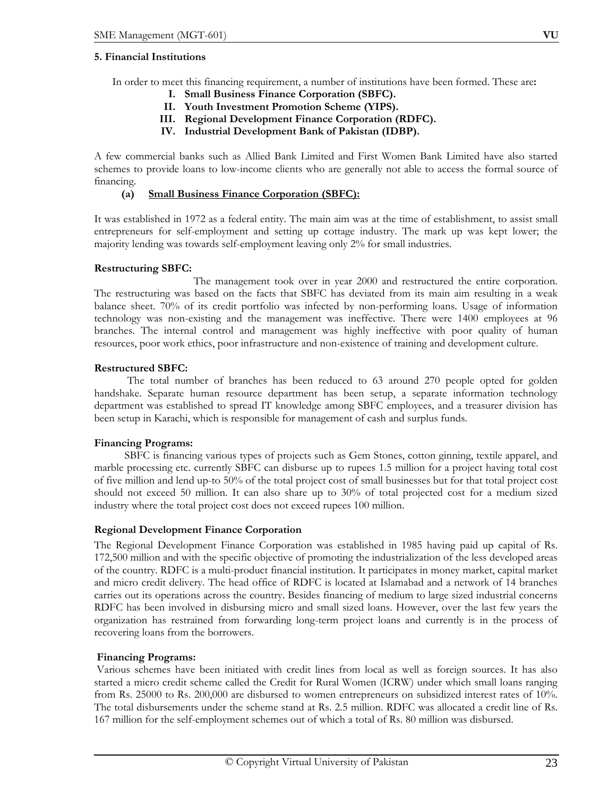#### **5. Financial Institutions**

In order to meet this financing requirement, a number of institutions have been formed. These are**:** 

- **I. Small Business Finance Corporation (SBFC).**
- **II. Youth Investment Promotion Scheme (YIPS).**
- **III. Regional Development Finance Corporation (RDFC).**
- **IV. Industrial Development Bank of Pakistan (IDBP).**

A few commercial banks such as Allied Bank Limited and First Women Bank Limited have also started schemes to provide loans to low-income clients who are generally not able to access the formal source of financing.

## **(a) Small Business Finance Corporation (SBFC):**

It was established in 1972 as a federal entity. The main aim was at the time of establishment, to assist small entrepreneurs for self-employment and setting up cottage industry. The mark up was kept lower; the majority lending was towards self-employment leaving only 2% for small industries.

## **Restructuring SBFC:**

 The management took over in year 2000 and restructured the entire corporation. The restructuring was based on the facts that SBFC has deviated from its main aim resulting in a weak balance sheet. 70% of its credit portfolio was infected by non-performing loans. Usage of information technology was non-existing and the management was ineffective. There were 1400 employees at 96 branches. The internal control and management was highly ineffective with poor quality of human resources, poor work ethics, poor infrastructure and non-existence of training and development culture.

## **Restructured SBFC:**

 The total number of branches has been reduced to 63 around 270 people opted for golden handshake. Separate human resource department has been setup, a separate information technology department was established to spread IT knowledge among SBFC employees, and a treasurer division has been setup in Karachi, which is responsible for management of cash and surplus funds.

## **Financing Programs:**

 SBFC is financing various types of projects such as Gem Stones, cotton ginning, textile apparel, and marble processing etc. currently SBFC can disburse up to rupees 1.5 million for a project having total cost of five million and lend up-to 50% of the total project cost of small businesses but for that total project cost should not exceed 50 million. It can also share up to 30% of total projected cost for a medium sized industry where the total project cost does not exceed rupees 100 million.

## **Regional Development Finance Corporation**

The Regional Development Finance Corporation was established in 1985 having paid up capital of Rs. 172,500 million and with the specific objective of promoting the industrialization of the less developed areas of the country. RDFC is a multi-product financial institution. It participates in money market, capital market and micro credit delivery. The head office of RDFC is located at Islamabad and a network of 14 branches carries out its operations across the country. Besides financing of medium to large sized industrial concerns RDFC has been involved in disbursing micro and small sized loans. However, over the last few years the organization has restrained from forwarding long-term project loans and currently is in the process of recovering loans from the borrowers.

## **Financing Programs:**

Various schemes have been initiated with credit lines from local as well as foreign sources. It has also started a micro credit scheme called the Credit for Rural Women (ICRW) under which small loans ranging from Rs. 25000 to Rs. 200,000 are disbursed to women entrepreneurs on subsidized interest rates of 10%. The total disbursements under the scheme stand at Rs. 2.5 million. RDFC was allocated a credit line of Rs. 167 million for the self-employment schemes out of which a total of Rs. 80 million was disbursed.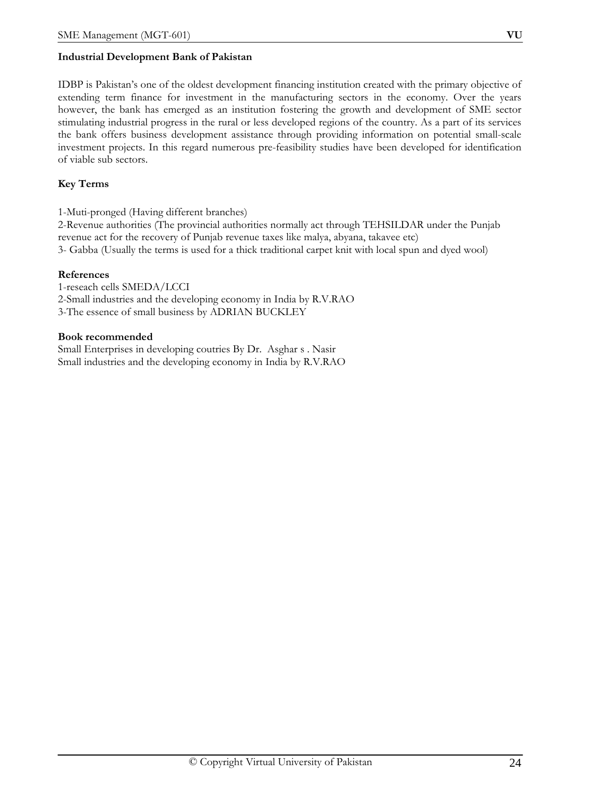# **Industrial Development Bank of Pakistan**

IDBP is Pakistan's one of the oldest development financing institution created with the primary objective of extending term finance for investment in the manufacturing sectors in the economy. Over the years however, the bank has emerged as an institution fostering the growth and development of SME sector stimulating industrial progress in the rural or less developed regions of the country. As a part of its services the bank offers business development assistance through providing information on potential small-scale investment projects. In this regard numerous pre-feasibility studies have been developed for identification of viable sub sectors.

# **Key Terms**

1-Muti-pronged (Having different branches)

2-Revenue authorities (The provincial authorities normally act through TEHSILDAR under the Punjab revenue act for the recovery of Punjab revenue taxes like malya, abyana, takavee etc) 3- Gabba (Usually the terms is used for a thick traditional carpet knit with local spun and dyed wool)

## **References**

1-reseach cells SMEDA/LCCI 2-Small industries and the developing economy in India by R.V.RAO 3-The essence of small business by ADRIAN BUCKLEY

## **Book recommended**

Small Enterprises in developing coutries By Dr. Asghar s . Nasir Small industries and the developing economy in India by R.V.RAO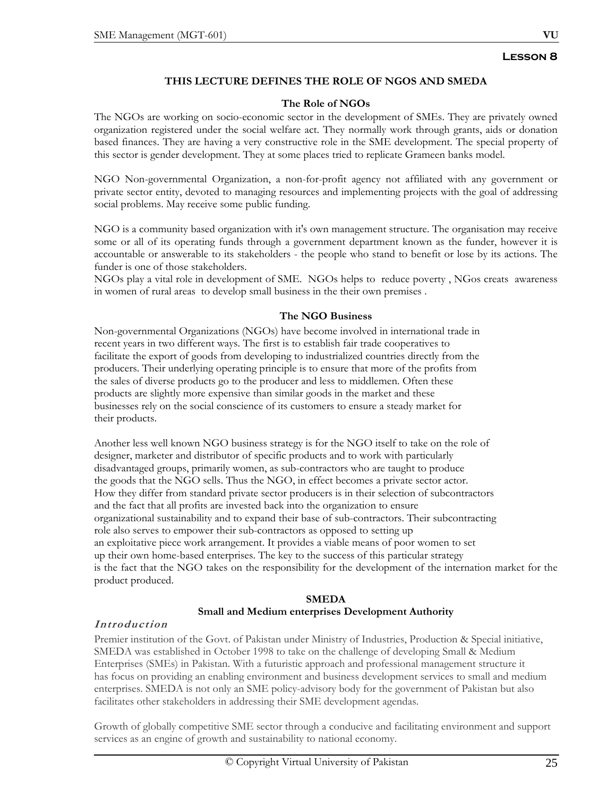# **THIS LECTURE DEFINES THE ROLE OF NGOS AND SMEDA**

#### **The Role of NGOs**

The NGOs are working on socio-economic sector in the development of SMEs. They are privately owned organization registered under the social welfare act. They normally work through grants, aids or donation based finances. They are having a very constructive role in the SME development. The special property of this sector is gender development. They at some places tried to replicate Grameen banks model.

NGO Non-governmental Organization, a non-for-profit agency not affiliated with any government or private sector entity, devoted to managing resources and implementing projects with the goal of addressing social problems. May receive some public funding.

NGO is a community based organization with it's own management structure. The organisation may receive some or all of its operating funds through a government department known as the funder, however it is accountable or answerable to its stakeholders - the people who stand to benefit or lose by its actions. The funder is one of those stakeholders.

NGOs play a vital role in development of SME. NGOs helps to reduce poverty , NGos creats awareness in women of rural areas to develop small business in the their own premises .

## **The NGO Business**

Non-governmental Organizations (NGOs) have become involved in international trade in recent years in two different ways. The first is to establish fair trade cooperatives to facilitate the export of goods from developing to industrialized countries directly from the producers. Their underlying operating principle is to ensure that more of the profits from the sales of diverse products go to the producer and less to middlemen. Often these products are slightly more expensive than similar goods in the market and these businesses rely on the social conscience of its customers to ensure a steady market for their products.

Another less well known NGO business strategy is for the NGO itself to take on the role of designer, marketer and distributor of specific products and to work with particularly disadvantaged groups, primarily women, as sub-contractors who are taught to produce the goods that the NGO sells. Thus the NGO, in effect becomes a private sector actor. How they differ from standard private sector producers is in their selection of subcontractors and the fact that all profits are invested back into the organization to ensure organizational sustainability and to expand their base of sub-contractors. Their subcontracting role also serves to empower their sub-contractors as opposed to setting up an exploitative piece work arrangement. It provides a viable means of poor women to set up their own home-based enterprises. The key to the success of this particular strategy is the fact that the NGO takes on the responsibility for the development of the internation market for the product produced.

# **SMEDA**

## **Small and Medium enterprises Development Authority**

## **Introduction**

Premier institution of the Govt. of Pakistan under Ministry of Industries, Production & Special initiative, SMEDA was established in October 1998 to take on the challenge of developing Small & Medium Enterprises (SMEs) in Pakistan. With a futuristic approach and professional management structure it has focus on providing an enabling environment and business development services to small and medium enterprises. SMEDA is not only an SME policy-advisory body for the government of Pakistan but also facilitates other stakeholders in addressing their SME development agendas.

Growth of globally competitive SME sector through a conducive and facilitating environment and support services as an engine of growth and sustainability to national economy.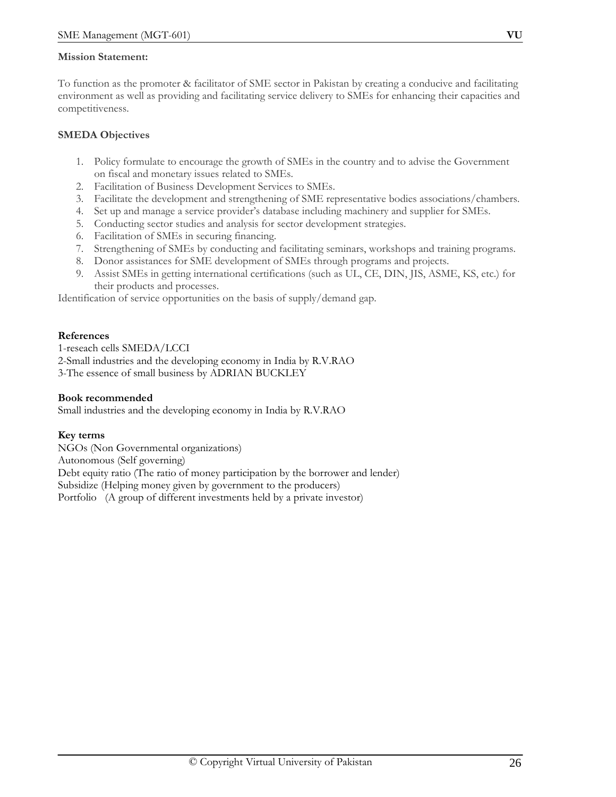## **Mission Statement:**

To function as the promoter & facilitator of SME sector in Pakistan by creating a conducive and facilitating environment as well as providing and facilitating service delivery to SMEs for enhancing their capacities and competitiveness.

## **SMEDA Objectives**

- 1. Policy formulate to encourage the growth of SMEs in the country and to advise the Government on fiscal and monetary issues related to SMEs.
- 2. Facilitation of Business Development Services to SMEs.
- 3. Facilitate the development and strengthening of SME representative bodies associations/chambers.
- 4. Set up and manage a service provider's database including machinery and supplier for SMEs.
- 5. Conducting sector studies and analysis for sector development strategies.
- 6. Facilitation of SMEs in securing financing.
- 7. Strengthening of SMEs by conducting and facilitating seminars, workshops and training programs.
- 8. Donor assistances for SME development of SMEs through programs and projects.
- 9. Assist SMEs in getting international certifications (such as UL, CE, DIN, JIS, ASME, KS, etc.) for their products and processes.

Identification of service opportunities on the basis of supply/demand gap.

## **References**

1-reseach cells SMEDA/LCCI 2-Small industries and the developing economy in India by R.V.RAO 3-The essence of small business by ADRIAN BUCKLEY

## **Book recommended**

Small industries and the developing economy in India by R.V.RAO

## **Key terms**

NGOs (Non Governmental organizations) Autonomous (Self governing) Debt equity ratio (The ratio of money participation by the borrower and lender) Subsidize (Helping money given by government to the producers) Portfolio (A group of different investments held by a private investor)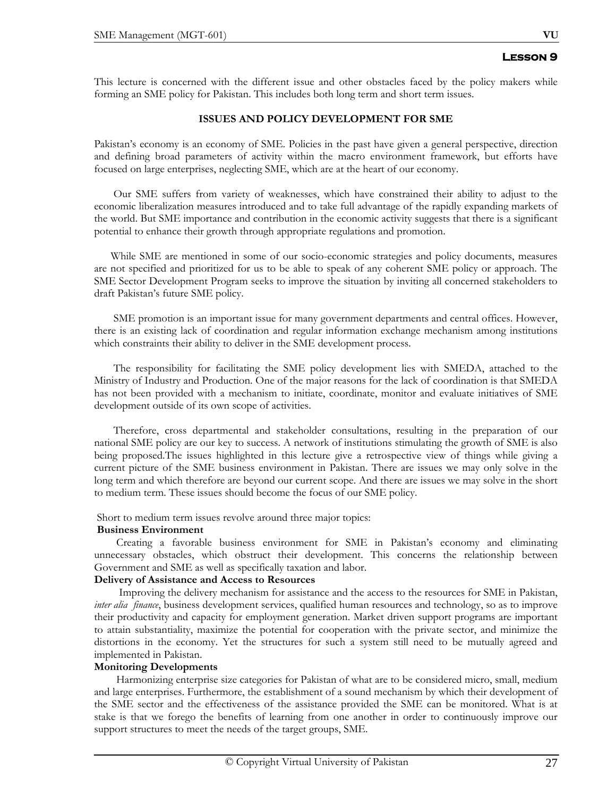This lecture is concerned with the different issue and other obstacles faced by the policy makers while forming an SME policy for Pakistan. This includes both long term and short term issues.

#### **ISSUES AND POLICY DEVELOPMENT FOR SME**

Pakistan's economy is an economy of SME. Policies in the past have given a general perspective, direction and defining broad parameters of activity within the macro environment framework, but efforts have focused on large enterprises, neglecting SME, which are at the heart of our economy.

 Our SME suffers from variety of weaknesses, which have constrained their ability to adjust to the economic liberalization measures introduced and to take full advantage of the rapidly expanding markets of the world. But SME importance and contribution in the economic activity suggests that there is a significant potential to enhance their growth through appropriate regulations and promotion.

 While SME are mentioned in some of our socio-economic strategies and policy documents, measures are not specified and prioritized for us to be able to speak of any coherent SME policy or approach. The SME Sector Development Program seeks to improve the situation by inviting all concerned stakeholders to draft Pakistan's future SME policy.

 SME promotion is an important issue for many government departments and central offices. However, there is an existing lack of coordination and regular information exchange mechanism among institutions which constraints their ability to deliver in the SME development process.

 The responsibility for facilitating the SME policy development lies with SMEDA, attached to the Ministry of Industry and Production. One of the major reasons for the lack of coordination is that SMEDA has not been provided with a mechanism to initiate, coordinate, monitor and evaluate initiatives of SME development outside of its own scope of activities.

 Therefore, cross departmental and stakeholder consultations, resulting in the preparation of our national SME policy are our key to success. A network of institutions stimulating the growth of SME is also being proposed.The issues highlighted in this lecture give a retrospective view of things while giving a current picture of the SME business environment in Pakistan. There are issues we may only solve in the long term and which therefore are beyond our current scope. And there are issues we may solve in the short to medium term. These issues should become the focus of our SME policy.

Short to medium term issues revolve around three major topics:

#### **Business Environment**

Creating a favorable business environment for SME in Pakistan's economy and eliminating unnecessary obstacles, which obstruct their development. This concerns the relationship between Government and SME as well as specifically taxation and labor.

#### **Delivery of Assistance and Access to Resources**

 Improving the delivery mechanism for assistance and the access to the resources for SME in Pakistan, *inter alia finance*, business development services, qualified human resources and technology, so as to improve their productivity and capacity for employment generation. Market driven support programs are important to attain substantiality, maximize the potential for cooperation with the private sector, and minimize the distortions in the economy. Yet the structures for such a system still need to be mutually agreed and implemented in Pakistan.

## **Monitoring Developments**

 Harmonizing enterprise size categories for Pakistan of what are to be considered micro, small, medium and large enterprises. Furthermore, the establishment of a sound mechanism by which their development of the SME sector and the effectiveness of the assistance provided the SME can be monitored. What is at stake is that we forego the benefits of learning from one another in order to continuously improve our support structures to meet the needs of the target groups, SME.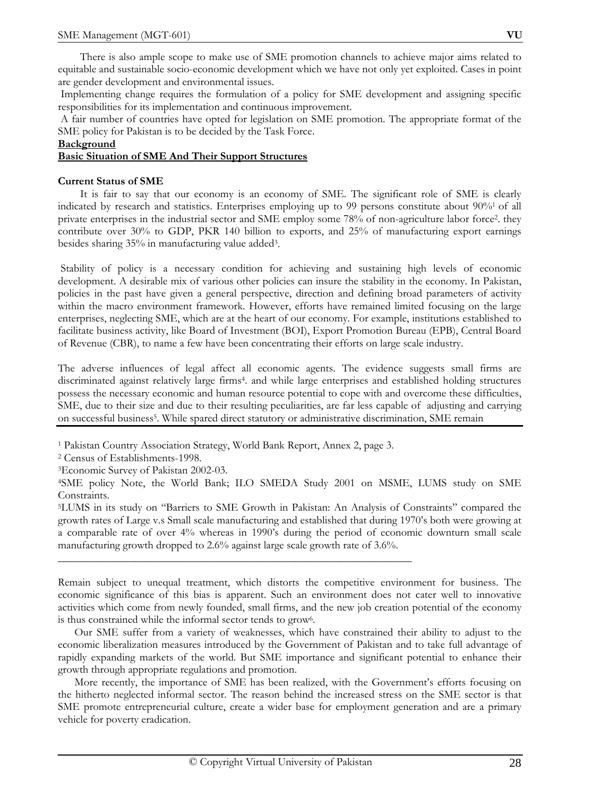There is also ample scope to make use of SME promotion channels to achieve major aims related to equitable and sustainable socio-economic development which we have not only yet exploited. Cases in point are gender development and environmental issues.

 Implementing change requires the formulation of a policy for SME development and assigning specific responsibilities for its implementation and continuous improvement.

 A fair number of countries have opted for legislation on SME promotion. The appropriate format of the SME policy for Pakistan is to be decided by the Task Force.

#### **Background**

#### **Basic Situation of SME And Their Support Structures**

#### **Current Status of SME**

It is fair to say that our economy is an economy of SME. The significant role of SME is clearly indicated by research and statistics. Enterprises employing up to 99 persons constitute about 90%1 of all private enterprises in the industrial sector and SME employ some 78% of non-agriculture labor force2. they contribute over 30% to GDP, PKR 140 billion to exports, and 25% of manufacturing export earnings besides sharing 35% in manufacturing value added3.

 Stability of policy is a necessary condition for achieving and sustaining high levels of economic development. A desirable mix of various other policies can insure the stability in the economy. In Pakistan, policies in the past have given a general perspective, direction and defining broad parameters of activity within the macro environment framework. However, efforts have remained limited focusing on the large enterprises, neglecting SME, which are at the heart of our economy. For example, institutions established to facilitate business activity, like Board of Investment (BOI), Export Promotion Bureau (EPB), Central Board of Revenue (CBR), to name a few have been concentrating their efforts on large scale industry.

The adverse influences of legal affect all economic agents. The evidence suggests small firms are discriminated against relatively large firms4. and while large enterprises and established holding structures possess the necessary economic and human resource potential to cope with and overcome these difficulties, SME, due to their size and due to their resulting peculiarities, are far less capable of adjusting and carrying on successful business<sup>5</sup>. While spared direct statutory or administrative discrimination, SME remain

\_\_\_\_\_\_\_\_\_\_\_\_\_\_\_\_\_\_\_\_\_\_\_\_\_\_\_\_\_\_\_\_\_\_\_\_\_\_\_\_\_\_\_\_\_\_\_\_\_\_\_\_\_\_\_\_\_\_\_\_\_\_\_\_

Remain subject to unequal treatment, which distorts the competitive environment for business. The economic significance of this bias is apparent. Such an environment does not cater well to innovative activities which come from newly founded, small firms, and the new job creation potential of the economy is thus constrained while the informal sector tends to grow6.

 Our SME suffer from a variety of weaknesses, which have constrained their ability to adjust to the economic liberalization measures introduced by the Government of Pakistan and to take full advantage of rapidly expanding markets of the world. But SME importance and significant potential to enhance their growth through appropriate regulations and promotion.

 More recently, the importance of SME has been realized, with the Government's efforts focusing on the hitherto neglected informal sector. The reason behind the increased stress on the SME sector is that SME promote entrepreneurial culture, create a wider base for employment generation and are a primary vehicle for poverty eradication.

<sup>1</sup> Pakistan Country Association Strategy, World Bank Report, Annex 2, page 3.

<sup>2</sup> Census of Establishments-1998.

<sup>3</sup>Economic Survey of Pakistan 2002-03.

<sup>4</sup>SME policy Note, the World Bank; ILO SMEDA Study 2001 on MSME, LUMS study on SME Constraints.

<sup>5</sup>LUMS in its study on "Barriers to SME Growth in Pakistan: An Analysis of Constraints" compared the growth rates of Large v.s Small scale manufacturing and established that during 1970's both were growing at a comparable rate of over 4% whereas in 1990's during the period of economic downturn small scale manufacturing growth dropped to 2.6% against large scale growth rate of 3.6%.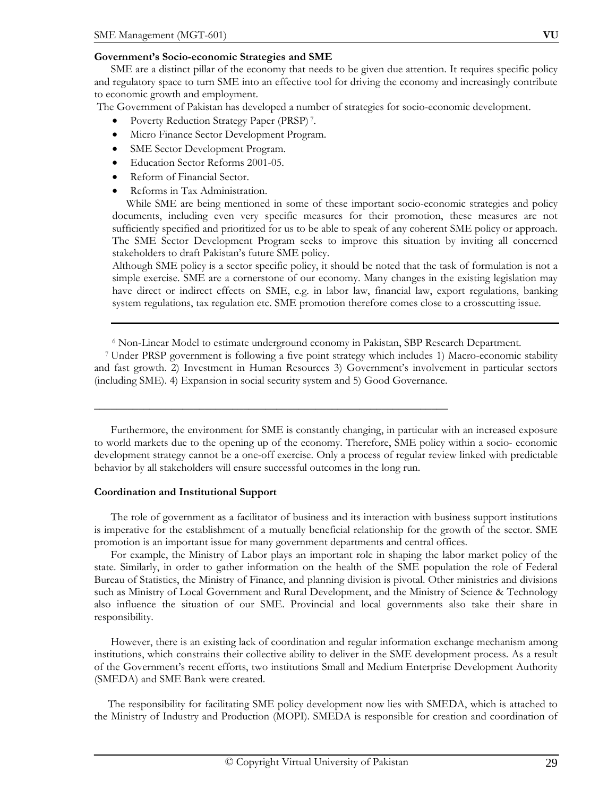#### **Government's Socio-economic Strategies and SME**

 SME are a distinct pillar of the economy that needs to be given due attention. It requires specific policy and regulatory space to turn SME into an effective tool for driving the economy and increasingly contribute to economic growth and employment.

The Government of Pakistan has developed a number of strategies for socio-economic development.

- Poverty Reduction Strategy Paper (PRSP) 7.
- Micro Finance Sector Development Program.
- SME Sector Development Program.
- Education Sector Reforms 2001-05.
- Reform of Financial Sector.
- Reforms in Tax Administration.

 While SME are being mentioned in some of these important socio-economic strategies and policy documents, including even very specific measures for their promotion, these measures are not sufficiently specified and prioritized for us to be able to speak of any coherent SME policy or approach. The SME Sector Development Program seeks to improve this situation by inviting all concerned stakeholders to draft Pakistan's future SME policy.

Although SME policy is a sector specific policy, it should be noted that the task of formulation is not a simple exercise. SME are a cornerstone of our economy. Many changes in the existing legislation may have direct or indirect effects on SME, e.g. in labor law, financial law, export regulations, banking system regulations, tax regulation etc. SME promotion therefore comes close to a crosscutting issue.

6 Non-Linear Model to estimate underground economy in Pakistan, SBP Research Department.

\_\_\_\_\_\_\_\_\_\_\_\_\_\_\_\_\_\_\_\_\_\_\_\_\_\_\_\_\_\_\_\_\_\_\_\_\_\_\_\_\_\_\_\_\_\_\_\_\_\_\_\_\_\_\_\_\_\_\_\_\_\_\_\_

 7 Under PRSP government is following a five point strategy which includes 1) Macro-economic stability and fast growth. 2) Investment in Human Resources 3) Government's involvement in particular sectors (including SME). 4) Expansion in social security system and 5) Good Governance.

 Furthermore, the environment for SME is constantly changing, in particular with an increased exposure to world markets due to the opening up of the economy. Therefore, SME policy within a socio- economic development strategy cannot be a one-off exercise. Only a process of regular review linked with predictable behavior by all stakeholders will ensure successful outcomes in the long run.

#### **Coordination and Institutional Support**

 The role of government as a facilitator of business and its interaction with business support institutions is imperative for the establishment of a mutually beneficial relationship for the growth of the sector. SME promotion is an important issue for many government departments and central offices.

 For example, the Ministry of Labor plays an important role in shaping the labor market policy of the state. Similarly, in order to gather information on the health of the SME population the role of Federal Bureau of Statistics, the Ministry of Finance, and planning division is pivotal. Other ministries and divisions such as Ministry of Local Government and Rural Development, and the Ministry of Science & Technology also influence the situation of our SME. Provincial and local governments also take their share in responsibility.

 However, there is an existing lack of coordination and regular information exchange mechanism among institutions, which constrains their collective ability to deliver in the SME development process. As a result of the Government's recent efforts, two institutions Small and Medium Enterprise Development Authority (SMEDA) and SME Bank were created.

 The responsibility for facilitating SME policy development now lies with SMEDA, which is attached to the Ministry of Industry and Production (MOPI). SMEDA is responsible for creation and coordination of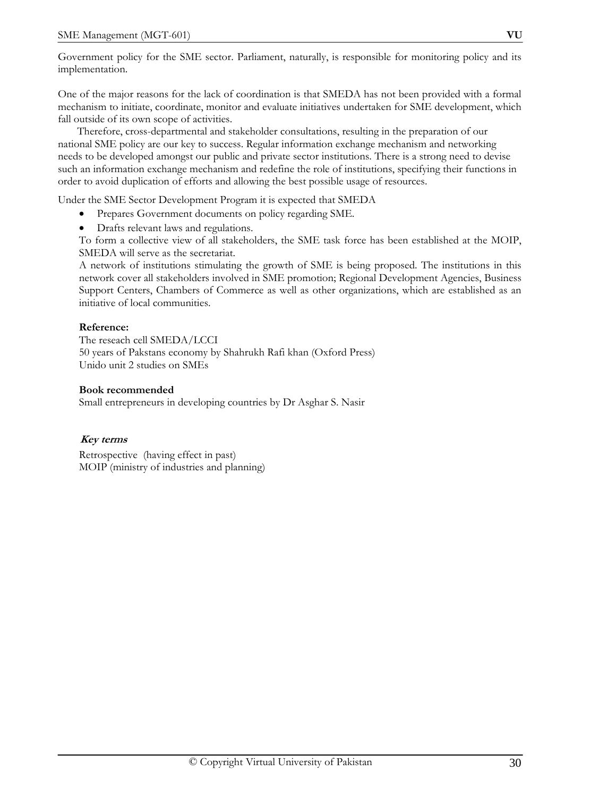Government policy for the SME sector. Parliament, naturally, is responsible for monitoring policy and its implementation.

One of the major reasons for the lack of coordination is that SMEDA has not been provided with a formal mechanism to initiate, coordinate, monitor and evaluate initiatives undertaken for SME development, which fall outside of its own scope of activities.

 Therefore, cross-departmental and stakeholder consultations, resulting in the preparation of our national SME policy are our key to success. Regular information exchange mechanism and networking needs to be developed amongst our public and private sector institutions. There is a strong need to devise such an information exchange mechanism and redefine the role of institutions, specifying their functions in order to avoid duplication of efforts and allowing the best possible usage of resources.

Under the SME Sector Development Program it is expected that SMEDA

- Prepares Government documents on policy regarding SME.
- Drafts relevant laws and regulations.

To form a collective view of all stakeholders, the SME task force has been established at the MOIP, SMEDA will serve as the secretariat.

A network of institutions stimulating the growth of SME is being proposed. The institutions in this network cover all stakeholders involved in SME promotion; Regional Development Agencies, Business Support Centers, Chambers of Commerce as well as other organizations, which are established as an initiative of local communities.

#### **Reference:**

The reseach cell SMEDA/LCCI 50 years of Pakstans economy by Shahrukh Rafi khan (Oxford Press) Unido unit 2 studies on SMEs

#### **Book recommended**

Small entrepreneurs in developing countries by Dr Asghar S. Nasir

## **Key terms**

Retrospective (having effect in past) MOIP (ministry of industries and planning)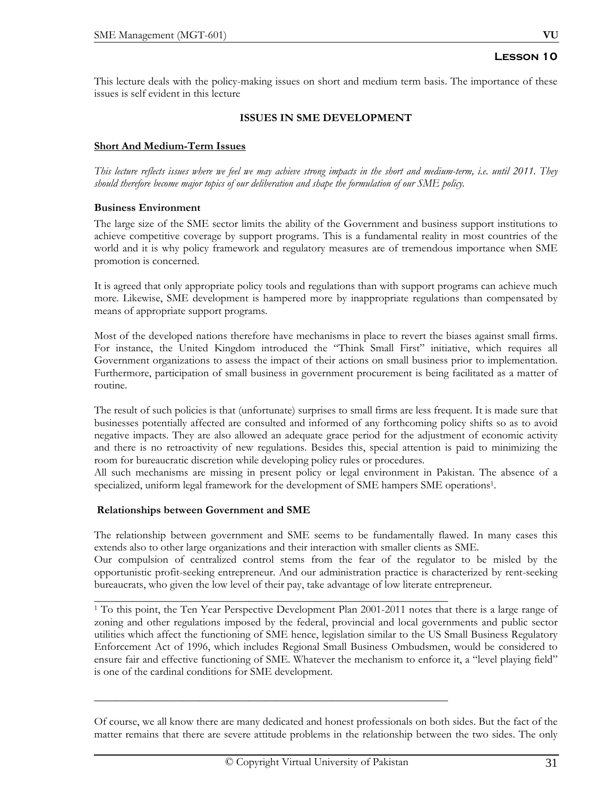This lecture deals with the policy-making issues on short and medium term basis. The importance of these issues is self evident in this lecture

#### **ISSUES IN SME DEVELOPMENT**

#### **Short And Medium-Term Issues**

*This lecture reflects issues where we feel we may achieve strong impacts in the short and medium-term, i.e. until 2011. They should therefore become major topics of our deliberation and shape the formulation of our SME policy.* 

#### **Business Environment**

The large size of the SME sector limits the ability of the Government and business support institutions to achieve competitive coverage by support programs. This is a fundamental reality in most countries of the world and it is why policy framework and regulatory measures are of tremendous importance when SME promotion is concerned.

It is agreed that only appropriate policy tools and regulations than with support programs can achieve much more. Likewise, SME development is hampered more by inappropriate regulations than compensated by means of appropriate support programs.

Most of the developed nations therefore have mechanisms in place to revert the biases against small firms. For instance, the United Kingdom introduced the "Think Small First" initiative, which requires all Government organizations to assess the impact of their actions on small business prior to implementation. Furthermore, participation of small business in government procurement is being facilitated as a matter of routine.

The result of such policies is that (unfortunate) surprises to small firms are less frequent. It is made sure that businesses potentially affected are consulted and informed of any forthcoming policy shifts so as to avoid negative impacts. They are also allowed an adequate grace period for the adjustment of economic activity and there is no retroactivity of new regulations. Besides this, special attention is paid to minimizing the room for bureaucratic discretion while developing policy rules or procedures.

All such mechanisms are missing in present policy or legal environment in Pakistan. The absence of a specialized, uniform legal framework for the development of SME hampers SME operations1.

#### **Relationships between Government and SME**

The relationship between government and SME seems to be fundamentally flawed. In many cases this extends also to other large organizations and their interaction with smaller clients as SME.

Our compulsion of centralized control stems from the fear of the regulator to be misled by the opportunistic profit-seeking entrepreneur. And our administration practice is characterized by rent-seeking bureaucrats, who given the low level of their pay, take advantage of low literate entrepreneur.

\_\_\_\_\_\_\_\_\_\_\_\_\_\_\_\_\_\_\_\_\_\_\_\_\_\_\_\_\_\_\_\_\_\_\_\_\_\_\_\_\_\_\_\_\_\_\_\_\_\_\_\_\_\_\_\_\_\_\_\_\_\_\_\_

\_\_\_\_\_\_\_\_\_\_\_\_\_\_\_\_\_\_\_\_\_\_\_\_\_\_\_\_\_\_\_\_\_\_\_\_\_\_\_\_\_\_\_\_\_\_\_\_\_\_\_\_\_\_\_\_\_\_\_\_\_\_\_\_

1 To this point, the Ten Year Perspective Development Plan 2001-2011 notes that there is a large range of zoning and other regulations imposed by the federal, provincial and local governments and public sector utilities which affect the functioning of SME hence, legislation similar to the US Small Business Regulatory Enforcement Act of 1996, which includes Regional Small Business Ombudsmen, would be considered to ensure fair and effective functioning of SME. Whatever the mechanism to enforce it, a "level playing field" is one of the cardinal conditions for SME development.

Of course, we all know there are many dedicated and honest professionals on both sides. But the fact of the matter remains that there are severe attitude problems in the relationship between the two sides. The only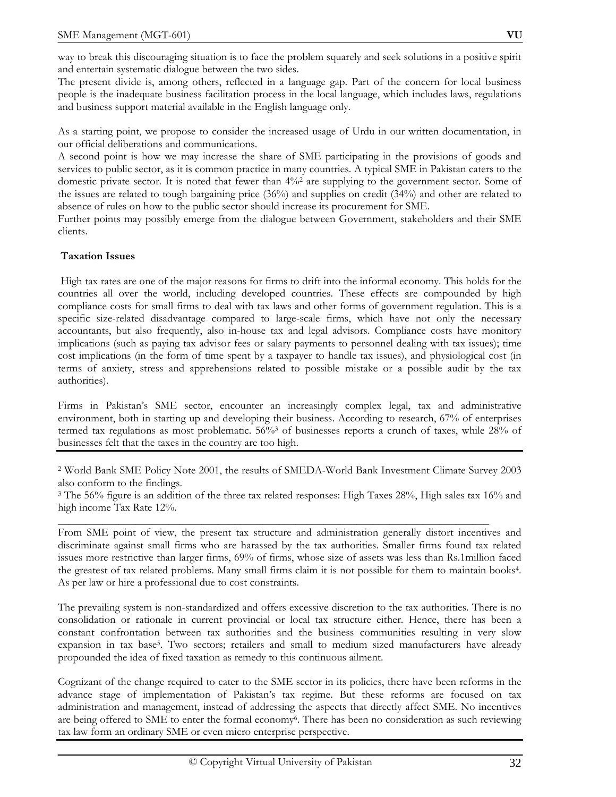way to break this discouraging situation is to face the problem squarely and seek solutions in a positive spirit and entertain systematic dialogue between the two sides.

The present divide is, among others, reflected in a language gap. Part of the concern for local business people is the inadequate business facilitation process in the local language, which includes laws, regulations and business support material available in the English language only.

As a starting point, we propose to consider the increased usage of Urdu in our written documentation, in our official deliberations and communications.

A second point is how we may increase the share of SME participating in the provisions of goods and services to public sector, as it is common practice in many countries. A typical SME in Pakistan caters to the domestic private sector. It is noted that fewer than 4%2 are supplying to the government sector. Some of the issues are related to tough bargaining price (36%) and supplies on credit (34%) and other are related to absence of rules on how to the public sector should increase its procurement for SME.

Further points may possibly emerge from the dialogue between Government, stakeholders and their SME clients.

## **Taxation Issues**

High tax rates are one of the major reasons for firms to drift into the informal economy. This holds for the countries all over the world, including developed countries. These effects are compounded by high compliance costs for small firms to deal with tax laws and other forms of government regulation. This is a specific size-related disadvantage compared to large-scale firms, which have not only the necessary accountants, but also frequently, also in-house tax and legal advisors. Compliance costs have monitory implications (such as paying tax advisor fees or salary payments to personnel dealing with tax issues); time cost implications (in the form of time spent by a taxpayer to handle tax issues), and physiological cost (in terms of anxiety, stress and apprehensions related to possible mistake or a possible audit by the tax authorities).

Firms in Pakistan's SME sector, encounter an increasingly complex legal, tax and administrative environment, both in starting up and developing their business. According to research, 67% of enterprises termed tax regulations as most problematic. 56%<sup>3</sup> of businesses reports a crunch of taxes, while 28% of businesses felt that the taxes in the country are too high.

2 World Bank SME Policy Note 2001, the results of SMEDA-World Bank Investment Climate Survey 2003 also conform to the findings.

3 The 56% figure is an addition of the three tax related responses: High Taxes 28%, High sales tax 16% and high income Tax Rate 12%.

 $\overline{\phantom{a}}$  , and the contract of the contract of the contract of the contract of the contract of the contract of the contract of the contract of the contract of the contract of the contract of the contract of the contrac

From SME point of view, the present tax structure and administration generally distort incentives and discriminate against small firms who are harassed by the tax authorities. Smaller firms found tax related issues more restrictive than larger firms, 69% of firms, whose size of assets was less than Rs.1million faced the greatest of tax related problems. Many small firms claim it is not possible for them to maintain books4. As per law or hire a professional due to cost constraints.

The prevailing system is non-standardized and offers excessive discretion to the tax authorities. There is no consolidation or rationale in current provincial or local tax structure either. Hence, there has been a constant confrontation between tax authorities and the business communities resulting in very slow expansion in tax base5. Two sectors; retailers and small to medium sized manufacturers have already propounded the idea of fixed taxation as remedy to this continuous ailment.

Cognizant of the change required to cater to the SME sector in its policies, there have been reforms in the advance stage of implementation of Pakistan's tax regime. But these reforms are focused on tax administration and management, instead of addressing the aspects that directly affect SME. No incentives are being offered to SME to enter the formal economy6. There has been no consideration as such reviewing tax law form an ordinary SME or even micro enterprise perspective.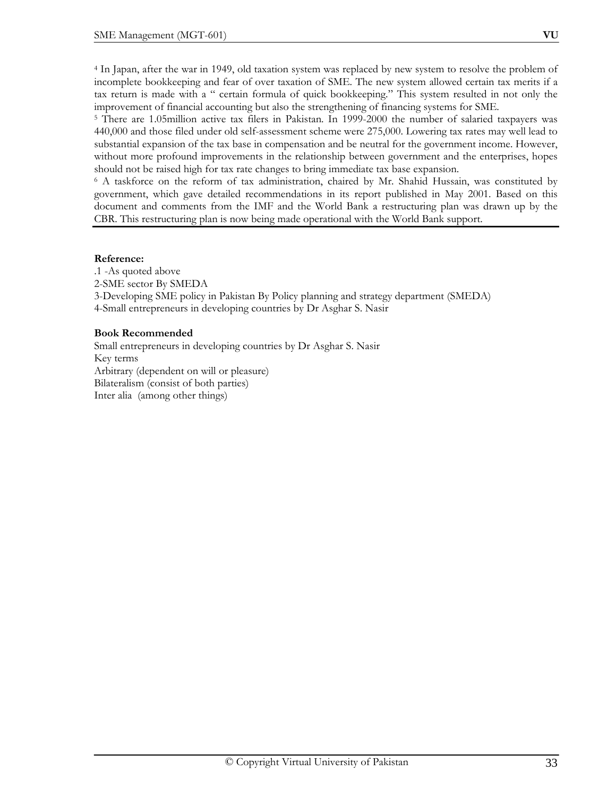4 In Japan, after the war in 1949, old taxation system was replaced by new system to resolve the problem of incomplete bookkeeping and fear of over taxation of SME. The new system allowed certain tax merits if a tax return is made with a " certain formula of quick bookkeeping." This system resulted in not only the improvement of financial accounting but also the strengthening of financing systems for SME.

5 There are 1.05million active tax filers in Pakistan. In 1999-2000 the number of salaried taxpayers was 440,000 and those filed under old self-assessment scheme were 275,000. Lowering tax rates may well lead to substantial expansion of the tax base in compensation and be neutral for the government income. However, without more profound improvements in the relationship between government and the enterprises, hopes should not be raised high for tax rate changes to bring immediate tax base expansion.

<sup>6</sup> A taskforce on the reform of tax administration, chaired by Mr. Shahid Hussain, was constituted by government, which gave detailed recommendations in its report published in May 2001. Based on this document and comments from the IMF and the World Bank a restructuring plan was drawn up by the CBR. This restructuring plan is now being made operational with the World Bank support.

## **Reference:**

.1 -As quoted above 2-SME sector By SMEDA 3-Developing SME policy in Pakistan By Policy planning and strategy department (SMEDA) 4-Small entrepreneurs in developing countries by Dr Asghar S. Nasir

## **Book Recommended**

Small entrepreneurs in developing countries by Dr Asghar S. Nasir Key terms Arbitrary (dependent on will or pleasure) Bilateralism (consist of both parties) Inter alia (among other things)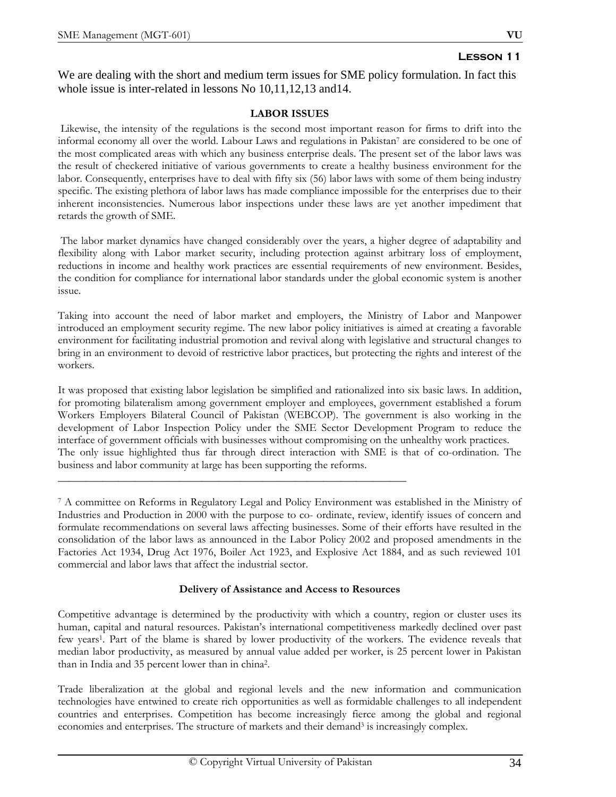We are dealing with the short and medium term issues for SME policy formulation. In fact this whole issue is inter-related in lessons No 10,11,12,13 and 14.

# **LABOR ISSUES**

Likewise, the intensity of the regulations is the second most important reason for firms to drift into the informal economy all over the world. Labour Laws and regulations in Pakistan7 are considered to be one of the most complicated areas with which any business enterprise deals. The present set of the labor laws was the result of checkered initiative of various governments to create a healthy business environment for the labor. Consequently, enterprises have to deal with fifty six (56) labor laws with some of them being industry specific. The existing plethora of labor laws has made compliance impossible for the enterprises due to their inherent inconsistencies. Numerous labor inspections under these laws are yet another impediment that retards the growth of SME.

 The labor market dynamics have changed considerably over the years, a higher degree of adaptability and flexibility along with Labor market security, including protection against arbitrary loss of employment, reductions in income and healthy work practices are essential requirements of new environment. Besides, the condition for compliance for international labor standards under the global economic system is another issue.

Taking into account the need of labor market and employers, the Ministry of Labor and Manpower introduced an employment security regime. The new labor policy initiatives is aimed at creating a favorable environment for facilitating industrial promotion and revival along with legislative and structural changes to bring in an environment to devoid of restrictive labor practices, but protecting the rights and interest of the workers.

It was proposed that existing labor legislation be simplified and rationalized into six basic laws. In addition, for promoting bilateralism among government employer and employees, government established a forum Workers Employers Bilateral Council of Pakistan (WEBCOP). The government is also working in the development of Labor Inspection Policy under the SME Sector Development Program to reduce the interface of government officials with businesses without compromising on the unhealthy work practices. The only issue highlighted thus far through direct interaction with SME is that of co-ordination. The business and labor community at large has been supporting the reforms.

\_\_\_\_\_\_\_\_\_\_\_\_\_\_\_\_\_\_\_\_\_\_\_\_\_\_\_\_\_\_\_\_\_\_\_\_\_\_\_\_\_\_\_\_\_\_\_\_\_\_\_\_\_\_\_\_\_\_\_\_\_\_\_

7 A committee on Reforms in Regulatory Legal and Policy Environment was established in the Ministry of Industries and Production in 2000 with the purpose to co- ordinate, review, identify issues of concern and formulate recommendations on several laws affecting businesses. Some of their efforts have resulted in the consolidation of the labor laws as announced in the Labor Policy 2002 and proposed amendments in the Factories Act 1934, Drug Act 1976, Boiler Act 1923, and Explosive Act 1884, and as such reviewed 101 commercial and labor laws that affect the industrial sector.

## **Delivery of Assistance and Access to Resources**

Competitive advantage is determined by the productivity with which a country, region or cluster uses its human, capital and natural resources. Pakistan's international competitiveness markedly declined over past few years1. Part of the blame is shared by lower productivity of the workers. The evidence reveals that median labor productivity, as measured by annual value added per worker, is 25 percent lower in Pakistan than in India and 35 percent lower than in china2.

Trade liberalization at the global and regional levels and the new information and communication technologies have entwined to create rich opportunities as well as formidable challenges to all independent countries and enterprises. Competition has become increasingly fierce among the global and regional economies and enterprises. The structure of markets and their demand<sup>3</sup> is increasingly complex.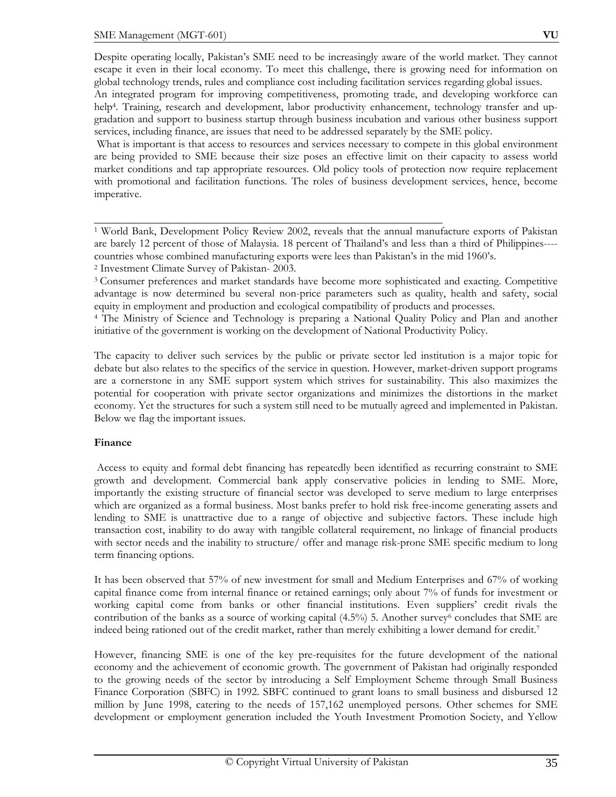Despite operating locally, Pakistan's SME need to be increasingly aware of the world market. They cannot escape it even in their local economy. To meet this challenge, there is growing need for information on global technology trends, rules and compliance cost including facilitation services regarding global issues.

An integrated program for improving competitiveness, promoting trade, and developing workforce can help<sup>4</sup>. Training, research and development, labor productivity enhancement, technology transfer and upgradation and support to business startup through business incubation and various other business support services, including finance, are issues that need to be addressed separately by the SME policy.

 What is important is that access to resources and services necessary to compete in this global environment are being provided to SME because their size poses an effective limit on their capacity to assess world market conditions and tap appropriate resources. Old policy tools of protection now require replacement with promotional and facilitation functions. The roles of business development services, hence, become imperative.

1 World Bank, Development Policy Review 2002, reveals that the annual manufacture exports of Pakistan are barely 12 percent of those of Malaysia. 18 percent of Thailand's and less than a third of Philippines--- countries whose combined manufacturing exports were lees than Pakistan's in the mid 1960's. 2 Investment Climate Survey of Pakistan- 2003.

\_\_\_\_\_\_\_\_\_\_\_\_\_\_\_\_\_\_\_\_\_\_\_\_\_\_\_\_\_\_\_\_\_\_\_\_\_\_\_\_\_\_\_\_\_\_\_\_\_\_\_\_\_\_\_\_\_\_\_\_\_\_\_

3 Consumer preferences and market standards have become more sophisticated and exacting. Competitive advantage is now determined bu several non-price parameters such as quality, health and safety, social equity in employment and production and ecological compatibility of products and processes.

4 The Ministry of Science and Technology is preparing a National Quality Policy and Plan and another initiative of the government is working on the development of National Productivity Policy.

The capacity to deliver such services by the public or private sector led institution is a major topic for debate but also relates to the specifics of the service in question. However, market-driven support programs are a cornerstone in any SME support system which strives for sustainability. This also maximizes the potential for cooperation with private sector organizations and minimizes the distortions in the market economy. Yet the structures for such a system still need to be mutually agreed and implemented in Pakistan. Below we flag the important issues.

## **Finance**

Access to equity and formal debt financing has repeatedly been identified as recurring constraint to SME growth and development. Commercial bank apply conservative policies in lending to SME. More, importantly the existing structure of financial sector was developed to serve medium to large enterprises which are organized as a formal business. Most banks prefer to hold risk free-income generating assets and lending to SME is unattractive due to a range of objective and subjective factors. These include high transaction cost, inability to do away with tangible collateral requirement, no linkage of financial products with sector needs and the inability to structure/ offer and manage risk-prone SME specific medium to long term financing options.

It has been observed that 57% of new investment for small and Medium Enterprises and 67% of working capital finance come from internal finance or retained earnings; only about 7% of funds for investment or working capital come from banks or other financial institutions. Even suppliers' credit rivals the contribution of the banks as a source of working capital  $(4.5\%)$  5. Another survey<sup>6</sup> concludes that SME are indeed being rationed out of the credit market, rather than merely exhibiting a lower demand for credit.7

However, financing SME is one of the key pre-requisites for the future development of the national economy and the achievement of economic growth. The government of Pakistan had originally responded to the growing needs of the sector by introducing a Self Employment Scheme through Small Business Finance Corporation (SBFC) in 1992. SBFC continued to grant loans to small business and disbursed 12 million by June 1998, catering to the needs of 157,162 unemployed persons. Other schemes for SME development or employment generation included the Youth Investment Promotion Society, and Yellow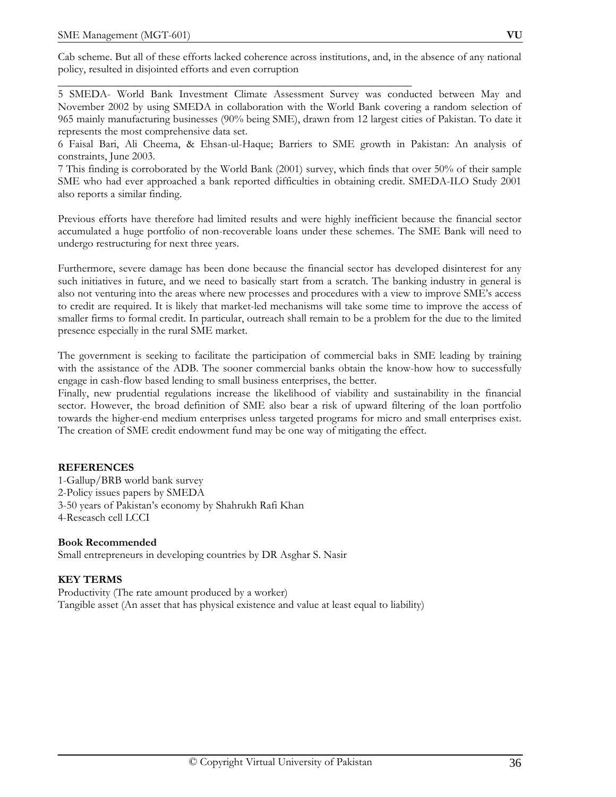Cab scheme. But all of these efforts lacked coherence across institutions, and, in the absence of any national policy, resulted in disjointed efforts and even corruption

\_\_\_\_\_\_\_\_\_\_\_\_\_\_\_\_\_\_\_\_\_\_\_\_\_\_\_\_\_\_\_\_\_\_\_\_\_\_\_\_\_\_\_\_\_\_\_\_\_\_\_\_\_\_\_\_\_\_\_\_\_\_\_\_

5 SMEDA- World Bank Investment Climate Assessment Survey was conducted between May and November 2002 by using SMEDA in collaboration with the World Bank covering a random selection of 965 mainly manufacturing businesses (90% being SME), drawn from 12 largest cities of Pakistan. To date it represents the most comprehensive data set.

6 Faisal Bari, Ali Cheema, & Ehsan-ul-Haque; Barriers to SME growth in Pakistan: An analysis of constraints, June 2003.

7 This finding is corroborated by the World Bank (2001) survey, which finds that over 50% of their sample SME who had ever approached a bank reported difficulties in obtaining credit. SMEDA-ILO Study 2001 also reports a similar finding.

Previous efforts have therefore had limited results and were highly inefficient because the financial sector accumulated a huge portfolio of non-recoverable loans under these schemes. The SME Bank will need to undergo restructuring for next three years.

Furthermore, severe damage has been done because the financial sector has developed disinterest for any such initiatives in future, and we need to basically start from a scratch. The banking industry in general is also not venturing into the areas where new processes and procedures with a view to improve SME's access to credit are required. It is likely that market-led mechanisms will take some time to improve the access of smaller firms to formal credit. In particular, outreach shall remain to be a problem for the due to the limited presence especially in the rural SME market.

The government is seeking to facilitate the participation of commercial baks in SME leading by training with the assistance of the ADB. The sooner commercial banks obtain the know-how how to successfully engage in cash-flow based lending to small business enterprises, the better.

Finally, new prudential regulations increase the likelihood of viability and sustainability in the financial sector. However, the broad definition of SME also bear a risk of upward filtering of the loan portfolio towards the higher-end medium enterprises unless targeted programs for micro and small enterprises exist. The creation of SME credit endowment fund may be one way of mitigating the effect.

## **REFERENCES**

1-Gallup/BRB world bank survey 2-Policy issues papers by SMEDA 3-50 years of Pakistan's economy by Shahrukh Rafi Khan 4-Reseasch cell LCCI

## **Book Recommended**

Small entrepreneurs in developing countries by DR Asghar S. Nasir

## **KEY TERMS**

Productivity (The rate amount produced by a worker) Tangible asset (An asset that has physical existence and value at least equal to liability)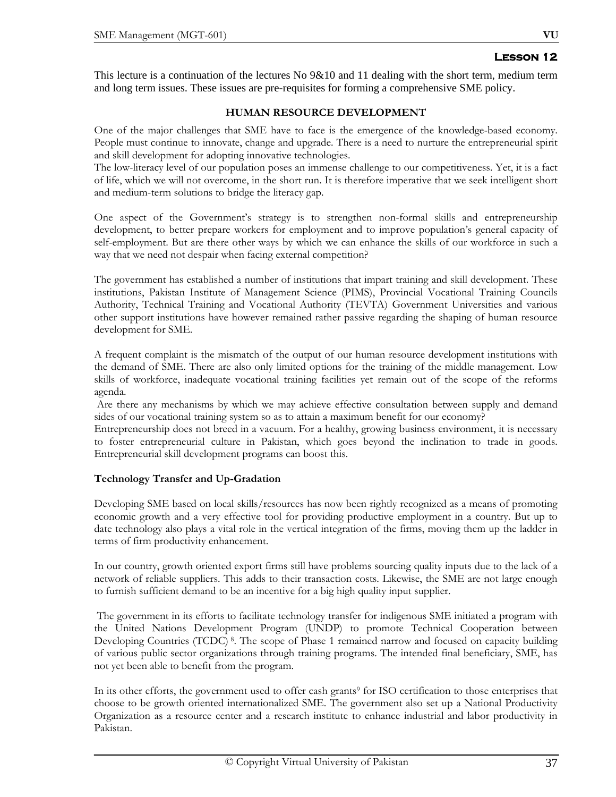This lecture is a continuation of the lectures No 9&10 and 11 dealing with the short term, medium term and long term issues. These issues are pre-requisites for forming a comprehensive SME policy.

### **HUMAN RESOURCE DEVELOPMENT**

One of the major challenges that SME have to face is the emergence of the knowledge-based economy. People must continue to innovate, change and upgrade. There is a need to nurture the entrepreneurial spirit and skill development for adopting innovative technologies.

The low-literacy level of our population poses an immense challenge to our competitiveness. Yet, it is a fact of life, which we will not overcome, in the short run. It is therefore imperative that we seek intelligent short and medium-term solutions to bridge the literacy gap.

One aspect of the Government's strategy is to strengthen non-formal skills and entrepreneurship development, to better prepare workers for employment and to improve population's general capacity of self-employment. But are there other ways by which we can enhance the skills of our workforce in such a way that we need not despair when facing external competition?

The government has established a number of institutions that impart training and skill development. These institutions, Pakistan Institute of Management Science (PIMS), Provincial Vocational Training Councils Authority, Technical Training and Vocational Authority (TEVTA) Government Universities and various other support institutions have however remained rather passive regarding the shaping of human resource development for SME.

A frequent complaint is the mismatch of the output of our human resource development institutions with the demand of SME. There are also only limited options for the training of the middle management. Low skills of workforce, inadequate vocational training facilities yet remain out of the scope of the reforms agenda.

 Are there any mechanisms by which we may achieve effective consultation between supply and demand sides of our vocational training system so as to attain a maximum benefit for our economy?

Entrepreneurship does not breed in a vacuum. For a healthy, growing business environment, it is necessary to foster entrepreneurial culture in Pakistan, which goes beyond the inclination to trade in goods. Entrepreneurial skill development programs can boost this.

# **Technology Transfer and Up-Gradation**

Developing SME based on local skills/resources has now been rightly recognized as a means of promoting economic growth and a very effective tool for providing productive employment in a country. But up to date technology also plays a vital role in the vertical integration of the firms, moving them up the ladder in terms of firm productivity enhancement.

In our country, growth oriented export firms still have problems sourcing quality inputs due to the lack of a network of reliable suppliers. This adds to their transaction costs. Likewise, the SME are not large enough to furnish sufficient demand to be an incentive for a big high quality input supplier.

 The government in its efforts to facilitate technology transfer for indigenous SME initiated a program with the United Nations Development Program (UNDP) to promote Technical Cooperation between Developing Countries (TCDC)<sup>8</sup>. The scope of Phase 1 remained narrow and focused on capacity building of various public sector organizations through training programs. The intended final beneficiary, SME, has not yet been able to benefit from the program.

In its other efforts, the government used to offer cash grants<sup>9</sup> for ISO certification to those enterprises that choose to be growth oriented internationalized SME. The government also set up a National Productivity Organization as a resource center and a research institute to enhance industrial and labor productivity in Pakistan.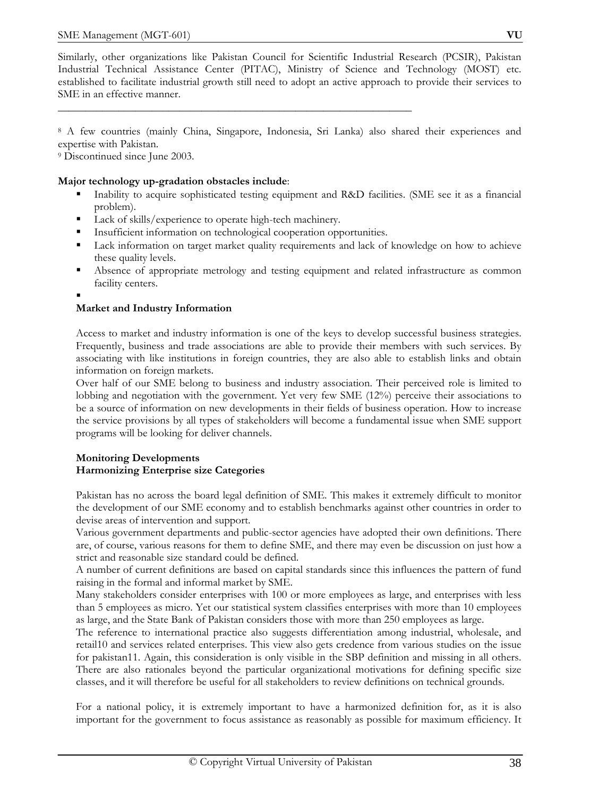Similarly, other organizations like Pakistan Council for Scientific Industrial Research (PCSIR), Pakistan Industrial Technical Assistance Center (PITAC), Ministry of Science and Technology (MOST) etc. established to facilitate industrial growth still need to adopt an active approach to provide their services to SME in an effective manner.

8 A few countries (mainly China, Singapore, Indonesia, Sri Lanka) also shared their experiences and expertise with Pakistan.

9 Discontinued since June 2003.

# **Major technology up-gradation obstacles include**:

- Inability to acquire sophisticated testing equipment and R&D facilities. (SME see it as a financial problem).
- Lack of skills/experience to operate high-tech machinery.
- **Insufficient information on technological cooperation opportunities.**

\_\_\_\_\_\_\_\_\_\_\_\_\_\_\_\_\_\_\_\_\_\_\_\_\_\_\_\_\_\_\_\_\_\_\_\_\_\_\_\_\_\_\_\_\_\_\_\_\_\_\_\_\_\_\_\_\_\_\_\_\_\_\_\_

- Lack information on target market quality requirements and lack of knowledge on how to achieve these quality levels.
- Absence of appropriate metrology and testing equipment and related infrastructure as common facility centers.
- .

# **Market and Industry Information**

Access to market and industry information is one of the keys to develop successful business strategies. Frequently, business and trade associations are able to provide their members with such services. By associating with like institutions in foreign countries, they are also able to establish links and obtain information on foreign markets.

Over half of our SME belong to business and industry association. Their perceived role is limited to lobbing and negotiation with the government. Yet very few SME (12%) perceive their associations to be a source of information on new developments in their fields of business operation. How to increase the service provisions by all types of stakeholders will become a fundamental issue when SME support programs will be looking for deliver channels.

# **Monitoring Developments Harmonizing Enterprise size Categories**

Pakistan has no across the board legal definition of SME. This makes it extremely difficult to monitor the development of our SME economy and to establish benchmarks against other countries in order to devise areas of intervention and support.

Various government departments and public-sector agencies have adopted their own definitions. There are, of course, various reasons for them to define SME, and there may even be discussion on just how a strict and reasonable size standard could be defined.

A number of current definitions are based on capital standards since this influences the pattern of fund raising in the formal and informal market by SME.

Many stakeholders consider enterprises with 100 or more employees as large, and enterprises with less than 5 employees as micro. Yet our statistical system classifies enterprises with more than 10 employees as large, and the State Bank of Pakistan considers those with more than 250 employees as large.

The reference to international practice also suggests differentiation among industrial, wholesale, and retail10 and services related enterprises. This view also gets credence from various studies on the issue for pakistan11. Again, this consideration is only visible in the SBP definition and missing in all others. There are also rationales beyond the particular organizational motivations for defining specific size classes, and it will therefore be useful for all stakeholders to review definitions on technical grounds.

For a national policy, it is extremely important to have a harmonized definition for, as it is also important for the government to focus assistance as reasonably as possible for maximum efficiency. It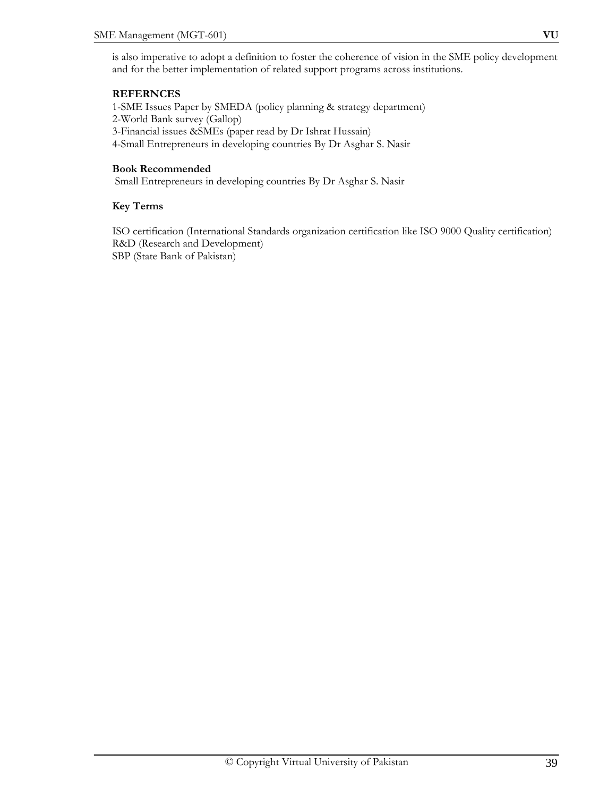is also imperative to adopt a definition to foster the coherence of vision in the SME policy development and for the better implementation of related support programs across institutions.

# **REFERNCES**

1-SME Issues Paper by SMEDA (policy planning & strategy department) 2-World Bank survey (Gallop) 3-Financial issues &SMEs (paper read by Dr Ishrat Hussain) 4-Small Entrepreneurs in developing countries By Dr Asghar S. Nasir

#### **Book Recommended**

Small Entrepreneurs in developing countries By Dr Asghar S. Nasir

#### **Key Terms**

ISO certification (International Standards organization certification like ISO 9000 Quality certification) R&D (Research and Development) SBP (State Bank of Pakistan)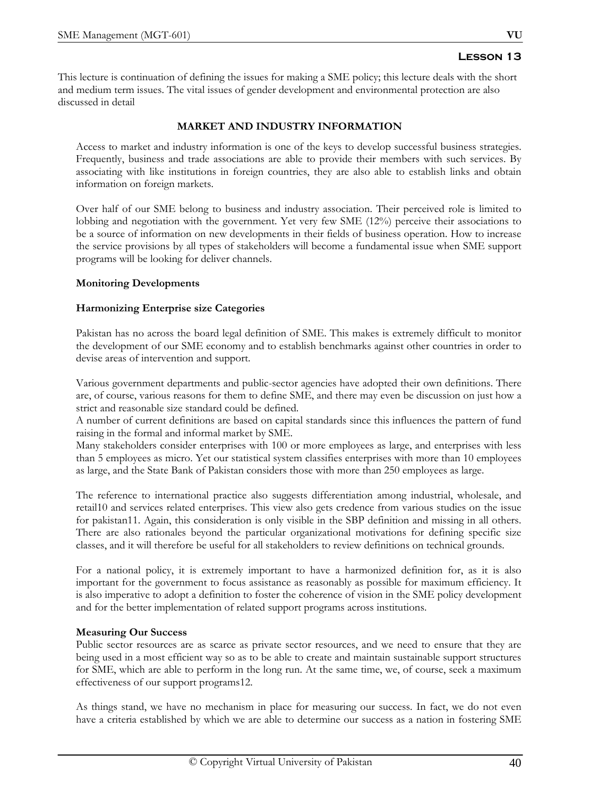This lecture is continuation of defining the issues for making a SME policy; this lecture deals with the short and medium term issues. The vital issues of gender development and environmental protection are also discussed in detail

# **MARKET AND INDUSTRY INFORMATION**

Access to market and industry information is one of the keys to develop successful business strategies. Frequently, business and trade associations are able to provide their members with such services. By associating with like institutions in foreign countries, they are also able to establish links and obtain information on foreign markets.

Over half of our SME belong to business and industry association. Their perceived role is limited to lobbing and negotiation with the government. Yet very few SME (12%) perceive their associations to be a source of information on new developments in their fields of business operation. How to increase the service provisions by all types of stakeholders will become a fundamental issue when SME support programs will be looking for deliver channels.

# **Monitoring Developments**

# **Harmonizing Enterprise size Categories**

Pakistan has no across the board legal definition of SME. This makes is extremely difficult to monitor the development of our SME economy and to establish benchmarks against other countries in order to devise areas of intervention and support.

Various government departments and public-sector agencies have adopted their own definitions. There are, of course, various reasons for them to define SME, and there may even be discussion on just how a strict and reasonable size standard could be defined.

A number of current definitions are based on capital standards since this influences the pattern of fund raising in the formal and informal market by SME.

Many stakeholders consider enterprises with 100 or more employees as large, and enterprises with less than 5 employees as micro. Yet our statistical system classifies enterprises with more than 10 employees as large, and the State Bank of Pakistan considers those with more than 250 employees as large.

The reference to international practice also suggests differentiation among industrial, wholesale, and retail10 and services related enterprises. This view also gets credence from various studies on the issue for pakistan11. Again, this consideration is only visible in the SBP definition and missing in all others. There are also rationales beyond the particular organizational motivations for defining specific size classes, and it will therefore be useful for all stakeholders to review definitions on technical grounds.

For a national policy, it is extremely important to have a harmonized definition for, as it is also important for the government to focus assistance as reasonably as possible for maximum efficiency. It is also imperative to adopt a definition to foster the coherence of vision in the SME policy development and for the better implementation of related support programs across institutions.

# **Measuring Our Success**

Public sector resources are as scarce as private sector resources, and we need to ensure that they are being used in a most efficient way so as to be able to create and maintain sustainable support structures for SME, which are able to perform in the long run. At the same time, we, of course, seek a maximum effectiveness of our support programs12.

As things stand, we have no mechanism in place for measuring our success. In fact, we do not even have a criteria established by which we are able to determine our success as a nation in fostering SME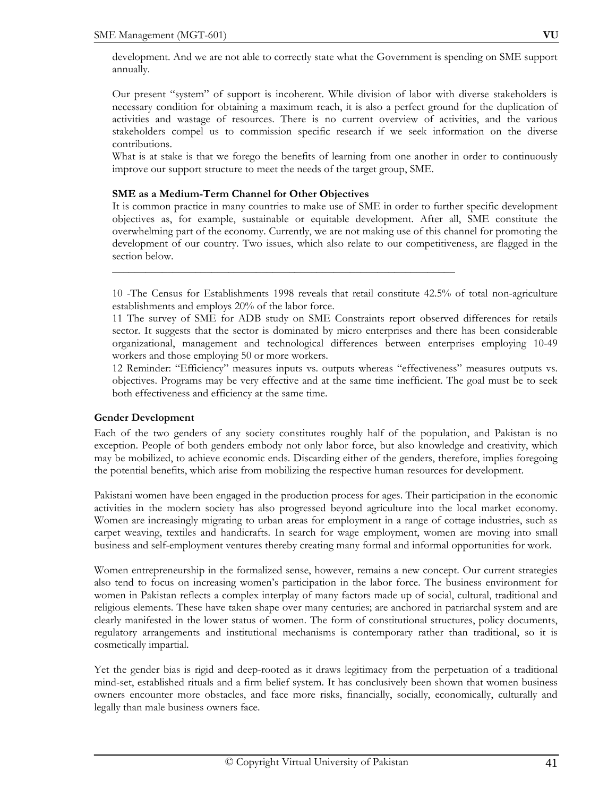development. And we are not able to correctly state what the Government is spending on SME support annually.

Our present "system" of support is incoherent. While division of labor with diverse stakeholders is necessary condition for obtaining a maximum reach, it is also a perfect ground for the duplication of activities and wastage of resources. There is no current overview of activities, and the various stakeholders compel us to commission specific research if we seek information on the diverse contributions.

What is at stake is that we forego the benefits of learning from one another in order to continuously improve our support structure to meet the needs of the target group, SME.

# **SME as a Medium-Term Channel for Other Objectives**

It is common practice in many countries to make use of SME in order to further specific development objectives as, for example, sustainable or equitable development. After all, SME constitute the overwhelming part of the economy. Currently, we are not making use of this channel for promoting the development of our country. Two issues, which also relate to our competitiveness, are flagged in the section below.

10 -The Census for Establishments 1998 reveals that retail constitute 42.5% of total non-agriculture establishments and employs 20% of the labor force.

\_\_\_\_\_\_\_\_\_\_\_\_\_\_\_\_\_\_\_\_\_\_\_\_\_\_\_\_\_\_\_\_\_\_\_\_\_\_\_\_\_\_\_\_\_\_\_\_\_\_\_\_\_\_\_\_\_\_\_\_\_\_

11 The survey of SME for ADB study on SME Constraints report observed differences for retails sector. It suggests that the sector is dominated by micro enterprises and there has been considerable organizational, management and technological differences between enterprises employing 10-49 workers and those employing 50 or more workers.

12 Reminder: "Efficiency" measures inputs vs. outputs whereas "effectiveness" measures outputs vs. objectives. Programs may be very effective and at the same time inefficient. The goal must be to seek both effectiveness and efficiency at the same time.

# **Gender Development**

Each of the two genders of any society constitutes roughly half of the population, and Pakistan is no exception. People of both genders embody not only labor force, but also knowledge and creativity, which may be mobilized, to achieve economic ends. Discarding either of the genders, therefore, implies foregoing the potential benefits, which arise from mobilizing the respective human resources for development.

Pakistani women have been engaged in the production process for ages. Their participation in the economic activities in the modern society has also progressed beyond agriculture into the local market economy. Women are increasingly migrating to urban areas for employment in a range of cottage industries, such as carpet weaving, textiles and handicrafts. In search for wage employment, women are moving into small business and self-employment ventures thereby creating many formal and informal opportunities for work.

Women entrepreneurship in the formalized sense, however, remains a new concept. Our current strategies also tend to focus on increasing women's participation in the labor force. The business environment for women in Pakistan reflects a complex interplay of many factors made up of social, cultural, traditional and religious elements. These have taken shape over many centuries; are anchored in patriarchal system and are clearly manifested in the lower status of women. The form of constitutional structures, policy documents, regulatory arrangements and institutional mechanisms is contemporary rather than traditional, so it is cosmetically impartial.

Yet the gender bias is rigid and deep-rooted as it draws legitimacy from the perpetuation of a traditional mind-set, established rituals and a firm belief system. It has conclusively been shown that women business owners encounter more obstacles, and face more risks, financially, socially, economically, culturally and legally than male business owners face.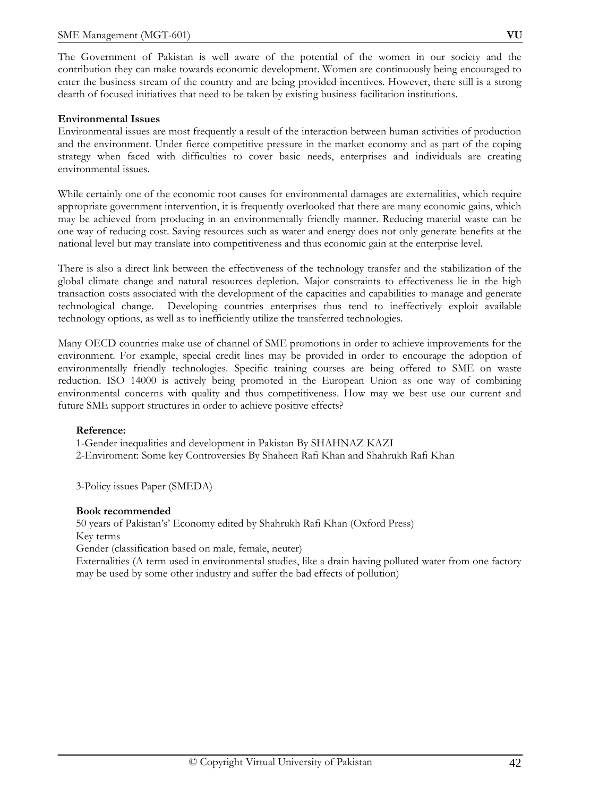The Government of Pakistan is well aware of the potential of the women in our society and the contribution they can make towards economic development. Women are continuously being encouraged to enter the business stream of the country and are being provided incentives. However, there still is a strong dearth of focused initiatives that need to be taken by existing business facilitation institutions.

# **Environmental Issues**

Environmental issues are most frequently a result of the interaction between human activities of production and the environment. Under fierce competitive pressure in the market economy and as part of the coping strategy when faced with difficulties to cover basic needs, enterprises and individuals are creating environmental issues.

While certainly one of the economic root causes for environmental damages are externalities, which require appropriate government intervention, it is frequently overlooked that there are many economic gains, which may be achieved from producing in an environmentally friendly manner. Reducing material waste can be one way of reducing cost. Saving resources such as water and energy does not only generate benefits at the national level but may translate into competitiveness and thus economic gain at the enterprise level.

There is also a direct link between the effectiveness of the technology transfer and the stabilization of the global climate change and natural resources depletion. Major constraints to effectiveness lie in the high transaction costs associated with the development of the capacities and capabilities to manage and generate technological change. Developing countries enterprises thus tend to ineffectively exploit available technology options, as well as to inefficiently utilize the transferred technologies.

Many OECD countries make use of channel of SME promotions in order to achieve improvements for the environment. For example, special credit lines may be provided in order to encourage the adoption of environmentally friendly technologies. Specific training courses are being offered to SME on waste reduction. ISO 14000 is actively being promoted in the European Union as one way of combining environmental concerns with quality and thus competitiveness. How may we best use our current and future SME support structures in order to achieve positive effects?

# **Reference:**

1-Gender inequalities and development in Pakistan By SHAHNAZ KAZI

2-Enviroment: Some key Controversies By Shaheen Rafi Khan and Shahrukh Rafi Khan

3-Policy issues Paper (SMEDA)

# **Book recommended**

50 years of Pakistan's' Economy edited by Shahrukh Rafi Khan (Oxford Press) Key terms Gender (classification based on male, female, neuter) Externalities (A term used in environmental studies, like a drain having polluted water from one factory may be used by some other industry and suffer the bad effects of pollution)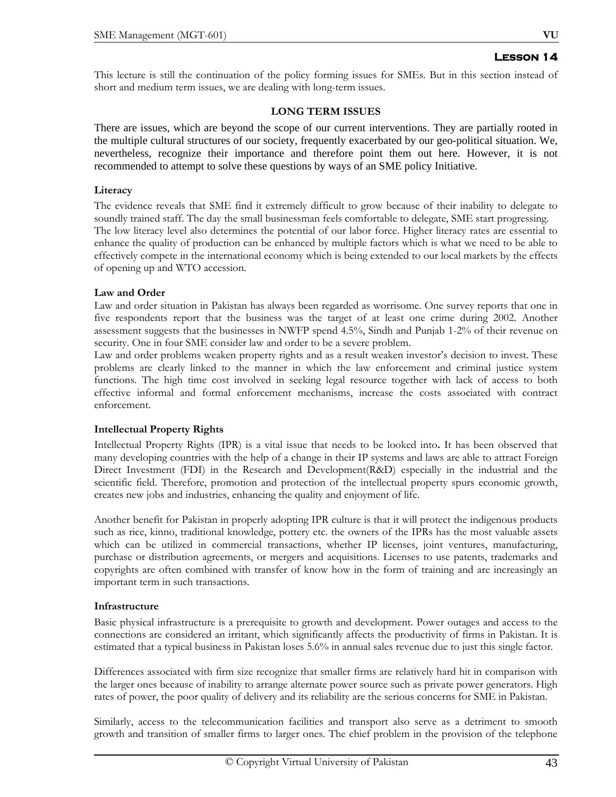This lecture is still the continuation of the policy forming issues for SMEs. But in this section instead of short and medium term issues, we are dealing with long-term issues.

# **LONG TERM ISSUES**

There are issues, which are beyond the scope of our current interventions. They are partially rooted in the multiple cultural structures of our society, frequently exacerbated by our geo-political situation. We, nevertheless, recognize their importance and therefore point them out here. However, it is not recommended to attempt to solve these questions by ways of an SME policy Initiative.

#### **Literacy**

The evidence reveals that SME find it extremely difficult to grow because of their inability to delegate to soundly trained staff. The day the small businessman feels comfortable to delegate, SME start progressing. The low literacy level also determines the potential of our labor force. Higher literacy rates are essential to enhance the quality of production can be enhanced by multiple factors which is what we need to be able to effectively compete in the international economy which is being extended to our local markets by the effects of opening up and WTO accession.

#### **Law and Order**

Law and order situation in Pakistan has always been regarded as worrisome. One survey reports that one in five respondents report that the business was the target of at least one crime during 2002. Another assessment suggests that the businesses in NWFP spend 4.5%, Sindh and Punjab 1-2% of their revenue on security. One in four SME consider law and order to be a severe problem.

Law and order problems weaken property rights and as a result weaken investor's decision to invest. These problems are clearly linked to the manner in which the law enforcement and criminal justice system functions. The high time cost involved in seeking legal resource together with lack of access to both effective informal and formal enforcement mechanisms, increase the costs associated with contract enforcement.

# **Intellectual Property Rights**

Intellectual Property Rights (IPR) is a vital issue that needs to be looked into**.** It has been observed that many developing countries with the help of a change in their IP systems and laws are able to attract Foreign Direct Investment (FDI) in the Research and Development(R&D) especially in the industrial and the scientific field. Therefore, promotion and protection of the intellectual property spurs economic growth, creates new jobs and industries, enhancing the quality and enjoyment of life.

Another benefit for Pakistan in properly adopting IPR culture is that it will protect the indigenous products such as rice, kinno, traditional knowledge, pottery etc. the owners of the IPRs has the most valuable assets which can be utilized in commercial transactions, whether IP licenses, joint ventures, manufacturing, purchase or distribution agreements, or mergers and acquisitions. Licenses to use patents, trademarks and copyrights are often combined with transfer of know how in the form of training and are increasingly an important term in such transactions.

# **Infrastructure**

Basic physical infrastructure is a prerequisite to growth and development. Power outages and access to the connections are considered an irritant, which significantly affects the productivity of firms in Pakistan. It is estimated that a typical business in Pakistan loses 5.6% in annual sales revenue due to just this single factor.

Differences associated with firm size recognize that smaller firms are relatively hard hit in comparison with the larger ones because of inability to arrange alternate power source such as private power generators. High rates of power, the poor quality of delivery and its reliability are the serious concerns for SME in Pakistan.

Similarly, access to the telecommunication facilities and transport also serve as a detriment to smooth growth and transition of smaller firms to larger ones. The chief problem in the provision of the telephone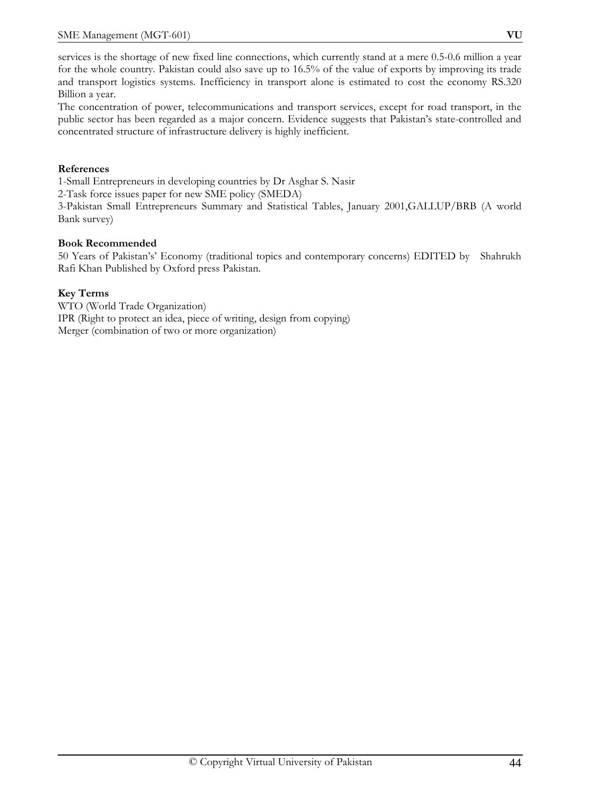services is the shortage of new fixed line connections, which currently stand at a mere 0.5-0.6 million a year for the whole country. Pakistan could also save up to 16.5% of the value of exports by improving its trade and transport logistics systems. Inefficiency in transport alone is estimated to cost the economy RS.320 Billion a year.

The concentration of power, telecommunications and transport services, except for road transport, in the public sector has been regarded as a major concern. Evidence suggests that Pakistan's state-controlled and concentrated structure of infrastructure delivery is highly inefficient.

# **References**

1-Small Entrepreneurs in developing countries by Dr Asghar S. Nasir

2-Task force issues paper for new SME policy (SMEDA)

3-Pakistan Small Entrepreneurs Summary and Statistical Tables, January 2001,GALLUP/BRB (A world Bank survey)

# **Book Recommended**

50 Years of Pakistan's' Economy (traditional topics and contemporary concerns) EDITED by Shahrukh Rafi Khan Published by Oxford press Pakistan.

# **Key Terms**

WTO (World Trade Organization) IPR (Right to protect an idea, piece of writing, design from copying) Merger (combination of two or more organization)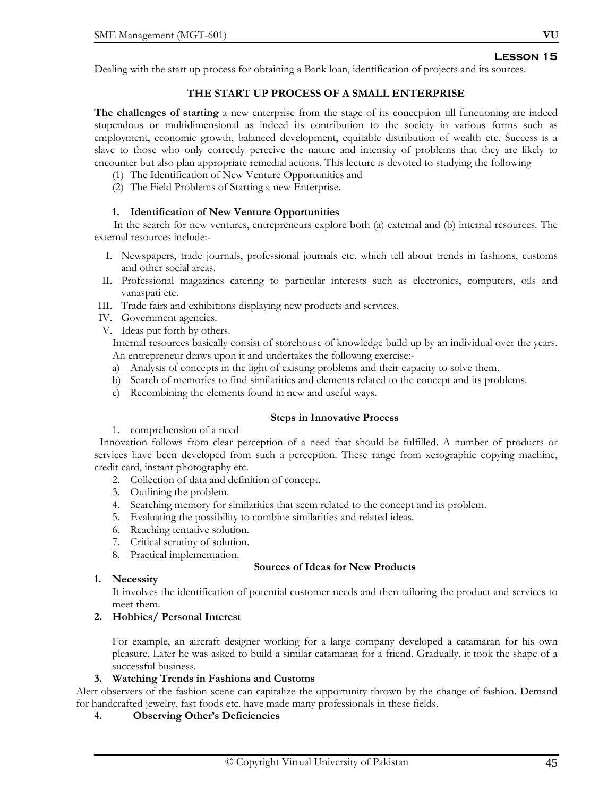Dealing with the start up process for obtaining a Bank loan, identification of projects and its sources.

# **THE START UP PROCESS OF A SMALL ENTERPRISE**

**The challenges of starting** a new enterprise from the stage of its conception till functioning are indeed stupendous or multidimensional as indeed its contribution to the society in various forms such as employment, economic growth, balanced development, equitable distribution of wealth etc. Success is a slave to those who only correctly perceive the nature and intensity of problems that they are likely to encounter but also plan appropriate remedial actions. This lecture is devoted to studying the following

- (1) The Identification of New Venture Opportunities and
- (2) The Field Problems of Starting a new Enterprise.

#### **1. Identification of New Venture Opportunities**

In the search for new ventures, entrepreneurs explore both (a) external and (b) internal resources. The external resources include:-

- I. Newspapers, trade journals, professional journals etc. which tell about trends in fashions, customs and other social areas.
- II. Professional magazines catering to particular interests such as electronics, computers, oils and vanaspati etc.
- III. Trade fairs and exhibitions displaying new products and services.
- IV. Government agencies.
- V. Ideas put forth by others.

Internal resources basically consist of storehouse of knowledge build up by an individual over the years. An entrepreneur draws upon it and undertakes the following exercise:-

- a) Analysis of concepts in the light of existing problems and their capacity to solve them.
- b) Search of memories to find similarities and elements related to the concept and its problems.
- c) Recombining the elements found in new and useful ways.

# **Steps in Innovative Process**

1. comprehension of a need

 Innovation follows from clear perception of a need that should be fulfilled. A number of products or services have been developed from such a perception. These range from xerographic copying machine, credit card, instant photography etc.

- 2. Collection of data and definition of concept.
- 3. Outlining the problem.
- 4. Searching memory for similarities that seem related to the concept and its problem.
- 5. Evaluating the possibility to combine similarities and related ideas.
- 6. Reaching tentative solution.
- 7. Critical scrutiny of solution.
- 8. Practical implementation.

#### **Sources of Ideas for New Products**

**1. Necessity** 

It involves the identification of potential customer needs and then tailoring the product and services to meet them.

# **2. Hobbies/ Personal Interest**

For example, an aircraft designer working for a large company developed a catamaran for his own pleasure. Later he was asked to build a similar catamaran for a friend. Gradually, it took the shape of a successful business.

# **3. Watching Trends in Fashions and Customs**

Alert observers of the fashion scene can capitalize the opportunity thrown by the change of fashion. Demand for handcrafted jewelry, fast foods etc. have made many professionals in these fields.

# **4. Observing Other's Deficiencies**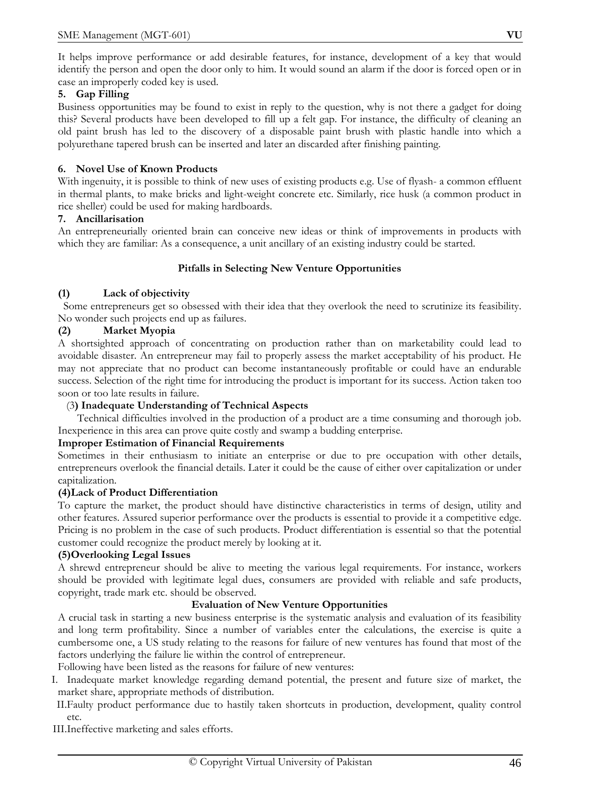It helps improve performance or add desirable features, for instance, development of a key that would identify the person and open the door only to him. It would sound an alarm if the door is forced open or in case an improperly coded key is used.

# **5. Gap Filling**

Business opportunities may be found to exist in reply to the question, why is not there a gadget for doing this? Several products have been developed to fill up a felt gap. For instance, the difficulty of cleaning an old paint brush has led to the discovery of a disposable paint brush with plastic handle into which a polyurethane tapered brush can be inserted and later an discarded after finishing painting.

# **6. Novel Use of Known Products**

With ingenuity, it is possible to think of new uses of existing products e.g. Use of flyash- a common effluent in thermal plants, to make bricks and light-weight concrete etc. Similarly, rice husk (a common product in rice sheller) could be used for making hardboards.

# **7. Ancillarisation**

An entrepreneurially oriented brain can conceive new ideas or think of improvements in products with which they are familiar: As a consequence, a unit ancillary of an existing industry could be started.

# **Pitfalls in Selecting New Venture Opportunities**

# **(1) Lack of objectivity**

 Some entrepreneurs get so obsessed with their idea that they overlook the need to scrutinize its feasibility. No wonder such projects end up as failures.

# **(2) Market Myopia**

A shortsighted approach of concentrating on production rather than on marketability could lead to avoidable disaster. An entrepreneur may fail to properly assess the market acceptability of his product. He may not appreciate that no product can become instantaneously profitable or could have an endurable success. Selection of the right time for introducing the product is important for its success. Action taken too soon or too late results in failure.

# (3**) Inadequate Understanding of Technical Aspects**

 Technical difficulties involved in the production of a product are a time consuming and thorough job. Inexperience in this area can prove quite costly and swamp a budding enterprise.

# **Improper Estimation of Financial Requirements**

Sometimes in their enthusiasm to initiate an enterprise or due to pre occupation with other details, entrepreneurs overlook the financial details. Later it could be the cause of either over capitalization or under capitalization.

# **(4)Lack of Product Differentiation**

To capture the market, the product should have distinctive characteristics in terms of design, utility and other features. Assured superior performance over the products is essential to provide it a competitive edge. Pricing is no problem in the case of such products. Product differentiation is essential so that the potential customer could recognize the product merely by looking at it.

# **(5)Overlooking Legal Issues**

A shrewd entrepreneur should be alive to meeting the various legal requirements. For instance, workers should be provided with legitimate legal dues, consumers are provided with reliable and safe products, copyright, trade mark etc. should be observed.

# **Evaluation of New Venture Opportunities**

A crucial task in starting a new business enterprise is the systematic analysis and evaluation of its feasibility and long term profitability. Since a number of variables enter the calculations, the exercise is quite a cumbersome one, a US study relating to the reasons for failure of new ventures has found that most of the factors underlying the failure lie within the control of entrepreneur.

Following have been listed as the reasons for failure of new ventures:

- I. Inadequate market knowledge regarding demand potential, the present and future size of market, the market share, appropriate methods of distribution.
- II.Faulty product performance due to hastily taken shortcuts in production, development, quality control etc.
- III.Ineffective marketing and sales efforts.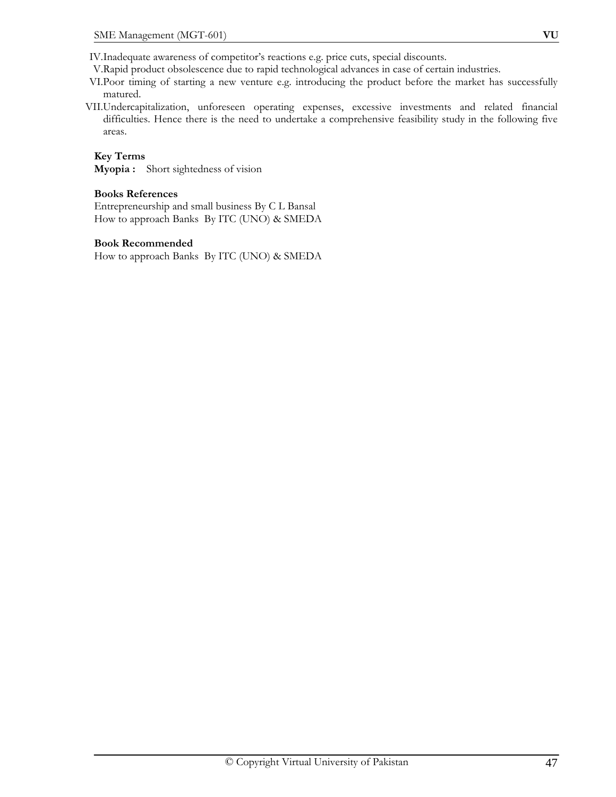- V.Rapid product obsolescence due to rapid technological advances in case of certain industries.
- VI.Poor timing of starting a new venture e.g. introducing the product before the market has successfully matured.
- VII.Undercapitalization, unforeseen operating expenses, excessive investments and related financial difficulties. Hence there is the need to undertake a comprehensive feasibility study in the following five areas.

# **Key Terms**

**Myopia :** Short sightedness of vision

#### **Books References**

Entrepreneurship and small business By C L Bansal How to approach Banks By ITC (UNO) & SMEDA

#### **Book Recommended**

How to approach Banks By ITC (UNO) & SMEDA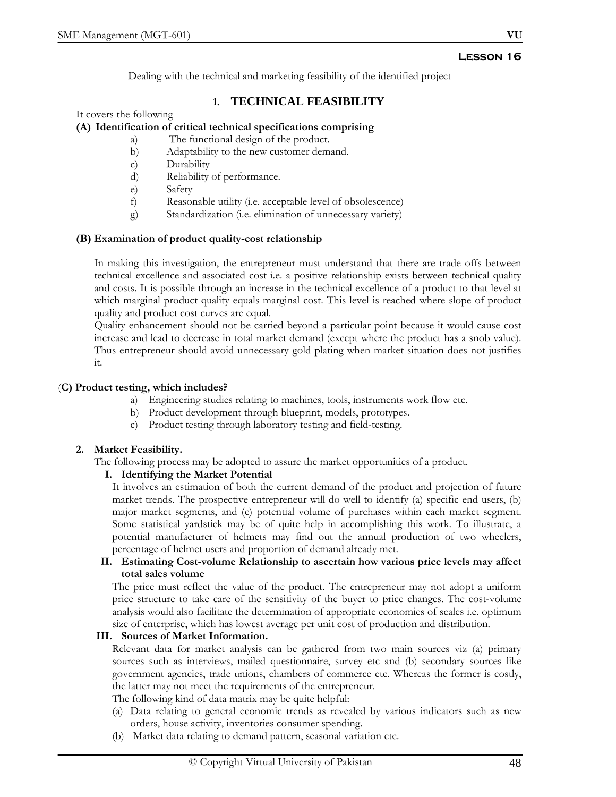Dealing with the technical and marketing feasibility of the identified project

# **1. TECHNICAL FEASIBILITY**

It covers the following

# **(A) Identification of critical technical specifications comprising**

- a) The functional design of the product.
- b) Adaptability to the new customer demand.
- c) Durability
- d) Reliability of performance.
- e) Safety
- f) Reasonable utility (i.e. acceptable level of obsolescence)
- g) Standardization (i.e. elimination of unnecessary variety)

# **(B) Examination of product quality-cost relationship**

In making this investigation, the entrepreneur must understand that there are trade offs between technical excellence and associated cost i.e. a positive relationship exists between technical quality and costs. It is possible through an increase in the technical excellence of a product to that level at which marginal product quality equals marginal cost. This level is reached where slope of product quality and product cost curves are equal.

Quality enhancement should not be carried beyond a particular point because it would cause cost increase and lead to decrease in total market demand (except where the product has a snob value). Thus entrepreneur should avoid unnecessary gold plating when market situation does not justifies it.

# (**C) Product testing, which includes?**

- a) Engineering studies relating to machines, tools, instruments work flow etc.
- b) Product development through blueprint, models, prototypes.
- c) Product testing through laboratory testing and field-testing.

# **2. Market Feasibility.**

The following process may be adopted to assure the market opportunities of a product.

# **I. Identifying the Market Potential**

It involves an estimation of both the current demand of the product and projection of future market trends. The prospective entrepreneur will do well to identify (a) specific end users, (b) major market segments, and (c) potential volume of purchases within each market segment. Some statistical yardstick may be of quite help in accomplishing this work. To illustrate, a potential manufacturer of helmets may find out the annual production of two wheelers, percentage of helmet users and proportion of demand already met.

# **II. Estimating Cost-volume Relationship to ascertain how various price levels may affect total sales volume**

The price must reflect the value of the product. The entrepreneur may not adopt a uniform price structure to take care of the sensitivity of the buyer to price changes. The cost-volume analysis would also facilitate the determination of appropriate economies of scales i.e. optimum size of enterprise, which has lowest average per unit cost of production and distribution.

# **III. Sources of Market Information.**

Relevant data for market analysis can be gathered from two main sources viz (a) primary sources such as interviews, mailed questionnaire, survey etc and (b) secondary sources like government agencies, trade unions, chambers of commerce etc. Whereas the former is costly, the latter may not meet the requirements of the entrepreneur.

The following kind of data matrix may be quite helpful:

- (a) Data relating to general economic trends as revealed by various indicators such as new orders, house activity, inventories consumer spending.
- (b) Market data relating to demand pattern, seasonal variation etc.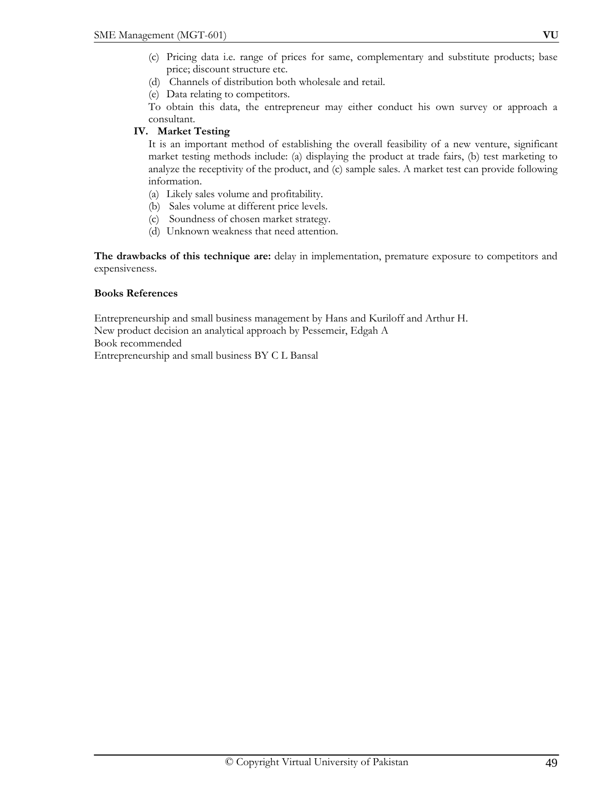- (c) Pricing data i.e. range of prices for same, complementary and substitute products; base price; discount structure etc.
- (d) Channels of distribution both wholesale and retail.
- (e) Data relating to competitors.

To obtain this data, the entrepreneur may either conduct his own survey or approach a consultant.

# **IV. Market Testing**

It is an important method of establishing the overall feasibility of a new venture, significant market testing methods include: (a) displaying the product at trade fairs, (b) test marketing to analyze the receptivity of the product, and (c) sample sales. A market test can provide following information.

- (a) Likely sales volume and profitability.
- (b) Sales volume at different price levels.
- (c) Soundness of chosen market strategy.
- (d) Unknown weakness that need attention.

**The drawbacks of this technique are:** delay in implementation, premature exposure to competitors and expensiveness.

# **Books References**

Entrepreneurship and small business management by Hans and Kuriloff and Arthur H. New product decision an analytical approach by Pessemeir, Edgah A Book recommended Entrepreneurship and small business BY C L Bansal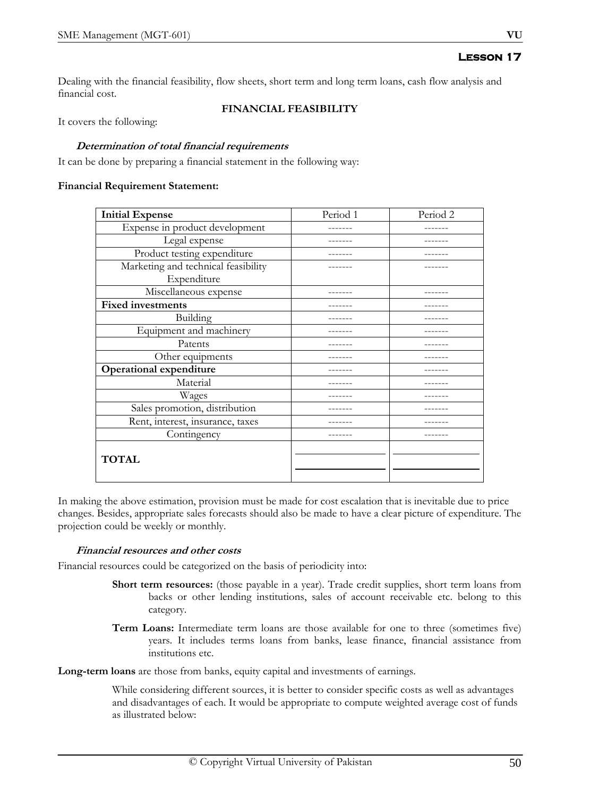Dealing with the financial feasibility, flow sheets, short term and long term loans, cash flow analysis and financial cost.

# **FINANCIAL FEASIBILITY**

It covers the following:

### **Determination of total financial requirements**

It can be done by preparing a financial statement in the following way:

#### **Financial Requirement Statement:**

| <b>Initial Expense</b>              | Period 1 | Period 2 |
|-------------------------------------|----------|----------|
| Expense in product development      |          |          |
| Legal expense                       |          |          |
| Product testing expenditure         |          |          |
| Marketing and technical feasibility |          |          |
| Expenditure                         |          |          |
| Miscellaneous expense               |          |          |
| <b>Fixed investments</b>            |          |          |
| Building                            |          |          |
| Equipment and machinery             |          |          |
| Patents                             |          |          |
| Other equipments                    |          |          |
| <b>Operational expenditure</b>      |          |          |
| Material                            |          |          |
| Wages                               |          |          |
| Sales promotion, distribution       |          |          |
| Rent, interest, insurance, taxes    |          |          |
| Contingency                         |          |          |
|                                     |          |          |
| <b>TOTAL</b>                        |          |          |
|                                     |          |          |

In making the above estimation, provision must be made for cost escalation that is inevitable due to price changes. Besides, appropriate sales forecasts should also be made to have a clear picture of expenditure. The projection could be weekly or monthly.

#### **Financial resources and other costs**

Financial resources could be categorized on the basis of periodicity into:

- **Short term resources:** (those payable in a year). Trade credit supplies, short term loans from backs or other lending institutions, sales of account receivable etc. belong to this category.
- **Term Loans:** Intermediate term loans are those available for one to three (sometimes five) years. It includes terms loans from banks, lease finance, financial assistance from institutions etc.

**Long-term loans** are those from banks, equity capital and investments of earnings.

While considering different sources, it is better to consider specific costs as well as advantages and disadvantages of each. It would be appropriate to compute weighted average cost of funds as illustrated below: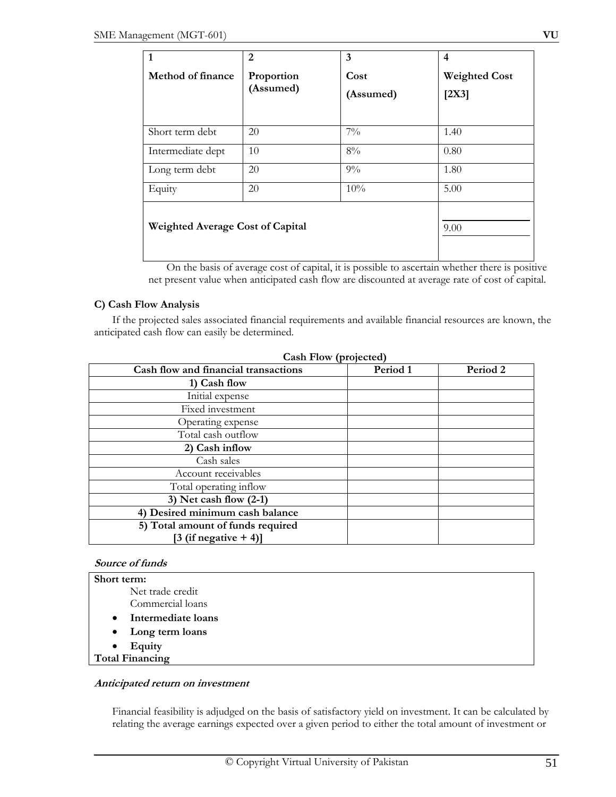| 1                                       | 2                       | 3                 | $\overline{4}$                |
|-----------------------------------------|-------------------------|-------------------|-------------------------------|
| Method of finance                       | Proportion<br>(Assumed) | Cost<br>(Assumed) | <b>Weighted Cost</b><br>[2X3] |
| Short term debt                         | 20                      | $7\%$             | 1.40                          |
| Intermediate dept                       | 10                      | 8%                | 0.80                          |
| Long term debt                          | 20                      | $9\%$             | 1.80                          |
| Equity                                  | 20                      | 10%               | 5.00                          |
| <b>Weighted Average Cost of Capital</b> |                         |                   | 9.00                          |

On the basis of average cost of capital, it is possible to ascertain whether there is positive net present value when anticipated cash flow are discounted at average rate of cost of capital.

# **C) Cash Flow Analysis**

If the projected sales associated financial requirements and available financial resources are known, the anticipated cash flow can easily be determined.

| Cash Flow (projected)                |          |          |
|--------------------------------------|----------|----------|
| Cash flow and financial transactions | Period 1 | Period 2 |
| 1) Cash flow                         |          |          |
| Initial expense                      |          |          |
| Fixed investment                     |          |          |
| Operating expense                    |          |          |
| Total cash outflow                   |          |          |
| 2) Cash inflow                       |          |          |
| Cash sales                           |          |          |
| Account receivables                  |          |          |
| Total operating inflow               |          |          |
| 3) Net cash flow $(2-1)$             |          |          |
| 4) Desired minimum cash balance      |          |          |
| 5) Total amount of funds required    |          |          |
| $[3$ (if negative $+4$ )]            |          |          |

# **Cash Flow (projected)**

#### **Source of funds**

| Short term:                     |  |
|---------------------------------|--|
| Net trade credit                |  |
| Commercial loans                |  |
| Intermediate loans<br>$\bullet$ |  |
| • Long term loans               |  |
| Equity<br>$\bullet$             |  |
| <b>Total Financing</b>          |  |

#### **Anticipated return on investment**

Financial feasibility is adjudged on the basis of satisfactory yield on investment. It can be calculated by relating the average earnings expected over a given period to either the total amount of investment or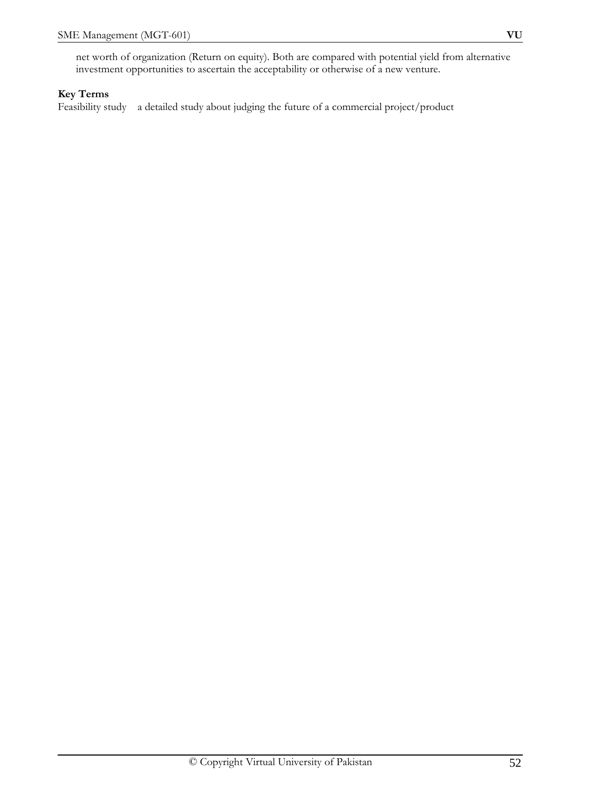# **Key Terms**

Feasibility study a detailed study about judging the future of a commercial project/product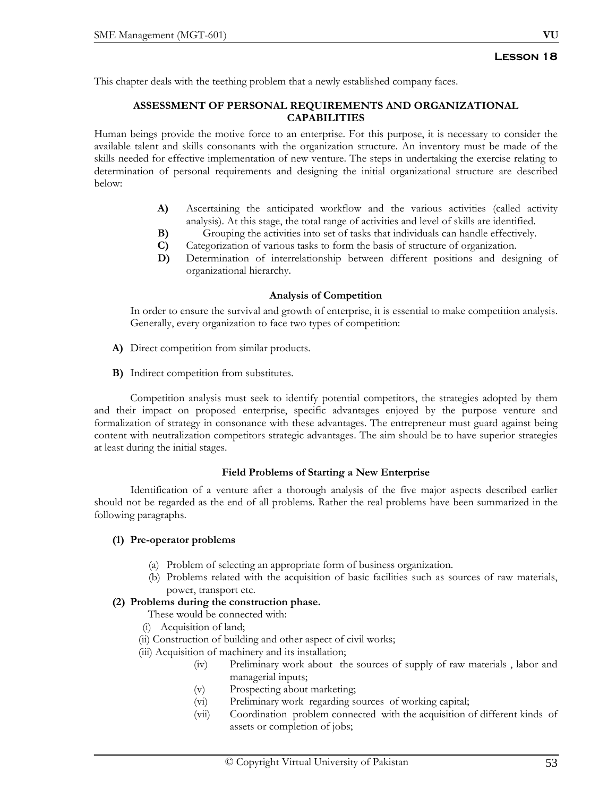This chapter deals with the teething problem that a newly established company faces.

### **ASSESSMENT OF PERSONAL REQUIREMENTS AND ORGANIZATIONAL CAPABILITIES**

Human beings provide the motive force to an enterprise. For this purpose, it is necessary to consider the available talent and skills consonants with the organization structure. An inventory must be made of the skills needed for effective implementation of new venture. The steps in undertaking the exercise relating to determination of personal requirements and designing the initial organizational structure are described below:

- A) Ascertaining the anticipated workflow and the various activities (called activity analysis). At this stage, the total range of activities and level of skills are identified.
- **B)** Grouping the activities into set of tasks that individuals can handle effectively.
- **C)** Categorization of various tasks to form the basis of structure of organization.
- **D)** Determination of interrelationship between different positions and designing of organizational hierarchy.

#### **Analysis of Competition**

In order to ensure the survival and growth of enterprise, it is essential to make competition analysis. Generally, every organization to face two types of competition:

- **A)** Direct competition from similar products.
- **B)** Indirect competition from substitutes.

Competition analysis must seek to identify potential competitors, the strategies adopted by them and their impact on proposed enterprise, specific advantages enjoyed by the purpose venture and formalization of strategy in consonance with these advantages. The entrepreneur must guard against being content with neutralization competitors strategic advantages. The aim should be to have superior strategies at least during the initial stages.

#### **Field Problems of Starting a New Enterprise**

 Identification of a venture after a thorough analysis of the five major aspects described earlier should not be regarded as the end of all problems. Rather the real problems have been summarized in the following paragraphs.

# **(1) Pre-operator problems**

- (a) Problem of selecting an appropriate form of business organization.
- (b) Problems related with the acquisition of basic facilities such as sources of raw materials, power, transport etc.

# **(2) Problems during the construction phase.**

- These would be connected with:
- (i) Acquisition of land;
- (ii) Construction of building and other aspect of civil works;
- (iii) Acquisition of machinery and its installation;
	- (iv) Preliminary work about the sources of supply of raw materials , labor and managerial inputs;
	- (v) Prospecting about marketing;
	- (vi) Preliminary work regarding sources of working capital;
	- (vii) Coordination problem connected with the acquisition of different kinds of assets or completion of jobs;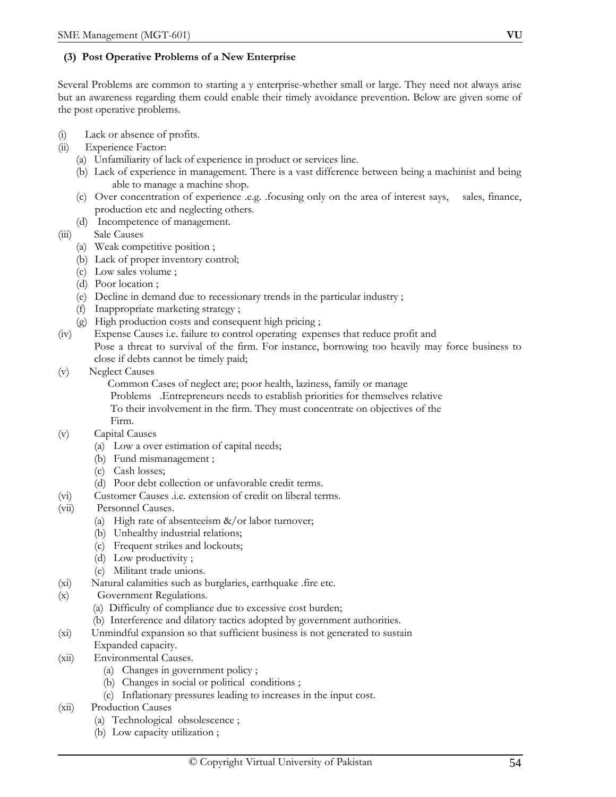# **(3) Post Operative Problems of a New Enterprise**

Several Problems are common to starting a y enterprise-whether small or large. They need not always arise but an awareness regarding them could enable their timely avoidance prevention. Below are given some of the post operative problems.

- (i) Lack or absence of profits.
- (ii) Experience Factor:
	- (a) Unfamiliarity of lack of experience in product or services line.
	- (b) Lack of experience in management. There is a vast difference between being a machinist and being able to manage a machine shop.
	- (c) Over concentration of experience .e.g. .focusing only on the area of interest says, sales, finance, production etc and neglecting others.
	- (d) Incompetence of management.
- (iii) Sale Causes
	- (a) Weak competitive position ;
	- (b) Lack of proper inventory control;
	- (c) Low sales volume ;
	- (d) Poor location ;
	- (e) Decline in demand due to recessionary trends in the particular industry ;
	- (f) Inappropriate marketing strategy ;
	- (g) High production costs and consequent high pricing ;
- (iv) Expense Causes i.e. failure to control operating expenses that reduce profit and Pose a threat to survival of the firm. For instance, borrowing too heavily may force business to close if debts cannot be timely paid;
- (v) Neglect Causes
	- Common Cases of neglect are; poor health, laziness, family or manage
	- Problems .Entrepreneurs needs to establish priorities for themselves relative To their involvement in the firm. They must concentrate on objectives of the Firm.
- (v) Capital Causes
	- (a) Low a over estimation of capital needs;
	- (b) Fund mismanagement ;
	- (c) Cash losses;
	- (d) Poor debt collection or unfavorable credit terms.
- (vi) Customer Causes .i.e. extension of credit on liberal terms.
- (vii) Personnel Causes.
	- (a) High rate of absenteeism  $\&/$  or labor turnover;
	- (b) Unhealthy industrial relations;
	- (c) Frequent strikes and lockouts;
	- (d) Low productivity ;
	- (e) Militant trade unions.
- (xi) Natural calamities such as burglaries, earthquake .fire etc.
- (x) Government Regulations.
	- (a) Difficulty of compliance due to excessive cost burden;
	- (b) Interference and dilatory tactics adopted by government authorities.
- (xi) Unmindful expansion so that sufficient business is not generated to sustain Expanded capacity.
- (xii) Environmental Causes.
	- (a) Changes in government policy ;
	- (b) Changes in social or political conditions ;
	- (c) Inflationary pressures leading to increases in the input cost.
- (xii) Production Causes
	- (a) Technological obsolescence ;
	- (b) Low capacity utilization ;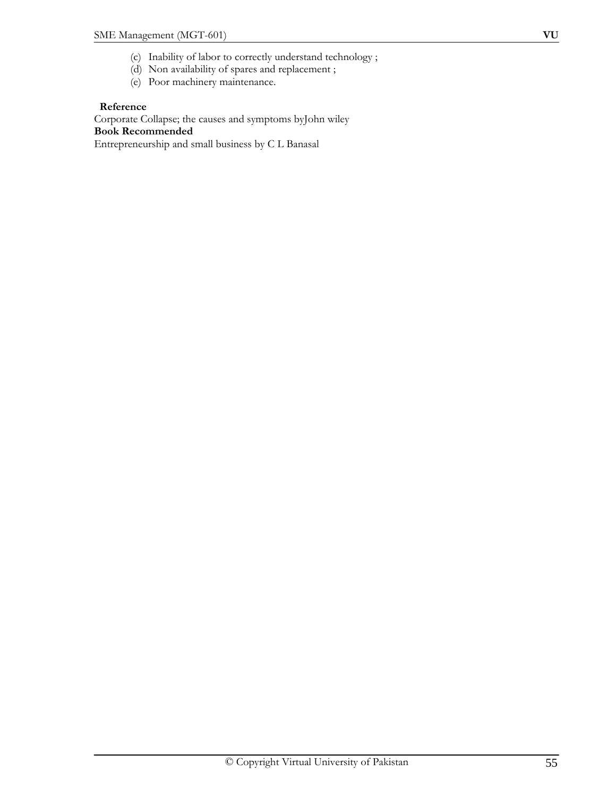- (c) Inability of labor to correctly understand technology ;
- (d) Non availability of spares and replacement ;
- (e) Poor machinery maintenance.

# **Reference**

Corporate Collapse; the causes and symptoms byJohn wiley **Book Recommended** 

Entrepreneurship and small business by C L Banasal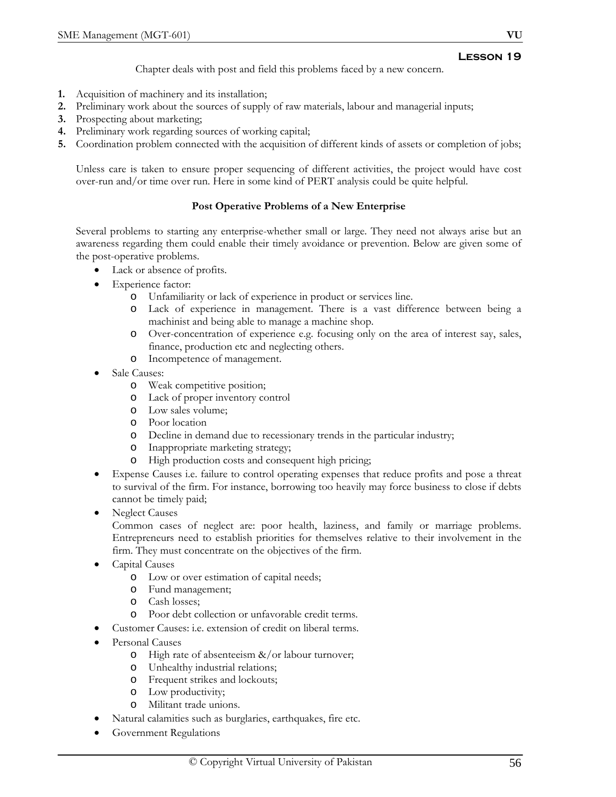Chapter deals with post and field this problems faced by a new concern.

- **1.** Acquisition of machinery and its installation;
- **2.** Preliminary work about the sources of supply of raw materials, labour and managerial inputs;
- **3.** Prospecting about marketing;
- **4.** Preliminary work regarding sources of working capital;
- **5.** Coordination problem connected with the acquisition of different kinds of assets or completion of jobs;

Unless care is taken to ensure proper sequencing of different activities, the project would have cost over-run and/or time over run. Here in some kind of PERT analysis could be quite helpful.

# **Post Operative Problems of a New Enterprise**

Several problems to starting any enterprise-whether small or large. They need not always arise but an awareness regarding them could enable their timely avoidance or prevention. Below are given some of the post-operative problems.

- Lack or absence of profits.
- Experience factor:
	- o Unfamiliarity or lack of experience in product or services line.
	- o Lack of experience in management. There is a vast difference between being a machinist and being able to manage a machine shop.
	- Over-concentration of experience e.g. focusing only on the area of interest say, sales, finance, production etc and neglecting others.
	- o Incompetence of management.
- Sale Causes:
	- o Weak competitive position;
	- o Lack of proper inventory control
	- o Low sales volume;
	- o Poor location
	- o Decline in demand due to recessionary trends in the particular industry;
	- o Inappropriate marketing strategy;
	- o High production costs and consequent high pricing;
- Expense Causes i.e. failure to control operating expenses that reduce profits and pose a threat to survival of the firm. For instance, borrowing too heavily may force business to close if debts cannot be timely paid;
- **Neglect Causes**

Common cases of neglect are: poor health, laziness, and family or marriage problems. Entrepreneurs need to establish priorities for themselves relative to their involvement in the firm. They must concentrate on the objectives of the firm.

- Capital Causes
	- o Low or over estimation of capital needs;
	- o Fund management;
	- o Cash losses;
	- o Poor debt collection or unfavorable credit terms.
	- Customer Causes: i.e. extension of credit on liberal terms.
- Personal Causes
	- o High rate of absenteeism &/or labour turnover;
	- o Unhealthy industrial relations;
	- o Frequent strikes and lockouts;
	- o Low productivity;
	- o Militant trade unions.
- Natural calamities such as burglaries, earthquakes, fire etc.
- Government Regulations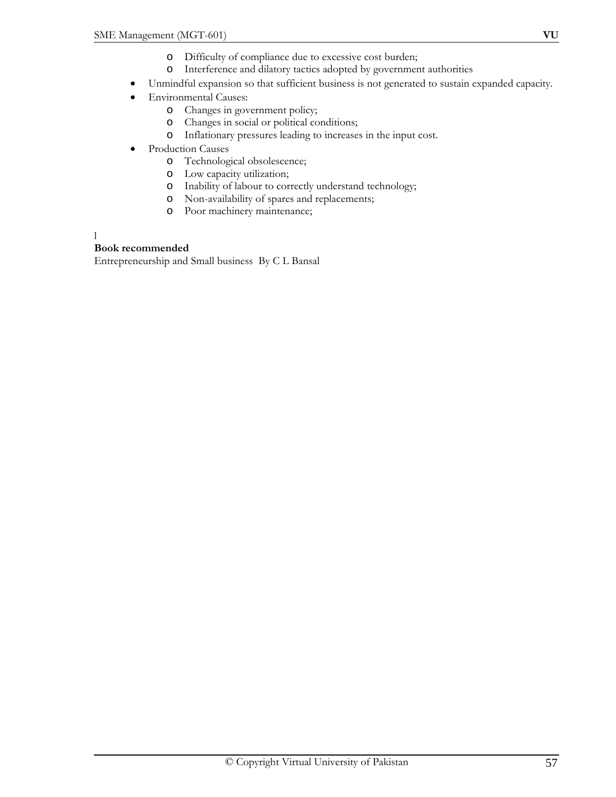- o Interference and dilatory tactics adopted by government authorities
- Unmindful expansion so that sufficient business is not generated to sustain expanded capacity.
- Environmental Causes:
	- o Changes in government policy;
	- o Changes in social or political conditions;
	- o Inflationary pressures leading to increases in the input cost.
- Production Causes
	- o Technological obsolescence;
	- o Low capacity utilization;
	- o Inability of labour to correctly understand technology;
	- o Non-availability of spares and replacements;
	- o Poor machinery maintenance;

l

#### **Book recommended**

Entrepreneurship and Small business By C L Bansal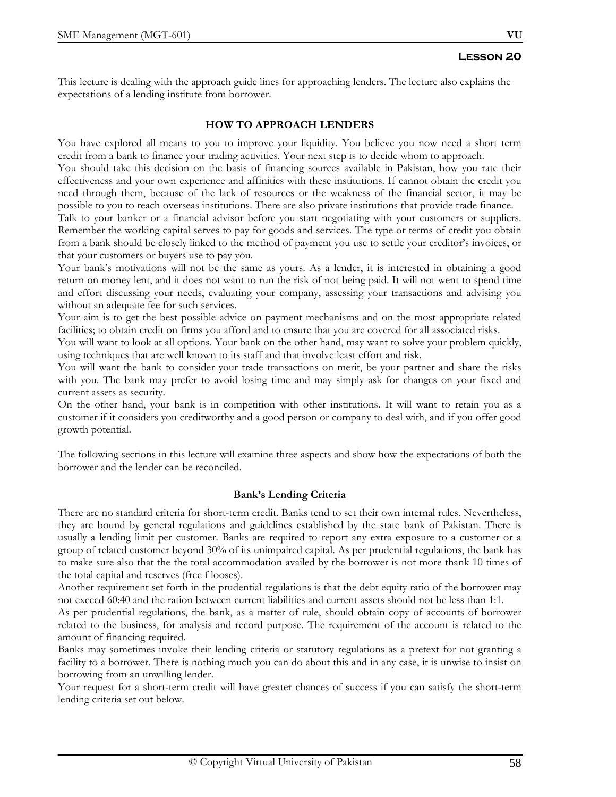This lecture is dealing with the approach guide lines for approaching lenders. The lecture also explains the expectations of a lending institute from borrower.

# **HOW TO APPROACH LENDERS**

You have explored all means to you to improve your liquidity. You believe you now need a short term credit from a bank to finance your trading activities. Your next step is to decide whom to approach.

You should take this decision on the basis of financing sources available in Pakistan, how you rate their effectiveness and your own experience and affinities with these institutions. If cannot obtain the credit you need through them, because of the lack of resources or the weakness of the financial sector, it may be possible to you to reach overseas institutions. There are also private institutions that provide trade finance.

Talk to your banker or a financial advisor before you start negotiating with your customers or suppliers. Remember the working capital serves to pay for goods and services. The type or terms of credit you obtain from a bank should be closely linked to the method of payment you use to settle your creditor's invoices, or that your customers or buyers use to pay you.

Your bank's motivations will not be the same as yours. As a lender, it is interested in obtaining a good return on money lent, and it does not want to run the risk of not being paid. It will not went to spend time and effort discussing your needs, evaluating your company, assessing your transactions and advising you without an adequate fee for such services.

Your aim is to get the best possible advice on payment mechanisms and on the most appropriate related facilities; to obtain credit on firms you afford and to ensure that you are covered for all associated risks.

You will want to look at all options. Your bank on the other hand, may want to solve your problem quickly, using techniques that are well known to its staff and that involve least effort and risk.

You will want the bank to consider your trade transactions on merit, be your partner and share the risks with you. The bank may prefer to avoid losing time and may simply ask for changes on your fixed and current assets as security.

On the other hand, your bank is in competition with other institutions. It will want to retain you as a customer if it considers you creditworthy and a good person or company to deal with, and if you offer good growth potential.

The following sections in this lecture will examine three aspects and show how the expectations of both the borrower and the lender can be reconciled.

# **Bank's Lending Criteria**

There are no standard criteria for short-term credit. Banks tend to set their own internal rules. Nevertheless, they are bound by general regulations and guidelines established by the state bank of Pakistan. There is usually a lending limit per customer. Banks are required to report any extra exposure to a customer or a group of related customer beyond 30% of its unimpaired capital. As per prudential regulations, the bank has to make sure also that the the total accommodation availed by the borrower is not more thank 10 times of the total capital and reserves (free f looses).

Another requirement set forth in the prudential regulations is that the debt equity ratio of the borrower may not exceed 60:40 and the ration between current liabilities and current assets should not be less than 1:1.

As per prudential regulations, the bank, as a matter of rule, should obtain copy of accounts of borrower related to the business, for analysis and record purpose. The requirement of the account is related to the amount of financing required.

Banks may sometimes invoke their lending criteria or statutory regulations as a pretext for not granting a facility to a borrower. There is nothing much you can do about this and in any case, it is unwise to insist on borrowing from an unwilling lender.

Your request for a short-term credit will have greater chances of success if you can satisfy the short-term lending criteria set out below.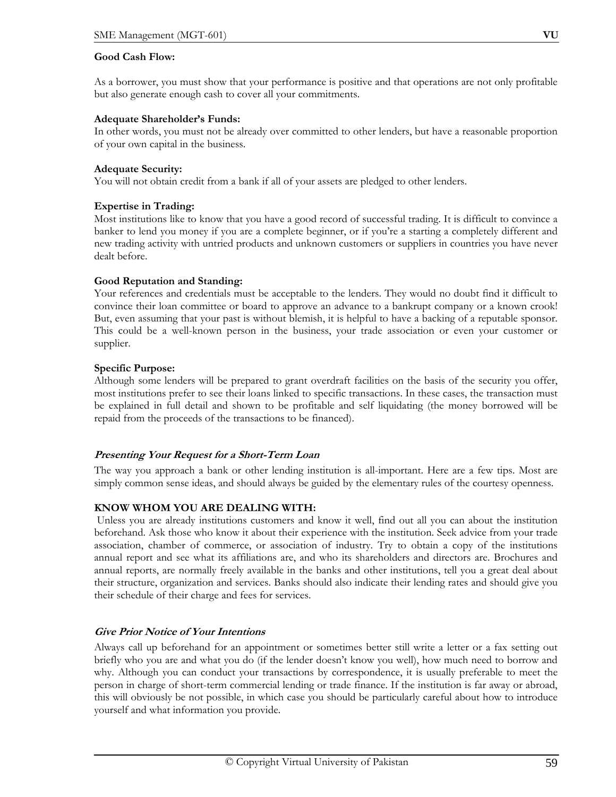### **Good Cash Flow:**

As a borrower, you must show that your performance is positive and that operations are not only profitable but also generate enough cash to cover all your commitments.

#### **Adequate Shareholder's Funds:**

In other words, you must not be already over committed to other lenders, but have a reasonable proportion of your own capital in the business.

#### **Adequate Security:**

You will not obtain credit from a bank if all of your assets are pledged to other lenders.

#### **Expertise in Trading:**

Most institutions like to know that you have a good record of successful trading. It is difficult to convince a banker to lend you money if you are a complete beginner, or if you're a starting a completely different and new trading activity with untried products and unknown customers or suppliers in countries you have never dealt before.

#### **Good Reputation and Standing:**

Your references and credentials must be acceptable to the lenders. They would no doubt find it difficult to convince their loan committee or board to approve an advance to a bankrupt company or a known crook! But, even assuming that your past is without blemish, it is helpful to have a backing of a reputable sponsor. This could be a well-known person in the business, your trade association or even your customer or supplier.

#### **Specific Purpose:**

Although some lenders will be prepared to grant overdraft facilities on the basis of the security you offer, most institutions prefer to see their loans linked to specific transactions. In these cases, the transaction must be explained in full detail and shown to be profitable and self liquidating (the money borrowed will be repaid from the proceeds of the transactions to be financed).

# **Presenting Your Request for a Short-Term Loan**

The way you approach a bank or other lending institution is all-important. Here are a few tips. Most are simply common sense ideas, and should always be guided by the elementary rules of the courtesy openness.

# **KNOW WHOM YOU ARE DEALING WITH:**

 Unless you are already institutions customers and know it well, find out all you can about the institution beforehand. Ask those who know it about their experience with the institution. Seek advice from your trade association, chamber of commerce, or association of industry. Try to obtain a copy of the institutions annual report and see what its affiliations are, and who its shareholders and directors are. Brochures and annual reports, are normally freely available in the banks and other institutions, tell you a great deal about their structure, organization and services. Banks should also indicate their lending rates and should give you their schedule of their charge and fees for services.

# **Give Prior Notice of Your Intentions**

Always call up beforehand for an appointment or sometimes better still write a letter or a fax setting out briefly who you are and what you do (if the lender doesn't know you well), how much need to borrow and why. Although you can conduct your transactions by correspondence, it is usually preferable to meet the person in charge of short-term commercial lending or trade finance. If the institution is far away or abroad, this will obviously be not possible, in which case you should be particularly careful about how to introduce yourself and what information you provide.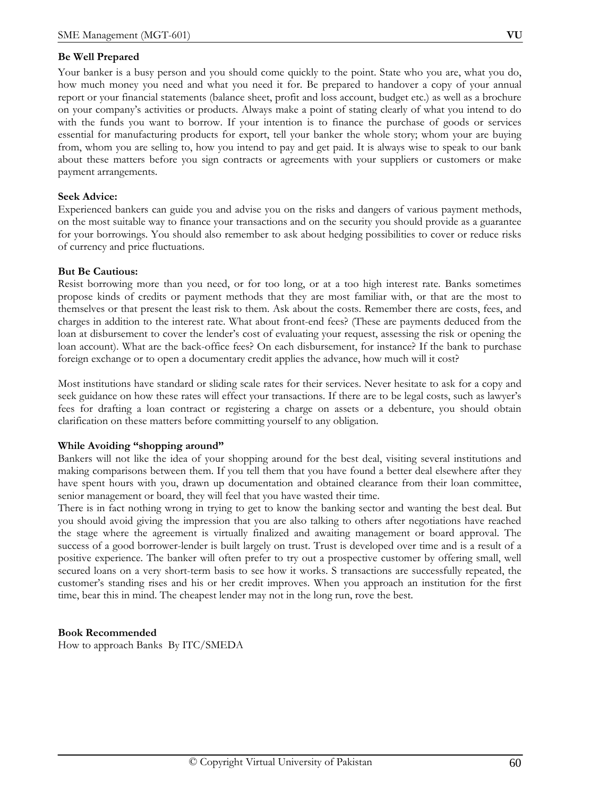#### **Be Well Prepared**

Your banker is a busy person and you should come quickly to the point. State who you are, what you do, how much money you need and what you need it for. Be prepared to handover a copy of your annual report or your financial statements (balance sheet, profit and loss account, budget etc.) as well as a brochure on your company's activities or products. Always make a point of stating clearly of what you intend to do with the funds you want to borrow. If your intention is to finance the purchase of goods or services essential for manufacturing products for export, tell your banker the whole story; whom your are buying from, whom you are selling to, how you intend to pay and get paid. It is always wise to speak to our bank about these matters before you sign contracts or agreements with your suppliers or customers or make payment arrangements.

#### **Seek Advice:**

Experienced bankers can guide you and advise you on the risks and dangers of various payment methods, on the most suitable way to finance your transactions and on the security you should provide as a guarantee for your borrowings. You should also remember to ask about hedging possibilities to cover or reduce risks of currency and price fluctuations.

#### **But Be Cautious:**

Resist borrowing more than you need, or for too long, or at a too high interest rate. Banks sometimes propose kinds of credits or payment methods that they are most familiar with, or that are the most to themselves or that present the least risk to them. Ask about the costs. Remember there are costs, fees, and charges in addition to the interest rate. What about front-end fees? (These are payments deduced from the loan at disbursement to cover the lender's cost of evaluating your request, assessing the risk or opening the loan account). What are the back-office fees? On each disbursement, for instance? If the bank to purchase foreign exchange or to open a documentary credit applies the advance, how much will it cost?

Most institutions have standard or sliding scale rates for their services. Never hesitate to ask for a copy and seek guidance on how these rates will effect your transactions. If there are to be legal costs, such as lawyer's fees for drafting a loan contract or registering a charge on assets or a debenture, you should obtain clarification on these matters before committing yourself to any obligation.

#### **While Avoiding "shopping around"**

Bankers will not like the idea of your shopping around for the best deal, visiting several institutions and making comparisons between them. If you tell them that you have found a better deal elsewhere after they have spent hours with you, drawn up documentation and obtained clearance from their loan committee, senior management or board, they will feel that you have wasted their time.

There is in fact nothing wrong in trying to get to know the banking sector and wanting the best deal. But you should avoid giving the impression that you are also talking to others after negotiations have reached the stage where the agreement is virtually finalized and awaiting management or board approval. The success of a good borrower-lender is built largely on trust. Trust is developed over time and is a result of a positive experience. The banker will often prefer to try out a prospective customer by offering small, well secured loans on a very short-term basis to see how it works. S transactions are successfully repeated, the customer's standing rises and his or her credit improves. When you approach an institution for the first time, bear this in mind. The cheapest lender may not in the long run, rove the best.

#### **Book Recommended**

How to approach Banks By ITC/SMEDA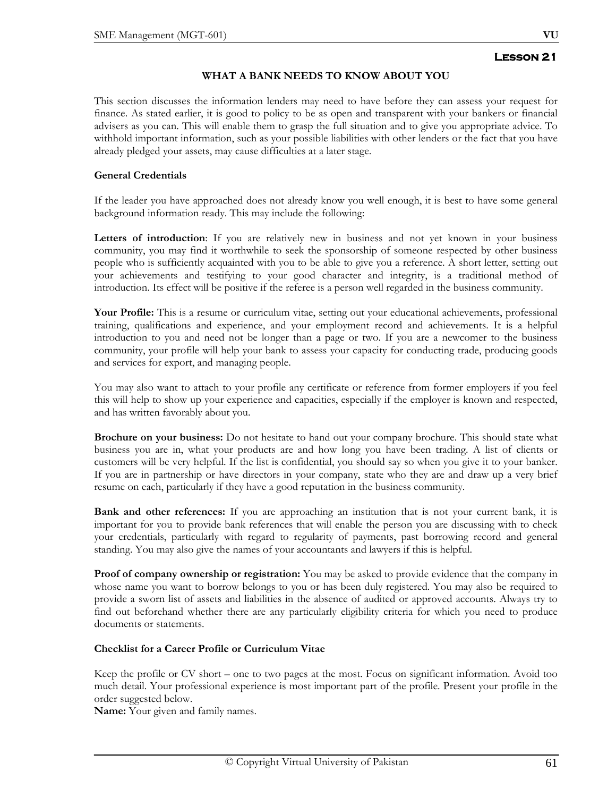# **WHAT A BANK NEEDS TO KNOW ABOUT YOU**

This section discusses the information lenders may need to have before they can assess your request for finance. As stated earlier, it is good to policy to be as open and transparent with your bankers or financial advisers as you can. This will enable them to grasp the full situation and to give you appropriate advice. To withhold important information, such as your possible liabilities with other lenders or the fact that you have already pledged your assets, may cause difficulties at a later stage.

# **General Credentials**

If the leader you have approached does not already know you well enough, it is best to have some general background information ready. This may include the following:

Letters of introduction: If you are relatively new in business and not yet known in your business community, you may find it worthwhile to seek the sponsorship of someone respected by other business people who is sufficiently acquainted with you to be able to give you a reference. A short letter, setting out your achievements and testifying to your good character and integrity, is a traditional method of introduction. Its effect will be positive if the referee is a person well regarded in the business community.

Your Profile: This is a resume or curriculum vitae, setting out your educational achievements, professional training, qualifications and experience, and your employment record and achievements. It is a helpful introduction to you and need not be longer than a page or two. If you are a newcomer to the business community, your profile will help your bank to assess your capacity for conducting trade, producing goods and services for export, and managing people.

You may also want to attach to your profile any certificate or reference from former employers if you feel this will help to show up your experience and capacities, especially if the employer is known and respected, and has written favorably about you.

**Brochure on your business:** Do not hesitate to hand out your company brochure. This should state what business you are in, what your products are and how long you have been trading. A list of clients or customers will be very helpful. If the list is confidential, you should say so when you give it to your banker. If you are in partnership or have directors in your company, state who they are and draw up a very brief resume on each, particularly if they have a good reputation in the business community.

**Bank and other references:** If you are approaching an institution that is not your current bank, it is important for you to provide bank references that will enable the person you are discussing with to check your credentials, particularly with regard to regularity of payments, past borrowing record and general standing. You may also give the names of your accountants and lawyers if this is helpful.

**Proof of company ownership or registration:** You may be asked to provide evidence that the company in whose name you want to borrow belongs to you or has been duly registered. You may also be required to provide a sworn list of assets and liabilities in the absence of audited or approved accounts. Always try to find out beforehand whether there are any particularly eligibility criteria for which you need to produce documents or statements.

#### **Checklist for a Career Profile or Curriculum Vitae**

Keep the profile or CV short – one to two pages at the most. Focus on significant information. Avoid too much detail. Your professional experience is most important part of the profile. Present your profile in the order suggested below.

**Name:** Your given and family names.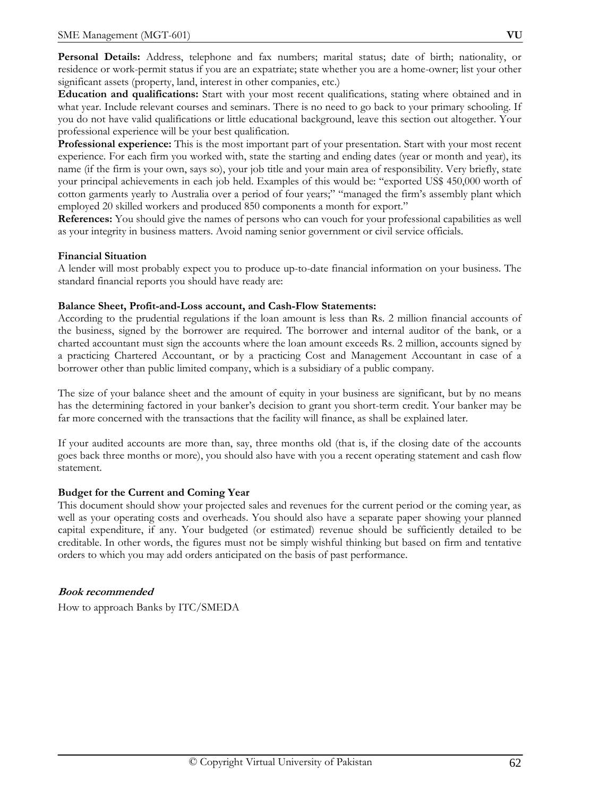**Personal Details:** Address, telephone and fax numbers; marital status; date of birth; nationality, or residence or work-permit status if you are an expatriate; state whether you are a home-owner; list your other significant assets (property, land, interest in other companies, etc.)

**Education and qualifications:** Start with your most recent qualifications, stating where obtained and in what year. Include relevant courses and seminars. There is no need to go back to your primary schooling. If you do not have valid qualifications or little educational background, leave this section out altogether. Your professional experience will be your best qualification.

**Professional experience:** This is the most important part of your presentation. Start with your most recent experience. For each firm you worked with, state the starting and ending dates (year or month and year), its name (if the firm is your own, says so), your job title and your main area of responsibility. Very briefly, state your principal achievements in each job held. Examples of this would be: "exported US\$ 450,000 worth of cotton garments yearly to Australia over a period of four years;" "managed the firm's assembly plant which employed 20 skilled workers and produced 850 components a month for export."

**References:** You should give the names of persons who can vouch for your professional capabilities as well as your integrity in business matters. Avoid naming senior government or civil service officials.

# **Financial Situation**

A lender will most probably expect you to produce up-to-date financial information on your business. The standard financial reports you should have ready are:

# **Balance Sheet, Profit-and-Loss account, and Cash-Flow Statements:**

According to the prudential regulations if the loan amount is less than Rs. 2 million financial accounts of the business, signed by the borrower are required. The borrower and internal auditor of the bank, or a charted accountant must sign the accounts where the loan amount exceeds Rs. 2 million, accounts signed by a practicing Chartered Accountant, or by a practicing Cost and Management Accountant in case of a borrower other than public limited company, which is a subsidiary of a public company.

The size of your balance sheet and the amount of equity in your business are significant, but by no means has the determining factored in your banker's decision to grant you short-term credit. Your banker may be far more concerned with the transactions that the facility will finance, as shall be explained later.

If your audited accounts are more than, say, three months old (that is, if the closing date of the accounts goes back three months or more), you should also have with you a recent operating statement and cash flow statement.

# **Budget for the Current and Coming Year**

This document should show your projected sales and revenues for the current period or the coming year, as well as your operating costs and overheads. You should also have a separate paper showing your planned capital expenditure, if any. Your budgeted (or estimated) revenue should be sufficiently detailed to be creditable. In other words, the figures must not be simply wishful thinking but based on firm and tentative orders to which you may add orders anticipated on the basis of past performance.

# **Book recommended**

How to approach Banks by ITC/SMEDA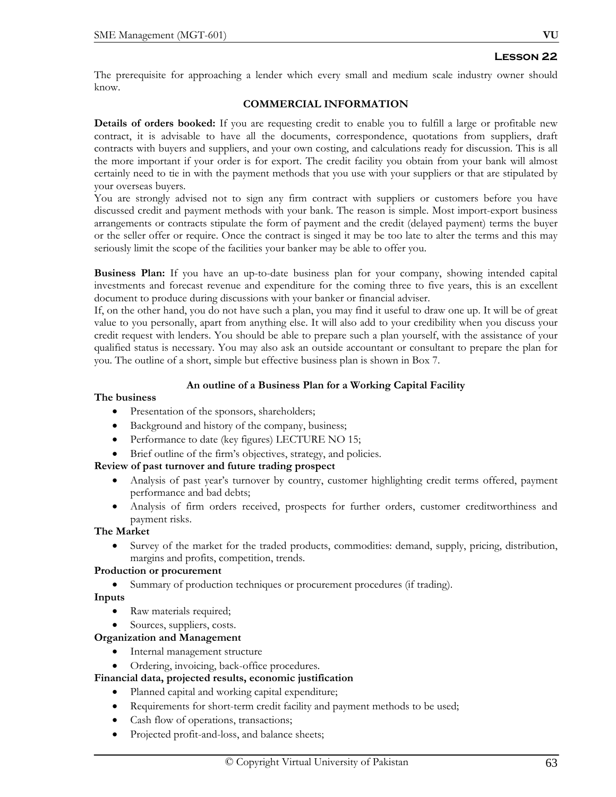The prerequisite for approaching a lender which every small and medium scale industry owner should know.

#### **COMMERCIAL INFORMATION**

**Details of orders booked:** If you are requesting credit to enable you to fulfill a large or profitable new contract, it is advisable to have all the documents, correspondence, quotations from suppliers, draft contracts with buyers and suppliers, and your own costing, and calculations ready for discussion. This is all the more important if your order is for export. The credit facility you obtain from your bank will almost certainly need to tie in with the payment methods that you use with your suppliers or that are stipulated by your overseas buyers.

You are strongly advised not to sign any firm contract with suppliers or customers before you have discussed credit and payment methods with your bank. The reason is simple. Most import-export business arrangements or contracts stipulate the form of payment and the credit (delayed payment) terms the buyer or the seller offer or require. Once the contract is singed it may be too late to alter the terms and this may seriously limit the scope of the facilities your banker may be able to offer you.

**Business Plan:** If you have an up-to-date business plan for your company, showing intended capital investments and forecast revenue and expenditure for the coming three to five years, this is an excellent document to produce during discussions with your banker or financial adviser.

If, on the other hand, you do not have such a plan, you may find it useful to draw one up. It will be of great value to you personally, apart from anything else. It will also add to your credibility when you discuss your credit request with lenders. You should be able to prepare such a plan yourself, with the assistance of your qualified status is necessary. You may also ask an outside accountant or consultant to prepare the plan for you. The outline of a short, simple but effective business plan is shown in Box 7.

#### **An outline of a Business Plan for a Working Capital Facility**

#### **The business**

- Presentation of the sponsors, shareholders;
- Background and history of the company, business;
- Performance to date (key figures) LECTURE NO 15;
- Brief outline of the firm's objectives, strategy, and policies.

#### **Review of past turnover and future trading prospect**

- Analysis of past year's turnover by country, customer highlighting credit terms offered, payment performance and bad debts;
- Analysis of firm orders received, prospects for further orders, customer creditworthiness and payment risks.

#### **The Market**

• Survey of the market for the traded products, commodities: demand, supply, pricing, distribution, margins and profits, competition, trends.

#### **Production or procurement**

• Summary of production techniques or procurement procedures (if trading).

**Inputs**

- Raw materials required;
- Sources, suppliers, costs.

# **Organization and Management**

- Internal management structure
- Ordering, invoicing, back-office procedures.
- **Financial data, projected results, economic justification**
	- Planned capital and working capital expenditure;
	- Requirements for short-term credit facility and payment methods to be used;
	- Cash flow of operations, transactions;
	- Projected profit-and-loss, and balance sheets;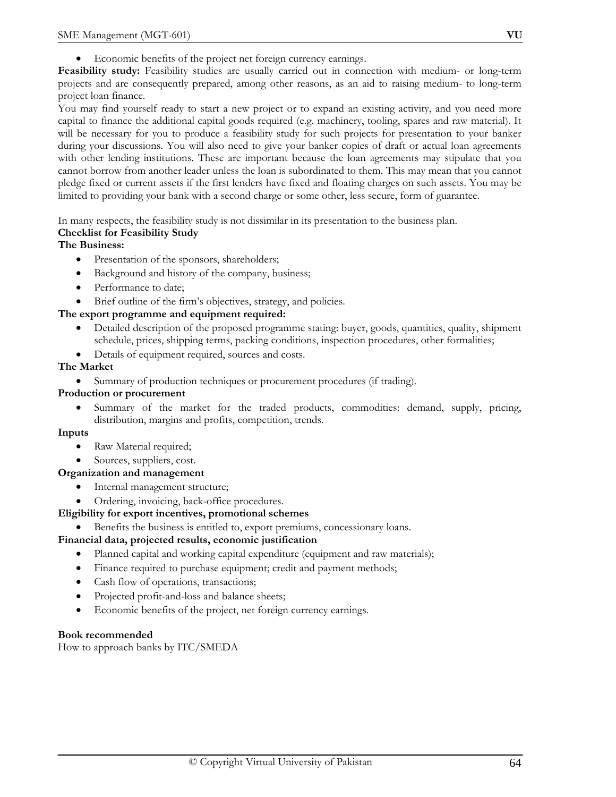**Feasibility study:** Feasibility studies are usually carried out in connection with medium- or long-term projects and are consequently prepared, among other reasons, as an aid to raising medium- to long-term project loan finance.

You may find yourself ready to start a new project or to expand an existing activity, and you need more capital to finance the additional capital goods required (e.g. machinery, tooling, spares and raw material). It will be necessary for you to produce a feasibility study for such projects for presentation to your banker during your discussions. You will also need to give your banker copies of draft or actual loan agreements with other lending institutions. These are important because the loan agreements may stipulate that you cannot borrow from another leader unless the loan is subordinated to them. This may mean that you cannot pledge fixed or current assets if the first lenders have fixed and floating charges on such assets. You may be limited to providing your bank with a second charge or some other, less secure, form of guarantee.

In many respects, the feasibility study is not dissimilar in its presentation to the business plan.

# **Checklist for Feasibility Study**

# **The Business:**

- Presentation of the sponsors, shareholders;
- Background and history of the company, business;
- Performance to date;
- Brief outline of the firm's objectives, strategy, and policies.

# **The export programme and equipment required:**

- Detailed description of the proposed programme stating: buyer, goods, quantities, quality, shipment schedule, prices, shipping terms, packing conditions, inspection procedures, other formalities;
- Details of equipment required, sources and costs.

# **The Market**

• Summary of production techniques or procurement procedures (if trading).

# **Production or procurement**

• Summary of the market for the traded products, commodities: demand, supply, pricing, distribution, margins and profits, competition, trends.

# **Inputs**

- Raw Material required;
- Sources, suppliers, cost.

# **Organization and management**

- Internal management structure;
- Ordering, invoicing, back-office procedures.

# **Eligibility for export incentives, promotional schemes**

• Benefits the business is entitled to, export premiums, concessionary loans.

# **Financial data, projected results, economic justification**

- Planned capital and working capital expenditure (equipment and raw materials);
- Finance required to purchase equipment; credit and payment methods;
- Cash flow of operations, transactions;
- Projected profit-and-loss and balance sheets;
- Economic benefits of the project, net foreign currency earnings.

# **Book recommended**

How to approach banks by ITC/SMEDA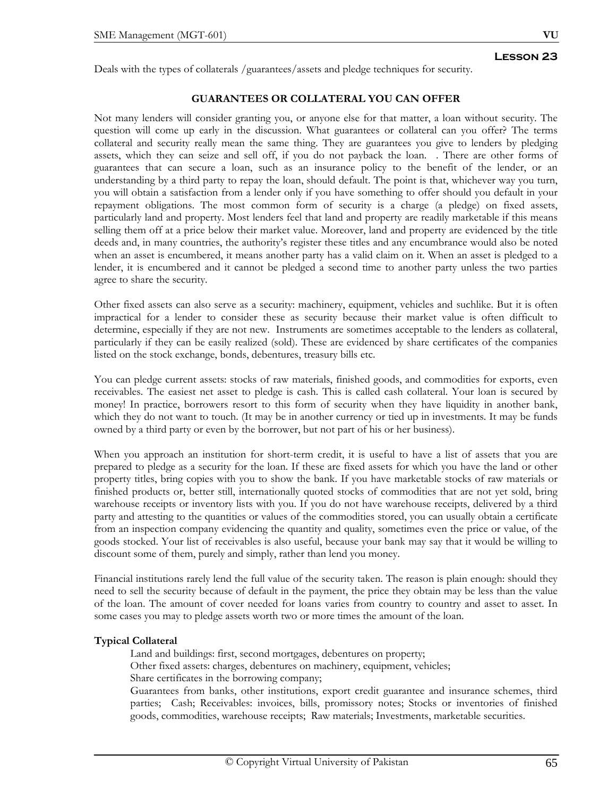Deals with the types of collaterals /guarantees/assets and pledge techniques for security.

# **GUARANTEES OR COLLATERAL YOU CAN OFFER**

Not many lenders will consider granting you, or anyone else for that matter, a loan without security. The question will come up early in the discussion. What guarantees or collateral can you offer? The terms collateral and security really mean the same thing. They are guarantees you give to lenders by pledging assets, which they can seize and sell off, if you do not payback the loan. . There are other forms of guarantees that can secure a loan, such as an insurance policy to the benefit of the lender, or an understanding by a third party to repay the loan, should default. The point is that, whichever way you turn, you will obtain a satisfaction from a lender only if you have something to offer should you default in your repayment obligations. The most common form of security is a charge (a pledge) on fixed assets, particularly land and property. Most lenders feel that land and property are readily marketable if this means selling them off at a price below their market value. Moreover, land and property are evidenced by the title deeds and, in many countries, the authority's register these titles and any encumbrance would also be noted when an asset is encumbered, it means another party has a valid claim on it. When an asset is pledged to a lender, it is encumbered and it cannot be pledged a second time to another party unless the two parties agree to share the security.

Other fixed assets can also serve as a security: machinery, equipment, vehicles and suchlike. But it is often impractical for a lender to consider these as security because their market value is often difficult to determine, especially if they are not new. Instruments are sometimes acceptable to the lenders as collateral, particularly if they can be easily realized (sold). These are evidenced by share certificates of the companies listed on the stock exchange, bonds, debentures, treasury bills etc.

You can pledge current assets: stocks of raw materials, finished goods, and commodities for exports, even receivables. The easiest net asset to pledge is cash. This is called cash collateral. Your loan is secured by money! In practice, borrowers resort to this form of security when they have liquidity in another bank, which they do not want to touch. (It may be in another currency or tied up in investments. It may be funds owned by a third party or even by the borrower, but not part of his or her business).

When you approach an institution for short-term credit, it is useful to have a list of assets that you are prepared to pledge as a security for the loan. If these are fixed assets for which you have the land or other property titles, bring copies with you to show the bank. If you have marketable stocks of raw materials or finished products or, better still, internationally quoted stocks of commodities that are not yet sold, bring warehouse receipts or inventory lists with you. If you do not have warehouse receipts, delivered by a third party and attesting to the quantities or values of the commodities stored, you can usually obtain a certificate from an inspection company evidencing the quantity and quality, sometimes even the price or value, of the goods stocked. Your list of receivables is also useful, because your bank may say that it would be willing to discount some of them, purely and simply, rather than lend you money.

Financial institutions rarely lend the full value of the security taken. The reason is plain enough: should they need to sell the security because of default in the payment, the price they obtain may be less than the value of the loan. The amount of cover needed for loans varies from country to country and asset to asset. In some cases you may to pledge assets worth two or more times the amount of the loan.

# **Typical Collateral**

Land and buildings: first, second mortgages, debentures on property;

Other fixed assets: charges, debentures on machinery, equipment, vehicles;

Share certificates in the borrowing company;

Guarantees from banks, other institutions, export credit guarantee and insurance schemes, third parties; Cash; Receivables: invoices, bills, promissory notes; Stocks or inventories of finished goods, commodities, warehouse receipts; Raw materials; Investments, marketable securities.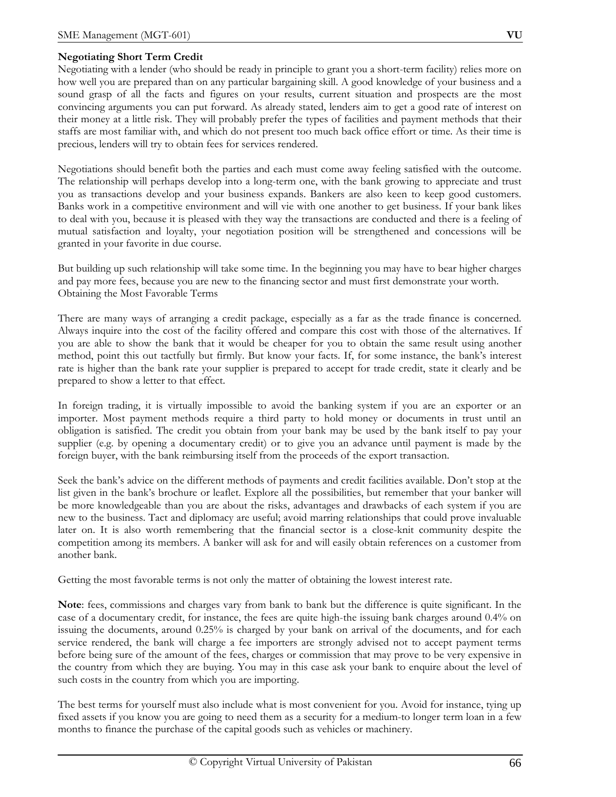# **Negotiating Short Term Credit**

Negotiating with a lender (who should be ready in principle to grant you a short-term facility) relies more on how well you are prepared than on any particular bargaining skill. A good knowledge of your business and a sound grasp of all the facts and figures on your results, current situation and prospects are the most convincing arguments you can put forward. As already stated, lenders aim to get a good rate of interest on their money at a little risk. They will probably prefer the types of facilities and payment methods that their staffs are most familiar with, and which do not present too much back office effort or time. As their time is precious, lenders will try to obtain fees for services rendered.

Negotiations should benefit both the parties and each must come away feeling satisfied with the outcome. The relationship will perhaps develop into a long-term one, with the bank growing to appreciate and trust you as transactions develop and your business expands. Bankers are also keen to keep good customers. Banks work in a competitive environment and will vie with one another to get business. If your bank likes to deal with you, because it is pleased with they way the transactions are conducted and there is a feeling of mutual satisfaction and loyalty, your negotiation position will be strengthened and concessions will be granted in your favorite in due course.

But building up such relationship will take some time. In the beginning you may have to bear higher charges and pay more fees, because you are new to the financing sector and must first demonstrate your worth. Obtaining the Most Favorable Terms

There are many ways of arranging a credit package, especially as a far as the trade finance is concerned. Always inquire into the cost of the facility offered and compare this cost with those of the alternatives. If you are able to show the bank that it would be cheaper for you to obtain the same result using another method, point this out tactfully but firmly. But know your facts. If, for some instance, the bank's interest rate is higher than the bank rate your supplier is prepared to accept for trade credit, state it clearly and be prepared to show a letter to that effect.

In foreign trading, it is virtually impossible to avoid the banking system if you are an exporter or an importer. Most payment methods require a third party to hold money or documents in trust until an obligation is satisfied. The credit you obtain from your bank may be used by the bank itself to pay your supplier (e.g. by opening a documentary credit) or to give you an advance until payment is made by the foreign buyer, with the bank reimbursing itself from the proceeds of the export transaction.

Seek the bank's advice on the different methods of payments and credit facilities available. Don't stop at the list given in the bank's brochure or leaflet. Explore all the possibilities, but remember that your banker will be more knowledgeable than you are about the risks, advantages and drawbacks of each system if you are new to the business. Tact and diplomacy are useful; avoid marring relationships that could prove invaluable later on. It is also worth remembering that the financial sector is a close-knit community despite the competition among its members. A banker will ask for and will easily obtain references on a customer from another bank.

Getting the most favorable terms is not only the matter of obtaining the lowest interest rate.

**Note**: fees, commissions and charges vary from bank to bank but the difference is quite significant. In the case of a documentary credit, for instance, the fees are quite high-the issuing bank charges around 0.4% on issuing the documents, around 0.25% is charged by your bank on arrival of the documents, and for each service rendered, the bank will charge a fee importers are strongly advised not to accept payment terms before being sure of the amount of the fees, charges or commission that may prove to be very expensive in the country from which they are buying. You may in this case ask your bank to enquire about the level of such costs in the country from which you are importing.

The best terms for yourself must also include what is most convenient for you. Avoid for instance, tying up fixed assets if you know you are going to need them as a security for a medium-to longer term loan in a few months to finance the purchase of the capital goods such as vehicles or machinery.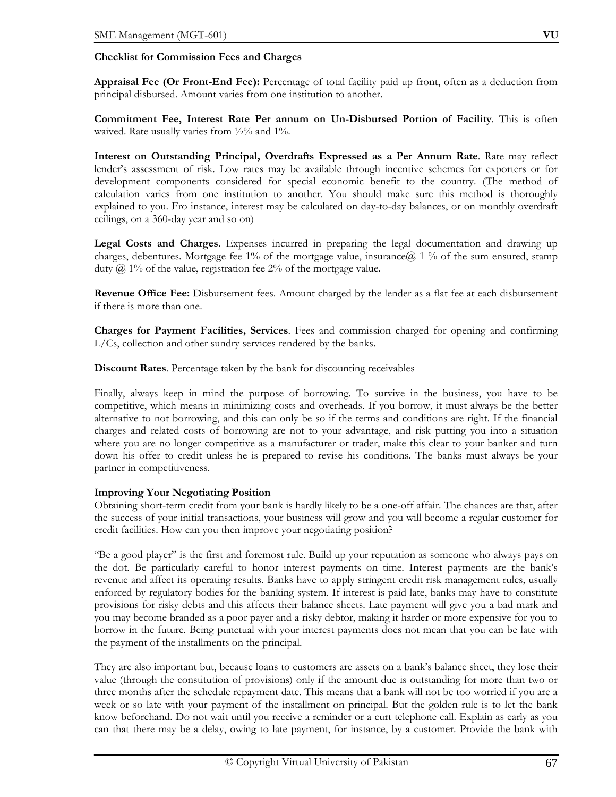### **Checklist for Commission Fees and Charges**

**Appraisal Fee (Or Front-End Fee):** Percentage of total facility paid up front, often as a deduction from principal disbursed. Amount varies from one institution to another.

**Commitment Fee, Interest Rate Per annum on Un-Disbursed Portion of Facility**. This is often waived. Rate usually varies from  $\frac{1}{2}\%$  and  $1\%$ .

**Interest on Outstanding Principal, Overdrafts Expressed as a Per Annum Rate**. Rate may reflect lender's assessment of risk. Low rates may be available through incentive schemes for exporters or for development components considered for special economic benefit to the country. (The method of calculation varies from one institution to another. You should make sure this method is thoroughly explained to you. Fro instance, interest may be calculated on day-to-day balances, or on monthly overdraft ceilings, on a 360-day year and so on)

**Legal Costs and Charges**. Expenses incurred in preparing the legal documentation and drawing up charges, debentures. Mortgage fee 1% of the mortgage value, insurance  $\hat{a}$  1 % of the sum ensured, stamp duty  $\omega$  1% of the value, registration fee 2% of the mortgage value.

**Revenue Office Fee:** Disbursement fees. Amount charged by the lender as a flat fee at each disbursement if there is more than one.

**Charges for Payment Facilities, Services**. Fees and commission charged for opening and confirming L/Cs, collection and other sundry services rendered by the banks.

**Discount Rates**. Percentage taken by the bank for discounting receivables

Finally, always keep in mind the purpose of borrowing. To survive in the business, you have to be competitive, which means in minimizing costs and overheads. If you borrow, it must always be the better alternative to not borrowing, and this can only be so if the terms and conditions are right. If the financial charges and related costs of borrowing are not to your advantage, and risk putting you into a situation where you are no longer competitive as a manufacturer or trader, make this clear to your banker and turn down his offer to credit unless he is prepared to revise his conditions. The banks must always be your partner in competitiveness.

# **Improving Your Negotiating Position**

Obtaining short-term credit from your bank is hardly likely to be a one-off affair. The chances are that, after the success of your initial transactions, your business will grow and you will become a regular customer for credit facilities. How can you then improve your negotiating position?

"Be a good player" is the first and foremost rule. Build up your reputation as someone who always pays on the dot. Be particularly careful to honor interest payments on time. Interest payments are the bank's revenue and affect its operating results. Banks have to apply stringent credit risk management rules, usually enforced by regulatory bodies for the banking system. If interest is paid late, banks may have to constitute provisions for risky debts and this affects their balance sheets. Late payment will give you a bad mark and you may become branded as a poor payer and a risky debtor, making it harder or more expensive for you to borrow in the future. Being punctual with your interest payments does not mean that you can be late with the payment of the installments on the principal.

They are also important but, because loans to customers are assets on a bank's balance sheet, they lose their value (through the constitution of provisions) only if the amount due is outstanding for more than two or three months after the schedule repayment date. This means that a bank will not be too worried if you are a week or so late with your payment of the installment on principal. But the golden rule is to let the bank know beforehand. Do not wait until you receive a reminder or a curt telephone call. Explain as early as you can that there may be a delay, owing to late payment, for instance, by a customer. Provide the bank with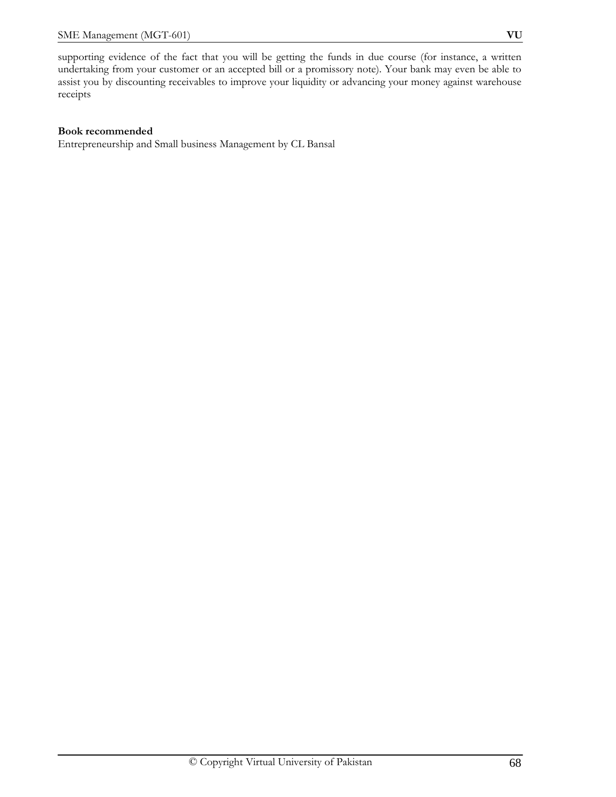supporting evidence of the fact that you will be getting the funds in due course (for instance, a written undertaking from your customer or an accepted bill or a promissory note). Your bank may even be able to assist you by discounting receivables to improve your liquidity or advancing your money against warehouse receipts

### **Book recommended**

Entrepreneurship and Small business Management by CL Bansal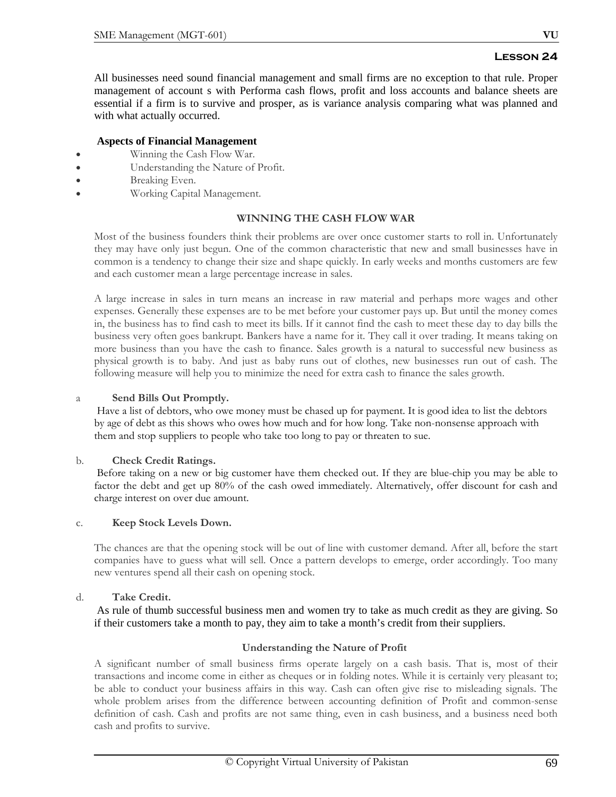All businesses need sound financial management and small firms are no exception to that rule. Proper management of account s with Performa cash flows, profit and loss accounts and balance sheets are essential if a firm is to survive and prosper, as is variance analysis comparing what was planned and with what actually occurred.

# **Aspects of Financial Management**

- Winning the Cash Flow War.
- Understanding the Nature of Profit.
- Breaking Even.
- Working Capital Management.

# **WINNING THE CASH FLOW WAR**

Most of the business founders think their problems are over once customer starts to roll in. Unfortunately they may have only just begun. One of the common characteristic that new and small businesses have in common is a tendency to change their size and shape quickly. In early weeks and months customers are few and each customer mean a large percentage increase in sales.

A large increase in sales in turn means an increase in raw material and perhaps more wages and other expenses. Generally these expenses are to be met before your customer pays up. But until the money comes in, the business has to find cash to meet its bills. If it cannot find the cash to meet these day to day bills the business very often goes bankrupt. Bankers have a name for it. They call it over trading. It means taking on more business than you have the cash to finance. Sales growth is a natural to successful new business as physical growth is to baby. And just as baby runs out of clothes, new businesses run out of cash. The following measure will help you to minimize the need for extra cash to finance the sales growth.

### a **Send Bills Out Promptly.**

 Have a list of debtors, who owe money must be chased up for payment. It is good idea to list the debtors by age of debt as this shows who owes how much and for how long. Take non-nonsense approach with them and stop suppliers to people who take too long to pay or threaten to sue.

#### b. **Check Credit Ratings.**

 Before taking on a new or big customer have them checked out. If they are blue-chip you may be able to factor the debt and get up 80% of the cash owed immediately. Alternatively, offer discount for cash and charge interest on over due amount.

# c. **Keep Stock Levels Down.**

The chances are that the opening stock will be out of line with customer demand. After all, before the start companies have to guess what will sell. Once a pattern develops to emerge, order accordingly. Too many new ventures spend all their cash on opening stock.

# d. **Take Credit.**

 As rule of thumb successful business men and women try to take as much credit as they are giving. So if their customers take a month to pay, they aim to take a month's credit from their suppliers.

# **Understanding the Nature of Profit**

A significant number of small business firms operate largely on a cash basis. That is, most of their transactions and income come in either as cheques or in folding notes. While it is certainly very pleasant to; be able to conduct your business affairs in this way. Cash can often give rise to misleading signals. The whole problem arises from the difference between accounting definition of Profit and common-sense definition of cash. Cash and profits are not same thing, even in cash business, and a business need both cash and profits to survive.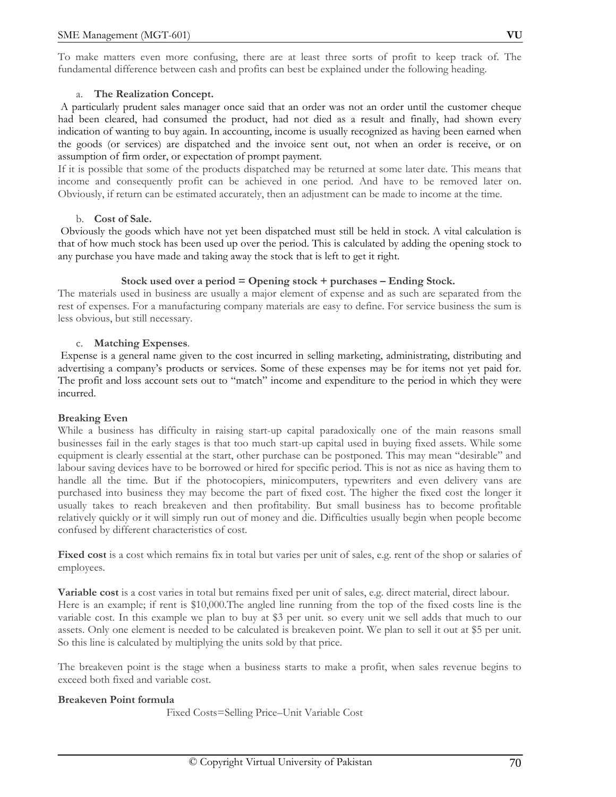To make matters even more confusing, there are at least three sorts of profit to keep track of. The fundamental difference between cash and profits can best be explained under the following heading.

# a. **The Realization Concept.**

 A particularly prudent sales manager once said that an order was not an order until the customer cheque had been cleared, had consumed the product, had not died as a result and finally, had shown every indication of wanting to buy again. In accounting, income is usually recognized as having been earned when the goods (or services) are dispatched and the invoice sent out, not when an order is receive, or on assumption of firm order, or expectation of prompt payment.

If it is possible that some of the products dispatched may be returned at some later date. This means that income and consequently profit can be achieved in one period. And have to be removed later on. Obviously, if return can be estimated accurately, then an adjustment can be made to income at the time.

# b. **Cost of Sale.**

 Obviously the goods which have not yet been dispatched must still be held in stock. A vital calculation is that of how much stock has been used up over the period. This is calculated by adding the opening stock to any purchase you have made and taking away the stock that is left to get it right.

# **Stock used over a period = Opening stock + purchases – Ending Stock.**

The materials used in business are usually a major element of expense and as such are separated from the rest of expenses. For a manufacturing company materials are easy to define. For service business the sum is less obvious, but still necessary.

# c. **Matching Expenses**.

 Expense is a general name given to the cost incurred in selling marketing, administrating, distributing and advertising a company's products or services. Some of these expenses may be for items not yet paid for. The profit and loss account sets out to "match" income and expenditure to the period in which they were incurred.

# **Breaking Even**

While a business has difficulty in raising start-up capital paradoxically one of the main reasons small businesses fail in the early stages is that too much start-up capital used in buying fixed assets. While some equipment is clearly essential at the start, other purchase can be postponed. This may mean "desirable" and labour saving devices have to be borrowed or hired for specific period. This is not as nice as having them to handle all the time. But if the photocopiers, minicomputers, typewriters and even delivery vans are purchased into business they may become the part of fixed cost. The higher the fixed cost the longer it usually takes to reach breakeven and then profitability. But small business has to become profitable relatively quickly or it will simply run out of money and die. Difficulties usually begin when people become confused by different characteristics of cost.

**Fixed cost** is a cost which remains fix in total but varies per unit of sales, e.g. rent of the shop or salaries of employees.

**Variable cost** is a cost varies in total but remains fixed per unit of sales, e.g. direct material, direct labour. Here is an example; if rent is \$10,000.The angled line running from the top of the fixed costs line is the variable cost. In this example we plan to buy at \$3 per unit. so every unit we sell adds that much to our assets. Only one element is needed to be calculated is breakeven point. We plan to sell it out at \$5 per unit. So this line is calculated by multiplying the units sold by that price.

The breakeven point is the stage when a business starts to make a profit, when sales revenue begins to exceed both fixed and variable cost.

# **Breakeven Point formula**

Fixed Costs=Selling Price–Unit Variable Cost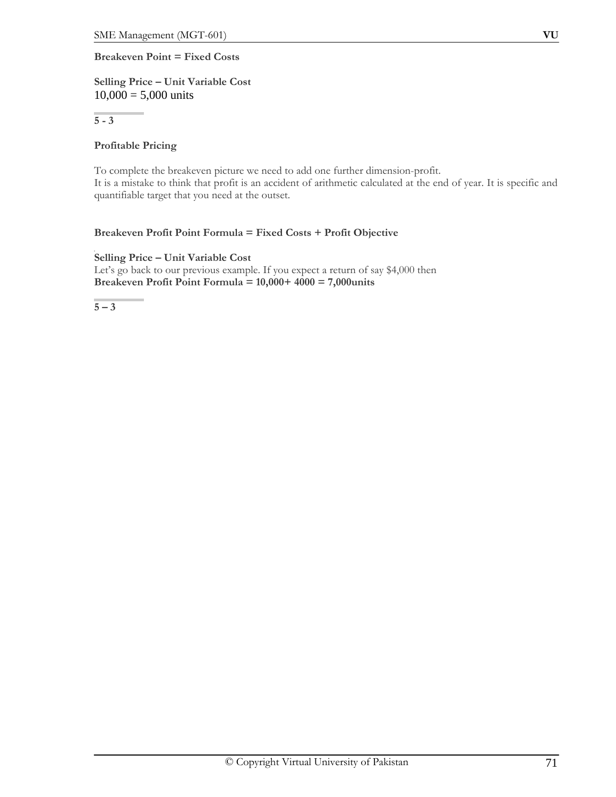# **Breakeven Point = Fixed Costs**

# **Selling Price – Unit Variable Cost**  $10,000 = 5,000$  units

**5 - 3**

# **Profitable Pricing**

To complete the breakeven picture we need to add one further dimension-profit. It is a mistake to think that profit is an accident of arithmetic calculated at the end of year. It is specific and quantifiable target that you need at the outset.

# **Breakeven Profit Point Formula = Fixed Costs + Profit Objective**

**Selling Price – Unit Variable Cost** Let's go back to our previous example. If you expect a return of say \$4,000 then **Breakeven Profit Point Formula = 10,000+ 4000 = 7,000units**

**5 – 3**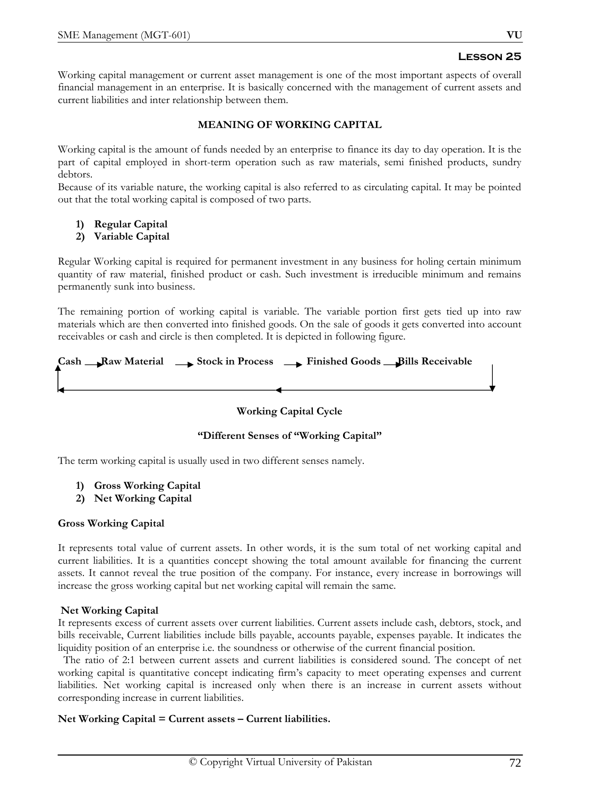Working capital management or current asset management is one of the most important aspects of overall financial management in an enterprise. It is basically concerned with the management of current assets and current liabilities and inter relationship between them.

# **MEANING OF WORKING CAPITAL**

Working capital is the amount of funds needed by an enterprise to finance its day to day operation. It is the part of capital employed in short-term operation such as raw materials, semi finished products, sundry debtors.

Because of its variable nature, the working capital is also referred to as circulating capital. It may be pointed out that the total working capital is composed of two parts.

# **1) Regular Capital**

# **2) Variable Capital**

Regular Working capital is required for permanent investment in any business for holing certain minimum quantity of raw material, finished product or cash. Such investment is irreducible minimum and remains permanently sunk into business.

The remaining portion of working capital is variable. The variable portion first gets tied up into raw materials which are then converted into finished goods. On the sale of goods it gets converted into account receivables or cash and circle is then completed. It is depicted in following figure.

|  | $Cash \_\_\$ \Raw Material $\_\_\$ \}Stock in Process $\_\_\_\$ Finished Goods $\_\_$ Bills Receivable |
|--|--------------------------------------------------------------------------------------------------------|
|  |                                                                                                        |
|  |                                                                                                        |

# **Working Capital Cycle**

# **"Different Senses of "Working Capital"**

The term working capital is usually used in two different senses namely.

- **1) Gross Working Capital**
- **2) Net Working Capital**

# **Gross Working Capital**

It represents total value of current assets. In other words, it is the sum total of net working capital and current liabilities. It is a quantities concept showing the total amount available for financing the current assets. It cannot reveal the true position of the company. For instance, every increase in borrowings will increase the gross working capital but net working capital will remain the same.

# **Net Working Capital**

It represents excess of current assets over current liabilities. Current assets include cash, debtors, stock, and bills receivable, Current liabilities include bills payable, accounts payable, expenses payable. It indicates the liquidity position of an enterprise i.e. the soundness or otherwise of the current financial position.

 The ratio of 2:1 between current assets and current liabilities is considered sound. The concept of net working capital is quantitative concept indicating firm's capacity to meet operating expenses and current liabilities. Net working capital is increased only when there is an increase in current assets without corresponding increase in current liabilities.

# **Net Working Capital = Current assets – Current liabilities.**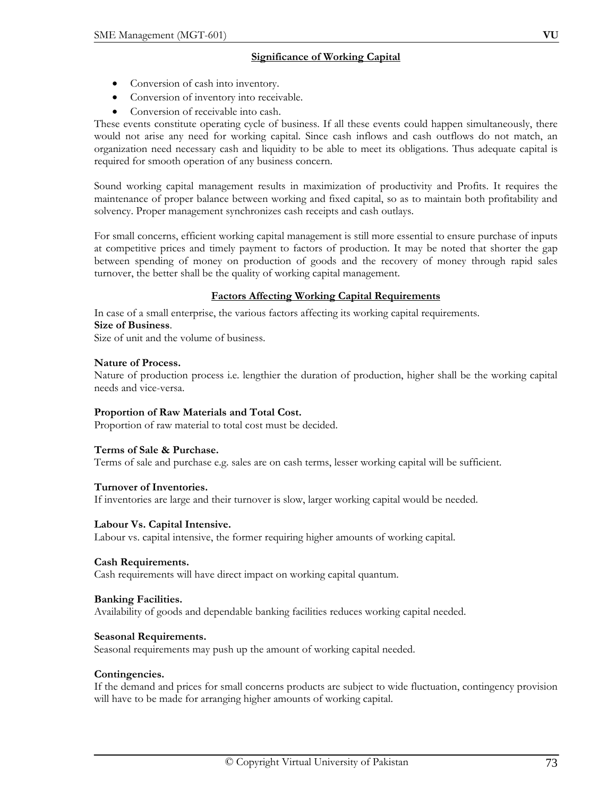## **Significance of Working Capital**

- Conversion of cash into inventory.
- Conversion of inventory into receivable.
- Conversion of receivable into cash.

These events constitute operating cycle of business. If all these events could happen simultaneously, there would not arise any need for working capital. Since cash inflows and cash outflows do not match, an organization need necessary cash and liquidity to be able to meet its obligations. Thus adequate capital is required for smooth operation of any business concern.

Sound working capital management results in maximization of productivity and Profits. It requires the maintenance of proper balance between working and fixed capital, so as to maintain both profitability and solvency. Proper management synchronizes cash receipts and cash outlays.

For small concerns, efficient working capital management is still more essential to ensure purchase of inputs at competitive prices and timely payment to factors of production. It may be noted that shorter the gap between spending of money on production of goods and the recovery of money through rapid sales turnover, the better shall be the quality of working capital management.

# **Factors Affecting Working Capital Requirements**

In case of a small enterprise, the various factors affecting its working capital requirements.

#### **Size of Business**.

Size of unit and the volume of business.

#### **Nature of Process.**

Nature of production process i.e. lengthier the duration of production, higher shall be the working capital needs and vice-versa.

## **Proportion of Raw Materials and Total Cost.**

Proportion of raw material to total cost must be decided.

## **Terms of Sale & Purchase.**

Terms of sale and purchase e.g. sales are on cash terms, lesser working capital will be sufficient.

## **Turnover of Inventories.**

If inventories are large and their turnover is slow, larger working capital would be needed.

## **Labour Vs. Capital Intensive.**

Labour vs. capital intensive, the former requiring higher amounts of working capital.

## **Cash Requirements.**

Cash requirements will have direct impact on working capital quantum.

#### **Banking Facilities.**

Availability of goods and dependable banking facilities reduces working capital needed.

## **Seasonal Requirements.**

Seasonal requirements may push up the amount of working capital needed.

## **Contingencies.**

If the demand and prices for small concerns products are subject to wide fluctuation, contingency provision will have to be made for arranging higher amounts of working capital.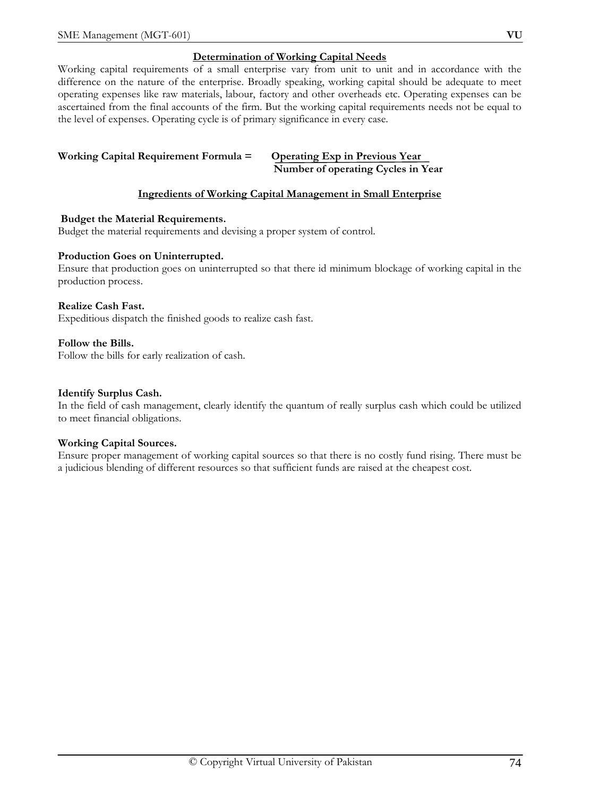# **Determination of Working Capital Needs**

Working capital requirements of a small enterprise vary from unit to unit and in accordance with the difference on the nature of the enterprise. Broadly speaking, working capital should be adequate to meet operating expenses like raw materials, labour, factory and other overheads etc. Operating expenses can be ascertained from the final accounts of the firm. But the working capital requirements needs not be equal to the level of expenses. Operating cycle is of primary significance in every case.

#### **Working Capital Requirement Formula = Operating Exp in Previous Year Number of operating Cycles in Year**

# **Ingredients of Working Capital Management in Small Enterprise**

## **Budget the Material Requirements.**

Budget the material requirements and devising a proper system of control.

## **Production Goes on Uninterrupted.**

Ensure that production goes on uninterrupted so that there id minimum blockage of working capital in the production process.

## **Realize Cash Fast.**

Expeditious dispatch the finished goods to realize cash fast.

## **Follow the Bills.**

Follow the bills for early realization of cash.

## **Identify Surplus Cash.**

In the field of cash management, clearly identify the quantum of really surplus cash which could be utilized to meet financial obligations.

## **Working Capital Sources.**

Ensure proper management of working capital sources so that there is no costly fund rising. There must be a judicious blending of different resources so that sufficient funds are raised at the cheapest cost.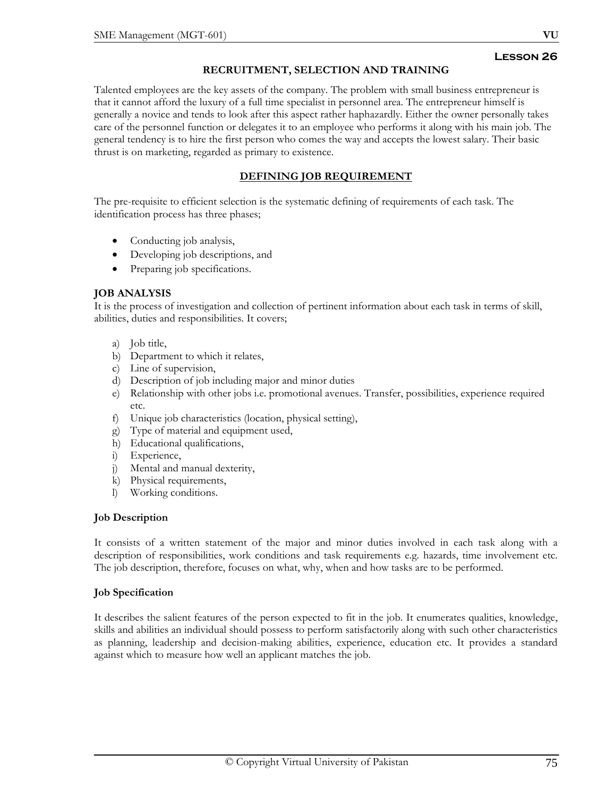## **RECRUITMENT, SELECTION AND TRAINING**

Talented employees are the key assets of the company. The problem with small business entrepreneur is that it cannot afford the luxury of a full time specialist in personnel area. The entrepreneur himself is generally a novice and tends to look after this aspect rather haphazardly. Either the owner personally takes care of the personnel function or delegates it to an employee who performs it along with his main job. The general tendency is to hire the first person who comes the way and accepts the lowest salary. Their basic thrust is on marketing, regarded as primary to existence.

# **DEFINING JOB REQUIREMENT**

The pre-requisite to efficient selection is the systematic defining of requirements of each task. The identification process has three phases;

- Conducting job analysis,
- Developing job descriptions, and
- Preparing job specifications.

## **JOB ANALYSIS**

It is the process of investigation and collection of pertinent information about each task in terms of skill, abilities, duties and responsibilities. It covers;

- a) Job title,
- b) Department to which it relates,
- c) Line of supervision,
- d) Description of job including major and minor duties
- e) Relationship with other jobs i.e. promotional avenues. Transfer, possibilities, experience required etc.
- f) Unique job characteristics (location, physical setting),
- g) Type of material and equipment used,
- h) Educational qualifications,
- i) Experience,
- j) Mental and manual dexterity,
- k) Physical requirements,
- l) Working conditions.

## **Job Description**

It consists of a written statement of the major and minor duties involved in each task along with a description of responsibilities, work conditions and task requirements e.g. hazards, time involvement etc. The job description, therefore, focuses on what, why, when and how tasks are to be performed.

## **Job Specification**

It describes the salient features of the person expected to fit in the job. It enumerates qualities, knowledge, skills and abilities an individual should possess to perform satisfactorily along with such other characteristics as planning, leadership and decision-making abilities, experience, education etc. It provides a standard against which to measure how well an applicant matches the job.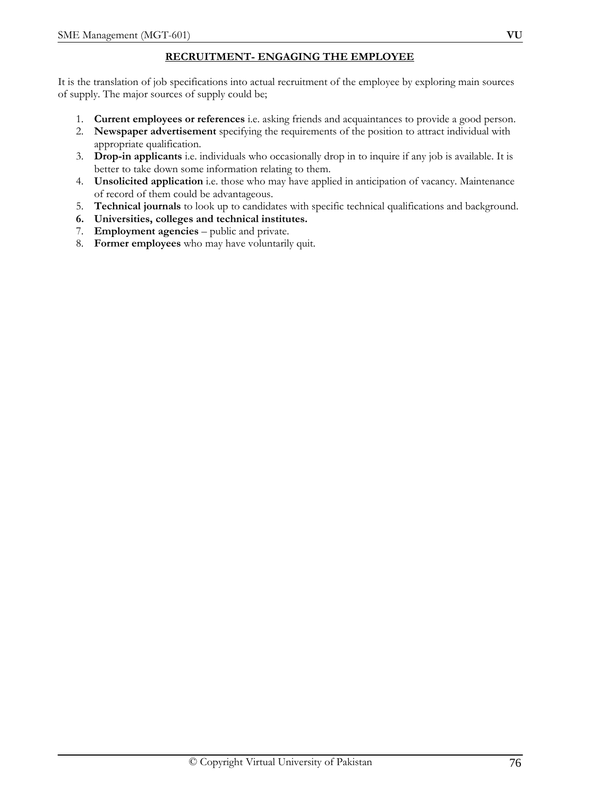# **RECRUITMENT- ENGAGING THE EMPLOYEE**

It is the translation of job specifications into actual recruitment of the employee by exploring main sources of supply. The major sources of supply could be;

- 1. **Current employees or references** i.e. asking friends and acquaintances to provide a good person.
- 2. **Newspaper advertisement** specifying the requirements of the position to attract individual with appropriate qualification.
- 3. **Drop-in applicants** i.e. individuals who occasionally drop in to inquire if any job is available. It is better to take down some information relating to them.
- 4. **Unsolicited application** i.e. those who may have applied in anticipation of vacancy. Maintenance of record of them could be advantageous.
- 5. **Technical journals** to look up to candidates with specific technical qualifications and background.
- **6. Universities, colleges and technical institutes.**
- 7. **Employment agencies** public and private.
- 8. **Former employees** who may have voluntarily quit.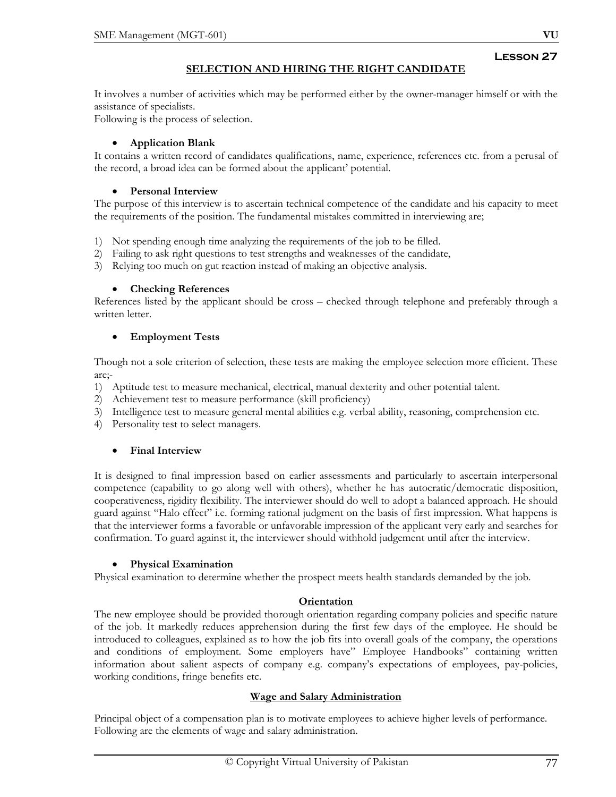# **SELECTION AND HIRING THE RIGHT CANDIDATE**

It involves a number of activities which may be performed either by the owner-manager himself or with the assistance of specialists.

Following is the process of selection.

# • **Application Blank**

It contains a written record of candidates qualifications, name, experience, references etc. from a perusal of the record, a broad idea can be formed about the applicant' potential.

# • **Personal Interview**

The purpose of this interview is to ascertain technical competence of the candidate and his capacity to meet the requirements of the position. The fundamental mistakes committed in interviewing are;

- 1) Not spending enough time analyzing the requirements of the job to be filled.
- 2) Failing to ask right questions to test strengths and weaknesses of the candidate,
- 3) Relying too much on gut reaction instead of making an objective analysis.

# • **Checking References**

References listed by the applicant should be cross – checked through telephone and preferably through a written letter.

# • **Employment Tests**

Though not a sole criterion of selection, these tests are making the employee selection more efficient. These are;-

- 1) Aptitude test to measure mechanical, electrical, manual dexterity and other potential talent.
- 2) Achievement test to measure performance (skill proficiency)
- 3) Intelligence test to measure general mental abilities e.g. verbal ability, reasoning, comprehension etc.
- 4) Personality test to select managers.

# • **Final Interview**

It is designed to final impression based on earlier assessments and particularly to ascertain interpersonal competence (capability to go along well with others), whether he has autocratic/democratic disposition, cooperativeness, rigidity flexibility. The interviewer should do well to adopt a balanced approach. He should guard against "Halo effect" i.e. forming rational judgment on the basis of first impression. What happens is that the interviewer forms a favorable or unfavorable impression of the applicant very early and searches for confirmation. To guard against it, the interviewer should withhold judgement until after the interview.

# • **Physical Examination**

Physical examination to determine whether the prospect meets health standards demanded by the job.

# **Orientation**

The new employee should be provided thorough orientation regarding company policies and specific nature of the job. It markedly reduces apprehension during the first few days of the employee. He should be introduced to colleagues, explained as to how the job fits into overall goals of the company, the operations and conditions of employment. Some employers have" Employee Handbooks" containing written information about salient aspects of company e.g. company's expectations of employees, pay-policies, working conditions, fringe benefits etc.

# **Wage and Salary Administration**

Principal object of a compensation plan is to motivate employees to achieve higher levels of performance. Following are the elements of wage and salary administration.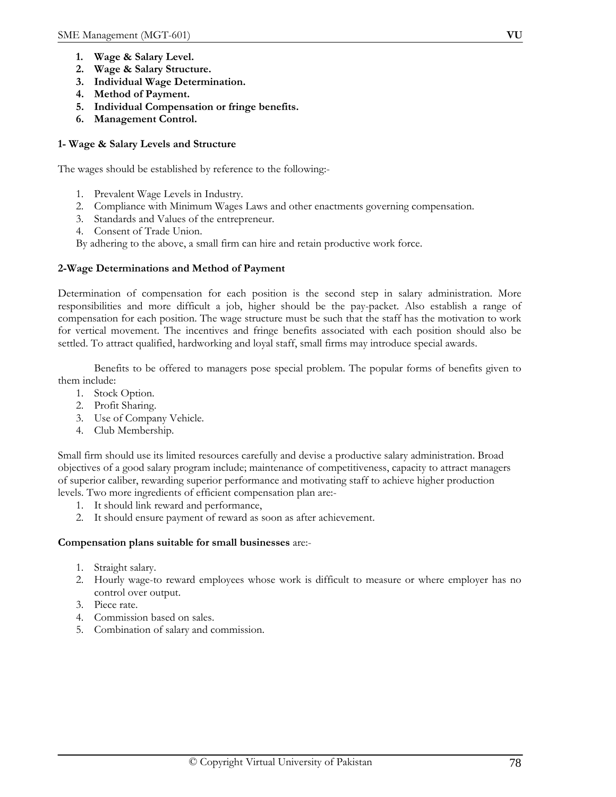- **1. Wage & Salary Level.**
- **2. Wage & Salary Structure.**
- **3. Individual Wage Determination.**
- **4. Method of Payment.**
- **5. Individual Compensation or fringe benefits.**
- **6. Management Control.**

## **1- Wage & Salary Levels and Structure**

The wages should be established by reference to the following:-

- 1. Prevalent Wage Levels in Industry.
- 2. Compliance with Minimum Wages Laws and other enactments governing compensation.
- 3. Standards and Values of the entrepreneur.
- 4. Consent of Trade Union.
- By adhering to the above, a small firm can hire and retain productive work force.

## **2-Wage Determinations and Method of Payment**

Determination of compensation for each position is the second step in salary administration. More responsibilities and more difficult a job, higher should be the pay-packet. Also establish a range of compensation for each position. The wage structure must be such that the staff has the motivation to work for vertical movement. The incentives and fringe benefits associated with each position should also be settled. To attract qualified, hardworking and loyal staff, small firms may introduce special awards.

 Benefits to be offered to managers pose special problem. The popular forms of benefits given to them include:

- 1. Stock Option.
- 2. Profit Sharing.
- 3. Use of Company Vehicle.
- 4. Club Membership.

Small firm should use its limited resources carefully and devise a productive salary administration. Broad objectives of a good salary program include; maintenance of competitiveness, capacity to attract managers of superior caliber, rewarding superior performance and motivating staff to achieve higher production levels. Two more ingredients of efficient compensation plan are:-

- 1. It should link reward and performance,
- 2. It should ensure payment of reward as soon as after achievement.

## **Compensation plans suitable for small businesses** are:-

- 1. Straight salary.
- 2. Hourly wage-to reward employees whose work is difficult to measure or where employer has no control over output.
- 3. Piece rate.
- 4. Commission based on sales.
- 5. Combination of salary and commission.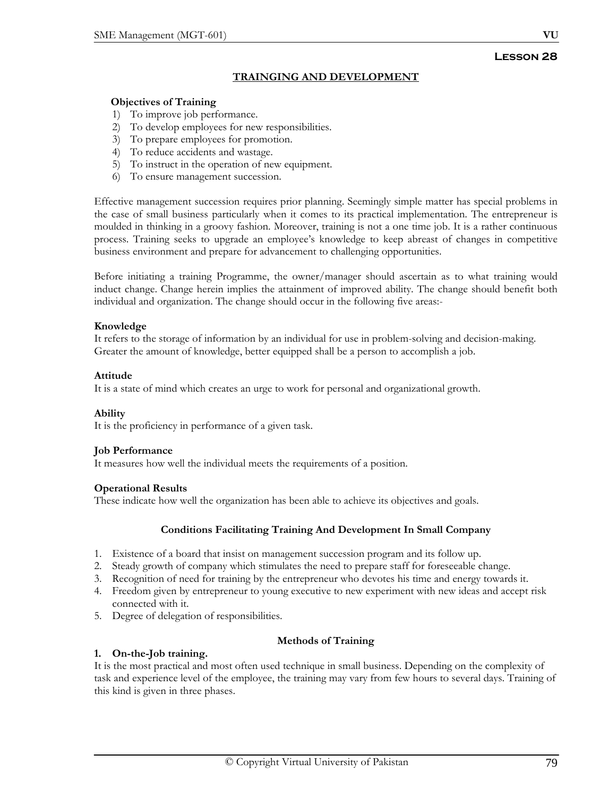# **TRAINGING AND DEVELOPMENT**

## **Objectives of Training**

- 1) To improve job performance.
- 2) To develop employees for new responsibilities.
- 3) To prepare employees for promotion.
- 4) To reduce accidents and wastage.
- 5) To instruct in the operation of new equipment.
- 6) To ensure management succession.

Effective management succession requires prior planning. Seemingly simple matter has special problems in the case of small business particularly when it comes to its practical implementation. The entrepreneur is moulded in thinking in a groovy fashion. Moreover, training is not a one time job. It is a rather continuous process. Training seeks to upgrade an employee's knowledge to keep abreast of changes in competitive business environment and prepare for advancement to challenging opportunities.

Before initiating a training Programme, the owner/manager should ascertain as to what training would induct change. Change herein implies the attainment of improved ability. The change should benefit both individual and organization. The change should occur in the following five areas:-

## **Knowledge**

It refers to the storage of information by an individual for use in problem-solving and decision-making. Greater the amount of knowledge, better equipped shall be a person to accomplish a job.

## **Attitude**

It is a state of mind which creates an urge to work for personal and organizational growth.

## **Ability**

It is the proficiency in performance of a given task.

## **Job Performance**

It measures how well the individual meets the requirements of a position.

## **Operational Results**

These indicate how well the organization has been able to achieve its objectives and goals.

## **Conditions Facilitating Training And Development In Small Company**

- 1. Existence of a board that insist on management succession program and its follow up.
- 2. Steady growth of company which stimulates the need to prepare staff for foreseeable change.
- 3. Recognition of need for training by the entrepreneur who devotes his time and energy towards it.
- 4. Freedom given by entrepreneur to young executive to new experiment with new ideas and accept risk connected with it.
- 5. Degree of delegation of responsibilities.

## **Methods of Training**

## **1. On-the-Job training.**

It is the most practical and most often used technique in small business. Depending on the complexity of task and experience level of the employee, the training may vary from few hours to several days. Training of this kind is given in three phases.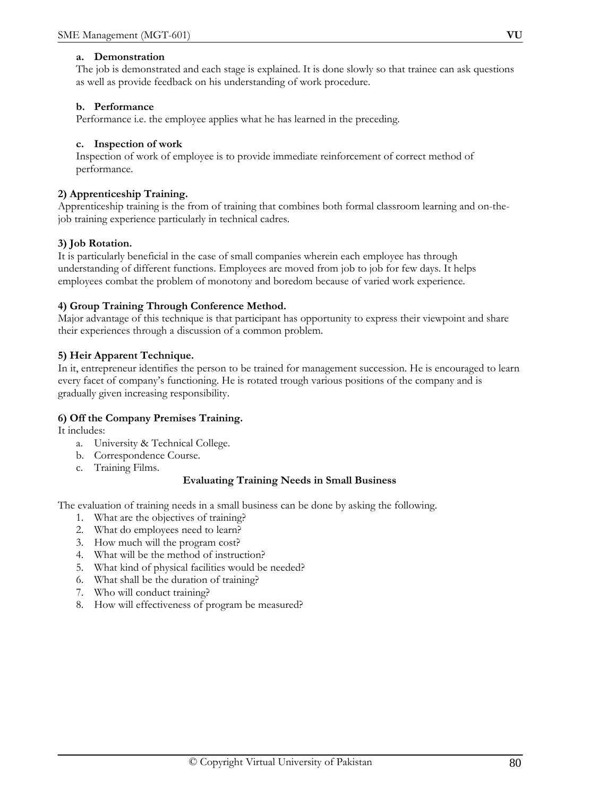#### **a. Demonstration**

The job is demonstrated and each stage is explained. It is done slowly so that trainee can ask questions as well as provide feedback on his understanding of work procedure.

## **b. Performance**

Performance i.e. the employee applies what he has learned in the preceding.

#### **c. Inspection of work**

Inspection of work of employee is to provide immediate reinforcement of correct method of performance.

#### **2) Apprenticeship Training.**

Apprenticeship training is the from of training that combines both formal classroom learning and on-thejob training experience particularly in technical cadres.

## **3) Job Rotation.**

It is particularly beneficial in the case of small companies wherein each employee has through understanding of different functions. Employees are moved from job to job for few days. It helps employees combat the problem of monotony and boredom because of varied work experience.

## **4) Group Training Through Conference Method.**

Major advantage of this technique is that participant has opportunity to express their viewpoint and share their experiences through a discussion of a common problem.

#### **5) Heir Apparent Technique.**

In it, entrepreneur identifies the person to be trained for management succession. He is encouraged to learn every facet of company's functioning. He is rotated trough various positions of the company and is gradually given increasing responsibility.

## **6) Off the Company Premises Training.**

It includes:

- a. University & Technical College.
- b. Correspondence Course.
- c. Training Films.

## **Evaluating Training Needs in Small Business**

The evaluation of training needs in a small business can be done by asking the following.

- 1. What are the objectives of training?
- 2. What do employees need to learn?
- 3. How much will the program cost?
- 4. What will be the method of instruction?
- 5. What kind of physical facilities would be needed?
- 6. What shall be the duration of training?
- 7. Who will conduct training?
- 8. How will effectiveness of program be measured?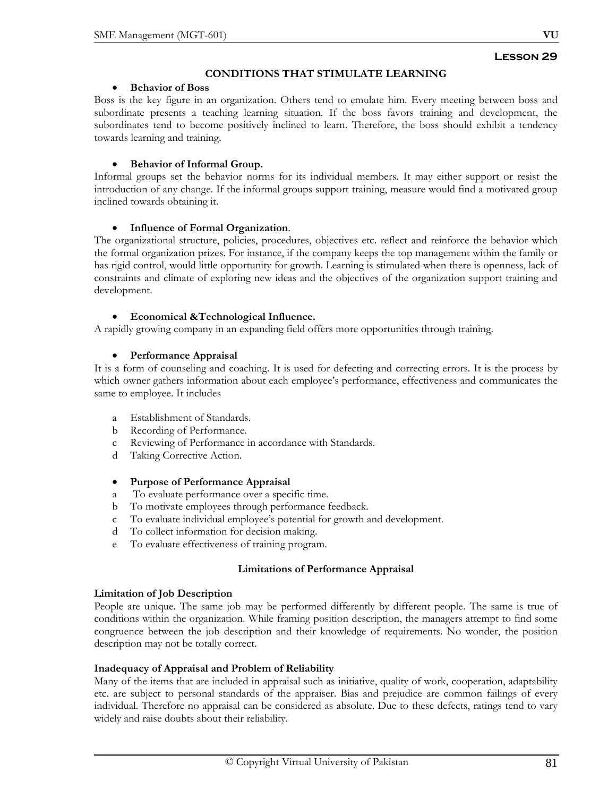## **CONDITIONS THAT STIMULATE LEARNING**

#### • **Behavior of Boss**

Boss is the key figure in an organization. Others tend to emulate him. Every meeting between boss and subordinate presents a teaching learning situation. If the boss favors training and development, the subordinates tend to become positively inclined to learn. Therefore, the boss should exhibit a tendency towards learning and training.

## • **Behavior of Informal Group.**

Informal groups set the behavior norms for its individual members. It may either support or resist the introduction of any change. If the informal groups support training, measure would find a motivated group inclined towards obtaining it.

## • **Influence of Formal Organization**.

The organizational structure, policies, procedures, objectives etc. reflect and reinforce the behavior which the formal organization prizes. For instance, if the company keeps the top management within the family or has rigid control, would little opportunity for growth. Learning is stimulated when there is openness, lack of constraints and climate of exploring new ideas and the objectives of the organization support training and development.

## • **Economical &Technological Influence.**

A rapidly growing company in an expanding field offers more opportunities through training.

## • **Performance Appraisal**

It is a form of counseling and coaching. It is used for defecting and correcting errors. It is the process by which owner gathers information about each employee's performance, effectiveness and communicates the same to employee. It includes

- a Establishment of Standards.
- b Recording of Performance.
- c Reviewing of Performance in accordance with Standards.
- d Taking Corrective Action.

## • **Purpose of Performance Appraisal**

- a To evaluate performance over a specific time.
- b To motivate employees through performance feedback.
- c To evaluate individual employee's potential for growth and development.
- d To collect information for decision making.
- e To evaluate effectiveness of training program.

## **Limitations of Performance Appraisal**

## **Limitation of Job Description**

People are unique. The same job may be performed differently by different people. The same is true of conditions within the organization. While framing position description, the managers attempt to find some congruence between the job description and their knowledge of requirements. No wonder, the position description may not be totally correct.

## **Inadequacy of Appraisal and Problem of Reliability**

Many of the items that are included in appraisal such as initiative, quality of work, cooperation, adaptability etc. are subject to personal standards of the appraiser. Bias and prejudice are common failings of every individual. Therefore no appraisal can be considered as absolute. Due to these defects, ratings tend to vary widely and raise doubts about their reliability.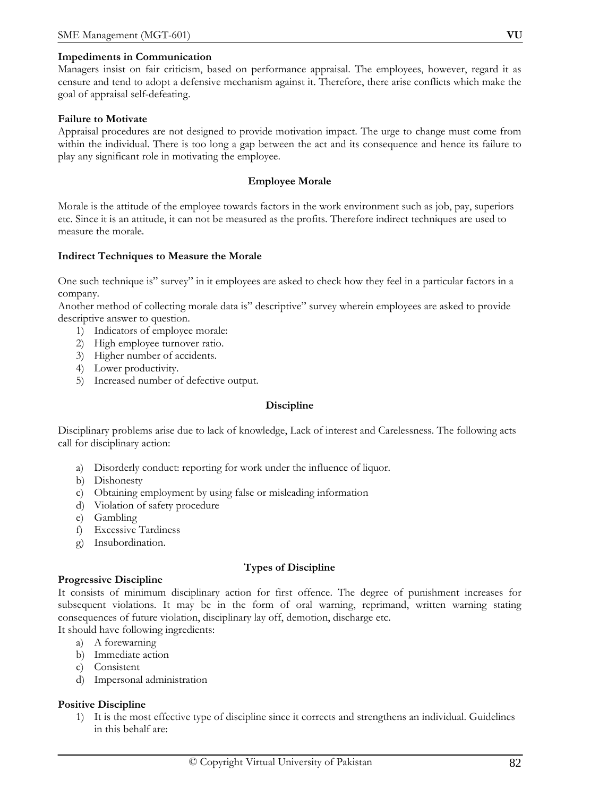#### **Impediments in Communication**

Managers insist on fair criticism, based on performance appraisal. The employees, however, regard it as censure and tend to adopt a defensive mechanism against it. Therefore, there arise conflicts which make the goal of appraisal self-defeating.

#### **Failure to Motivate**

Appraisal procedures are not designed to provide motivation impact. The urge to change must come from within the individual. There is too long a gap between the act and its consequence and hence its failure to play any significant role in motivating the employee.

#### **Employee Morale**

Morale is the attitude of the employee towards factors in the work environment such as job, pay, superiors etc. Since it is an attitude, it can not be measured as the profits. Therefore indirect techniques are used to measure the morale.

#### **Indirect Techniques to Measure the Morale**

One such technique is" survey" in it employees are asked to check how they feel in a particular factors in a company.

Another method of collecting morale data is" descriptive" survey wherein employees are asked to provide descriptive answer to question.

- 1) Indicators of employee morale:
- 2) High employee turnover ratio.
- 3) Higher number of accidents.
- 4) Lower productivity.
- 5) Increased number of defective output.

#### **Discipline**

Disciplinary problems arise due to lack of knowledge, Lack of interest and Carelessness. The following acts call for disciplinary action:

- a) Disorderly conduct: reporting for work under the influence of liquor.
- b) Dishonesty
- c) Obtaining employment by using false or misleading information
- d) Violation of safety procedure
- e) Gambling
- f) Excessive Tardiness
- g) Insubordination.

#### **Types of Discipline**

#### **Progressive Discipline**

It consists of minimum disciplinary action for first offence. The degree of punishment increases for subsequent violations. It may be in the form of oral warning, reprimand, written warning stating consequences of future violation, disciplinary lay off, demotion, discharge etc.

It should have following ingredients:

- a) A forewarning
- b) Immediate action
- c) Consistent
- d) Impersonal administration

#### **Positive Discipline**

1) It is the most effective type of discipline since it corrects and strengthens an individual. Guidelines in this behalf are: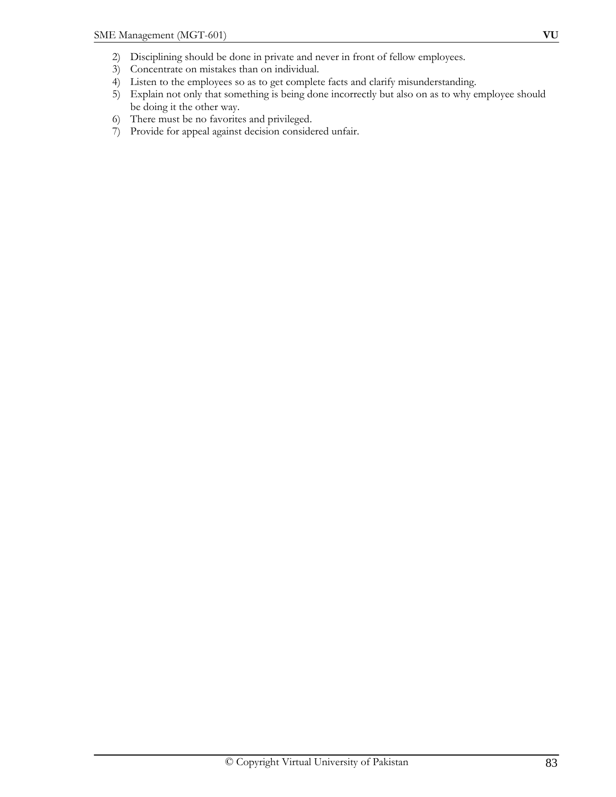- 2) Disciplining should be done in private and never in front of fellow employees.
- 3) Concentrate on mistakes than on individual.
- 4) Listen to the employees so as to get complete facts and clarify misunderstanding.
- 5) Explain not only that something is being done incorrectly but also on as to why employee should be doing it the other way.
- 6) There must be no favorites and privileged.
- 7) Provide for appeal against decision considered unfair.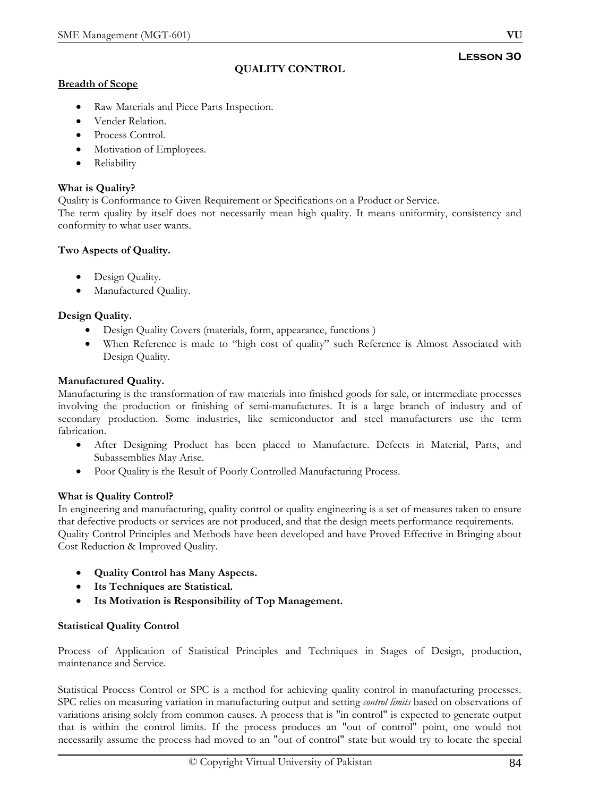# **QUALITY CONTROL**

## **Breadth of Scope**

- Raw Materials and Piece Parts Inspection.
- Vender Relation.
- Process Control.
- Motivation of Employees.
- Reliability

## **What is Quality?**

Quality is Conformance to Given Requirement or Specifications on a Product or Service.

The term quality by itself does not necessarily mean high quality. It means uniformity, consistency and conformity to what user wants.

## **Two Aspects of Quality.**

- Design Quality.
- Manufactured Quality.

## **Design Quality.**

- Design Quality Covers (materials, form, appearance, functions )
- When Reference is made to "high cost of quality" such Reference is Almost Associated with Design Quality.

## **Manufactured Quality.**

Manufacturing is the transformation of raw materials into finished goods for sale, or intermediate processes involving the production or finishing of semi-manufactures. It is a large branch of industry and of secondary production. Some industries, like semiconductor and steel manufacturers use the term fabrication.

- After Designing Product has been placed to Manufacture. Defects in Material, Parts, and Subassemblies May Arise.
- Poor Quality is the Result of Poorly Controlled Manufacturing Process.

# **What is Quality Control?**

In engineering and manufacturing, quality control or quality engineering is a set of measures taken to ensure that defective products or services are not produced, and that the design meets performance requirements. Quality Control Principles and Methods have been developed and have Proved Effective in Bringing about Cost Reduction & Improved Quality.

- **Quality Control has Many Aspects.**
- **Its Techniques are Statistical.**
- **Its Motivation is Responsibility of Top Management.**

## **Statistical Quality Control**

Process of Application of Statistical Principles and Techniques in Stages of Design, production, maintenance and Service.

Statistical Process Control or SPC is a method for achieving quality control in manufacturing processes. SPC relies on measuring variation in manufacturing output and setting *control limits* based on observations of variations arising solely from common causes. A process that is "in control" is expected to generate output that is within the control limits. If the process produces an "out of control" point, one would not necessarily assume the process had moved to an "out of control" state but would try to locate the special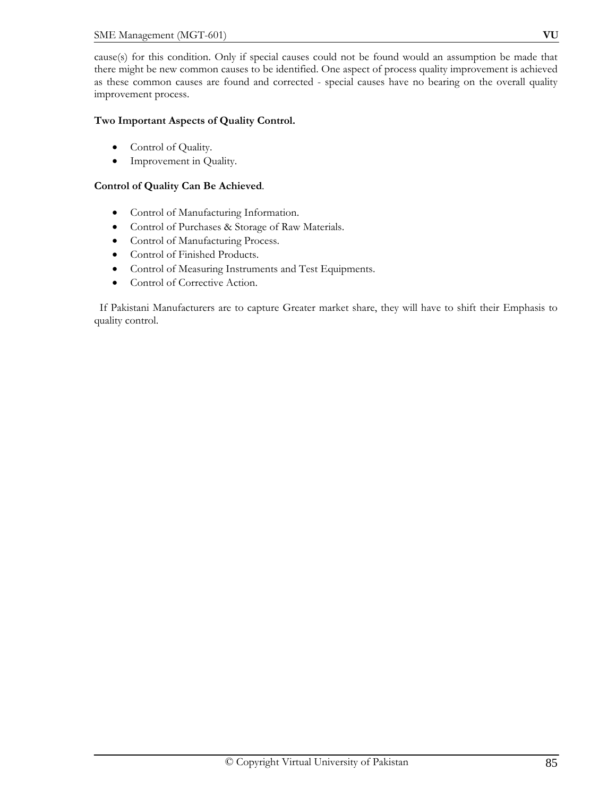cause(s) for this condition. Only if special causes could not be found would an assumption be made that there might be new common causes to be identified. One aspect of process quality improvement is achieved as these common causes are found and corrected - special causes have no bearing on the overall quality improvement process.

# **Two Important Aspects of Quality Control.**

- Control of Quality.
- Improvement in Quality.

# **Control of Quality Can Be Achieved**.

- Control of Manufacturing Information.
- Control of Purchases & Storage of Raw Materials.
- Control of Manufacturing Process.
- Control of Finished Products.
- Control of Measuring Instruments and Test Equipments.
- Control of Corrective Action.

 If Pakistani Manufacturers are to capture Greater market share, they will have to shift their Emphasis to quality control.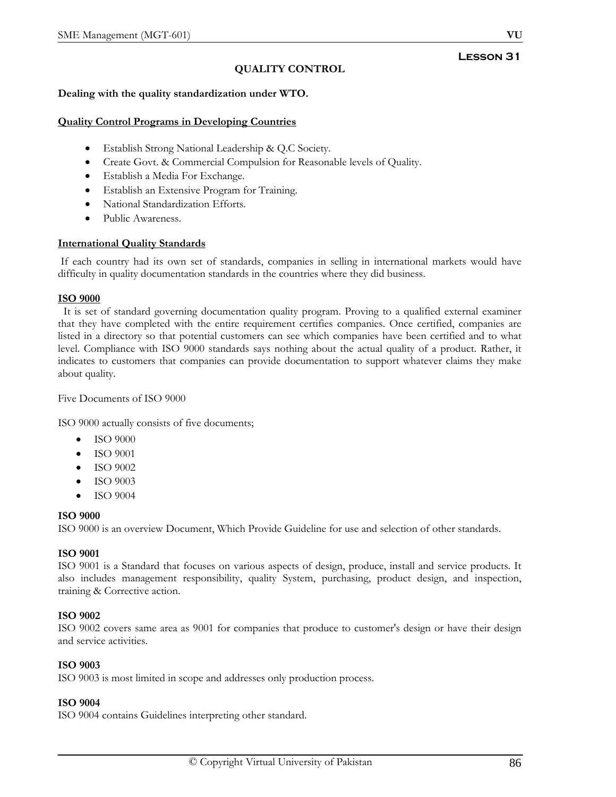# **QUALITY CONTROL**

## **Dealing with the quality standardization under WTO.**

#### **Quality Control Programs in Developing Countries**

- Establish Strong National Leadership & Q.C Society.
- Create Govt. & Commercial Compulsion for Reasonable levels of Quality.
- Establish a Media For Exchange.
- Establish an Extensive Program for Training.
- National Standardization Efforts.
- Public Awareness.

#### **International Quality Standards**

 If each country had its own set of standards, companies in selling in international markets would have difficulty in quality documentation standards in the countries where they did business.

#### **ISO 9000**

 It is set of standard governing documentation quality program. Proving to a qualified external examiner that they have completed with the entire requirement certifies companies. Once certified, companies are listed in a directory so that potential customers can see which companies have been certified and to what level. Compliance with ISO 9000 standards says nothing about the actual quality of a product. Rather, it indicates to customers that companies can provide documentation to support whatever claims they make about quality.

#### Five Documents of ISO 9000

ISO 9000 actually consists of five documents;

- ISO 9000
- ISO 9001
- ISO 9002
- ISO 9003
- ISO 9004

#### **ISO 9000**

ISO 9000 is an overview Document, Which Provide Guideline for use and selection of other standards.

## **ISO 9001**

ISO 9001 is a Standard that focuses on various aspects of design, produce, install and service products. It also includes management responsibility, quality System, purchasing, product design, and inspection, training & Corrective action.

## **ISO 9002**

ISO 9002 covers same area as 9001 for companies that produce to customer's design or have their design and service activities.

#### **ISO 9003**

ISO 9003 is most limited in scope and addresses only production process.

#### **ISO 9004**

ISO 9004 contains Guidelines interpreting other standard.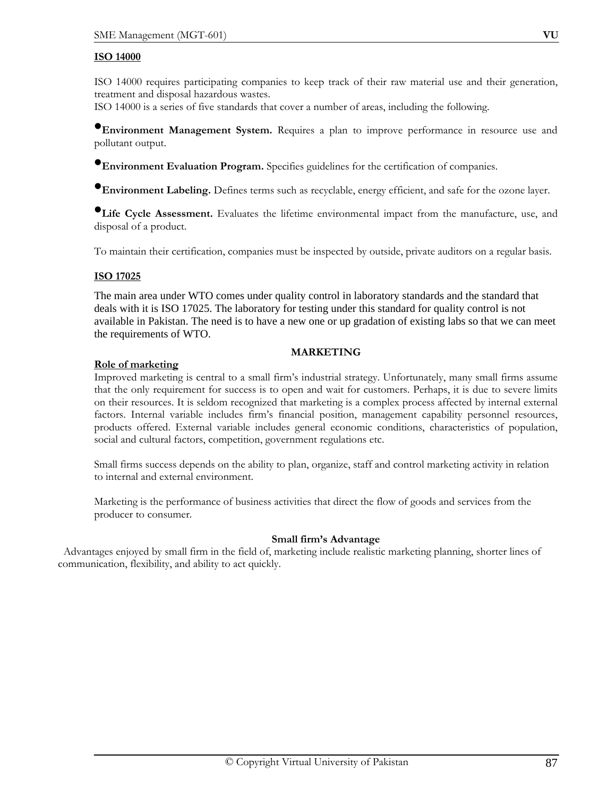#### **ISO 14000**

ISO 14000 requires participating companies to keep track of their raw material use and their generation, treatment and disposal hazardous wastes.

ISO 14000 is a series of five standards that cover a number of areas, including the following.

•**Environment Management System.** Requires a plan to improve performance in resource use and pollutant output.

**•Environment Evaluation Program.** Specifies guidelines for the certification of companies.

•**Environment Labeling.** Defines terms such as recyclable, energy efficient, and safe for the ozone layer.

•**Life Cycle Assessment.** Evaluates the lifetime environmental impact from the manufacture, use, and disposal of a product.

To maintain their certification, companies must be inspected by outside, private auditors on a regular basis.

## **ISO 17025**

The main area under WTO comes under quality control in laboratory standards and the standard that deals with it is ISO 17025. The laboratory for testing under this standard for quality control is not available in Pakistan. The need is to have a new one or up gradation of existing labs so that we can meet the requirements of WTO.

#### **MARKETING**

## **Role of marketing**

Improved marketing is central to a small firm's industrial strategy. Unfortunately, many small firms assume that the only requirement for success is to open and wait for customers. Perhaps, it is due to severe limits on their resources. It is seldom recognized that marketing is a complex process affected by internal external factors. Internal variable includes firm's financial position, management capability personnel resources, products offered. External variable includes general economic conditions, characteristics of population, social and cultural factors, competition, government regulations etc.

Small firms success depends on the ability to plan, organize, staff and control marketing activity in relation to internal and external environment.

Marketing is the performance of business activities that direct the flow of goods and services from the producer to consumer.

## **Small firm's Advantage**

 Advantages enjoyed by small firm in the field of, marketing include realistic marketing planning, shorter lines of communication, flexibility, and ability to act quickly.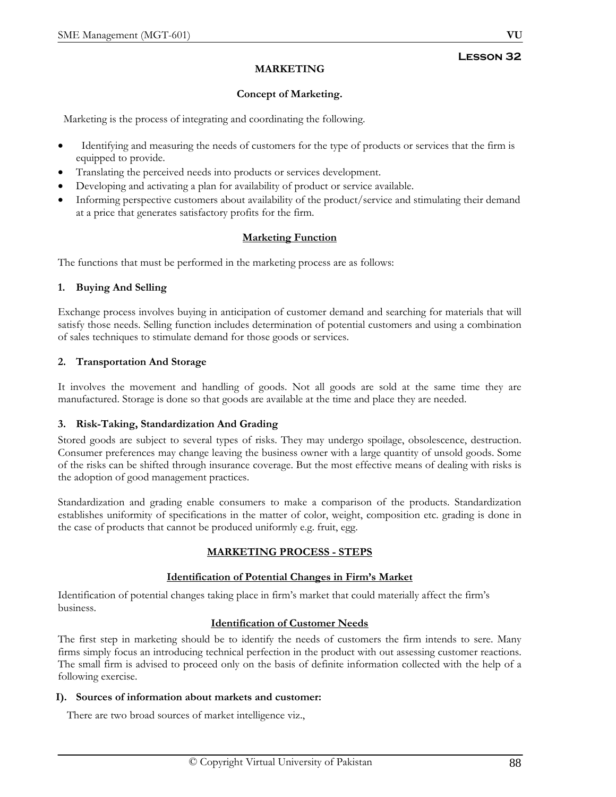# **MARKETING**

# **Concept of Marketing.**

Marketing is the process of integrating and coordinating the following.

- Identifying and measuring the needs of customers for the type of products or services that the firm is equipped to provide.
- Translating the perceived needs into products or services development.
- Developing and activating a plan for availability of product or service available.
- Informing perspective customers about availability of the product/service and stimulating their demand at a price that generates satisfactory profits for the firm.

## **Marketing Function**

The functions that must be performed in the marketing process are as follows:

## **1. Buying And Selling**

Exchange process involves buying in anticipation of customer demand and searching for materials that will satisfy those needs. Selling function includes determination of potential customers and using a combination of sales techniques to stimulate demand for those goods or services.

## **2. Transportation And Storage**

It involves the movement and handling of goods. Not all goods are sold at the same time they are manufactured. Storage is done so that goods are available at the time and place they are needed.

## **3. Risk-Taking, Standardization And Grading**

Stored goods are subject to several types of risks. They may undergo spoilage, obsolescence, destruction. Consumer preferences may change leaving the business owner with a large quantity of unsold goods. Some of the risks can be shifted through insurance coverage. But the most effective means of dealing with risks is the adoption of good management practices.

Standardization and grading enable consumers to make a comparison of the products. Standardization establishes uniformity of specifications in the matter of color, weight, composition etc. grading is done in the case of products that cannot be produced uniformly e.g. fruit, egg.

# **MARKETING PROCESS - STEPS**

## **Identification of Potential Changes in Firm's Market**

Identification of potential changes taking place in firm's market that could materially affect the firm's business.

# **Identification of Customer Needs**

The first step in marketing should be to identify the needs of customers the firm intends to sere. Many firms simply focus an introducing technical perfection in the product with out assessing customer reactions. The small firm is advised to proceed only on the basis of definite information collected with the help of a following exercise.

## **I). Sources of information about markets and customer:**

There are two broad sources of market intelligence viz.,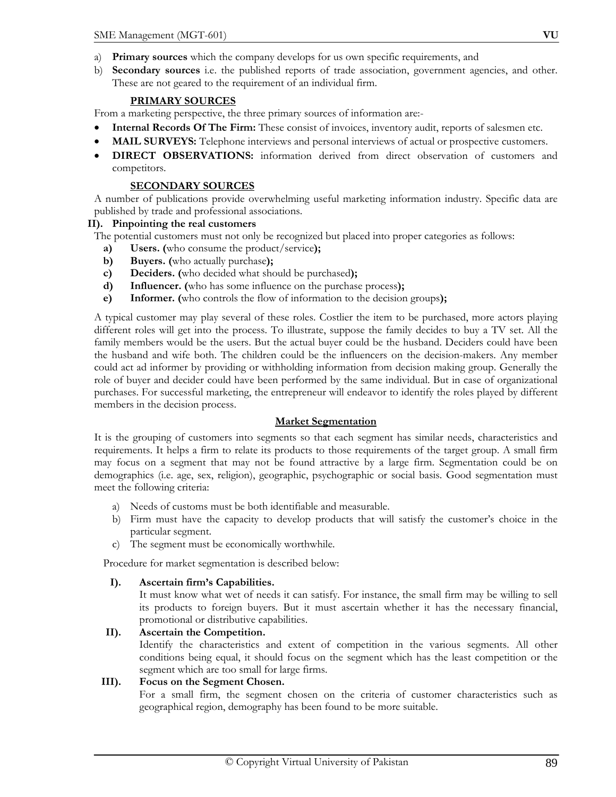- a) **Primary sources** which the company develops for us own specific requirements, and
- b) **Secondary sources** i.e. the published reports of trade association, government agencies, and other. These are not geared to the requirement of an individual firm.

# **PRIMARY SOURCES**

From a marketing perspective, the three primary sources of information are:-

- **Internal Records Of The Firm:** These consist of invoices, inventory audit, reports of salesmen etc.
- **MAIL SURVEYS:** Telephone interviews and personal interviews of actual or prospective customers.
- **DIRECT OBSERVATIONS:** information derived from direct observation of customers and competitors.

# **SECONDARY SOURCES**

A number of publications provide overwhelming useful marketing information industry. Specific data are published by trade and professional associations.

## **II). Pinpointing the real customers**

The potential customers must not only be recognized but placed into proper categories as follows:

- **a) Users. (**who consume the product/service**);**
- **b) Buyers. (**who actually purchase**);**
- **c) Deciders. (**who decided what should be purchased**);**
- **d) Influencer. (**who has some influence on the purchase process**);**
- **e) Informer. (**who controls the flow of information to the decision groups**);**

A typical customer may play several of these roles. Costlier the item to be purchased, more actors playing different roles will get into the process. To illustrate, suppose the family decides to buy a TV set. All the family members would be the users. But the actual buyer could be the husband. Deciders could have been the husband and wife both. The children could be the influencers on the decision-makers. Any member could act ad informer by providing or withholding information from decision making group. Generally the role of buyer and decider could have been performed by the same individual. But in case of organizational purchases. For successful marketing, the entrepreneur will endeavor to identify the roles played by different members in the decision process.

# **Market Segmentation**

It is the grouping of customers into segments so that each segment has similar needs, characteristics and requirements. It helps a firm to relate its products to those requirements of the target group. A small firm may focus on a segment that may not be found attractive by a large firm. Segmentation could be on demographics (i.e. age, sex, religion), geographic, psychographic or social basis. Good segmentation must meet the following criteria:

- a) Needs of customs must be both identifiable and measurable.
- b) Firm must have the capacity to develop products that will satisfy the customer's choice in the particular segment.
- c) The segment must be economically worthwhile.

Procedure for market segmentation is described below:

## **I). Ascertain firm's Capabilities.**

It must know what wet of needs it can satisfy. For instance, the small firm may be willing to sell its products to foreign buyers. But it must ascertain whether it has the necessary financial, promotional or distributive capabilities.

# **II). Ascertain the Competition.**

Identify the characteristics and extent of competition in the various segments. All other conditions being equal, it should focus on the segment which has the least competition or the segment which are too small for large firms.

## **III). Focus on the Segment Chosen.**

For a small firm, the segment chosen on the criteria of customer characteristics such as geographical region, demography has been found to be more suitable.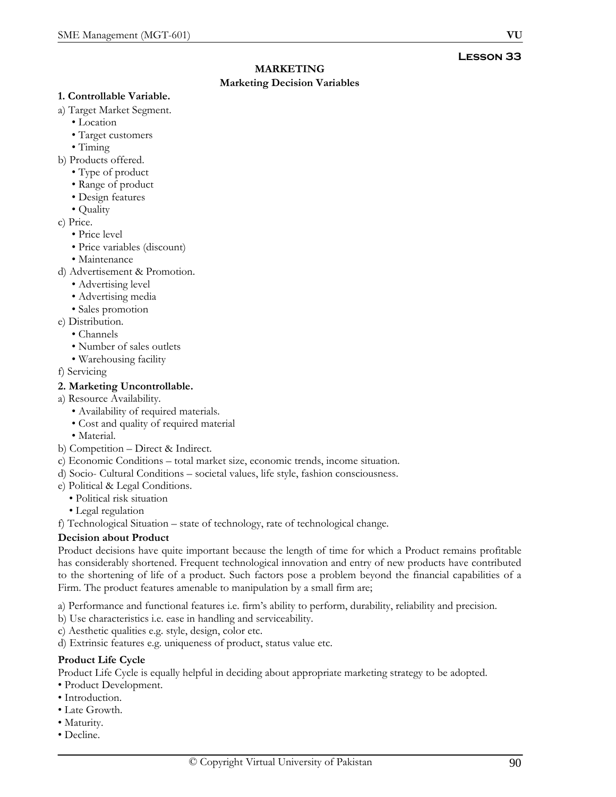# **MARKETING**

# **Marketing Decision Variables**

#### **1. Controllable Variable.**

- a) Target Market Segment.
	- Location
	- Target customers
	- Timing
- b) Products offered.
	- Type of product
	- Range of product
	- Design features
	- Quality
- c) Price.
	- Price level
	- Price variables (discount)
	- Maintenance
- d) Advertisement & Promotion.
	- Advertising level
	- Advertising media
	- Sales promotion
- e) Distribution.
	- Channels
	- Number of sales outlets
	- Warehousing facility
- f) Servicing

# **2. Marketing Uncontrollable.**

- a) Resource Availability.
	- Availability of required materials.
	- Cost and quality of required material
	- Material.
- b) Competition Direct & Indirect.
- c) Economic Conditions total market size, economic trends, income situation.
- d) Socio- Cultural Conditions societal values, life style, fashion consciousness.
- e) Political & Legal Conditions.
	- Political risk situation
	- Legal regulation

f) Technological Situation – state of technology, rate of technological change.

# **Decision about Product**

Product decisions have quite important because the length of time for which a Product remains profitable has considerably shortened. Frequent technological innovation and entry of new products have contributed to the shortening of life of a product. Such factors pose a problem beyond the financial capabilities of a Firm. The product features amenable to manipulation by a small firm are;

a) Performance and functional features i.e. firm's ability to perform, durability, reliability and precision.

- b) Use characteristics i.e. ease in handling and serviceability.
- c) Aesthetic qualities e.g. style, design, color etc.

d) Extrinsic features e.g. uniqueness of product, status value etc.

# **Product Life Cycle**

Product Life Cycle is equally helpful in deciding about appropriate marketing strategy to be adopted.

- Product Development.
- Introduction.
- Late Growth.
- Maturity.
- Decline.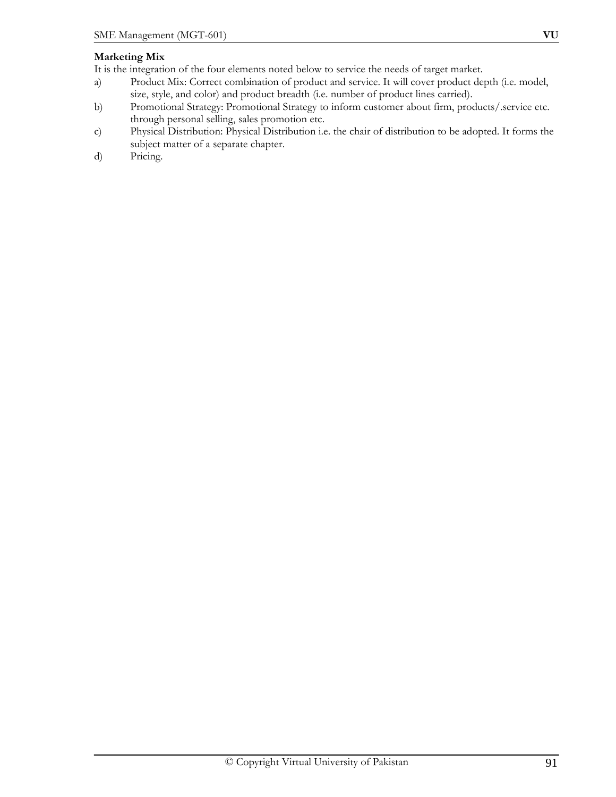## **Marketing Mix**

It is the integration of the four elements noted below to service the needs of target market.

- a) Product Mix: Correct combination of product and service. It will cover product depth (i.e. model, size, style, and color) and product breadth (i.e. number of product lines carried).
- b) Promotional Strategy: Promotional Strategy to inform customer about firm, products/.service etc. through personal selling, sales promotion etc.
- c) Physical Distribution: Physical Distribution i.e. the chair of distribution to be adopted. It forms the subject matter of a separate chapter.
- d) Pricing.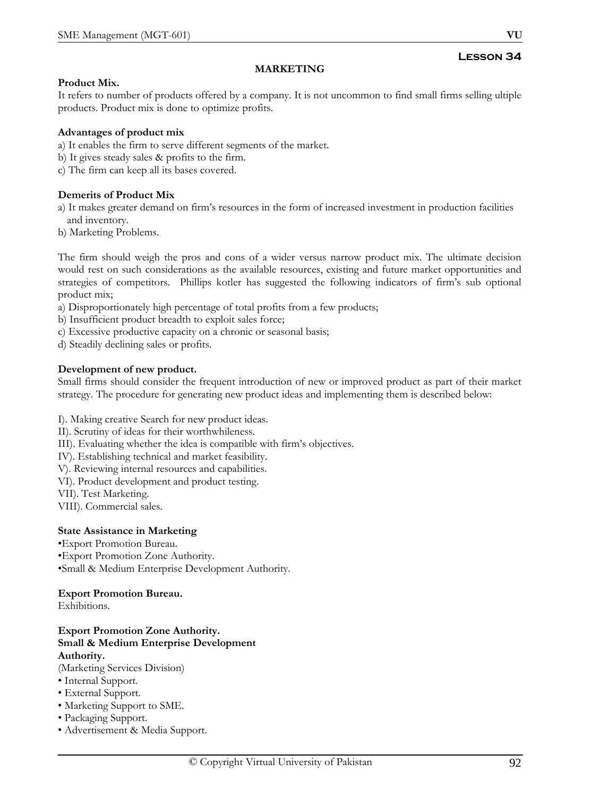# **MARKETING**

## **Product Mix.**

It refers to number of products offered by a company. It is not uncommon to find small firms selling ultiple products. Product mix is done to optimize profits.

## **Advantages of product mix**

a) It enables the firm to serve different segments of the market.

b) It gives steady sales & profits to the firm.

c) The firm can keep all its bases covered.

## **Demerits of Product Mix**

a) It makes greater demand on firm's resources in the form of increased investment in production facilities and inventory.

b) Marketing Problems.

The firm should weigh the pros and cons of a wider versus narrow product mix. The ultimate decision would rest on such considerations as the available resources, existing and future market opportunities and strategies of competitors. Phillips kotler has suggested the following indicators of firm's sub optional product mix;

- a) Disproportionately high percentage of total profits from a few products;
- b) Insufficient product breadth to exploit sales force;
- c) Excessive productive capacity on a chronic or seasonal basis;
- d) Steadily declining sales or profits.

## **Development of new product.**

Small firms should consider the frequent introduction of new or improved product as part of their market strategy. The procedure for generating new product ideas and implementing them is described below:

- I). Making creative Search for new product ideas.
- II). Scrutiny of ideas for their worthwhileness.
- III). Evaluating whether the idea is compatible with firm's objectives.
- IV). Establishing technical and market feasibility.
- V). Reviewing internal resources and capabilities.
- VI). Product development and product testing.
- VII). Test Marketing.
- VIII). Commercial sales.

## **State Assistance in Marketing**

•Export Promotion Bureau. •Export Promotion Zone Authority. •Small & Medium Enterprise Development Authority.

## **Export Promotion Bureau.**

Exhibitions.

## **Export Promotion Zone Authority. Small & Medium Enterprise Development Authority.**

(Marketing Services Division)

- Internal Support.
- External Support.
- Marketing Support to SME.
- Packaging Support.
- Advertisement & Media Support.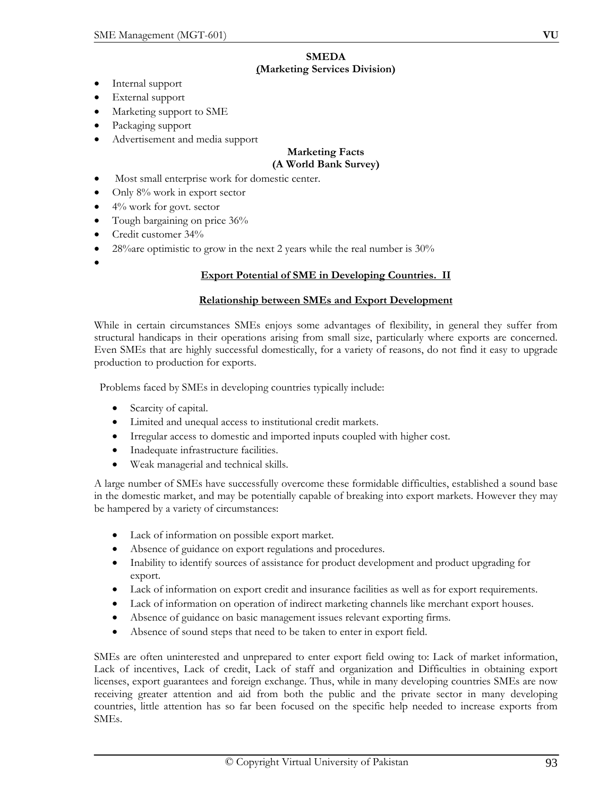- Internal support
- External support
- Marketing support to SME
- Packaging support
- Advertisement and media support

#### **Marketing Facts (A World Bank Survey)**

- Most small enterprise work for domestic center.
- Only 8% work in export sector
- $\bullet$  4% work for govt. sector
- Tough bargaining on price 36%
- Credit customer 34%
- 28% are optimistic to grow in the next 2 years while the real number is  $30\%$
- •

# **Export Potential of SME in Developing Countries. II**

## **Relationship between SMEs and Export Development**

While in certain circumstances SMEs enjoys some advantages of flexibility, in general they suffer from structural handicaps in their operations arising from small size, particularly where exports are concerned. Even SMEs that are highly successful domestically, for a variety of reasons, do not find it easy to upgrade production to production for exports.

Problems faced by SMEs in developing countries typically include:

- Scarcity of capital.
- Limited and unequal access to institutional credit markets.
- Irregular access to domestic and imported inputs coupled with higher cost.
- Inadequate infrastructure facilities.
- Weak managerial and technical skills.

A large number of SMEs have successfully overcome these formidable difficulties, established a sound base in the domestic market, and may be potentially capable of breaking into export markets. However they may be hampered by a variety of circumstances:

- Lack of information on possible export market.
- Absence of guidance on export regulations and procedures.
- Inability to identify sources of assistance for product development and product upgrading for export.
- Lack of information on export credit and insurance facilities as well as for export requirements.
- Lack of information on operation of indirect marketing channels like merchant export houses.
- Absence of guidance on basic management issues relevant exporting firms.
- Absence of sound steps that need to be taken to enter in export field.

SMEs are often uninterested and unprepared to enter export field owing to: Lack of market information, Lack of incentives, Lack of credit, Lack of staff and organization and Difficulties in obtaining export licenses, export guarantees and foreign exchange. Thus, while in many developing countries SMEs are now receiving greater attention and aid from both the public and the private sector in many developing countries, little attention has so far been focused on the specific help needed to increase exports from SMEs.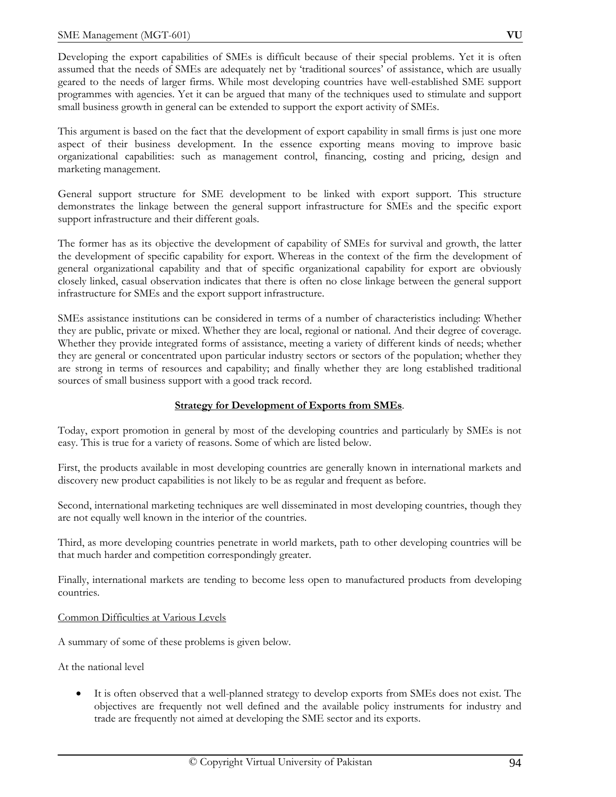Developing the export capabilities of SMEs is difficult because of their special problems. Yet it is often assumed that the needs of SMEs are adequately net by 'traditional sources' of assistance, which are usually geared to the needs of larger firms. While most developing countries have well-established SME support programmes with agencies. Yet it can be argued that many of the techniques used to stimulate and support small business growth in general can be extended to support the export activity of SMEs.

This argument is based on the fact that the development of export capability in small firms is just one more aspect of their business development. In the essence exporting means moving to improve basic organizational capabilities: such as management control, financing, costing and pricing, design and marketing management.

General support structure for SME development to be linked with export support. This structure demonstrates the linkage between the general support infrastructure for SMEs and the specific export support infrastructure and their different goals.

The former has as its objective the development of capability of SMEs for survival and growth, the latter the development of specific capability for export. Whereas in the context of the firm the development of general organizational capability and that of specific organizational capability for export are obviously closely linked, casual observation indicates that there is often no close linkage between the general support infrastructure for SMEs and the export support infrastructure.

SMEs assistance institutions can be considered in terms of a number of characteristics including: Whether they are public, private or mixed. Whether they are local, regional or national. And their degree of coverage. Whether they provide integrated forms of assistance, meeting a variety of different kinds of needs; whether they are general or concentrated upon particular industry sectors or sectors of the population; whether they are strong in terms of resources and capability; and finally whether they are long established traditional sources of small business support with a good track record.

# **Strategy for Development of Exports from SMEs**.

Today, export promotion in general by most of the developing countries and particularly by SMEs is not easy. This is true for a variety of reasons. Some of which are listed below.

First, the products available in most developing countries are generally known in international markets and discovery new product capabilities is not likely to be as regular and frequent as before.

Second, international marketing techniques are well disseminated in most developing countries, though they are not equally well known in the interior of the countries.

Third, as more developing countries penetrate in world markets, path to other developing countries will be that much harder and competition correspondingly greater.

Finally, international markets are tending to become less open to manufactured products from developing countries.

## Common Difficulties at Various Levels

A summary of some of these problems is given below.

At the national level

• It is often observed that a well-planned strategy to develop exports from SMEs does not exist. The objectives are frequently not well defined and the available policy instruments for industry and trade are frequently not aimed at developing the SME sector and its exports.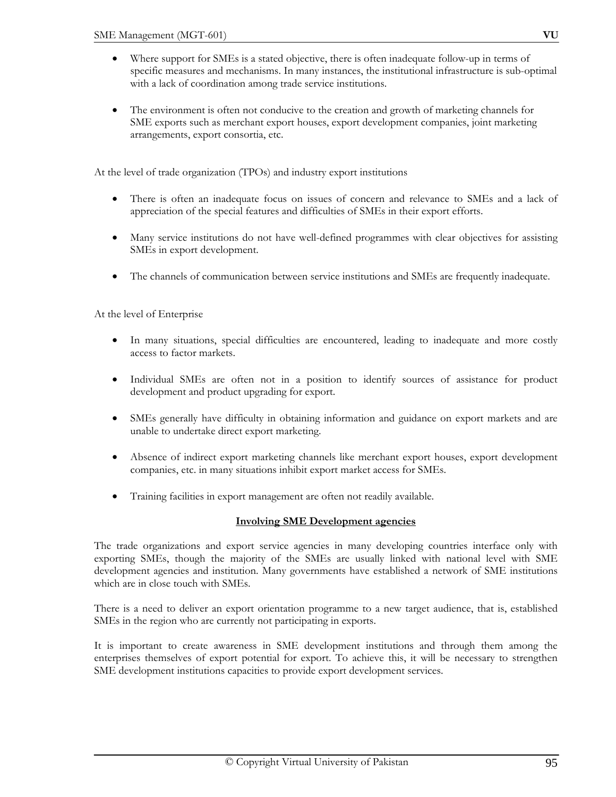- Where support for SMEs is a stated objective, there is often inadequate follow-up in terms of specific measures and mechanisms. In many instances, the institutional infrastructure is sub-optimal with a lack of coordination among trade service institutions.
- The environment is often not conducive to the creation and growth of marketing channels for SME exports such as merchant export houses, export development companies, joint marketing arrangements, export consortia, etc.

At the level of trade organization (TPOs) and industry export institutions

- There is often an inadequate focus on issues of concern and relevance to SMEs and a lack of appreciation of the special features and difficulties of SMEs in their export efforts.
- Many service institutions do not have well-defined programmes with clear objectives for assisting SMEs in export development.
- The channels of communication between service institutions and SMEs are frequently inadequate.

At the level of Enterprise

- In many situations, special difficulties are encountered, leading to inadequate and more costly access to factor markets.
- Individual SMEs are often not in a position to identify sources of assistance for product development and product upgrading for export.
- SMEs generally have difficulty in obtaining information and guidance on export markets and are unable to undertake direct export marketing.
- Absence of indirect export marketing channels like merchant export houses, export development companies, etc. in many situations inhibit export market access for SMEs.
- Training facilities in export management are often not readily available.

## **Involving SME Development agencies**

The trade organizations and export service agencies in many developing countries interface only with exporting SMEs, though the majority of the SMEs are usually linked with national level with SME development agencies and institution. Many governments have established a network of SME institutions which are in close touch with SMEs.

There is a need to deliver an export orientation programme to a new target audience, that is, established SMEs in the region who are currently not participating in exports.

It is important to create awareness in SME development institutions and through them among the enterprises themselves of export potential for export. To achieve this, it will be necessary to strengthen SME development institutions capacities to provide export development services.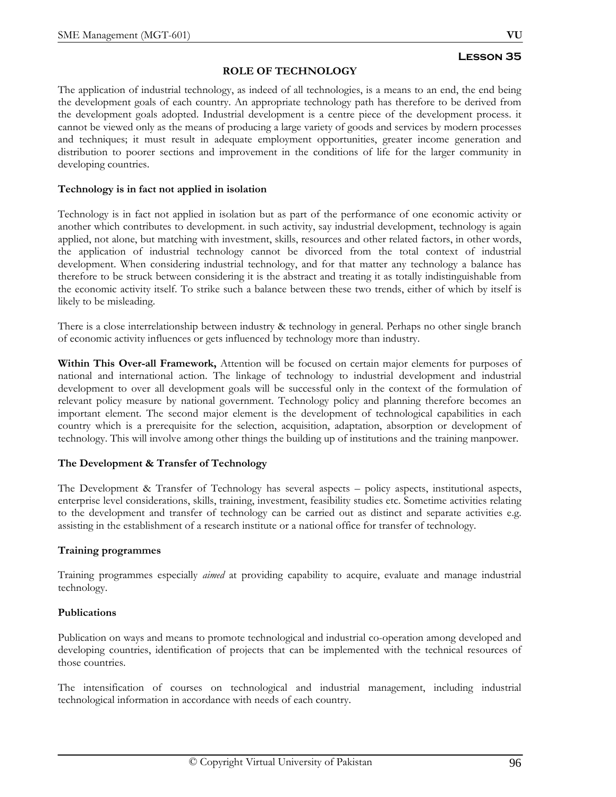## **ROLE OF TECHNOLOGY**

The application of industrial technology, as indeed of all technologies, is a means to an end, the end being the development goals of each country. An appropriate technology path has therefore to be derived from the development goals adopted. Industrial development is a centre piece of the development process. it cannot be viewed only as the means of producing a large variety of goods and services by modern processes and techniques; it must result in adequate employment opportunities, greater income generation and distribution to poorer sections and improvement in the conditions of life for the larger community in developing countries.

## **Technology is in fact not applied in isolation**

Technology is in fact not applied in isolation but as part of the performance of one economic activity or another which contributes to development. in such activity, say industrial development, technology is again applied, not alone, but matching with investment, skills, resources and other related factors, in other words, the application of industrial technology cannot be divorced from the total context of industrial development. When considering industrial technology, and for that matter any technology a balance has therefore to be struck between considering it is the abstract and treating it as totally indistinguishable from the economic activity itself. To strike such a balance between these two trends, either of which by itself is likely to be misleading.

There is a close interrelationship between industry & technology in general. Perhaps no other single branch of economic activity influences or gets influenced by technology more than industry.

**Within This Over-all Framework,** Attention will be focused on certain major elements for purposes of national and international action. The linkage of technology to industrial development and industrial development to over all development goals will be successful only in the context of the formulation of relevant policy measure by national government. Technology policy and planning therefore becomes an important element. The second major element is the development of technological capabilities in each country which is a prerequisite for the selection, acquisition, adaptation, absorption or development of technology. This will involve among other things the building up of institutions and the training manpower.

# **The Development & Transfer of Technology**

The Development & Transfer of Technology has several aspects – policy aspects, institutional aspects, enterprise level considerations, skills, training, investment, feasibility studies etc. Sometime activities relating to the development and transfer of technology can be carried out as distinct and separate activities e.g. assisting in the establishment of a research institute or a national office for transfer of technology.

# **Training programmes**

Training programmes especially *aimed* at providing capability to acquire, evaluate and manage industrial technology.

## **Publications**

Publication on ways and means to promote technological and industrial co-operation among developed and developing countries, identification of projects that can be implemented with the technical resources of those countries.

The intensification of courses on technological and industrial management, including industrial technological information in accordance with needs of each country.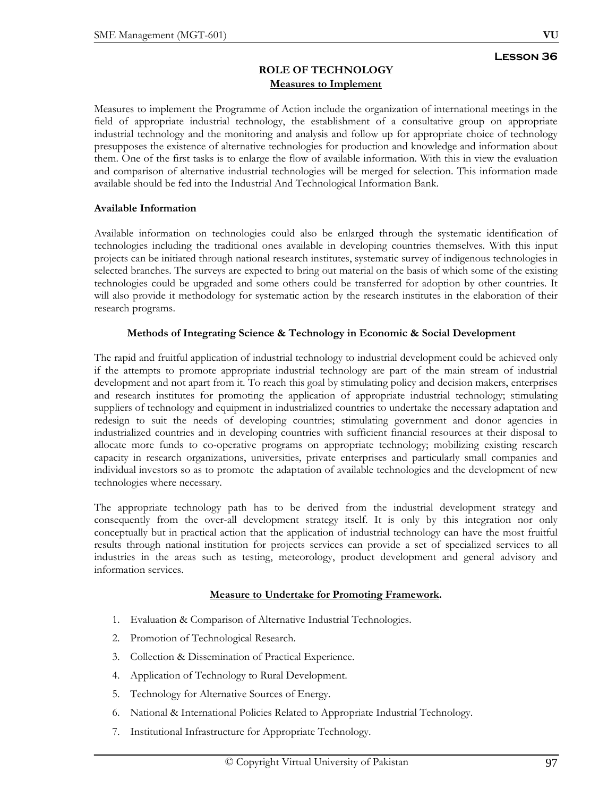## **ROLE OF TECHNOLOGY Measures to Implement**

Measures to implement the Programme of Action include the organization of international meetings in the field of appropriate industrial technology, the establishment of a consultative group on appropriate industrial technology and the monitoring and analysis and follow up for appropriate choice of technology presupposes the existence of alternative technologies for production and knowledge and information about them. One of the first tasks is to enlarge the flow of available information. With this in view the evaluation and comparison of alternative industrial technologies will be merged for selection. This information made available should be fed into the Industrial And Technological Information Bank.

## **Available Information**

Available information on technologies could also be enlarged through the systematic identification of technologies including the traditional ones available in developing countries themselves. With this input projects can be initiated through national research institutes, systematic survey of indigenous technologies in selected branches. The surveys are expected to bring out material on the basis of which some of the existing technologies could be upgraded and some others could be transferred for adoption by other countries. It will also provide it methodology for systematic action by the research institutes in the elaboration of their research programs.

# **Methods of Integrating Science & Technology in Economic & Social Development**

The rapid and fruitful application of industrial technology to industrial development could be achieved only if the attempts to promote appropriate industrial technology are part of the main stream of industrial development and not apart from it. To reach this goal by stimulating policy and decision makers, enterprises and research institutes for promoting the application of appropriate industrial technology; stimulating suppliers of technology and equipment in industrialized countries to undertake the necessary adaptation and redesign to suit the needs of developing countries; stimulating government and donor agencies in industrialized countries and in developing countries with sufficient financial resources at their disposal to allocate more funds to co-operative programs on appropriate technology; mobilizing existing research capacity in research organizations, universities, private enterprises and particularly small companies and individual investors so as to promote the adaptation of available technologies and the development of new technologies where necessary.

The appropriate technology path has to be derived from the industrial development strategy and consequently from the over-all development strategy itself. It is only by this integration nor only conceptually but in practical action that the application of industrial technology can have the most fruitful results through national institution for projects services can provide a set of specialized services to all industries in the areas such as testing, meteorology, product development and general advisory and information services.

# **Measure to Undertake for Promoting Framework.**

- 1. Evaluation & Comparison of Alternative Industrial Technologies.
- 2. Promotion of Technological Research.
- 3. Collection & Dissemination of Practical Experience.
- 4. Application of Technology to Rural Development.
- 5. Technology for Alternative Sources of Energy.
- 6. National & International Policies Related to Appropriate Industrial Technology.
- 7. Institutional Infrastructure for Appropriate Technology.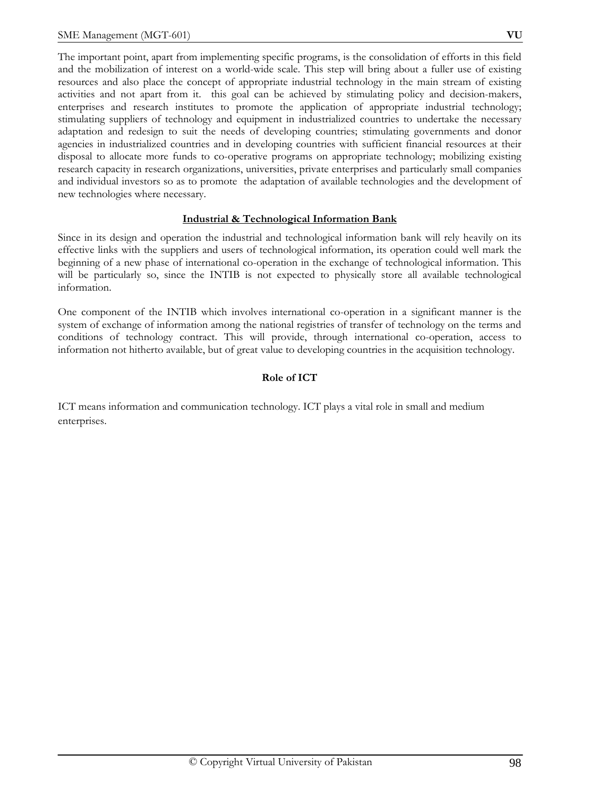The important point, apart from implementing specific programs, is the consolidation of efforts in this field and the mobilization of interest on a world-wide scale. This step will bring about a fuller use of existing resources and also place the concept of appropriate industrial technology in the main stream of existing activities and not apart from it. this goal can be achieved by stimulating policy and decision-makers, enterprises and research institutes to promote the application of appropriate industrial technology; stimulating suppliers of technology and equipment in industrialized countries to undertake the necessary adaptation and redesign to suit the needs of developing countries; stimulating governments and donor agencies in industrialized countries and in developing countries with sufficient financial resources at their disposal to allocate more funds to co-operative programs on appropriate technology; mobilizing existing research capacity in research organizations, universities, private enterprises and particularly small companies and individual investors so as to promote the adaptation of available technologies and the development of new technologies where necessary.

## **Industrial & Technological Information Bank**

Since in its design and operation the industrial and technological information bank will rely heavily on its effective links with the suppliers and users of technological information, its operation could well mark the beginning of a new phase of international co-operation in the exchange of technological information. This will be particularly so, since the INTIB is not expected to physically store all available technological information.

One component of the INTIB which involves international co-operation in a significant manner is the system of exchange of information among the national registries of transfer of technology on the terms and conditions of technology contract. This will provide, through international co-operation, access to information not hitherto available, but of great value to developing countries in the acquisition technology.

#### **Role of ICT**

ICT means information and communication technology. ICT plays a vital role in small and medium enterprises.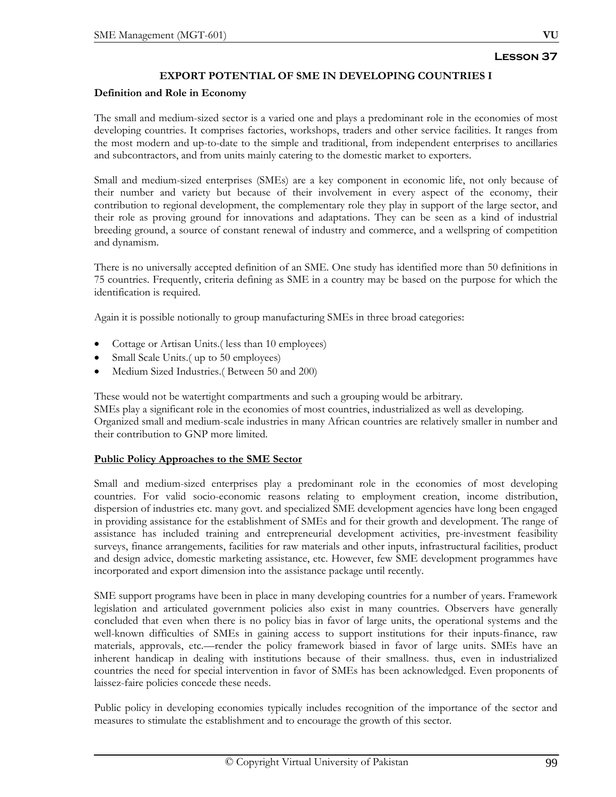## **EXPORT POTENTIAL OF SME IN DEVELOPING COUNTRIES I**

#### **Definition and Role in Economy**

The small and medium-sized sector is a varied one and plays a predominant role in the economies of most developing countries. It comprises factories, workshops, traders and other service facilities. It ranges from the most modern and up-to-date to the simple and traditional, from independent enterprises to ancillaries and subcontractors, and from units mainly catering to the domestic market to exporters.

Small and medium-sized enterprises (SMEs) are a key component in economic life, not only because of their number and variety but because of their involvement in every aspect of the economy, their contribution to regional development, the complementary role they play in support of the large sector, and their role as proving ground for innovations and adaptations. They can be seen as a kind of industrial breeding ground, a source of constant renewal of industry and commerce, and a wellspring of competition and dynamism.

There is no universally accepted definition of an SME. One study has identified more than 50 definitions in 75 countries. Frequently, criteria defining as SME in a country may be based on the purpose for which the identification is required.

Again it is possible notionally to group manufacturing SMEs in three broad categories:

- Cottage or Artisan Units.( less than 10 employees)
- Small Scale Units.(up to 50 employees)
- Medium Sized Industries.( Between 50 and 200)

These would not be watertight compartments and such a grouping would be arbitrary. SMEs play a significant role in the economies of most countries, industrialized as well as developing. Organized small and medium-scale industries in many African countries are relatively smaller in number and their contribution to GNP more limited.

## **Public Policy Approaches to the SME Sector**

Small and medium-sized enterprises play a predominant role in the economies of most developing countries. For valid socio-economic reasons relating to employment creation, income distribution, dispersion of industries etc. many govt. and specialized SME development agencies have long been engaged in providing assistance for the establishment of SMEs and for their growth and development. The range of assistance has included training and entrepreneurial development activities, pre-investment feasibility surveys, finance arrangements, facilities for raw materials and other inputs, infrastructural facilities, product and design advice, domestic marketing assistance, etc. However, few SME development programmes have incorporated and export dimension into the assistance package until recently.

SME support programs have been in place in many developing countries for a number of years. Framework legislation and articulated government policies also exist in many countries. Observers have generally concluded that even when there is no policy bias in favor of large units, the operational systems and the well-known difficulties of SMEs in gaining access to support institutions for their inputs-finance, raw materials, approvals, etc.—render the policy framework biased in favor of large units. SMEs have an inherent handicap in dealing with institutions because of their smallness. thus, even in industrialized countries the need for special intervention in favor of SMEs has been acknowledged. Even proponents of laissez-faire policies concede these needs.

Public policy in developing economies typically includes recognition of the importance of the sector and measures to stimulate the establishment and to encourage the growth of this sector.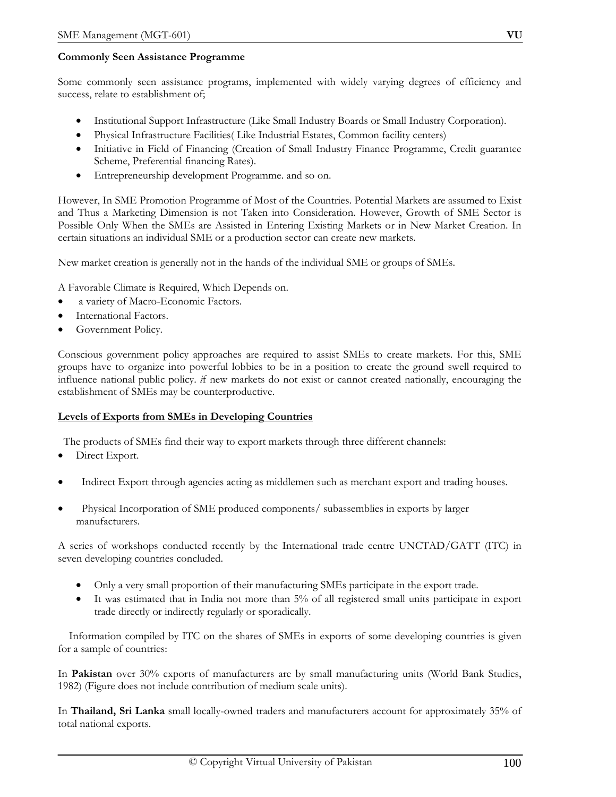## **Commonly Seen Assistance Programme**

Some commonly seen assistance programs, implemented with widely varying degrees of efficiency and success, relate to establishment of;

- Institutional Support Infrastructure (Like Small Industry Boards or Small Industry Corporation).
- Physical Infrastructure Facilities( Like Industrial Estates, Common facility centers)
- Initiative in Field of Financing (Creation of Small Industry Finance Programme, Credit guarantee Scheme, Preferential financing Rates).
- Entrepreneurship development Programme. and so on.

However, In SME Promotion Programme of Most of the Countries. Potential Markets are assumed to Exist and Thus a Marketing Dimension is not Taken into Consideration. However, Growth of SME Sector is Possible Only When the SMEs are Assisted in Entering Existing Markets or in New Market Creation. In certain situations an individual SME or a production sector can create new markets.

New market creation is generally not in the hands of the individual SME or groups of SMEs.

A Favorable Climate is Required, Which Depends on.

- a variety of Macro-Economic Factors.
- International Factors.
- Government Policy.

Conscious government policy approaches are required to assist SMEs to create markets. For this, SME groups have to organize into powerful lobbies to be in a position to create the ground swell required to influence national public policy. *i*f new markets do not exist or cannot created nationally, encouraging the establishment of SMEs may be counterproductive.

## **Levels of Exports from SMEs in Developing Countries**

The products of SMEs find their way to export markets through three different channels:

- Direct Export.
- Indirect Export through agencies acting as middlemen such as merchant export and trading houses.
- Physical Incorporation of SME produced components/ subassemblies in exports by larger manufacturers.

A series of workshops conducted recently by the International trade centre UNCTAD/GATT (ITC) in seven developing countries concluded.

- Only a very small proportion of their manufacturing SMEs participate in the export trade.
- It was estimated that in India not more than 5% of all registered small units participate in export trade directly or indirectly regularly or sporadically.

 Information compiled by ITC on the shares of SMEs in exports of some developing countries is given for a sample of countries:

In **Pakistan** over 30% exports of manufacturers are by small manufacturing units (World Bank Studies, 1982) (Figure does not include contribution of medium scale units).

In **Thailand, Sri Lanka** small locally-owned traders and manufacturers account for approximately 35% of total national exports.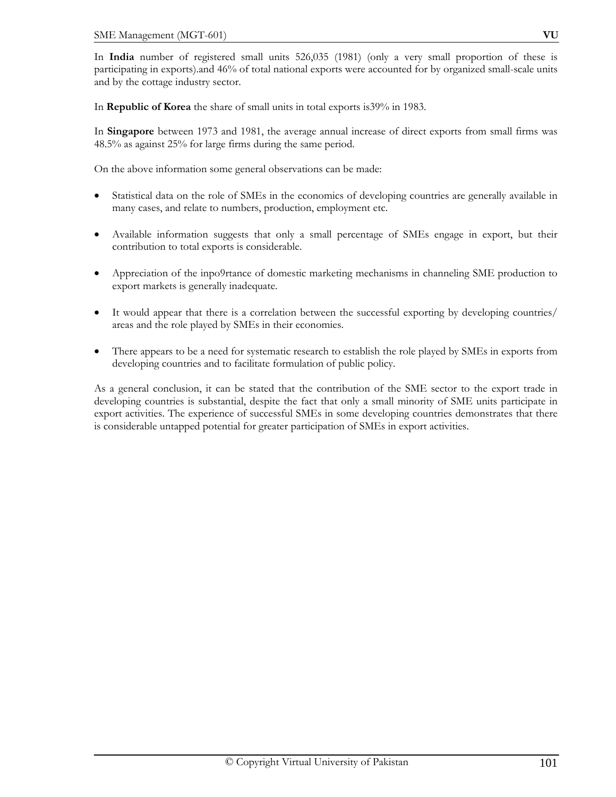In **India** number of registered small units 526,035 (1981) (only a very small proportion of these is participating in exports).and 46% of total national exports were accounted for by organized small-scale units and by the cottage industry sector.

In **Republic of Korea** the share of small units in total exports is39% in 1983.

In **Singapore** between 1973 and 1981, the average annual increase of direct exports from small firms was 48.5% as against 25% for large firms during the same period.

On the above information some general observations can be made:

- Statistical data on the role of SMEs in the economics of developing countries are generally available in many cases, and relate to numbers, production, employment etc.
- Available information suggests that only a small percentage of SMEs engage in export, but their contribution to total exports is considerable.
- Appreciation of the inpo9rtance of domestic marketing mechanisms in channeling SME production to export markets is generally inadequate.
- It would appear that there is a correlation between the successful exporting by developing countries/ areas and the role played by SMEs in their economies.
- There appears to be a need for systematic research to establish the role played by SMEs in exports from developing countries and to facilitate formulation of public policy.

As a general conclusion, it can be stated that the contribution of the SME sector to the export trade in developing countries is substantial, despite the fact that only a small minority of SME units participate in export activities. The experience of successful SMEs in some developing countries demonstrates that there is considerable untapped potential for greater participation of SMEs in export activities.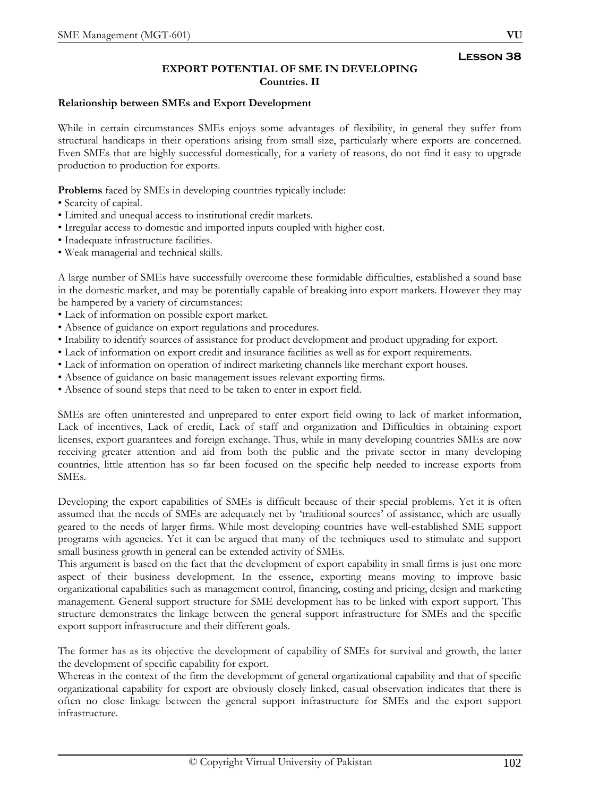# **EXPORT POTENTIAL OF SME IN DEVELOPING Countries. II**

## **Relationship between SMEs and Export Development**

While in certain circumstances SMEs enjoys some advantages of flexibility, in general they suffer from structural handicaps in their operations arising from small size, particularly where exports are concerned. Even SMEs that are highly successful domestically, for a variety of reasons, do not find it easy to upgrade production to production for exports.

**Problems** faced by SMEs in developing countries typically include:

- Scarcity of capital.
- Limited and unequal access to institutional credit markets.
- Irregular access to domestic and imported inputs coupled with higher cost.
- Inadequate infrastructure facilities.
- Weak managerial and technical skills.

A large number of SMEs have successfully overcome these formidable difficulties, established a sound base in the domestic market, and may be potentially capable of breaking into export markets. However they may be hampered by a variety of circumstances:

- Lack of information on possible export market.
- Absence of guidance on export regulations and procedures.
- Inability to identify sources of assistance for product development and product upgrading for export.
- Lack of information on export credit and insurance facilities as well as for export requirements.
- Lack of information on operation of indirect marketing channels like merchant export houses.
- Absence of guidance on basic management issues relevant exporting firms.
- Absence of sound steps that need to be taken to enter in export field.

SMEs are often uninterested and unprepared to enter export field owing to lack of market information, Lack of incentives, Lack of credit, Lack of staff and organization and Difficulties in obtaining export licenses, export guarantees and foreign exchange. Thus, while in many developing countries SMEs are now receiving greater attention and aid from both the public and the private sector in many developing countries, little attention has so far been focused on the specific help needed to increase exports from SMEs.

Developing the export capabilities of SMEs is difficult because of their special problems. Yet it is often assumed that the needs of SMEs are adequately net by 'traditional sources' of assistance, which are usually geared to the needs of larger firms. While most developing countries have well-established SME support programs with agencies. Yet it can be argued that many of the techniques used to stimulate and support small business growth in general can be extended activity of SMEs.

This argument is based on the fact that the development of export capability in small firms is just one more aspect of their business development. In the essence, exporting means moving to improve basic organizational capabilities such as management control, financing, costing and pricing, design and marketing management. General support structure for SME development has to be linked with export support. This structure demonstrates the linkage between the general support infrastructure for SMEs and the specific export support infrastructure and their different goals.

The former has as its objective the development of capability of SMEs for survival and growth, the latter the development of specific capability for export.

Whereas in the context of the firm the development of general organizational capability and that of specific organizational capability for export are obviously closely linked, casual observation indicates that there is often no close linkage between the general support infrastructure for SMEs and the export support infrastructure.

**Lesson 38**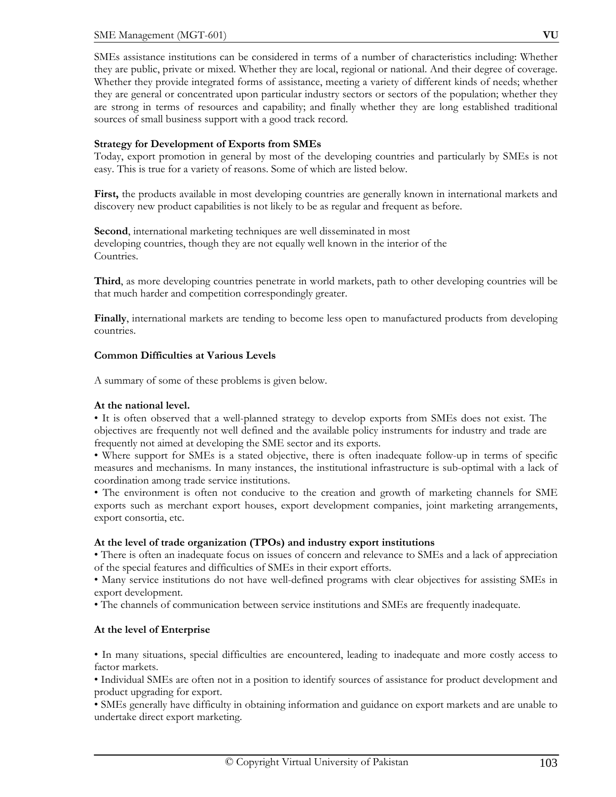SMEs assistance institutions can be considered in terms of a number of characteristics including: Whether they are public, private or mixed. Whether they are local, regional or national. And their degree of coverage. Whether they provide integrated forms of assistance, meeting a variety of different kinds of needs; whether they are general or concentrated upon particular industry sectors or sectors of the population; whether they are strong in terms of resources and capability; and finally whether they are long established traditional sources of small business support with a good track record.

## **Strategy for Development of Exports from SMEs**

Today, export promotion in general by most of the developing countries and particularly by SMEs is not easy. This is true for a variety of reasons. Some of which are listed below.

First, the products available in most developing countries are generally known in international markets and discovery new product capabilities is not likely to be as regular and frequent as before.

**Second**, international marketing techniques are well disseminated in most developing countries, though they are not equally well known in the interior of the Countries.

**Third**, as more developing countries penetrate in world markets, path to other developing countries will be that much harder and competition correspondingly greater.

**Finally**, international markets are tending to become less open to manufactured products from developing countries.

#### **Common Difficulties at Various Levels**

A summary of some of these problems is given below.

## **At the national level.**

• It is often observed that a well-planned strategy to develop exports from SMEs does not exist. The objectives are frequently not well defined and the available policy instruments for industry and trade are frequently not aimed at developing the SME sector and its exports.

• Where support for SMEs is a stated objective, there is often inadequate follow-up in terms of specific measures and mechanisms. In many instances, the institutional infrastructure is sub-optimal with a lack of coordination among trade service institutions.

• The environment is often not conducive to the creation and growth of marketing channels for SME exports such as merchant export houses, export development companies, joint marketing arrangements, export consortia, etc.

## **At the level of trade organization (TPOs) and industry export institutions**

• There is often an inadequate focus on issues of concern and relevance to SMEs and a lack of appreciation of the special features and difficulties of SMEs in their export efforts.

• Many service institutions do not have well-defined programs with clear objectives for assisting SMEs in export development.

• The channels of communication between service institutions and SMEs are frequently inadequate.

## **At the level of Enterprise**

• In many situations, special difficulties are encountered, leading to inadequate and more costly access to factor markets.

• Individual SMEs are often not in a position to identify sources of assistance for product development and product upgrading for export.

• SMEs generally have difficulty in obtaining information and guidance on export markets and are unable to undertake direct export marketing.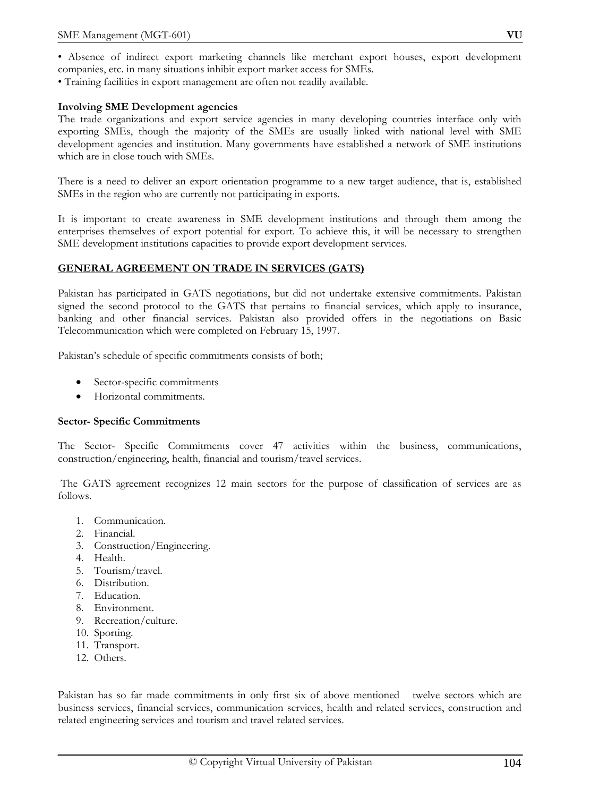• Training facilities in export management are often not readily available.

#### **Involving SME Development agencies**

The trade organizations and export service agencies in many developing countries interface only with exporting SMEs, though the majority of the SMEs are usually linked with national level with SME development agencies and institution. Many governments have established a network of SME institutions which are in close touch with SMEs.

There is a need to deliver an export orientation programme to a new target audience, that is, established SMEs in the region who are currently not participating in exports.

It is important to create awareness in SME development institutions and through them among the enterprises themselves of export potential for export. To achieve this, it will be necessary to strengthen SME development institutions capacities to provide export development services.

#### **GENERAL AGREEMENT ON TRADE IN SERVICES (GATS)**

Pakistan has participated in GATS negotiations, but did not undertake extensive commitments. Pakistan signed the second protocol to the GATS that pertains to financial services, which apply to insurance, banking and other financial services. Pakistan also provided offers in the negotiations on Basic Telecommunication which were completed on February 15, 1997.

Pakistan's schedule of specific commitments consists of both;

- Sector-specific commitments
- Horizontal commitments.

#### **Sector- Specific Commitments**

The Sector- Specific Commitments cover 47 activities within the business, communications, construction/engineering, health, financial and tourism/travel services.

 The GATS agreement recognizes 12 main sectors for the purpose of classification of services are as follows.

- 1. Communication.
- 2. Financial.
- 3. Construction/Engineering.
- 4. Health.
- 5. Tourism/travel.
- 6. Distribution.
- 7. Education.
- 8. Environment.
- 9. Recreation/culture.
- 10. Sporting.
- 11. Transport.
- 12. Others.

Pakistan has so far made commitments in only first six of above mentioned twelve sectors which are business services, financial services, communication services, health and related services, construction and related engineering services and tourism and travel related services.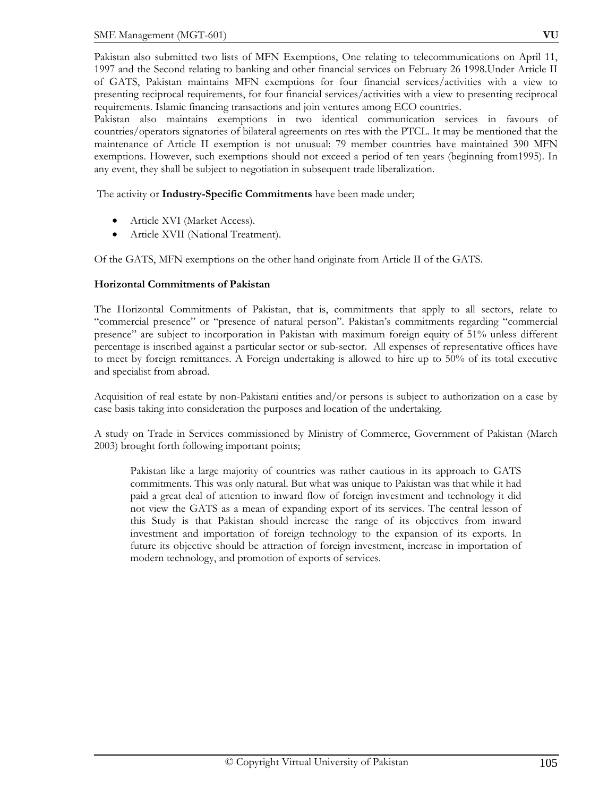Pakistan also submitted two lists of MFN Exemptions, One relating to telecommunications on April 11, 1997 and the Second relating to banking and other financial services on February 26 1998.Under Article II of GATS, Pakistan maintains MFN exemptions for four financial services/activities with a view to presenting reciprocal requirements, for four financial services/activities with a view to presenting reciprocal requirements. Islamic financing transactions and join ventures among ECO countries.

Pakistan also maintains exemptions in two identical communication services in favours of countries/operators signatories of bilateral agreements on rtes with the PTCL. It may be mentioned that the maintenance of Article II exemption is not unusual: 79 member countries have maintained 390 MFN exemptions. However, such exemptions should not exceed a period of ten years (beginning from1995). In any event, they shall be subject to negotiation in subsequent trade liberalization.

The activity or **Industry-Specific Commitments** have been made under;

- Article XVI (Market Access).
- Article XVII (National Treatment).

Of the GATS, MFN exemptions on the other hand originate from Article II of the GATS.

## **Horizontal Commitments of Pakistan**

The Horizontal Commitments of Pakistan, that is, commitments that apply to all sectors, relate to "commercial presence" or "presence of natural person". Pakistan's commitments regarding "commercial presence" are subject to incorporation in Pakistan with maximum foreign equity of 51% unless different percentage is inscribed against a particular sector or sub-sector. All expenses of representative offices have to meet by foreign remittances. A Foreign undertaking is allowed to hire up to 50% of its total executive and specialist from abroad.

Acquisition of real estate by non-Pakistani entities and/or persons is subject to authorization on a case by case basis taking into consideration the purposes and location of the undertaking.

A study on Trade in Services commissioned by Ministry of Commerce, Government of Pakistan (March 2003) brought forth following important points;

Pakistan like a large majority of countries was rather cautious in its approach to GATS commitments. This was only natural. But what was unique to Pakistan was that while it had paid a great deal of attention to inward flow of foreign investment and technology it did not view the GATS as a mean of expanding export of its services. The central lesson of this Study is that Pakistan should increase the range of its objectives from inward investment and importation of foreign technology to the expansion of its exports. In future its objective should be attraction of foreign investment, increase in importation of modern technology, and promotion of exports of services.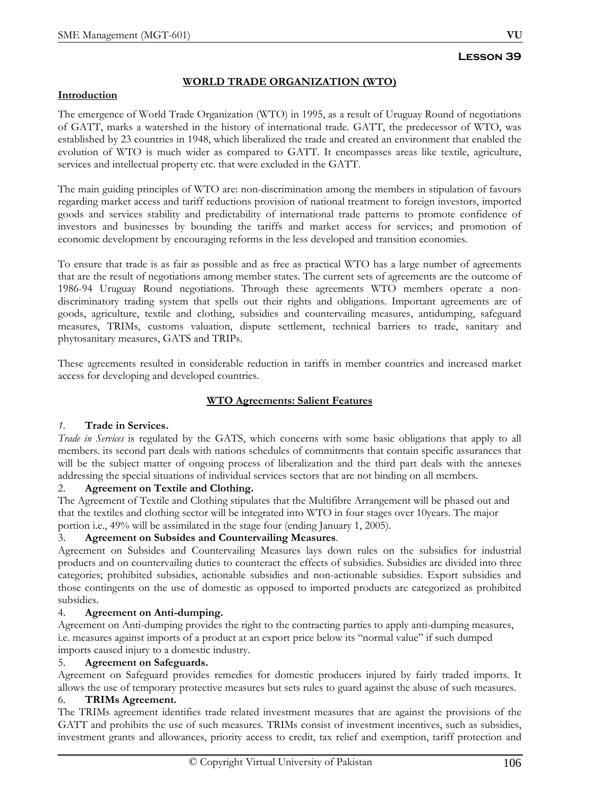# **WORLD TRADE ORGANIZATION (WTO)**

#### **Introduction**

The emergence of World Trade Organization (WTO) in 1995, as a result of Uruguay Round of negotiations of GATT, marks a watershed in the history of international trade. GATT, the predecessor of WTO, was established by 23 countries in 1948, which liberalized the trade and created an environment that enabled the evolution of WTO is much wider as compared to GATT. It encompasses areas like textile, agriculture, services and intellectual property etc. that were excluded in the GATT.

The main guiding principles of WTO are: non-discrimination among the members in stipulation of favours regarding market access and tariff reductions provision of national treatment to foreign investors, imported goods and services stability and predictability of international trade patterns to promote confidence of investors and businesses by bounding the tariffs and market access for services; and promotion of economic development by encouraging reforms in the less developed and transition economies.

To ensure that trade is as fair as possible and as free as practical WTO has a large number of agreements that are the result of negotiations among member states. The current sets of agreements are the outcome of 1986-94 Uruguay Round negotiations. Through these agreements WTO members operate a nondiscriminatory trading system that spells out their rights and obligations. Important agreements are of goods, agriculture, textile and clothing, subsidies and countervailing measures, antidumping, safeguard measures, TRIMs, customs valuation, dispute settlement, technical barriers to trade, sanitary and phytosanitary measures, GATS and TRIPs.

These agreements resulted in considerable reduction in tariffs in member countries and increased market access for developing and developed countries.

## **WTO Agreements: Salient Features**

## *1.* **Trade in Services.**

*Trade in Services* is regulated by the GATS, which concerns with some basic obligations that apply to all members. its second part deals with nations schedules of commitments that contain specific assurances that will be the subject matter of ongoing process of liberalization and the third part deals with the annexes addressing the special situations of individual services sectors that are not binding on all members.

## 2. **Agreement on Textile and Clothing.**

The Agreement of Textile and Clothing stipulates that the Multifibre Arrangement will be phased out and that the textiles and clothing sector will be integrated into WTO in four stages over 10years. The major portion i.e., 49% will be assimilated in the stage four (ending January 1, 2005).

# 3. **Agreement on Subsides and Countervailing Measures**.

Agreement on Subsides and Countervailing Measures lays down rules on the subsidies for industrial products and on countervailing duties to counteract the effects of subsidies. Subsidies are divided into three categories; prohibited subsidies, actionable subsidies and non-actionable subsidies. Export subsidies and those contingents on the use of domestic as opposed to imported products are categorized as prohibited subsidies.

# 4. **Agreement on Anti-dumping.**

Agreement on Anti-dumping provides the right to the contracting parties to apply anti-dumping measures, i.e. measures against imports of a product at an export price below its "normal value" if such dumped imports caused injury to a domestic industry.

## 5. **Agreement on Safeguards.**

Agreement on Safeguard provides remedies for domestic producers injured by fairly traded imports. It allows the use of temporary protective measures but sets rules to guard against the abuse of such measures.

## 6. **TRIMs Agreement.**

The TRIMs agreement identifies trade related investment measures that are against the provisions of the GATT and prohibits the use of such measures. TRIMs consist of investment incentives, such as subsidies, investment grants and allowances, priority access to credit, tax relief and exemption, tariff protection and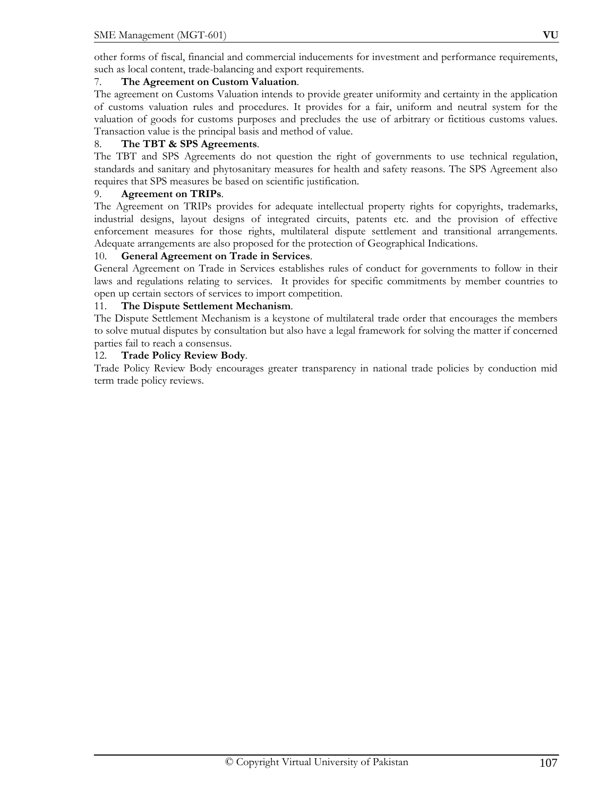other forms of fiscal, financial and commercial inducements for investment and performance requirements, such as local content, trade-balancing and export requirements.

## 7. **The Agreement on Custom Valuation**.

The agreement on Customs Valuation intends to provide greater uniformity and certainty in the application of customs valuation rules and procedures. It provides for a fair, uniform and neutral system for the valuation of goods for customs purposes and precludes the use of arbitrary or fictitious customs values. Transaction value is the principal basis and method of value.

#### 8. **The TBT & SPS Agreements**.

The TBT and SPS Agreements do not question the right of governments to use technical regulation, standards and sanitary and phytosanitary measures for health and safety reasons. The SPS Agreement also requires that SPS measures be based on scientific justification.

#### 9. **Agreement on TRIPs**.

The Agreement on TRIPs provides for adequate intellectual property rights for copyrights, trademarks, industrial designs, layout designs of integrated circuits, patents etc. and the provision of effective enforcement measures for those rights, multilateral dispute settlement and transitional arrangements. Adequate arrangements are also proposed for the protection of Geographical Indications.

#### 10. **General Agreement on Trade in Services**.

General Agreement on Trade in Services establishes rules of conduct for governments to follow in their laws and regulations relating to services. It provides for specific commitments by member countries to open up certain sectors of services to import competition.

#### 11. **The Dispute Settlement Mechanism**.

The Dispute Settlement Mechanism is a keystone of multilateral trade order that encourages the members to solve mutual disputes by consultation but also have a legal framework for solving the matter if concerned parties fail to reach a consensus.

#### 12. **Trade Policy Review Body**.

Trade Policy Review Body encourages greater transparency in national trade policies by conduction mid term trade policy reviews.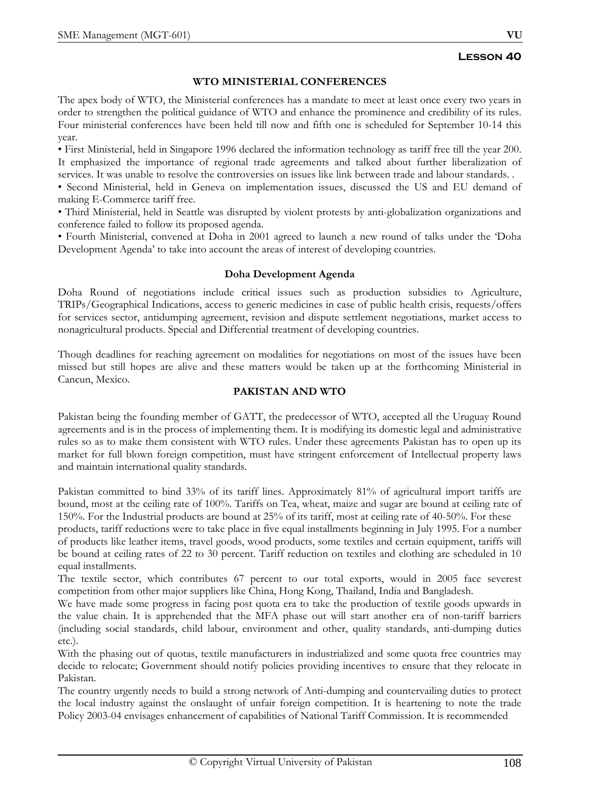# **WTO MINISTERIAL CONFERENCES**

The apex body of WTO, the Ministerial conferences has a mandate to meet at least once every two years in order to strengthen the political guidance of WTO and enhance the prominence and credibility of its rules. Four ministerial conferences have been held till now and fifth one is scheduled for September 10-14 this year.

• First Ministerial, held in Singapore 1996 declared the information technology as tariff free till the year 200. It emphasized the importance of regional trade agreements and talked about further liberalization of services. It was unable to resolve the controversies on issues like link between trade and labour standards. .

• Second Ministerial, held in Geneva on implementation issues, discussed the US and EU demand of making E-Commerce tariff free.

• Third Ministerial, held in Seattle was disrupted by violent protests by anti-globalization organizations and conference failed to follow its proposed agenda.

• Fourth Ministerial, convened at Doha in 2001 agreed to launch a new round of talks under the 'Doha Development Agenda' to take into account the areas of interest of developing countries.

## **Doha Development Agenda**

Doha Round of negotiations include critical issues such as production subsidies to Agriculture, TRIPs/Geographical Indications, access to generic medicines in case of public health crisis, requests/offers for services sector, antidumping agreement, revision and dispute settlement negotiations, market access to nonagricultural products. Special and Differential treatment of developing countries.

Though deadlines for reaching agreement on modalities for negotiations on most of the issues have been missed but still hopes are alive and these matters would be taken up at the forthcoming Ministerial in Cancun, Mexico.

## **PAKISTAN AND WTO**

Pakistan being the founding member of GATT, the predecessor of WTO, accepted all the Uruguay Round agreements and is in the process of implementing them. It is modifying its domestic legal and administrative rules so as to make them consistent with WTO rules. Under these agreements Pakistan has to open up its market for full blown foreign competition, must have stringent enforcement of Intellectual property laws and maintain international quality standards.

Pakistan committed to bind 33% of its tariff lines. Approximately 81% of agricultural import tariffs are bound, most at the ceiling rate of 100%. Tariffs on Tea, wheat, maize and sugar are bound at ceiling rate of 150%. For the Industrial products are bound at 25% of its tariff, most at ceiling rate of 40-50%. For these

products, tariff reductions were to take place in five equal installments beginning in July 1995. For a number of products like leather items, travel goods, wood products, some textiles and certain equipment, tariffs will be bound at ceiling rates of 22 to 30 percent. Tariff reduction on textiles and clothing are scheduled in 10 equal installments.

The textile sector, which contributes 67 percent to our total exports, would in 2005 face severest competition from other major suppliers like China, Hong Kong, Thailand, India and Bangladesh.

We have made some progress in facing post quota era to take the production of textile goods upwards in the value chain. It is apprehended that the MFA phase out will start another era of non-tariff barriers (including social standards, child labour, environment and other, quality standards, anti-dumping duties etc.).

With the phasing out of quotas, textile manufacturers in industrialized and some quota free countries may decide to relocate; Government should notify policies providing incentives to ensure that they relocate in Pakistan.

The country urgently needs to build a strong network of Anti-dumping and countervailing duties to protect the local industry against the onslaught of unfair foreign competition. It is heartening to note the trade Policy 2003-04 envisages enhancement of capabilities of National Tariff Commission. It is recommended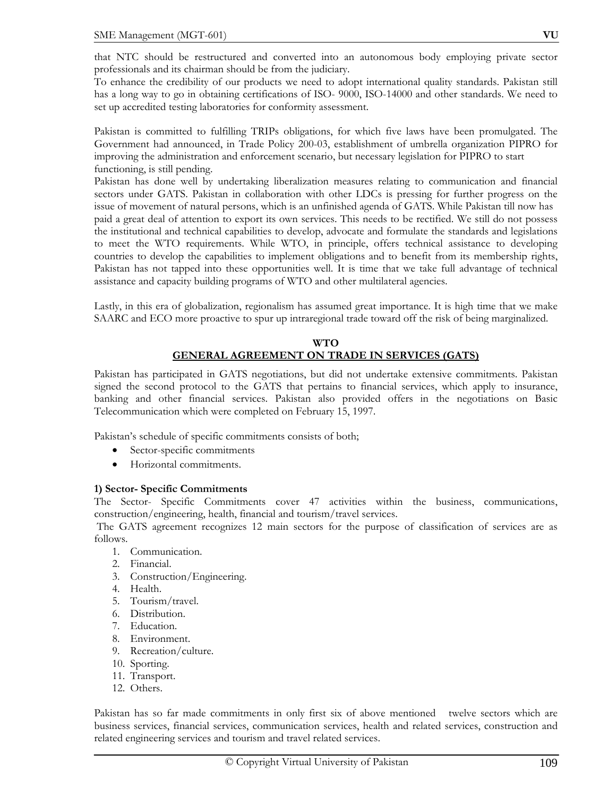that NTC should be restructured and converted into an autonomous body employing private sector professionals and its chairman should be from the judiciary.

To enhance the credibility of our products we need to adopt international quality standards. Pakistan still has a long way to go in obtaining certifications of ISO- 9000, ISO-14000 and other standards. We need to set up accredited testing laboratories for conformity assessment.

Pakistan is committed to fulfilling TRIPs obligations, for which five laws have been promulgated. The Government had announced, in Trade Policy 200-03, establishment of umbrella organization PIPRO for improving the administration and enforcement scenario, but necessary legislation for PIPRO to start functioning, is still pending.

Pakistan has done well by undertaking liberalization measures relating to communication and financial sectors under GATS. Pakistan in collaboration with other LDCs is pressing for further progress on the issue of movement of natural persons, which is an unfinished agenda of GATS. While Pakistan till now has paid a great deal of attention to export its own services. This needs to be rectified. We still do not possess the institutional and technical capabilities to develop, advocate and formulate the standards and legislations to meet the WTO requirements. While WTO, in principle, offers technical assistance to developing countries to develop the capabilities to implement obligations and to benefit from its membership rights, Pakistan has not tapped into these opportunities well. It is time that we take full advantage of technical assistance and capacity building programs of WTO and other multilateral agencies.

Lastly, in this era of globalization, regionalism has assumed great importance. It is high time that we make SAARC and ECO more proactive to spur up intraregional trade toward off the risk of being marginalized.

# **WTO GENERAL AGREEMENT ON TRADE IN SERVICES (GATS)**

Pakistan has participated in GATS negotiations, but did not undertake extensive commitments. Pakistan signed the second protocol to the GATS that pertains to financial services, which apply to insurance, banking and other financial services. Pakistan also provided offers in the negotiations on Basic Telecommunication which were completed on February 15, 1997.

Pakistan's schedule of specific commitments consists of both;

- Sector-specific commitments
- Horizontal commitments.

# **1) Sector- Specific Commitments**

The Sector- Specific Commitments cover 47 activities within the business, communications, construction/engineering, health, financial and tourism/travel services.

 The GATS agreement recognizes 12 main sectors for the purpose of classification of services are as follows.

- 1. Communication.
- 2. Financial.
- 3. Construction/Engineering.
- 4. Health.
- 5. Tourism/travel.
- 6. Distribution.
- 7. Education.
- 8. Environment.
- 9. Recreation/culture.
- 10. Sporting.
- 11. Transport.
- 12. Others.

Pakistan has so far made commitments in only first six of above mentioned twelve sectors which are business services, financial services, communication services, health and related services, construction and related engineering services and tourism and travel related services.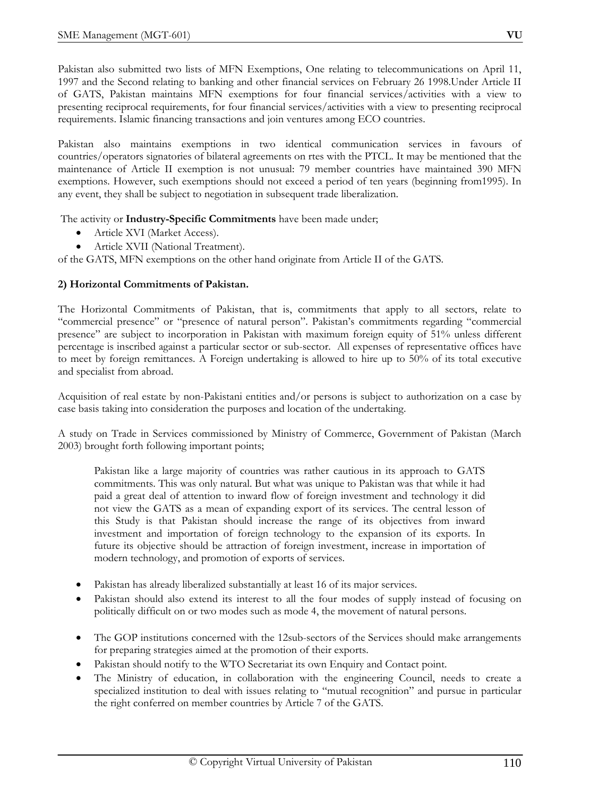Pakistan also submitted two lists of MFN Exemptions, One relating to telecommunications on April 11, 1997 and the Second relating to banking and other financial services on February 26 1998.Under Article II of GATS, Pakistan maintains MFN exemptions for four financial services/activities with a view to presenting reciprocal requirements, for four financial services/activities with a view to presenting reciprocal requirements. Islamic financing transactions and join ventures among ECO countries.

Pakistan also maintains exemptions in two identical communication services in favours of countries/operators signatories of bilateral agreements on rtes with the PTCL. It may be mentioned that the maintenance of Article II exemption is not unusual: 79 member countries have maintained 390 MFN exemptions. However, such exemptions should not exceed a period of ten years (beginning from1995). In any event, they shall be subject to negotiation in subsequent trade liberalization.

The activity or **Industry-Specific Commitments** have been made under;

- Article XVI (Market Access).
- Article XVII (National Treatment).

of the GATS, MFN exemptions on the other hand originate from Article II of the GATS.

# **2) Horizontal Commitments of Pakistan.**

The Horizontal Commitments of Pakistan, that is, commitments that apply to all sectors, relate to "commercial presence" or "presence of natural person". Pakistan's commitments regarding "commercial presence" are subject to incorporation in Pakistan with maximum foreign equity of 51% unless different percentage is inscribed against a particular sector or sub-sector. All expenses of representative offices have to meet by foreign remittances. A Foreign undertaking is allowed to hire up to 50% of its total executive and specialist from abroad.

Acquisition of real estate by non-Pakistani entities and/or persons is subject to authorization on a case by case basis taking into consideration the purposes and location of the undertaking.

A study on Trade in Services commissioned by Ministry of Commerce, Government of Pakistan (March 2003) brought forth following important points;

Pakistan like a large majority of countries was rather cautious in its approach to GATS commitments. This was only natural. But what was unique to Pakistan was that while it had paid a great deal of attention to inward flow of foreign investment and technology it did not view the GATS as a mean of expanding export of its services. The central lesson of this Study is that Pakistan should increase the range of its objectives from inward investment and importation of foreign technology to the expansion of its exports. In future its objective should be attraction of foreign investment, increase in importation of modern technology, and promotion of exports of services.

- Pakistan has already liberalized substantially at least 16 of its major services.
- Pakistan should also extend its interest to all the four modes of supply instead of focusing on politically difficult on or two modes such as mode 4, the movement of natural persons.
- The GOP institutions concerned with the 12sub-sectors of the Services should make arrangements for preparing strategies aimed at the promotion of their exports.
- Pakistan should notify to the WTO Secretariat its own Enquiry and Contact point.
- The Ministry of education, in collaboration with the engineering Council, needs to create a specialized institution to deal with issues relating to "mutual recognition" and pursue in particular the right conferred on member countries by Article 7 of the GATS.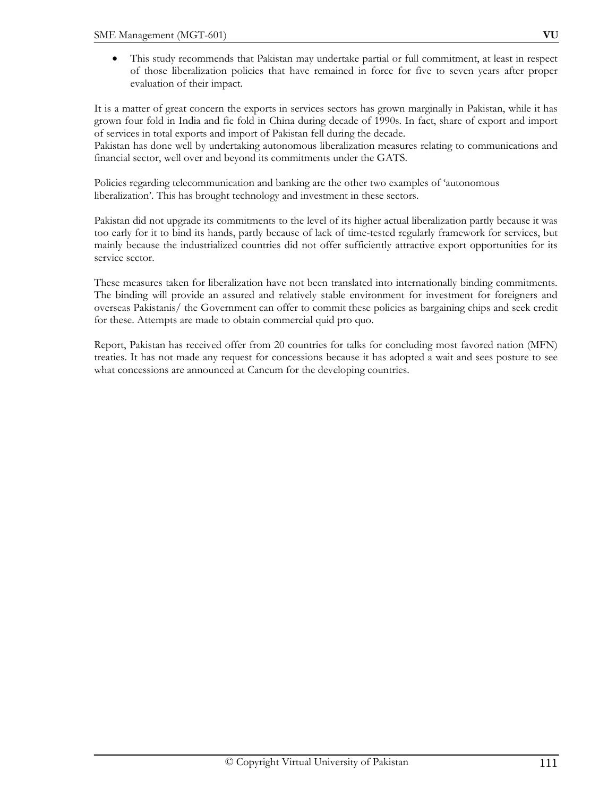• This study recommends that Pakistan may undertake partial or full commitment, at least in respect of those liberalization policies that have remained in force for five to seven years after proper evaluation of their impact.

It is a matter of great concern the exports in services sectors has grown marginally in Pakistan, while it has grown four fold in India and fie fold in China during decade of 1990s. In fact, share of export and import of services in total exports and import of Pakistan fell during the decade.

Pakistan has done well by undertaking autonomous liberalization measures relating to communications and financial sector, well over and beyond its commitments under the GATS.

Policies regarding telecommunication and banking are the other two examples of 'autonomous liberalization'. This has brought technology and investment in these sectors.

Pakistan did not upgrade its commitments to the level of its higher actual liberalization partly because it was too early for it to bind its hands, partly because of lack of time-tested regularly framework for services, but mainly because the industrialized countries did not offer sufficiently attractive export opportunities for its service sector.

These measures taken for liberalization have not been translated into internationally binding commitments. The binding will provide an assured and relatively stable environment for investment for foreigners and overseas Pakistanis/ the Government can offer to commit these policies as bargaining chips and seek credit for these. Attempts are made to obtain commercial quid pro quo.

Report, Pakistan has received offer from 20 countries for talks for concluding most favored nation (MFN) treaties. It has not made any request for concessions because it has adopted a wait and sees posture to see what concessions are announced at Cancum for the developing countries.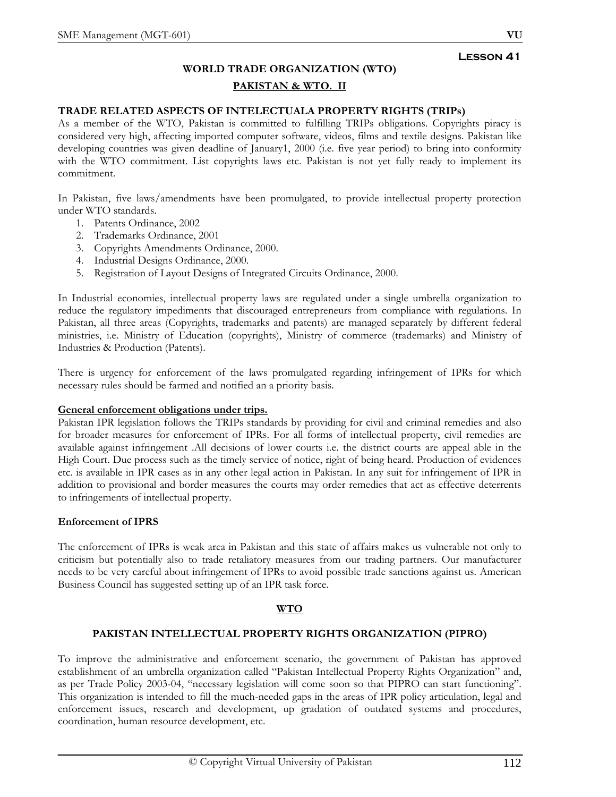# **WORLD TRADE ORGANIZATION (WTO) PAKISTAN & WTO. II**

# **TRADE RELATED ASPECTS OF INTELECTUALA PROPERTY RIGHTS (TRIPs)**

As a member of the WTO, Pakistan is committed to fulfilling TRIPs obligations. Copyrights piracy is considered very high, affecting imported computer software, videos, films and textile designs. Pakistan like developing countries was given deadline of January1, 2000 (i.e. five year period) to bring into conformity with the WTO commitment. List copyrights laws etc. Pakistan is not yet fully ready to implement its commitment.

In Pakistan, five laws/amendments have been promulgated, to provide intellectual property protection under WTO standards.

- 1. Patents Ordinance, 2002
- 2. Trademarks Ordinance, 2001
- 3. Copyrights Amendments Ordinance, 2000.
- 4. Industrial Designs Ordinance, 2000.
- 5. Registration of Layout Designs of Integrated Circuits Ordinance, 2000.

In Industrial economies, intellectual property laws are regulated under a single umbrella organization to reduce the regulatory impediments that discouraged entrepreneurs from compliance with regulations. In Pakistan, all three areas (Copyrights, trademarks and patents) are managed separately by different federal ministries, i.e. Ministry of Education (copyrights), Ministry of commerce (trademarks) and Ministry of Industries & Production (Patents).

There is urgency for enforcement of the laws promulgated regarding infringement of IPRs for which necessary rules should be farmed and notified an a priority basis.

# **General enforcement obligations under trips.**

Pakistan IPR legislation follows the TRIPs standards by providing for civil and criminal remedies and also for broader measures for enforcement of IPRs. For all forms of intellectual property, civil remedies are available against infringement .All decisions of lower courts i.e. the district courts are appeal able in the High Court. Due process such as the timely service of notice, right of being heard. Production of evidences etc. is available in IPR cases as in any other legal action in Pakistan. In any suit for infringement of IPR in addition to provisional and border measures the courts may order remedies that act as effective deterrents to infringements of intellectual property.

# **Enforcement of IPRS**

The enforcement of IPRs is weak area in Pakistan and this state of affairs makes us vulnerable not only to criticism but potentially also to trade retaliatory measures from our trading partners. Our manufacturer needs to be very careful about infringement of IPRs to avoid possible trade sanctions against us. American Business Council has suggested setting up of an IPR task force.

# **WTO**

# **PAKISTAN INTELLECTUAL PROPERTY RIGHTS ORGANIZATION (PIPRO)**

To improve the administrative and enforcement scenario, the government of Pakistan has approved establishment of an umbrella organization called "Pakistan Intellectual Property Rights Organization" and, as per Trade Policy 2003-04, "necessary legislation will come soon so that PIPRO can start functioning". This organization is intended to fill the much-needed gaps in the areas of IPR policy articulation, legal and enforcement issues, research and development, up gradation of outdated systems and procedures, coordination, human resource development, etc.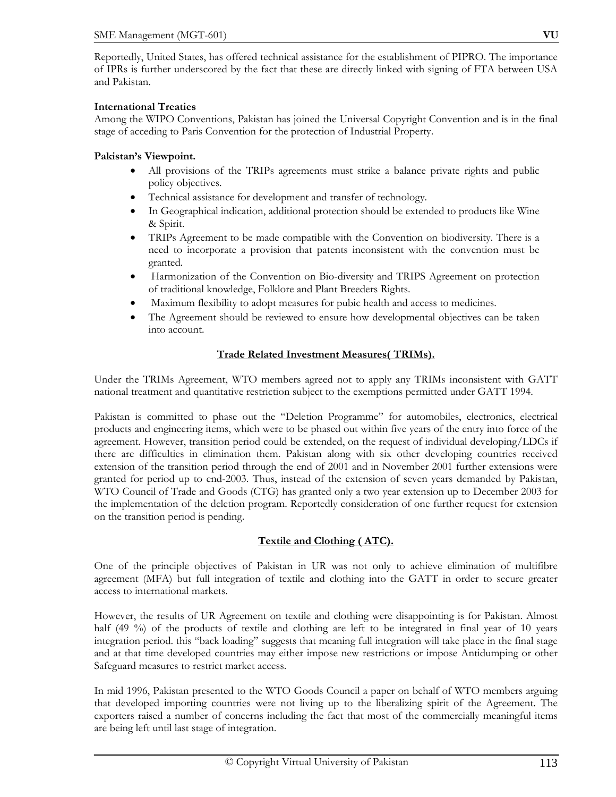Reportedly, United States, has offered technical assistance for the establishment of PIPRO. The importance of IPRs is further underscored by the fact that these are directly linked with signing of FTA between USA and Pakistan.

# **International Treaties**

Among the WIPO Conventions, Pakistan has joined the Universal Copyright Convention and is in the final stage of acceding to Paris Convention for the protection of Industrial Property.

# **Pakistan's Viewpoint.**

- All provisions of the TRIPs agreements must strike a balance private rights and public policy objectives.
- Technical assistance for development and transfer of technology.
- In Geographical indication, additional protection should be extended to products like Wine & Spirit.
- TRIPs Agreement to be made compatible with the Convention on biodiversity. There is a need to incorporate a provision that patents inconsistent with the convention must be granted.
- Harmonization of the Convention on Bio-diversity and TRIPS Agreement on protection of traditional knowledge, Folklore and Plant Breeders Rights.
- Maximum flexibility to adopt measures for pubic health and access to medicines.
- The Agreement should be reviewed to ensure how developmental objectives can be taken into account.

# **Trade Related Investment Measures( TRIMs).**

Under the TRIMs Agreement, WTO members agreed not to apply any TRIMs inconsistent with GATT national treatment and quantitative restriction subject to the exemptions permitted under GATT 1994.

Pakistan is committed to phase out the "Deletion Programme" for automobiles, electronics, electrical products and engineering items, which were to be phased out within five years of the entry into force of the agreement. However, transition period could be extended, on the request of individual developing/LDCs if there are difficulties in elimination them. Pakistan along with six other developing countries received extension of the transition period through the end of 2001 and in November 2001 further extensions were granted for period up to end-2003. Thus, instead of the extension of seven years demanded by Pakistan, WTO Council of Trade and Goods (CTG) has granted only a two year extension up to December 2003 for the implementation of the deletion program. Reportedly consideration of one further request for extension on the transition period is pending.

# **Textile and Clothing ( ATC).**

One of the principle objectives of Pakistan in UR was not only to achieve elimination of multifibre agreement (MFA) but full integration of textile and clothing into the GATT in order to secure greater access to international markets.

However, the results of UR Agreement on textile and clothing were disappointing is for Pakistan. Almost half (49 %) of the products of textile and clothing are left to be integrated in final year of 10 years integration period. this "back loading" suggests that meaning full integration will take place in the final stage and at that time developed countries may either impose new restrictions or impose Antidumping or other Safeguard measures to restrict market access.

In mid 1996, Pakistan presented to the WTO Goods Council a paper on behalf of WTO members arguing that developed importing countries were not living up to the liberalizing spirit of the Agreement. The exporters raised a number of concerns including the fact that most of the commercially meaningful items are being left until last stage of integration.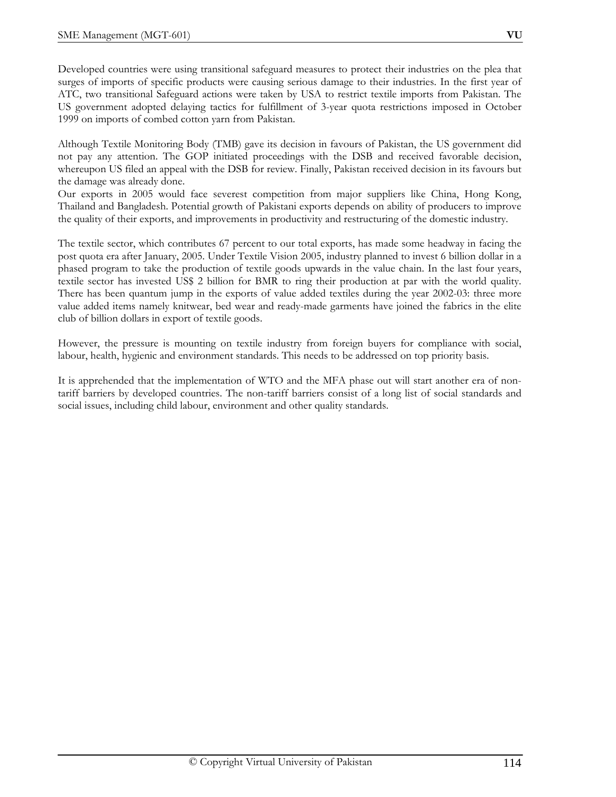Developed countries were using transitional safeguard measures to protect their industries on the plea that surges of imports of specific products were causing serious damage to their industries. In the first year of ATC, two transitional Safeguard actions were taken by USA to restrict textile imports from Pakistan. The US government adopted delaying tactics for fulfillment of 3-year quota restrictions imposed in October 1999 on imports of combed cotton yarn from Pakistan.

Although Textile Monitoring Body (TMB) gave its decision in favours of Pakistan, the US government did not pay any attention. The GOP initiated proceedings with the DSB and received favorable decision, whereupon US filed an appeal with the DSB for review. Finally, Pakistan received decision in its favours but the damage was already done.

Our exports in 2005 would face severest competition from major suppliers like China, Hong Kong, Thailand and Bangladesh. Potential growth of Pakistani exports depends on ability of producers to improve the quality of their exports, and improvements in productivity and restructuring of the domestic industry.

The textile sector, which contributes 67 percent to our total exports, has made some headway in facing the post quota era after January, 2005. Under Textile Vision 2005, industry planned to invest 6 billion dollar in a phased program to take the production of textile goods upwards in the value chain. In the last four years, textile sector has invested US\$ 2 billion for BMR to ring their production at par with the world quality. There has been quantum jump in the exports of value added textiles during the year 2002-03: three more value added items namely knitwear, bed wear and ready-made garments have joined the fabrics in the elite club of billion dollars in export of textile goods.

However, the pressure is mounting on textile industry from foreign buyers for compliance with social, labour, health, hygienic and environment standards. This needs to be addressed on top priority basis.

It is apprehended that the implementation of WTO and the MFA phase out will start another era of nontariff barriers by developed countries. The non-tariff barriers consist of a long list of social standards and social issues, including child labour, environment and other quality standards.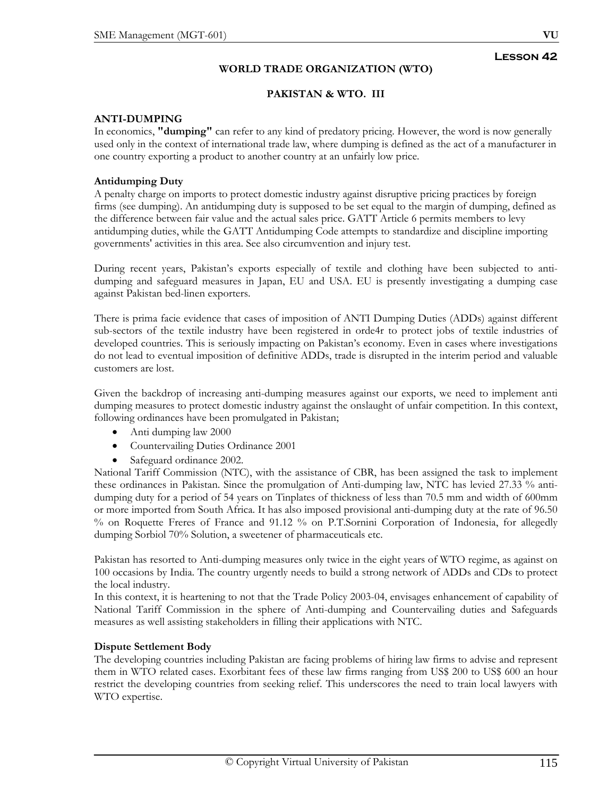# **WORLD TRADE ORGANIZATION (WTO)**

# **PAKISTAN & WTO. III**

# **ANTI-DUMPING**

In economics, **"dumping"** can refer to any kind of predatory pricing. However, the word is now generally used only in the context of international trade law, where dumping is defined as the act of a manufacturer in one country exporting a product to another country at an unfairly low price.

# **Antidumping Duty**

A penalty charge on imports to protect domestic industry against disruptive pricing practices by foreign firms (see dumping). An antidumping duty is supposed to be set equal to the margin of dumping, defined as the difference between fair value and the actual sales price. GATT Article 6 permits members to levy antidumping duties, while the GATT Antidumping Code attempts to standardize and discipline importing governments' activities in this area. See also circumvention and injury test.

During recent years, Pakistan's exports especially of textile and clothing have been subjected to antidumping and safeguard measures in Japan, EU and USA. EU is presently investigating a dumping case against Pakistan bed-linen exporters.

There is prima facie evidence that cases of imposition of ANTI Dumping Duties (ADDs) against different sub-sectors of the textile industry have been registered in orde4r to protect jobs of textile industries of developed countries. This is seriously impacting on Pakistan's economy. Even in cases where investigations do not lead to eventual imposition of definitive ADDs, trade is disrupted in the interim period and valuable customers are lost.

Given the backdrop of increasing anti-dumping measures against our exports, we need to implement anti dumping measures to protect domestic industry against the onslaught of unfair competition. In this context, following ordinances have been promulgated in Pakistan;

- Anti dumping law 2000
- Countervailing Duties Ordinance 2001
- Safeguard ordinance 2002.

National Tariff Commission (NTC), with the assistance of CBR, has been assigned the task to implement these ordinances in Pakistan. Since the promulgation of Anti-dumping law, NTC has levied 27.33 % antidumping duty for a period of 54 years on Tinplates of thickness of less than 70.5 mm and width of 600mm or more imported from South Africa. It has also imposed provisional anti-dumping duty at the rate of 96.50 % on Roquette Freres of France and 91.12 % on P.T.Sornini Corporation of Indonesia, for allegedly dumping Sorbiol 70% Solution, a sweetener of pharmaceuticals etc.

Pakistan has resorted to Anti-dumping measures only twice in the eight years of WTO regime, as against on 100 occasions by India. The country urgently needs to build a strong network of ADDs and CDs to protect the local industry.

In this context, it is heartening to not that the Trade Policy 2003-04, envisages enhancement of capability of National Tariff Commission in the sphere of Anti-dumping and Countervailing duties and Safeguards measures as well assisting stakeholders in filling their applications with NTC.

# **Dispute Settlement Body**

The developing countries including Pakistan are facing problems of hiring law firms to advise and represent them in WTO related cases. Exorbitant fees of these law firms ranging from US\$ 200 to US\$ 600 an hour restrict the developing countries from seeking relief. This underscores the need to train local lawyers with WTO expertise.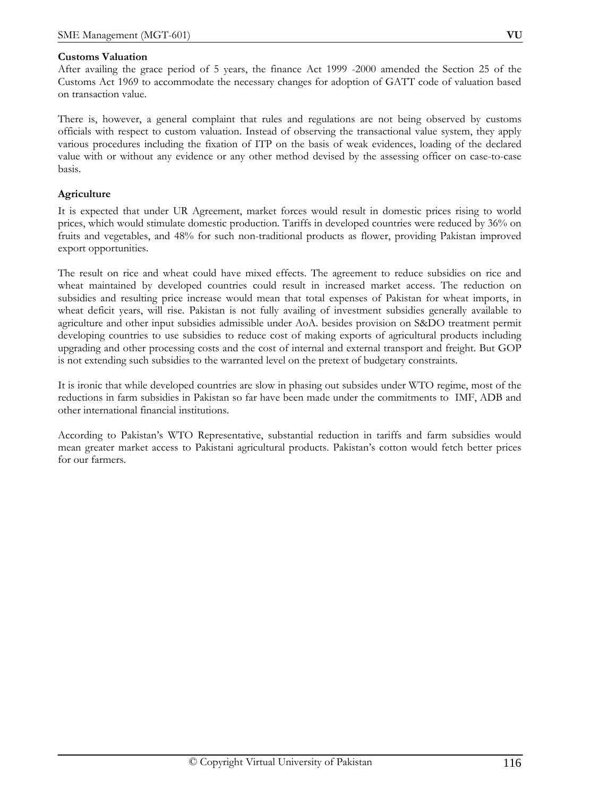# **Customs Valuation**

After availing the grace period of 5 years, the finance Act 1999 -2000 amended the Section 25 of the Customs Act 1969 to accommodate the necessary changes for adoption of GATT code of valuation based on transaction value.

There is, however, a general complaint that rules and regulations are not being observed by customs officials with respect to custom valuation. Instead of observing the transactional value system, they apply various procedures including the fixation of ITP on the basis of weak evidences, loading of the declared value with or without any evidence or any other method devised by the assessing officer on case-to-case basis.

# **Agriculture**

It is expected that under UR Agreement, market forces would result in domestic prices rising to world prices, which would stimulate domestic production. Tariffs in developed countries were reduced by 36% on fruits and vegetables, and 48% for such non-traditional products as flower, providing Pakistan improved export opportunities.

The result on rice and wheat could have mixed effects. The agreement to reduce subsidies on rice and wheat maintained by developed countries could result in increased market access. The reduction on subsidies and resulting price increase would mean that total expenses of Pakistan for wheat imports, in wheat deficit years, will rise. Pakistan is not fully availing of investment subsidies generally available to agriculture and other input subsidies admissible under AoA. besides provision on S&DO treatment permit developing countries to use subsidies to reduce cost of making exports of agricultural products including upgrading and other processing costs and the cost of internal and external transport and freight. But GOP is not extending such subsidies to the warranted level on the pretext of budgetary constraints.

It is ironic that while developed countries are slow in phasing out subsides under WTO regime, most of the reductions in farm subsidies in Pakistan so far have been made under the commitments to IMF, ADB and other international financial institutions.

According to Pakistan's WTO Representative, substantial reduction in tariffs and farm subsidies would mean greater market access to Pakistani agricultural products. Pakistan's cotton would fetch better prices for our farmers.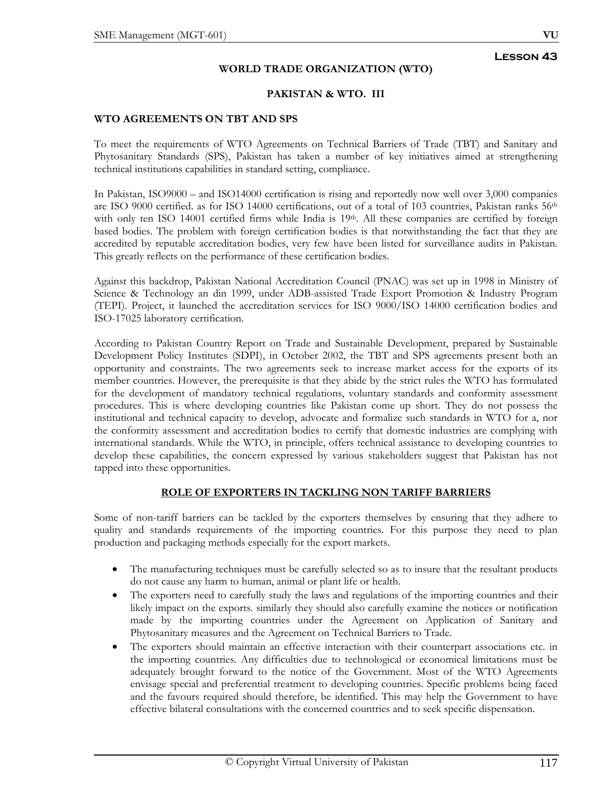# **Lesson 43**

### **WORLD TRADE ORGANIZATION (WTO)**

### **PAKISTAN & WTO. III**

#### **WTO AGREEMENTS ON TBT AND SPS**

To meet the requirements of WTO Agreements on Technical Barriers of Trade (TBT) and Sanitary and Phytosanitary Standards (SPS), Pakistan has taken a number of key initiatives aimed at strengthening technical institutions capabilities in standard setting, compliance.

In Pakistan, ISO9000 – and ISO14000 certification is rising and reportedly now well over 3,000 companies are ISO 9000 certified. as for ISO 14000 certifications, out of a total of 103 countries, Pakistan ranks 56<sup>th</sup> with only ten ISO 14001 certified firms while India is 19th. All these companies are certified by foreign based bodies. The problem with foreign certification bodies is that notwithstanding the fact that they are accredited by reputable accreditation bodies, very few have been listed for surveillance audits in Pakistan. This greatly reflects on the performance of these certification bodies.

Against this backdrop, Pakistan National Accreditation Council (PNAC) was set up in 1998 in Ministry of Science & Technology an din 1999, under ADB-assisted Trade Export Promotion & Industry Program (TEPI). Project, it launched the accreditation services for ISO 9000/ISO 14000 certification bodies and ISO-17025 laboratory certification.

According to Pakistan Country Report on Trade and Sustainable Development, prepared by Sustainable Development Policy Institutes (SDPI), in October 2002, the TBT and SPS agreements present both an opportunity and constraints. The two agreements seek to increase market access for the exports of its member countries. However, the prerequisite is that they abide by the strict rules the WTO has formulated for the development of mandatory technical regulations, voluntary standards and conformity assessment procedures. This is where developing countries like Pakistan come up short. They do not possess the institutional and technical capacity to develop, advocate and formalize such standards in WTO for a, nor the conformity assessment and accreditation bodies to certify that domestic industries are complying with international standards. While the WTO, in principle, offers technical assistance to developing countries to develop these capabilities, the concern expressed by various stakeholders suggest that Pakistan has not tapped into these opportunities.

# **ROLE OF EXPORTERS IN TACKLING NON TARIFF BARRIERS**

Some of non-tariff barriers can be tackled by the exporters themselves by ensuring that they adhere to quality and standards requirements of the importing countries. For this purpose they need to plan production and packaging methods especially for the export markets.

- The manufacturing techniques must be carefully selected so as to insure that the resultant products do not cause any harm to human, animal or plant life or health.
- The exporters need to carefully study the laws and regulations of the importing countries and their likely impact on the exports. similarly they should also carefully examine the notices or notification made by the importing countries under the Agreement on Application of Sanitary and Phytosanitary measures and the Agreement on Technical Barriers to Trade.
- The exporters should maintain an effective interaction with their counterpart associations etc. in the importing countries. Any difficulties due to technological or economical limitations must be adequately brought forward to the notice of the Government. Most of the WTO Agreements envisage special and preferential treatment to developing countries. Specific problems being faced and the favours required should therefore, be identified. This may help the Government to have effective bilateral consultations with the concerned countries and to seek specific dispensation.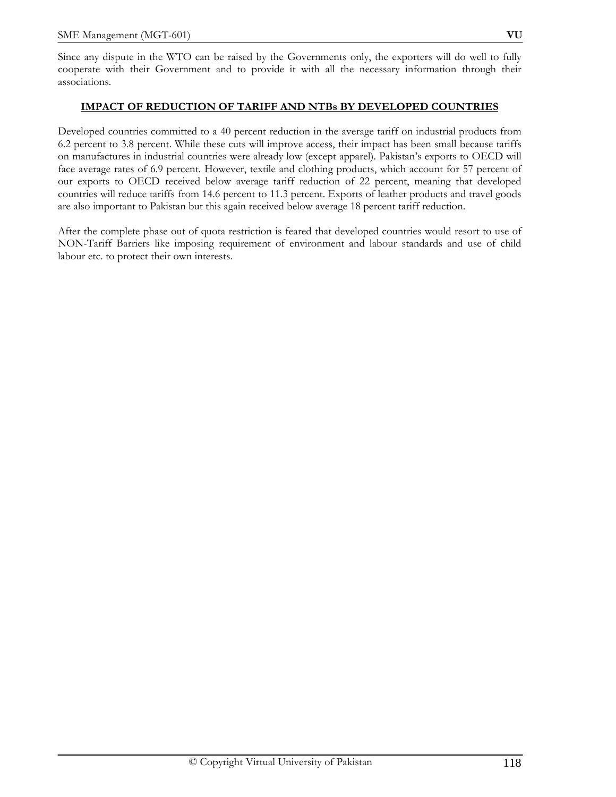Since any dispute in the WTO can be raised by the Governments only, the exporters will do well to fully cooperate with their Government and to provide it with all the necessary information through their associations.

#### **IMPACT OF REDUCTION OF TARIFF AND NTBs BY DEVELOPED COUNTRIES**

Developed countries committed to a 40 percent reduction in the average tariff on industrial products from 6.2 percent to 3.8 percent. While these cuts will improve access, their impact has been small because tariffs on manufactures in industrial countries were already low (except apparel). Pakistan's exports to OECD will face average rates of 6.9 percent. However, textile and clothing products, which account for 57 percent of our exports to OECD received below average tariff reduction of 22 percent, meaning that developed countries will reduce tariffs from 14.6 percent to 11.3 percent. Exports of leather products and travel goods are also important to Pakistan but this again received below average 18 percent tariff reduction.

After the complete phase out of quota restriction is feared that developed countries would resort to use of NON-Tariff Barriers like imposing requirement of environment and labour standards and use of child labour etc. to protect their own interests.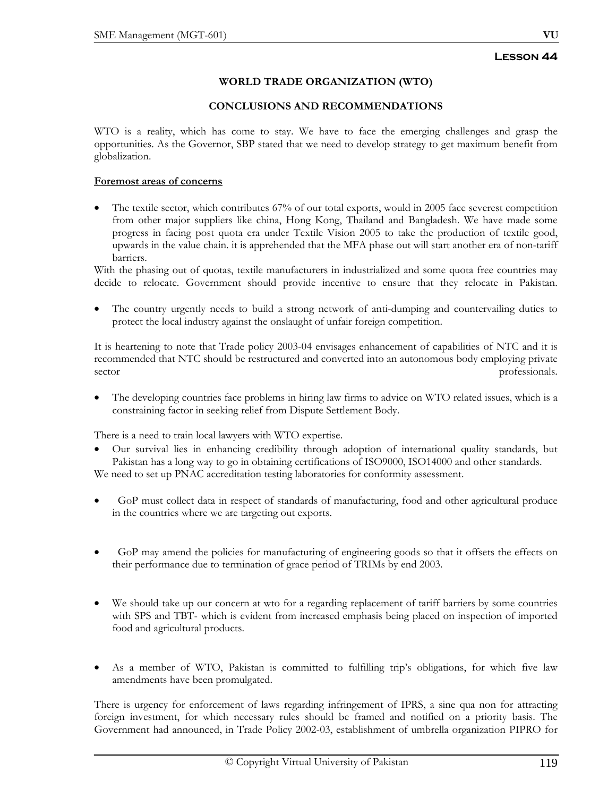# **Lesson 44**

# **WORLD TRADE ORGANIZATION (WTO)**

#### **CONCLUSIONS AND RECOMMENDATIONS**

WTO is a reality, which has come to stay. We have to face the emerging challenges and grasp the opportunities. As the Governor, SBP stated that we need to develop strategy to get maximum benefit from globalization.

# **Foremost areas of concerns**

The textile sector, which contributes 67% of our total exports, would in 2005 face severest competition from other major suppliers like china, Hong Kong, Thailand and Bangladesh. We have made some progress in facing post quota era under Textile Vision 2005 to take the production of textile good, upwards in the value chain. it is apprehended that the MFA phase out will start another era of non-tariff barriers.

With the phasing out of quotas, textile manufacturers in industrialized and some quota free countries may decide to relocate. Government should provide incentive to ensure that they relocate in Pakistan.

The country urgently needs to build a strong network of anti-dumping and countervailing duties to protect the local industry against the onslaught of unfair foreign competition.

It is heartening to note that Trade policy 2003-04 envisages enhancement of capabilities of NTC and it is recommended that NTC should be restructured and converted into an autonomous body employing private sector professionals.

• The developing countries face problems in hiring law firms to advice on WTO related issues, which is a constraining factor in seeking relief from Dispute Settlement Body.

There is a need to train local lawyers with WTO expertise.

- Our survival lies in enhancing credibility through adoption of international quality standards, but Pakistan has a long way to go in obtaining certifications of ISO9000, ISO14000 and other standards. We need to set up PNAC accreditation testing laboratories for conformity assessment.
- GoP must collect data in respect of standards of manufacturing, food and other agricultural produce in the countries where we are targeting out exports.
- GoP may amend the policies for manufacturing of engineering goods so that it offsets the effects on their performance due to termination of grace period of TRIMs by end 2003.
- We should take up our concern at wto for a regarding replacement of tariff barriers by some countries with SPS and TBT- which is evident from increased emphasis being placed on inspection of imported food and agricultural products.
- As a member of WTO, Pakistan is committed to fulfilling trip's obligations, for which five law amendments have been promulgated.

There is urgency for enforcement of laws regarding infringement of IPRS, a sine qua non for attracting foreign investment, for which necessary rules should be framed and notified on a priority basis. The Government had announced, in Trade Policy 2002-03, establishment of umbrella organization PIPRO for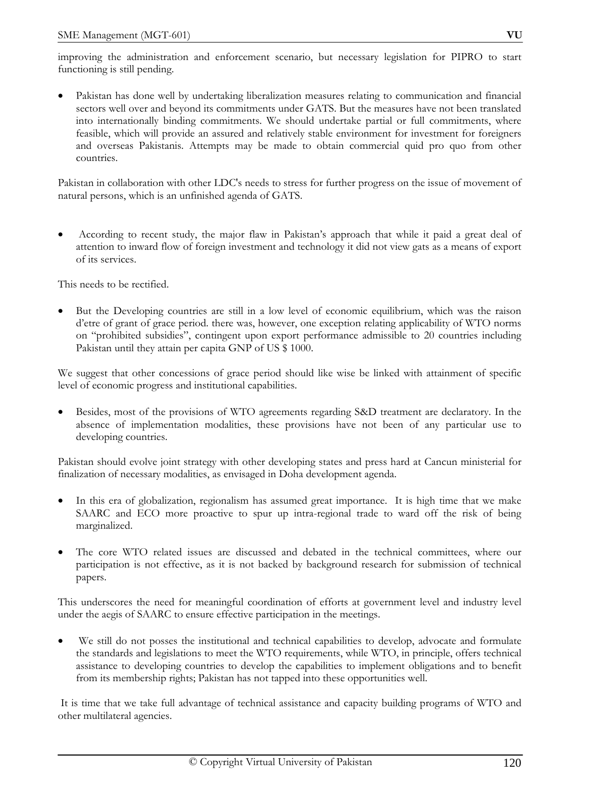• Pakistan has done well by undertaking liberalization measures relating to communication and financial sectors well over and beyond its commitments under GATS. But the measures have not been translated into internationally binding commitments. We should undertake partial or full commitments, where feasible, which will provide an assured and relatively stable environment for investment for foreigners and overseas Pakistanis. Attempts may be made to obtain commercial quid pro quo from other countries.

Pakistan in collaboration with other LDC's needs to stress for further progress on the issue of movement of natural persons, which is an unfinished agenda of GATS.

• According to recent study, the major flaw in Pakistan's approach that while it paid a great deal of attention to inward flow of foreign investment and technology it did not view gats as a means of export of its services.

This needs to be rectified.

• But the Developing countries are still in a low level of economic equilibrium, which was the raison d'etre of grant of grace period. there was, however, one exception relating applicability of WTO norms on "prohibited subsidies", contingent upon export performance admissible to 20 countries including Pakistan until they attain per capita GNP of US \$ 1000.

We suggest that other concessions of grace period should like wise be linked with attainment of specific level of economic progress and institutional capabilities.

• Besides, most of the provisions of WTO agreements regarding S&D treatment are declaratory. In the absence of implementation modalities, these provisions have not been of any particular use to developing countries.

Pakistan should evolve joint strategy with other developing states and press hard at Cancun ministerial for finalization of necessary modalities, as envisaged in Doha development agenda.

- In this era of globalization, regionalism has assumed great importance. It is high time that we make SAARC and ECO more proactive to spur up intra-regional trade to ward off the risk of being marginalized.
- The core WTO related issues are discussed and debated in the technical committees, where our participation is not effective, as it is not backed by background research for submission of technical papers.

This underscores the need for meaningful coordination of efforts at government level and industry level under the aegis of SAARC to ensure effective participation in the meetings.

• We still do not posses the institutional and technical capabilities to develop, advocate and formulate the standards and legislations to meet the WTO requirements, while WTO, in principle, offers technical assistance to developing countries to develop the capabilities to implement obligations and to benefit from its membership rights; Pakistan has not tapped into these opportunities well.

 It is time that we take full advantage of technical assistance and capacity building programs of WTO and other multilateral agencies.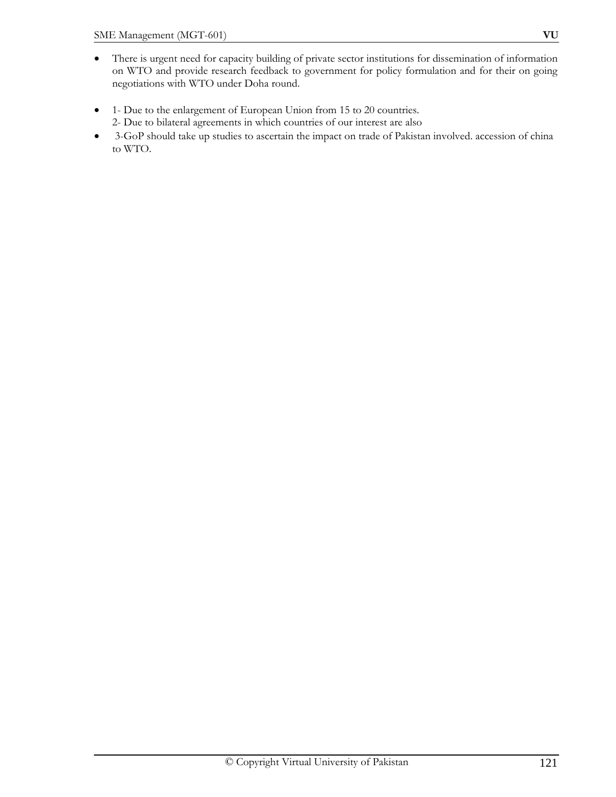- There is urgent need for capacity building of private sector institutions for dissemination of information on WTO and provide research feedback to government for policy formulation and for their on going negotiations with WTO under Doha round.
- 1- Due to the enlargement of European Union from 15 to 20 countries. 2- Due to bilateral agreements in which countries of our interest are also
- 3-GoP should take up studies to ascertain the impact on trade of Pakistan involved. accession of china to WTO.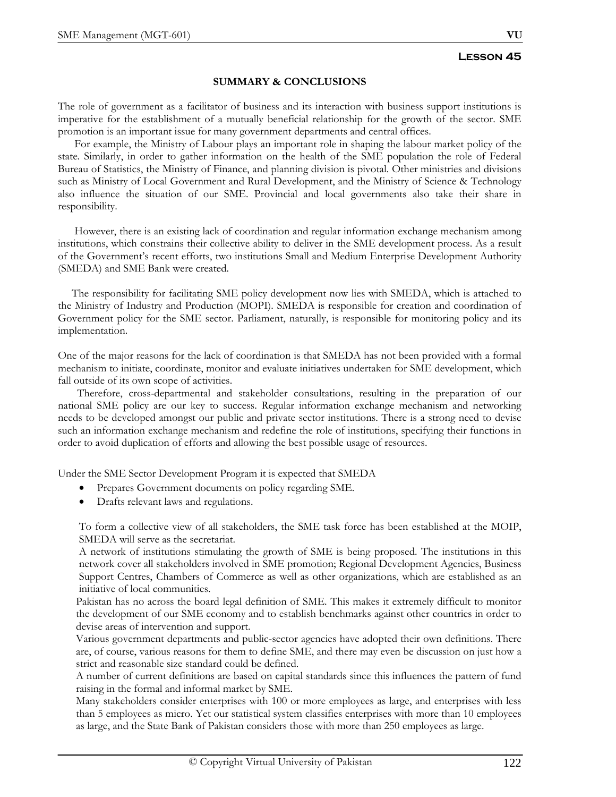#### **SUMMARY & CONCLUSIONS**

The role of government as a facilitator of business and its interaction with business support institutions is imperative for the establishment of a mutually beneficial relationship for the growth of the sector. SME promotion is an important issue for many government departments and central offices.

 For example, the Ministry of Labour plays an important role in shaping the labour market policy of the state. Similarly, in order to gather information on the health of the SME population the role of Federal Bureau of Statistics, the Ministry of Finance, and planning division is pivotal. Other ministries and divisions such as Ministry of Local Government and Rural Development, and the Ministry of Science & Technology also influence the situation of our SME. Provincial and local governments also take their share in responsibility.

 However, there is an existing lack of coordination and regular information exchange mechanism among institutions, which constrains their collective ability to deliver in the SME development process. As a result of the Government's recent efforts, two institutions Small and Medium Enterprise Development Authority (SMEDA) and SME Bank were created.

 The responsibility for facilitating SME policy development now lies with SMEDA, which is attached to the Ministry of Industry and Production (MOPI). SMEDA is responsible for creation and coordination of Government policy for the SME sector. Parliament, naturally, is responsible for monitoring policy and its implementation.

One of the major reasons for the lack of coordination is that SMEDA has not been provided with a formal mechanism to initiate, coordinate, monitor and evaluate initiatives undertaken for SME development, which fall outside of its own scope of activities.

 Therefore, cross-departmental and stakeholder consultations, resulting in the preparation of our national SME policy are our key to success. Regular information exchange mechanism and networking needs to be developed amongst our public and private sector institutions. There is a strong need to devise such an information exchange mechanism and redefine the role of institutions, specifying their functions in order to avoid duplication of efforts and allowing the best possible usage of resources.

Under the SME Sector Development Program it is expected that SMEDA

- Prepares Government documents on policy regarding SME.
- Drafts relevant laws and regulations.

To form a collective view of all stakeholders, the SME task force has been established at the MOIP, SMEDA will serve as the secretariat.

A network of institutions stimulating the growth of SME is being proposed. The institutions in this network cover all stakeholders involved in SME promotion; Regional Development Agencies, Business Support Centres, Chambers of Commerce as well as other organizations, which are established as an initiative of local communities.

Pakistan has no across the board legal definition of SME. This makes it extremely difficult to monitor the development of our SME economy and to establish benchmarks against other countries in order to devise areas of intervention and support.

Various government departments and public-sector agencies have adopted their own definitions. There are, of course, various reasons for them to define SME, and there may even be discussion on just how a strict and reasonable size standard could be defined.

A number of current definitions are based on capital standards since this influences the pattern of fund raising in the formal and informal market by SME.

Many stakeholders consider enterprises with 100 or more employees as large, and enterprises with less than 5 employees as micro. Yet our statistical system classifies enterprises with more than 10 employees as large, and the State Bank of Pakistan considers those with more than 250 employees as large.